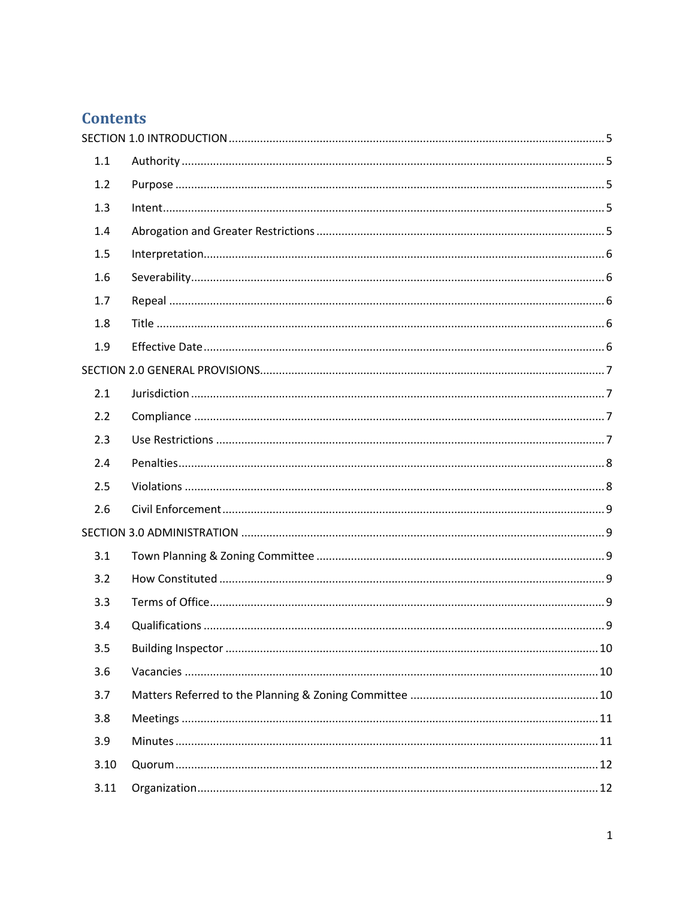# **Contents**

| 1.1  |  |
|------|--|
| 1.2  |  |
| 1.3  |  |
| 1.4  |  |
| 1.5  |  |
| 1.6  |  |
| 1.7  |  |
| 1.8  |  |
| 1.9  |  |
|      |  |
| 2.1  |  |
| 2.2  |  |
| 2.3  |  |
| 2.4  |  |
| 2.5  |  |
| 2.6  |  |
|      |  |
| 3.1  |  |
| 3.2  |  |
| 3.3  |  |
| 3.4  |  |
| 3.5  |  |
| 3.6  |  |
| 3.7  |  |
| 3.8  |  |
| 3.9  |  |
| 3.10 |  |
| 3.11 |  |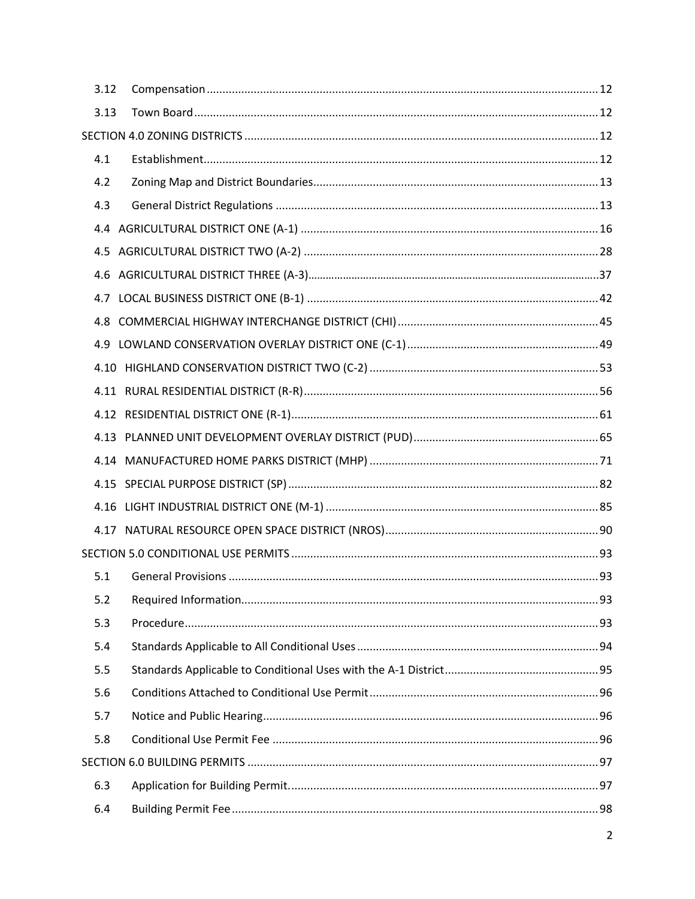| 3.12 |  |
|------|--|
| 3.13 |  |
|      |  |
| 4.1  |  |
| 4.2  |  |
| 4.3  |  |
|      |  |
|      |  |
|      |  |
|      |  |
|      |  |
|      |  |
|      |  |
|      |  |
|      |  |
|      |  |
|      |  |
|      |  |
|      |  |
|      |  |
|      |  |
| 5.1  |  |
| 5.2  |  |
| 5.3  |  |
| 5.4  |  |
| 5.5  |  |
| 5.6  |  |
| 5.7  |  |
| 5.8  |  |
|      |  |
| 6.3  |  |
| 6.4  |  |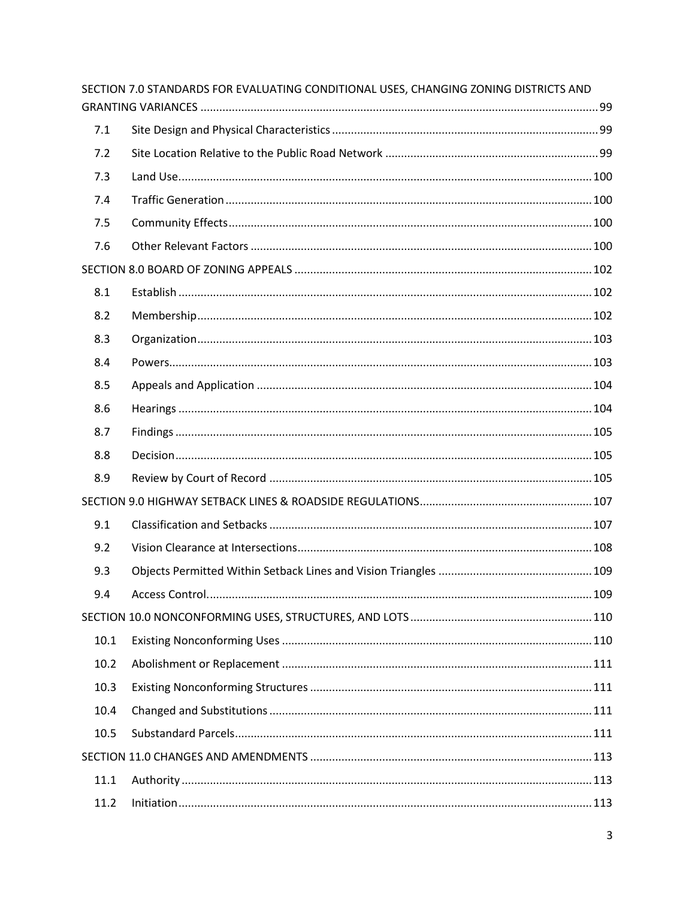|      | SECTION 7.0 STANDARDS FOR EVALUATING CONDITIONAL USES, CHANGING ZONING DISTRICTS AND |  |
|------|--------------------------------------------------------------------------------------|--|
|      |                                                                                      |  |
| 7.1  |                                                                                      |  |
| 7.2  |                                                                                      |  |
| 7.3  |                                                                                      |  |
| 7.4  |                                                                                      |  |
| 7.5  |                                                                                      |  |
| 7.6  |                                                                                      |  |
|      |                                                                                      |  |
| 8.1  |                                                                                      |  |
| 8.2  |                                                                                      |  |
| 8.3  |                                                                                      |  |
| 8.4  |                                                                                      |  |
| 8.5  |                                                                                      |  |
| 8.6  |                                                                                      |  |
| 8.7  |                                                                                      |  |
| 8.8  |                                                                                      |  |
| 8.9  |                                                                                      |  |
|      |                                                                                      |  |
| 9.1  |                                                                                      |  |
| 9.2  |                                                                                      |  |
| 9.3  |                                                                                      |  |
| 9.4  |                                                                                      |  |
|      |                                                                                      |  |
| 10.1 |                                                                                      |  |
| 10.2 |                                                                                      |  |
| 10.3 |                                                                                      |  |
| 10.4 |                                                                                      |  |
| 10.5 |                                                                                      |  |
|      |                                                                                      |  |
| 11.1 |                                                                                      |  |
| 11.2 |                                                                                      |  |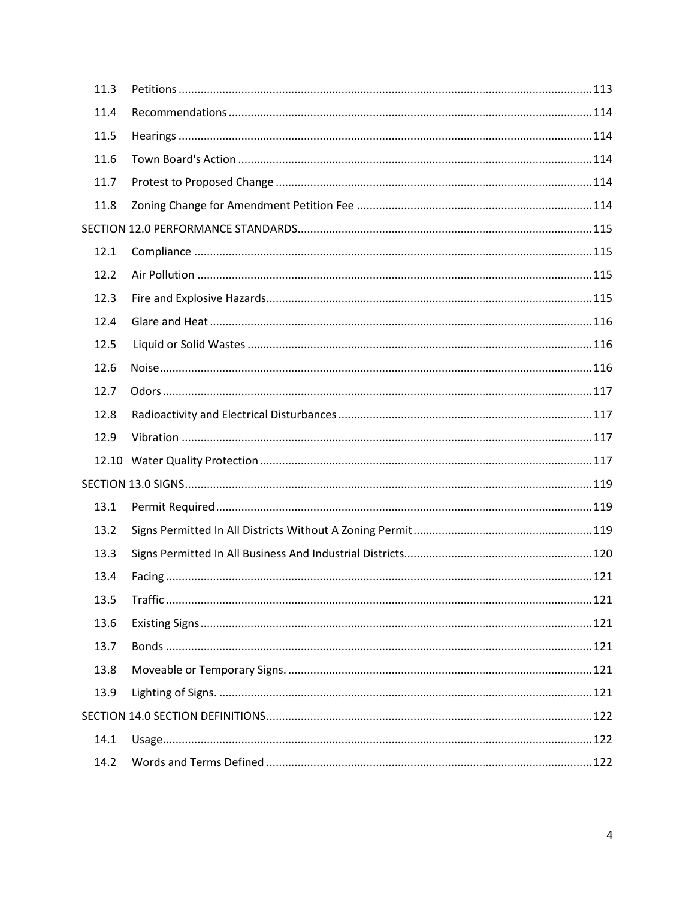| 11.3 |  |  |
|------|--|--|
| 11.4 |  |  |
| 11.5 |  |  |
| 11.6 |  |  |
| 11.7 |  |  |
| 11.8 |  |  |
|      |  |  |
| 12.1 |  |  |
| 12.2 |  |  |
| 12.3 |  |  |
| 12.4 |  |  |
| 12.5 |  |  |
| 12.6 |  |  |
| 12.7 |  |  |
| 12.8 |  |  |
| 12.9 |  |  |
|      |  |  |
|      |  |  |
| 13.1 |  |  |
| 13.2 |  |  |
| 13.3 |  |  |
| 13.4 |  |  |
| 13.5 |  |  |
| 13.6 |  |  |
| 13.7 |  |  |
| 13.8 |  |  |
| 13.9 |  |  |
|      |  |  |
| 14.1 |  |  |
| 14.2 |  |  |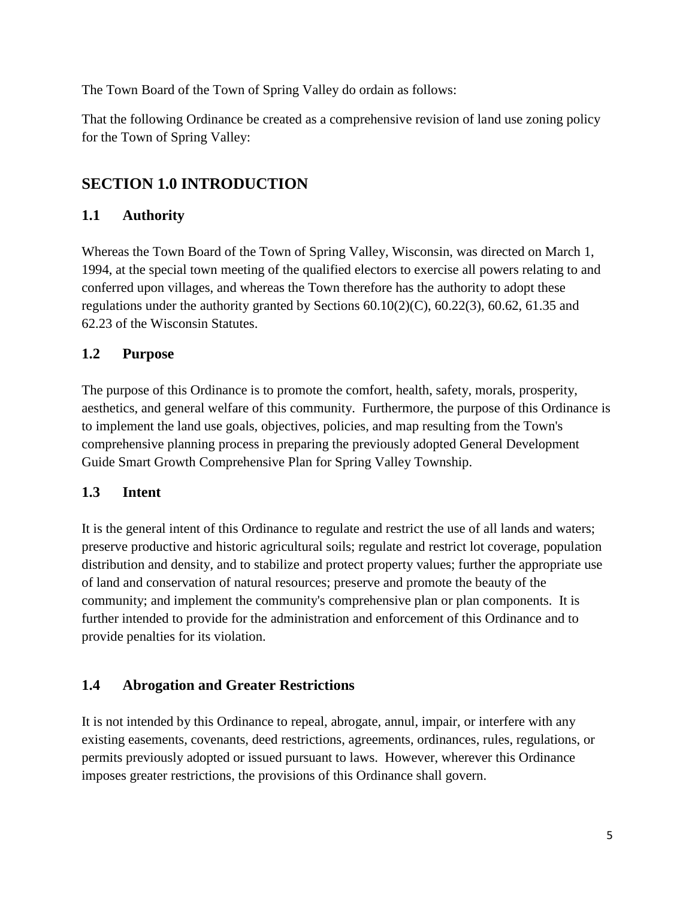The Town Board of the Town of Spring Valley do ordain as follows:

That the following Ordinance be created as a comprehensive revision of land use zoning policy for the Town of Spring Valley:

# <span id="page-4-0"></span>**SECTION 1.0 INTRODUCTION**

## <span id="page-4-1"></span>**1.1 Authority**

Whereas the Town Board of the Town of Spring Valley, Wisconsin, was directed on March 1, 1994, at the special town meeting of the qualified electors to exercise all powers relating to and conferred upon villages, and whereas the Town therefore has the authority to adopt these regulations under the authority granted by Sections 60.10(2)(C), 60.22(3), 60.62, 61.35 and 62.23 of the Wisconsin Statutes.

### <span id="page-4-2"></span>**1.2 Purpose**

The purpose of this Ordinance is to promote the comfort, health, safety, morals, prosperity, aesthetics, and general welfare of this community. Furthermore, the purpose of this Ordinance is to implement the land use goals, objectives, policies, and map resulting from the Town's comprehensive planning process in preparing the previously adopted General Development Guide Smart Growth Comprehensive Plan for Spring Valley Township.

#### <span id="page-4-3"></span>**1.3 Intent**

It is the general intent of this Ordinance to regulate and restrict the use of all lands and waters; preserve productive and historic agricultural soils; regulate and restrict lot coverage, population distribution and density, and to stabilize and protect property values; further the appropriate use of land and conservation of natural resources; preserve and promote the beauty of the community; and implement the community's comprehensive plan or plan components. It is further intended to provide for the administration and enforcement of this Ordinance and to provide penalties for its violation.

#### <span id="page-4-4"></span>**1.4 Abrogation and Greater Restrictions**

It is not intended by this Ordinance to repeal, abrogate, annul, impair, or interfere with any existing easements, covenants, deed restrictions, agreements, ordinances, rules, regulations, or permits previously adopted or issued pursuant to laws. However, wherever this Ordinance imposes greater restrictions, the provisions of this Ordinance shall govern.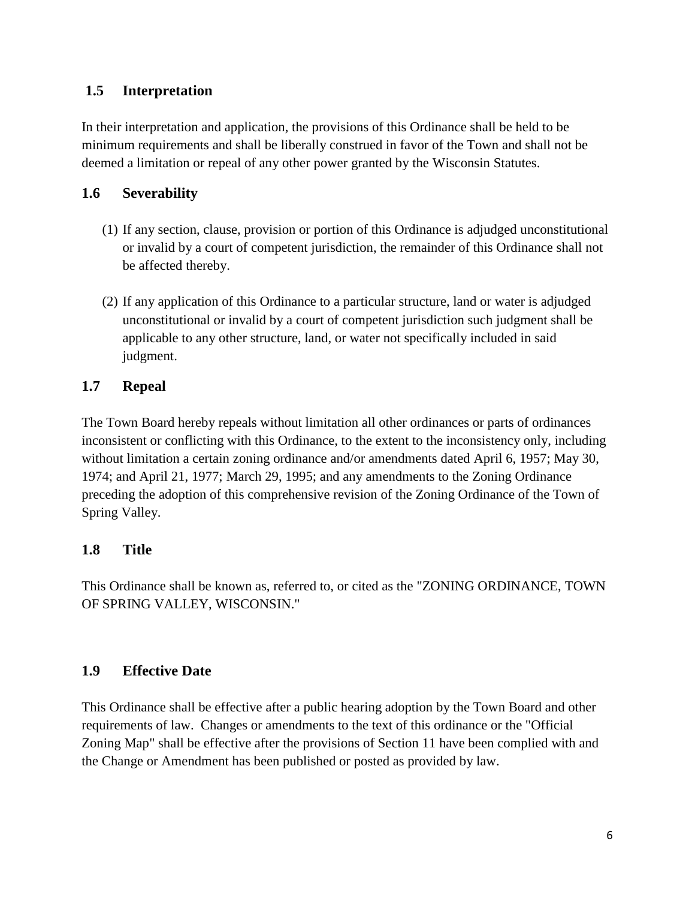### <span id="page-5-0"></span>**1.5 Interpretation**

In their interpretation and application, the provisions of this Ordinance shall be held to be minimum requirements and shall be liberally construed in favor of the Town and shall not be deemed a limitation or repeal of any other power granted by the Wisconsin Statutes.

### <span id="page-5-1"></span>**1.6 Severability**

- (1) If any section, clause, provision or portion of this Ordinance is adjudged unconstitutional or invalid by a court of competent jurisdiction, the remainder of this Ordinance shall not be affected thereby.
- (2) If any application of this Ordinance to a particular structure, land or water is adjudged unconstitutional or invalid by a court of competent jurisdiction such judgment shall be applicable to any other structure, land, or water not specifically included in said judgment.

### <span id="page-5-2"></span>**1.7 Repeal**

The Town Board hereby repeals without limitation all other ordinances or parts of ordinances inconsistent or conflicting with this Ordinance, to the extent to the inconsistency only, including without limitation a certain zoning ordinance and/or amendments dated April 6, 1957; May 30, 1974; and April 21, 1977; March 29, 1995; and any amendments to the Zoning Ordinance preceding the adoption of this comprehensive revision of the Zoning Ordinance of the Town of Spring Valley.

## <span id="page-5-3"></span>**1.8 Title**

This Ordinance shall be known as, referred to, or cited as the "ZONING ORDINANCE, TOWN OF SPRING VALLEY, WISCONSIN."

## <span id="page-5-4"></span>**1.9 Effective Date**

This Ordinance shall be effective after a public hearing adoption by the Town Board and other requirements of law. Changes or amendments to the text of this ordinance or the "Official Zoning Map" shall be effective after the provisions of Section 11 have been complied with and the Change or Amendment has been published or posted as provided by law.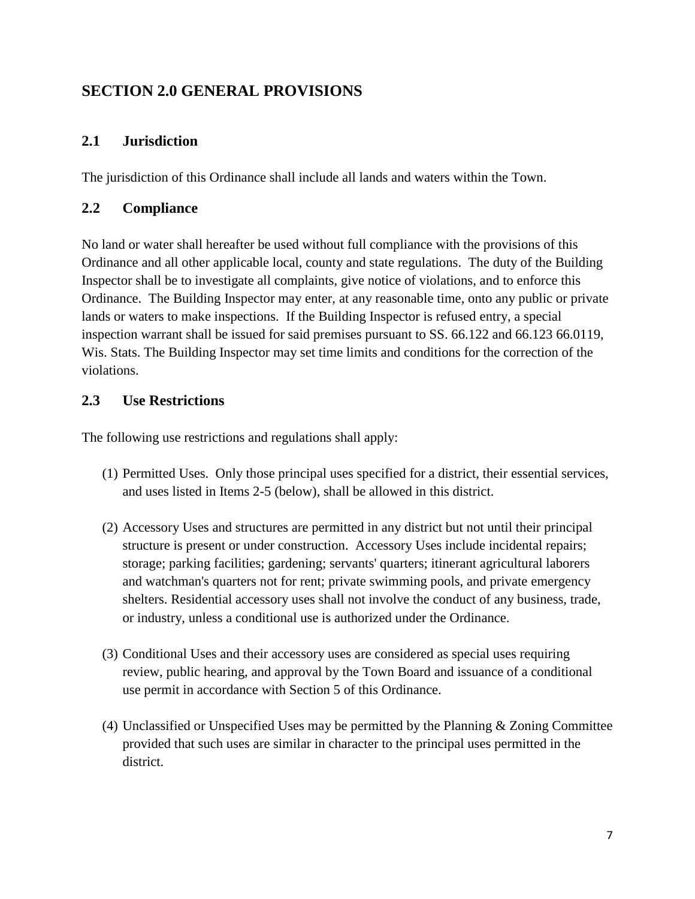# <span id="page-6-0"></span>**SECTION 2.0 GENERAL PROVISIONS**

## <span id="page-6-1"></span>**2.1 Jurisdiction**

The jurisdiction of this Ordinance shall include all lands and waters within the Town.

### <span id="page-6-2"></span>**2.2 Compliance**

No land or water shall hereafter be used without full compliance with the provisions of this Ordinance and all other applicable local, county and state regulations. The duty of the Building Inspector shall be to investigate all complaints, give notice of violations, and to enforce this Ordinance. The Building Inspector may enter, at any reasonable time, onto any public or private lands or waters to make inspections. If the Building Inspector is refused entry, a special inspection warrant shall be issued for said premises pursuant to SS. 66.122 and 66.123 66.0119, Wis. Stats. The Building Inspector may set time limits and conditions for the correction of the violations.

## <span id="page-6-3"></span>**2.3 Use Restrictions**

The following use restrictions and regulations shall apply:

- (1) Permitted Uses. Only those principal uses specified for a district, their essential services, and uses listed in Items 2-5 (below), shall be allowed in this district.
- (2) Accessory Uses and structures are permitted in any district but not until their principal structure is present or under construction. Accessory Uses include incidental repairs; storage; parking facilities; gardening; servants' quarters; itinerant agricultural laborers and watchman's quarters not for rent; private swimming pools, and private emergency shelters. Residential accessory uses shall not involve the conduct of any business, trade, or industry, unless a conditional use is authorized under the Ordinance.
- (3) Conditional Uses and their accessory uses are considered as special uses requiring review, public hearing, and approval by the Town Board and issuance of a conditional use permit in accordance with Section 5 of this Ordinance.
- (4) Unclassified or Unspecified Uses may be permitted by the Planning & Zoning Committee provided that such uses are similar in character to the principal uses permitted in the district.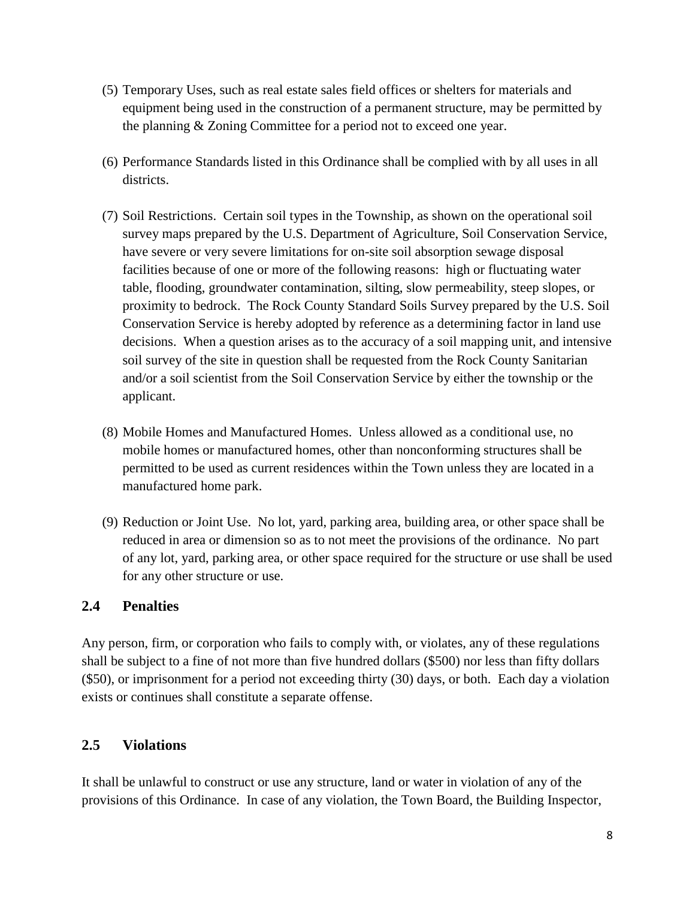- (5) Temporary Uses, such as real estate sales field offices or shelters for materials and equipment being used in the construction of a permanent structure, may be permitted by the planning & Zoning Committee for a period not to exceed one year.
- (6) Performance Standards listed in this Ordinance shall be complied with by all uses in all districts.
- (7) Soil Restrictions. Certain soil types in the Township, as shown on the operational soil survey maps prepared by the U.S. Department of Agriculture, Soil Conservation Service, have severe or very severe limitations for on-site soil absorption sewage disposal facilities because of one or more of the following reasons: high or fluctuating water table, flooding, groundwater contamination, silting, slow permeability, steep slopes, or proximity to bedrock. The Rock County Standard Soils Survey prepared by the U.S. Soil Conservation Service is hereby adopted by reference as a determining factor in land use decisions. When a question arises as to the accuracy of a soil mapping unit, and intensive soil survey of the site in question shall be requested from the Rock County Sanitarian and/or a soil scientist from the Soil Conservation Service by either the township or the applicant.
- (8) Mobile Homes and Manufactured Homes. Unless allowed as a conditional use, no mobile homes or manufactured homes, other than nonconforming structures shall be permitted to be used as current residences within the Town unless they are located in a manufactured home park.
- (9) Reduction or Joint Use. No lot, yard, parking area, building area, or other space shall be reduced in area or dimension so as to not meet the provisions of the ordinance. No part of any lot, yard, parking area, or other space required for the structure or use shall be used for any other structure or use.

#### <span id="page-7-0"></span>**2.4 Penalties**

Any person, firm, or corporation who fails to comply with, or violates, any of these regulations shall be subject to a fine of not more than five hundred dollars (\$500) nor less than fifty dollars (\$50), or imprisonment for a period not exceeding thirty (30) days, or both. Each day a violation exists or continues shall constitute a separate offense.

#### <span id="page-7-1"></span>**2.5 Violations**

It shall be unlawful to construct or use any structure, land or water in violation of any of the provisions of this Ordinance. In case of any violation, the Town Board, the Building Inspector,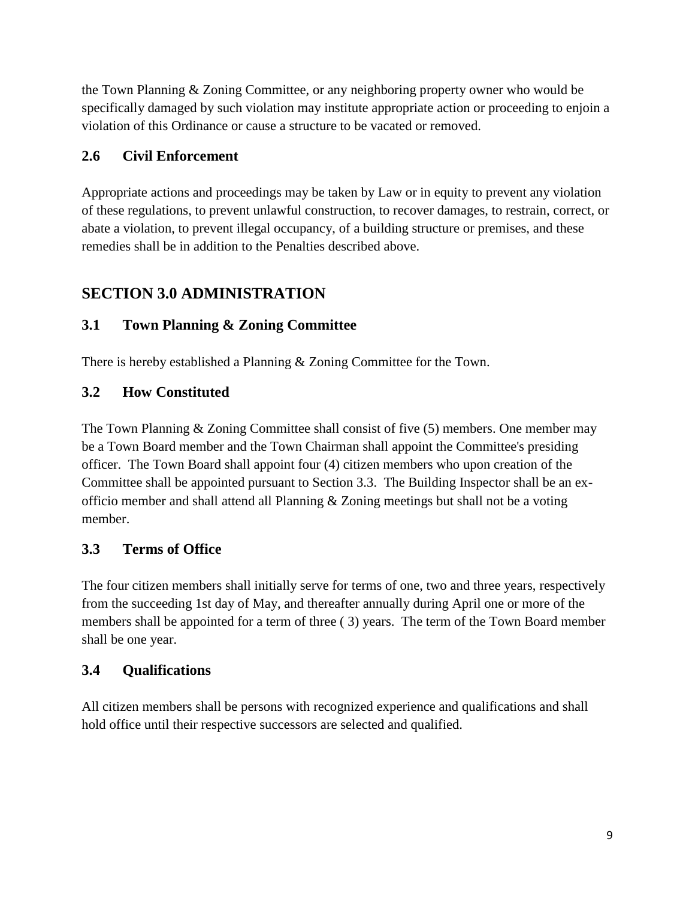the Town Planning & Zoning Committee, or any neighboring property owner who would be specifically damaged by such violation may institute appropriate action or proceeding to enjoin a violation of this Ordinance or cause a structure to be vacated or removed.

## <span id="page-8-0"></span>**2.6 Civil Enforcement**

Appropriate actions and proceedings may be taken by Law or in equity to prevent any violation of these regulations, to prevent unlawful construction, to recover damages, to restrain, correct, or abate a violation, to prevent illegal occupancy, of a building structure or premises, and these remedies shall be in addition to the Penalties described above.

# <span id="page-8-1"></span>**SECTION 3.0 ADMINISTRATION**

## <span id="page-8-2"></span>**3.1 Town Planning & Zoning Committee**

There is hereby established a Planning & Zoning Committee for the Town.

## <span id="page-8-3"></span>**3.2 How Constituted**

The Town Planning & Zoning Committee shall consist of five (5) members. One member may be a Town Board member and the Town Chairman shall appoint the Committee's presiding officer. The Town Board shall appoint four (4) citizen members who upon creation of the Committee shall be appointed pursuant to Section 3.3. The Building Inspector shall be an exofficio member and shall attend all Planning & Zoning meetings but shall not be a voting member.

## <span id="page-8-4"></span>**3.3 Terms of Office**

The four citizen members shall initially serve for terms of one, two and three years, respectively from the succeeding 1st day of May, and thereafter annually during April one or more of the members shall be appointed for a term of three ( 3) years. The term of the Town Board member shall be one year.

## <span id="page-8-5"></span>**3.4 Qualifications**

All citizen members shall be persons with recognized experience and qualifications and shall hold office until their respective successors are selected and qualified.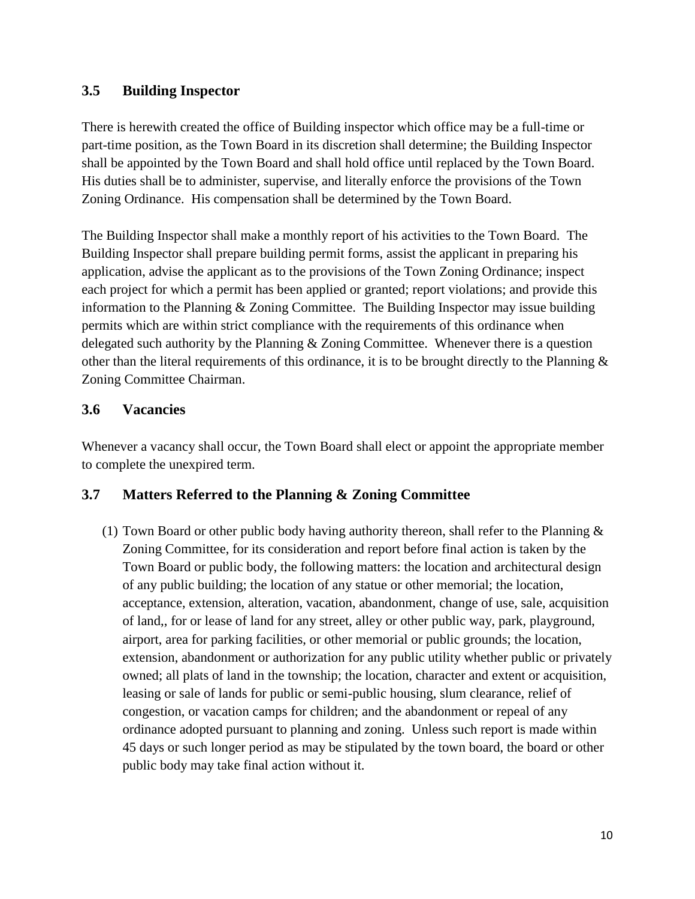#### <span id="page-9-0"></span>**3.5 Building Inspector**

There is herewith created the office of Building inspector which office may be a full-time or part-time position, as the Town Board in its discretion shall determine; the Building Inspector shall be appointed by the Town Board and shall hold office until replaced by the Town Board. His duties shall be to administer, supervise, and literally enforce the provisions of the Town Zoning Ordinance. His compensation shall be determined by the Town Board.

The Building Inspector shall make a monthly report of his activities to the Town Board. The Building Inspector shall prepare building permit forms, assist the applicant in preparing his application, advise the applicant as to the provisions of the Town Zoning Ordinance; inspect each project for which a permit has been applied or granted; report violations; and provide this information to the Planning & Zoning Committee. The Building Inspector may issue building permits which are within strict compliance with the requirements of this ordinance when delegated such authority by the Planning & Zoning Committee. Whenever there is a question other than the literal requirements of this ordinance, it is to be brought directly to the Planning  $\&$ Zoning Committee Chairman.

### <span id="page-9-1"></span>**3.6 Vacancies**

Whenever a vacancy shall occur, the Town Board shall elect or appoint the appropriate member to complete the unexpired term.

## <span id="page-9-2"></span>**3.7 Matters Referred to the Planning & Zoning Committee**

(1) Town Board or other public body having authority thereon, shall refer to the Planning  $\&$ Zoning Committee, for its consideration and report before final action is taken by the Town Board or public body, the following matters: the location and architectural design of any public building; the location of any statue or other memorial; the location, acceptance, extension, alteration, vacation, abandonment, change of use, sale, acquisition of land,, for or lease of land for any street, alley or other public way, park, playground, airport, area for parking facilities, or other memorial or public grounds; the location, extension, abandonment or authorization for any public utility whether public or privately owned; all plats of land in the township; the location, character and extent or acquisition, leasing or sale of lands for public or semi-public housing, slum clearance, relief of congestion, or vacation camps for children; and the abandonment or repeal of any ordinance adopted pursuant to planning and zoning. Unless such report is made within 45 days or such longer period as may be stipulated by the town board, the board or other public body may take final action without it.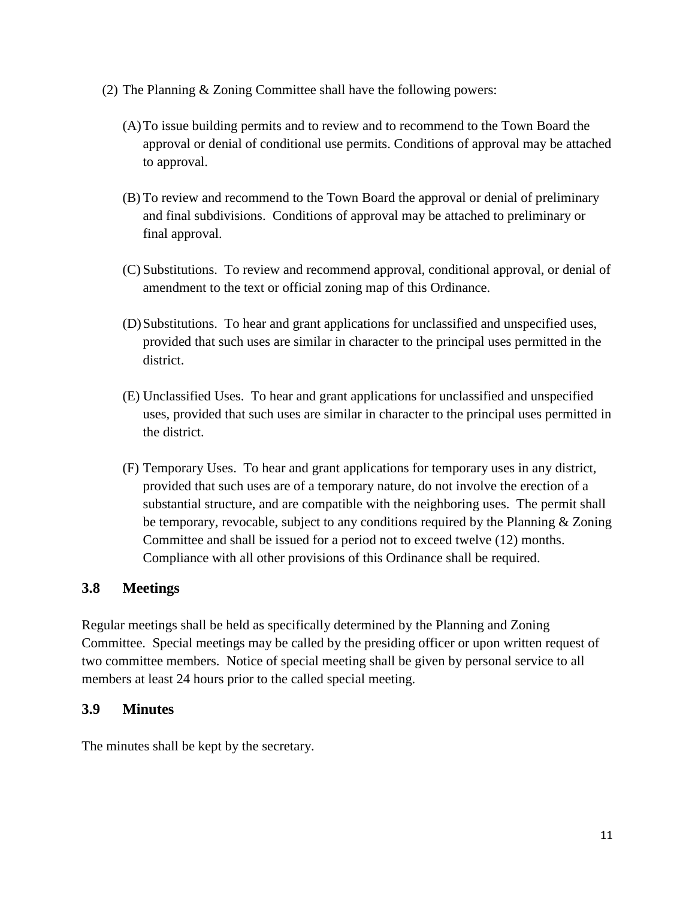- (2) The Planning & Zoning Committee shall have the following powers:
	- (A)To issue building permits and to review and to recommend to the Town Board the approval or denial of conditional use permits. Conditions of approval may be attached to approval.
	- (B) To review and recommend to the Town Board the approval or denial of preliminary and final subdivisions. Conditions of approval may be attached to preliminary or final approval.
	- (C) Substitutions. To review and recommend approval, conditional approval, or denial of amendment to the text or official zoning map of this Ordinance.
	- (D)Substitutions. To hear and grant applications for unclassified and unspecified uses, provided that such uses are similar in character to the principal uses permitted in the district.
	- (E) Unclassified Uses. To hear and grant applications for unclassified and unspecified uses, provided that such uses are similar in character to the principal uses permitted in the district.
	- (F) Temporary Uses. To hear and grant applications for temporary uses in any district, provided that such uses are of a temporary nature, do not involve the erection of a substantial structure, and are compatible with the neighboring uses. The permit shall be temporary, revocable, subject to any conditions required by the Planning & Zoning Committee and shall be issued for a period not to exceed twelve (12) months. Compliance with all other provisions of this Ordinance shall be required.

#### <span id="page-10-0"></span>**3.8 Meetings**

Regular meetings shall be held as specifically determined by the Planning and Zoning Committee. Special meetings may be called by the presiding officer or upon written request of two committee members. Notice of special meeting shall be given by personal service to all members at least 24 hours prior to the called special meeting.

#### <span id="page-10-1"></span>**3.9 Minutes**

The minutes shall be kept by the secretary.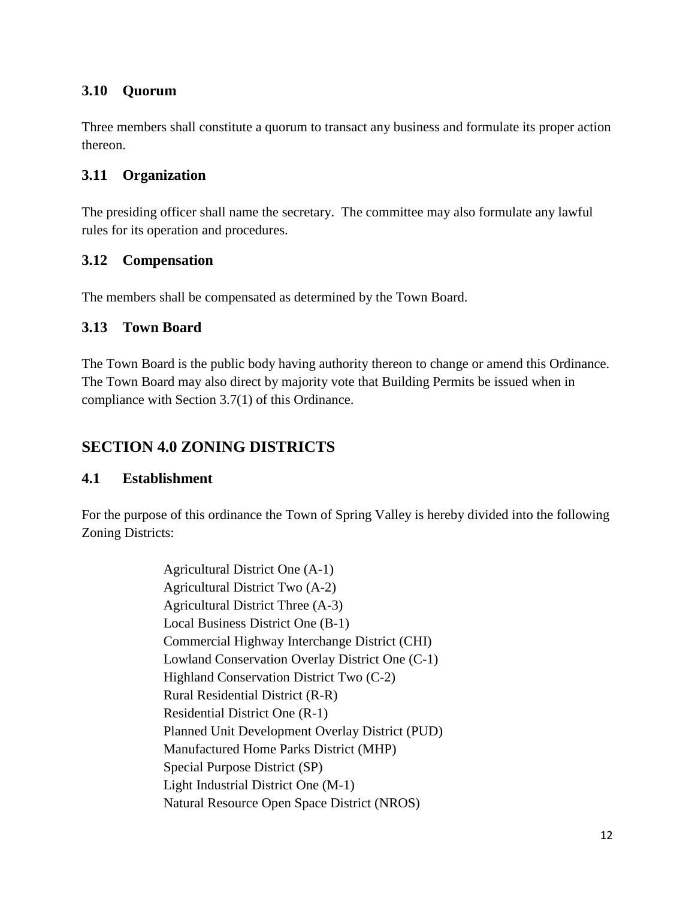#### <span id="page-11-0"></span>**3.10 Quorum**

Three members shall constitute a quorum to transact any business and formulate its proper action thereon.

### <span id="page-11-1"></span>**3.11 Organization**

The presiding officer shall name the secretary. The committee may also formulate any lawful rules for its operation and procedures.

### <span id="page-11-2"></span>**3.12 Compensation**

The members shall be compensated as determined by the Town Board.

### <span id="page-11-3"></span>**3.13 Town Board**

The Town Board is the public body having authority thereon to change or amend this Ordinance. The Town Board may also direct by majority vote that Building Permits be issued when in compliance with Section 3.7(1) of this Ordinance.

# <span id="page-11-4"></span>**SECTION 4.0 ZONING DISTRICTS**

#### <span id="page-11-5"></span>**4.1 Establishment**

For the purpose of this ordinance the Town of Spring Valley is hereby divided into the following Zoning Districts:

> Agricultural District One (A-1) Agricultural District Two (A-2) Agricultural District Three (A-3) Local Business District One (B-1) Commercial Highway Interchange District (CHI) Lowland Conservation Overlay District One (C-1) Highland Conservation District Two (C-2) Rural Residential District (R-R) Residential District One (R-1) Planned Unit Development Overlay District (PUD) Manufactured Home Parks District (MHP) Special Purpose District (SP) Light Industrial District One (M-1) Natural Resource Open Space District (NROS)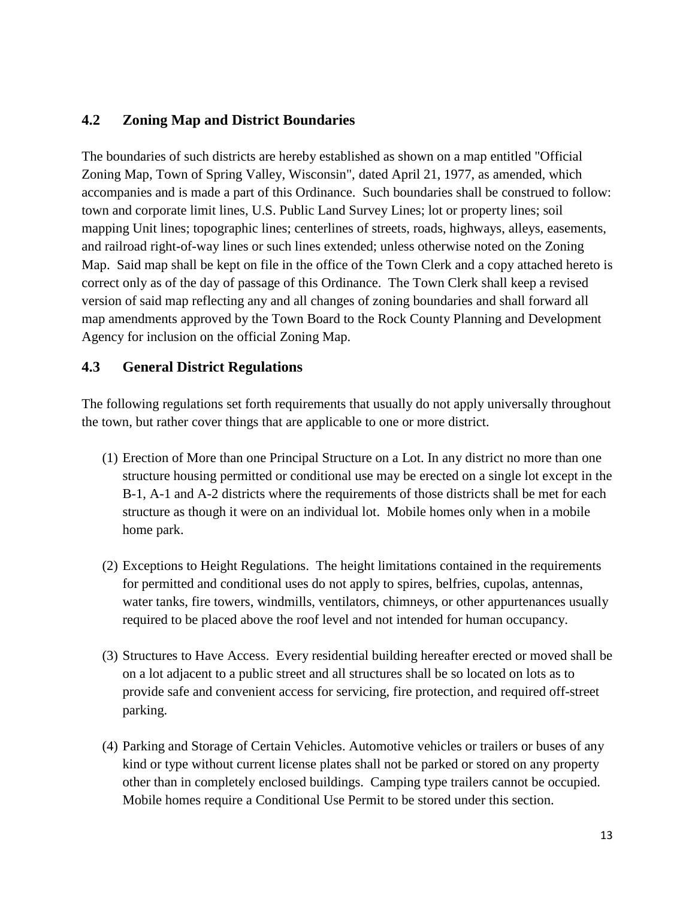#### <span id="page-12-0"></span>**4.2 Zoning Map and District Boundaries**

The boundaries of such districts are hereby established as shown on a map entitled "Official Zoning Map, Town of Spring Valley, Wisconsin", dated April 21, 1977, as amended, which accompanies and is made a part of this Ordinance. Such boundaries shall be construed to follow: town and corporate limit lines, U.S. Public Land Survey Lines; lot or property lines; soil mapping Unit lines; topographic lines; centerlines of streets, roads, highways, alleys, easements, and railroad right-of-way lines or such lines extended; unless otherwise noted on the Zoning Map. Said map shall be kept on file in the office of the Town Clerk and a copy attached hereto is correct only as of the day of passage of this Ordinance. The Town Clerk shall keep a revised version of said map reflecting any and all changes of zoning boundaries and shall forward all map amendments approved by the Town Board to the Rock County Planning and Development Agency for inclusion on the official Zoning Map.

#### <span id="page-12-1"></span>**4.3 General District Regulations**

The following regulations set forth requirements that usually do not apply universally throughout the town, but rather cover things that are applicable to one or more district.

- (1) Erection of More than one Principal Structure on a Lot. In any district no more than one structure housing permitted or conditional use may be erected on a single lot except in the B-1, A-1 and A-2 districts where the requirements of those districts shall be met for each structure as though it were on an individual lot. Mobile homes only when in a mobile home park.
- (2) Exceptions to Height Regulations. The height limitations contained in the requirements for permitted and conditional uses do not apply to spires, belfries, cupolas, antennas, water tanks, fire towers, windmills, ventilators, chimneys, or other appurtenances usually required to be placed above the roof level and not intended for human occupancy.
- (3) Structures to Have Access. Every residential building hereafter erected or moved shall be on a lot adjacent to a public street and all structures shall be so located on lots as to provide safe and convenient access for servicing, fire protection, and required off-street parking.
- (4) Parking and Storage of Certain Vehicles. Automotive vehicles or trailers or buses of any kind or type without current license plates shall not be parked or stored on any property other than in completely enclosed buildings. Camping type trailers cannot be occupied. Mobile homes require a Conditional Use Permit to be stored under this section.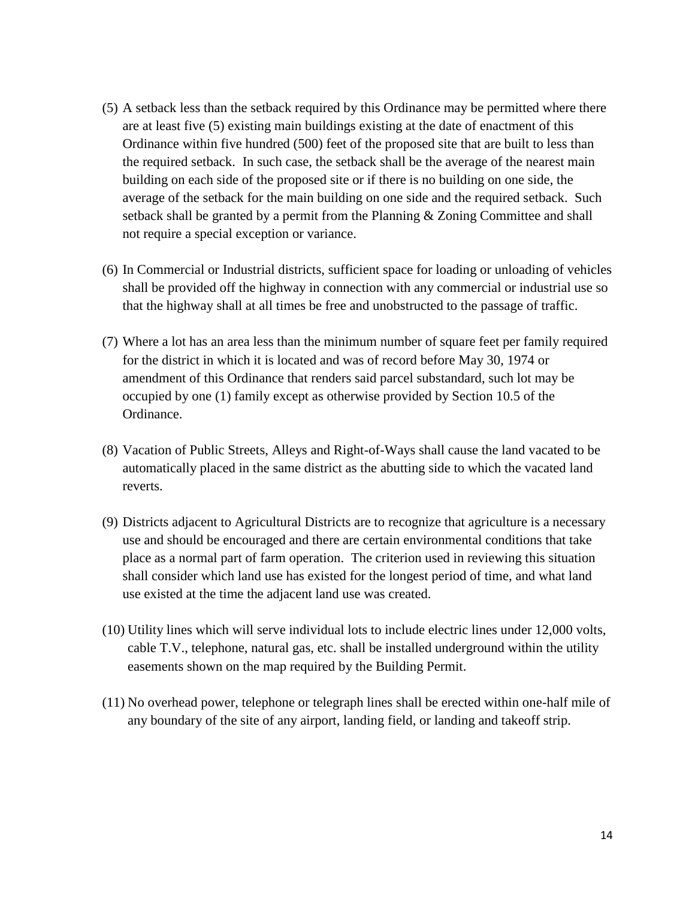- (5) A setback less than the setback required by this Ordinance may be permitted where there are at least five (5) existing main buildings existing at the date of enactment of this Ordinance within five hundred (500) feet of the proposed site that are built to less than the required setback. In such case, the setback shall be the average of the nearest main building on each side of the proposed site or if there is no building on one side, the average of the setback for the main building on one side and the required setback. Such setback shall be granted by a permit from the Planning & Zoning Committee and shall not require a special exception or variance.
- (6) In Commercial or Industrial districts, sufficient space for loading or unloading of vehicles shall be provided off the highway in connection with any commercial or industrial use so that the highway shall at all times be free and unobstructed to the passage of traffic.
- (7) Where a lot has an area less than the minimum number of square feet per family required for the district in which it is located and was of record before May 30, 1974 or amendment of this Ordinance that renders said parcel substandard, such lot may be occupied by one (1) family except as otherwise provided by Section 10.5 of the Ordinance.
- (8) Vacation of Public Streets, Alleys and Right-of-Ways shall cause the land vacated to be automatically placed in the same district as the abutting side to which the vacated land reverts.
- (9) Districts adjacent to Agricultural Districts are to recognize that agriculture is a necessary use and should be encouraged and there are certain environmental conditions that take place as a normal part of farm operation. The criterion used in reviewing this situation shall consider which land use has existed for the longest period of time, and what land use existed at the time the adjacent land use was created.
- (10) Utility lines which will serve individual lots to include electric lines under 12,000 volts, cable T.V., telephone, natural gas, etc. shall be installed underground within the utility easements shown on the map required by the Building Permit.
- (11) No overhead power, telephone or telegraph lines shall be erected within one-half mile of any boundary of the site of any airport, landing field, or landing and takeoff strip.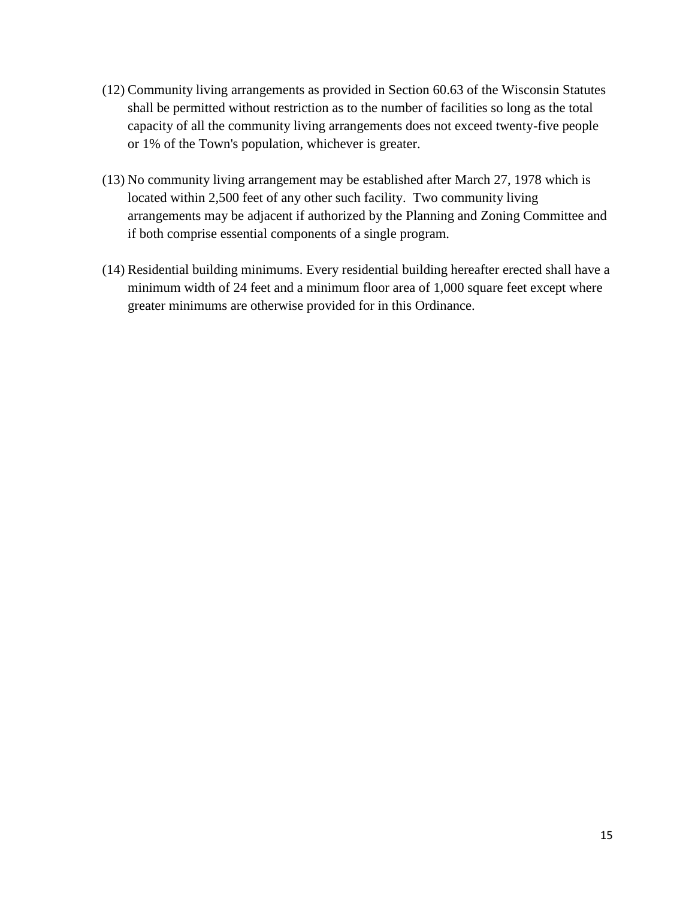- (12) Community living arrangements as provided in Section 60.63 of the Wisconsin Statutes shall be permitted without restriction as to the number of facilities so long as the total capacity of all the community living arrangements does not exceed twenty-five people or 1% of the Town's population, whichever is greater.
- (13) No community living arrangement may be established after March 27, 1978 which is located within 2,500 feet of any other such facility. Two community living arrangements may be adjacent if authorized by the Planning and Zoning Committee and if both comprise essential components of a single program.
- (14) Residential building minimums. Every residential building hereafter erected shall have a minimum width of 24 feet and a minimum floor area of 1,000 square feet except where greater minimums are otherwise provided for in this Ordinance.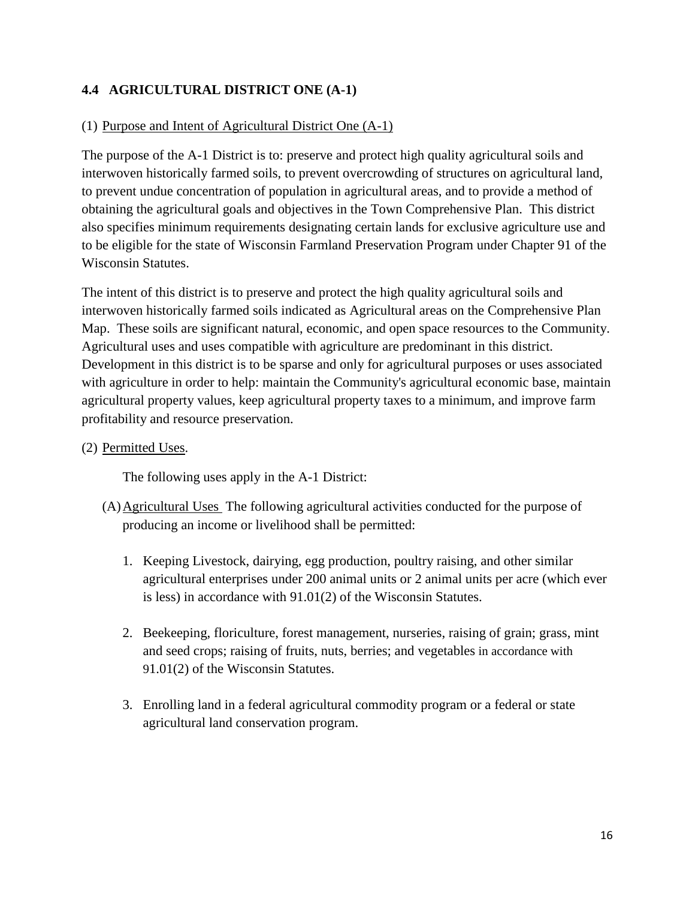#### <span id="page-15-0"></span>**4.4 AGRICULTURAL DISTRICT ONE (A-1)**

#### (1) Purpose and Intent of Agricultural District One (A-1)

The purpose of the A-1 District is to: preserve and protect high quality agricultural soils and interwoven historically farmed soils, to prevent overcrowding of structures on agricultural land, to prevent undue concentration of population in agricultural areas, and to provide a method of obtaining the agricultural goals and objectives in the Town Comprehensive Plan. This district also specifies minimum requirements designating certain lands for exclusive agriculture use and to be eligible for the state of Wisconsin Farmland Preservation Program under Chapter 91 of the Wisconsin Statutes.

The intent of this district is to preserve and protect the high quality agricultural soils and interwoven historically farmed soils indicated as Agricultural areas on the Comprehensive Plan Map. These soils are significant natural, economic, and open space resources to the Community. Agricultural uses and uses compatible with agriculture are predominant in this district. Development in this district is to be sparse and only for agricultural purposes or uses associated with agriculture in order to help: maintain the Community's agricultural economic base, maintain agricultural property values, keep agricultural property taxes to a minimum, and improve farm profitability and resource preservation.

#### (2) Permitted Uses.

The following uses apply in the A-1 District:

- (A)Agricultural Uses The following agricultural activities conducted for the purpose of producing an income or livelihood shall be permitted:
	- 1. Keeping Livestock, dairying, egg production, poultry raising, and other similar agricultural enterprises under 200 animal units or 2 animal units per acre (which ever is less) in accordance with 91.01(2) of the Wisconsin Statutes.
	- 2. Beekeeping, floriculture, forest management, nurseries, raising of grain; grass, mint and seed crops; raising of fruits, nuts, berries; and vegetables in accordance with 91.01(2) of the Wisconsin Statutes.
	- 3. Enrolling land in a federal agricultural commodity program or a federal or state agricultural land conservation program.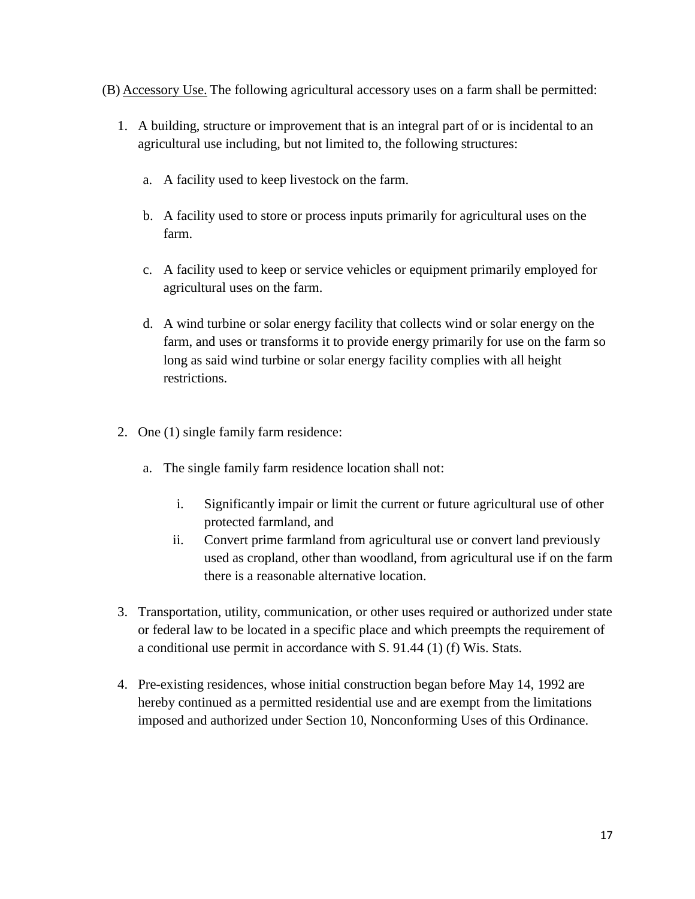- (B) Accessory Use. The following agricultural accessory uses on a farm shall be permitted:
	- 1. A building, structure or improvement that is an integral part of or is incidental to an agricultural use including, but not limited to, the following structures:
		- a. A facility used to keep livestock on the farm.
		- b. A facility used to store or process inputs primarily for agricultural uses on the farm.
		- c. A facility used to keep or service vehicles or equipment primarily employed for agricultural uses on the farm.
		- d. A wind turbine or solar energy facility that collects wind or solar energy on the farm, and uses or transforms it to provide energy primarily for use on the farm so long as said wind turbine or solar energy facility complies with all height restrictions.
	- 2. One (1) single family farm residence:
		- a. The single family farm residence location shall not:
			- i. Significantly impair or limit the current or future agricultural use of other protected farmland, and
			- ii. Convert prime farmland from agricultural use or convert land previously used as cropland, other than woodland, from agricultural use if on the farm there is a reasonable alternative location.
	- 3. Transportation, utility, communication, or other uses required or authorized under state or federal law to be located in a specific place and which preempts the requirement of a conditional use permit in accordance with S. 91.44 (1) (f) Wis. Stats.
	- 4. Pre-existing residences, whose initial construction began before May 14, 1992 are hereby continued as a permitted residential use and are exempt from the limitations imposed and authorized under Section 10, Nonconforming Uses of this Ordinance.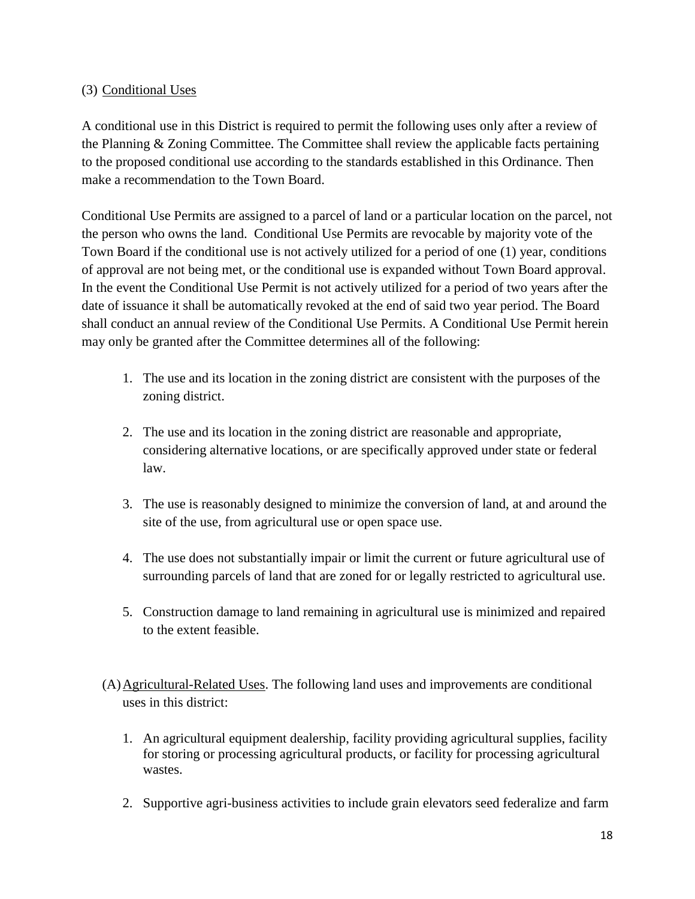#### (3) Conditional Uses

A conditional use in this District is required to permit the following uses only after a review of the Planning & Zoning Committee. The Committee shall review the applicable facts pertaining to the proposed conditional use according to the standards established in this Ordinance. Then make a recommendation to the Town Board.

Conditional Use Permits are assigned to a parcel of land or a particular location on the parcel, not the person who owns the land. Conditional Use Permits are revocable by majority vote of the Town Board if the conditional use is not actively utilized for a period of one (1) year, conditions of approval are not being met, or the conditional use is expanded without Town Board approval. In the event the Conditional Use Permit is not actively utilized for a period of two years after the date of issuance it shall be automatically revoked at the end of said two year period. The Board shall conduct an annual review of the Conditional Use Permits. A Conditional Use Permit herein may only be granted after the Committee determines all of the following:

- 1. The use and its location in the zoning district are consistent with the purposes of the zoning district.
- 2. The use and its location in the zoning district are reasonable and appropriate, considering alternative locations, or are specifically approved under state or federal law.
- 3. The use is reasonably designed to minimize the conversion of land, at and around the site of the use, from agricultural use or open space use.
- 4. The use does not substantially impair or limit the current or future agricultural use of surrounding parcels of land that are zoned for or legally restricted to agricultural use.
- 5. Construction damage to land remaining in agricultural use is minimized and repaired to the extent feasible.
- (A)Agricultural-Related Uses. The following land uses and improvements are conditional uses in this district:
	- 1. An agricultural equipment dealership, facility providing agricultural supplies, facility for storing or processing agricultural products, or facility for processing agricultural wastes.
	- 2. Supportive agri-business activities to include grain elevators seed federalize and farm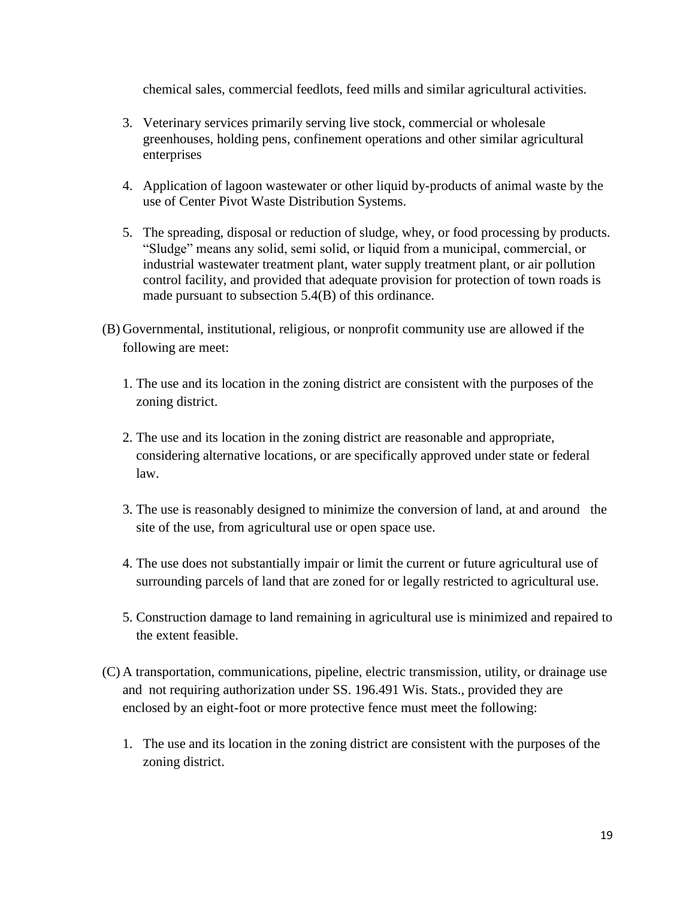chemical sales, commercial feedlots, feed mills and similar agricultural activities.

- 3. Veterinary services primarily serving live stock, commercial or wholesale greenhouses, holding pens, confinement operations and other similar agricultural enterprises
- 4. Application of lagoon wastewater or other liquid by-products of animal waste by the use of Center Pivot Waste Distribution Systems.
- 5. The spreading, disposal or reduction of sludge, whey, or food processing by products. "Sludge" means any solid, semi solid, or liquid from a municipal, commercial, or industrial wastewater treatment plant, water supply treatment plant, or air pollution control facility, and provided that adequate provision for protection of town roads is made pursuant to subsection 5.4(B) of this ordinance.
- (B) Governmental, institutional, religious, or nonprofit community use are allowed if the following are meet:
	- 1. The use and its location in the zoning district are consistent with the purposes of the zoning district.
	- 2. The use and its location in the zoning district are reasonable and appropriate, considering alternative locations, or are specifically approved under state or federal law.
	- 3. The use is reasonably designed to minimize the conversion of land, at and around the site of the use, from agricultural use or open space use.
	- 4. The use does not substantially impair or limit the current or future agricultural use of surrounding parcels of land that are zoned for or legally restricted to agricultural use.
	- 5. Construction damage to land remaining in agricultural use is minimized and repaired to the extent feasible.
- (C) A transportation, communications, pipeline, electric transmission, utility, or drainage use and not requiring authorization under SS. 196.491 Wis. Stats., provided they are enclosed by an eight-foot or more protective fence must meet the following:
	- 1. The use and its location in the zoning district are consistent with the purposes of the zoning district.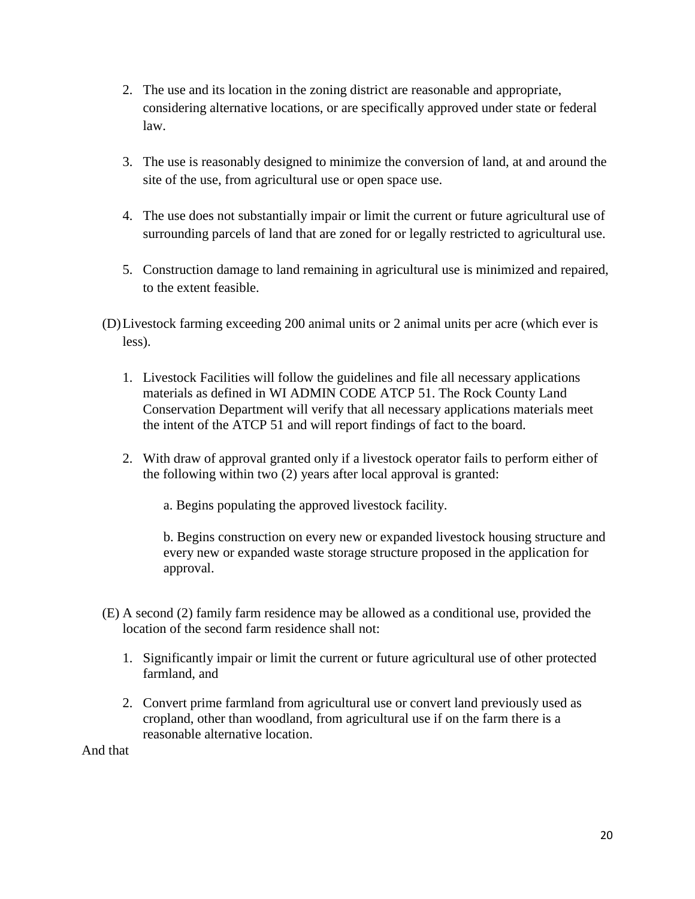- 2. The use and its location in the zoning district are reasonable and appropriate, considering alternative locations, or are specifically approved under state or federal law.
- 3. The use is reasonably designed to minimize the conversion of land, at and around the site of the use, from agricultural use or open space use.
- 4. The use does not substantially impair or limit the current or future agricultural use of surrounding parcels of land that are zoned for or legally restricted to agricultural use.
- 5. Construction damage to land remaining in agricultural use is minimized and repaired, to the extent feasible.
- (D)Livestock farming exceeding 200 animal units or 2 animal units per acre (which ever is less).
	- 1. Livestock Facilities will follow the guidelines and file all necessary applications materials as defined in WI ADMIN CODE ATCP 51. The Rock County Land Conservation Department will verify that all necessary applications materials meet the intent of the ATCP 51 and will report findings of fact to the board.
	- 2. With draw of approval granted only if a livestock operator fails to perform either of the following within two (2) years after local approval is granted:
		- a. Begins populating the approved livestock facility.

b. Begins construction on every new or expanded livestock housing structure and every new or expanded waste storage structure proposed in the application for approval.

- (E) A second (2) family farm residence may be allowed as a conditional use, provided the location of the second farm residence shall not:
	- 1. Significantly impair or limit the current or future agricultural use of other protected farmland, and
	- 2. Convert prime farmland from agricultural use or convert land previously used as cropland, other than woodland, from agricultural use if on the farm there is a reasonable alternative location.

And that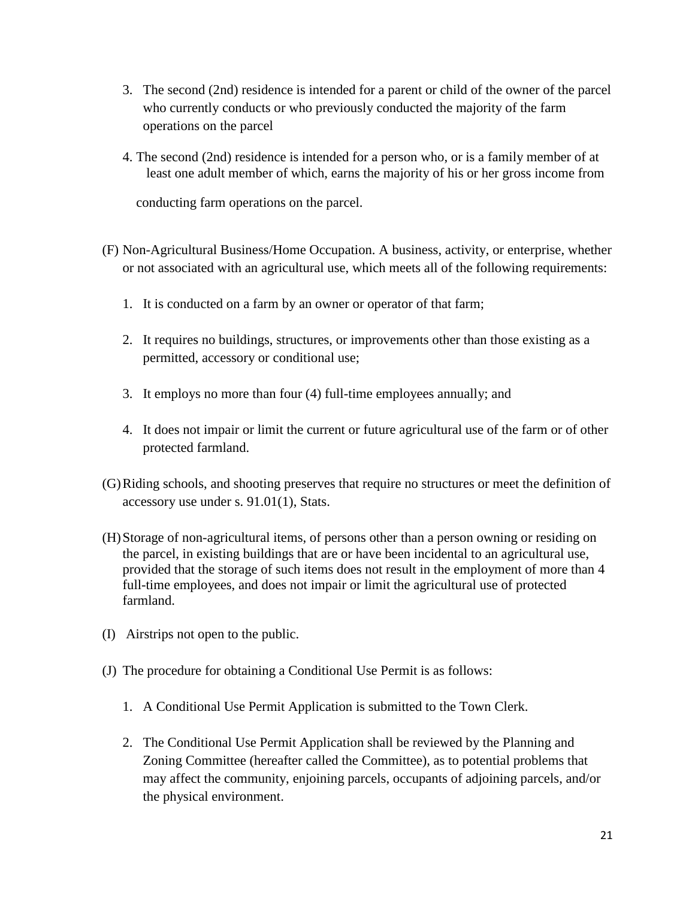- 3. The second (2nd) residence is intended for a parent or child of the owner of the parcel who currently conducts or who previously conducted the majority of the farm operations on the parcel
- 4. The second (2nd) residence is intended for a person who, or is a family member of at least one adult member of which, earns the majority of his or her gross income from

conducting farm operations on the parcel.

- (F) Non-Agricultural Business/Home Occupation. A business, activity, or enterprise, whether or not associated with an agricultural use, which meets all of the following requirements:
	- 1. It is conducted on a farm by an owner or operator of that farm;
	- 2. It requires no buildings, structures, or improvements other than those existing as a permitted, accessory or conditional use;
	- 3. It employs no more than four (4) full-time employees annually; and
	- 4. It does not impair or limit the current or future agricultural use of the farm or of other protected farmland.
- (G)Riding schools, and shooting preserves that require no structures or meet the definition of accessory use under s. 91.01(1), Stats.
- (H)Storage of non-agricultural items, of persons other than a person owning or residing on the parcel, in existing buildings that are or have been incidental to an agricultural use, provided that the storage of such items does not result in the employment of more than 4 full-time employees, and does not impair or limit the agricultural use of protected farmland.
- (I) Airstrips not open to the public.
- (J) The procedure for obtaining a Conditional Use Permit is as follows:
	- 1. A Conditional Use Permit Application is submitted to the Town Clerk.
	- 2. The Conditional Use Permit Application shall be reviewed by the Planning and Zoning Committee (hereafter called the Committee), as to potential problems that may affect the community, enjoining parcels, occupants of adjoining parcels, and/or the physical environment.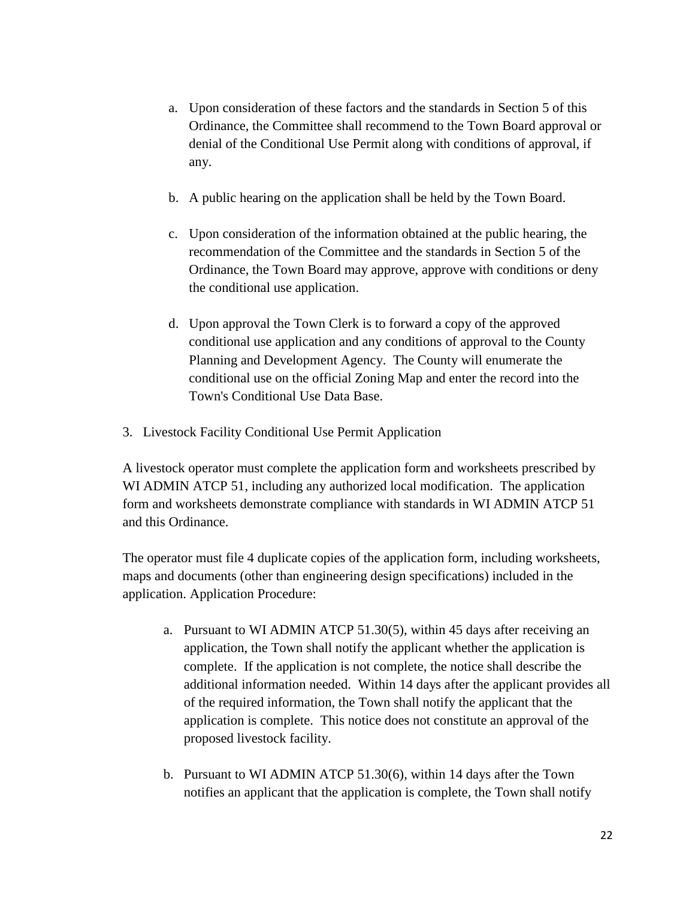- a. Upon consideration of these factors and the standards in Section 5 of this Ordinance, the Committee shall recommend to the Town Board approval or denial of the Conditional Use Permit along with conditions of approval, if any.
- b. A public hearing on the application shall be held by the Town Board.
- c. Upon consideration of the information obtained at the public hearing, the recommendation of the Committee and the standards in Section 5 of the Ordinance, the Town Board may approve, approve with conditions or deny the conditional use application.
- d. Upon approval the Town Clerk is to forward a copy of the approved conditional use application and any conditions of approval to the County Planning and Development Agency. The County will enumerate the conditional use on the official Zoning Map and enter the record into the Town's Conditional Use Data Base.
- 3. Livestock Facility Conditional Use Permit Application

A livestock operator must complete the application form and worksheets prescribed by WI ADMIN ATCP 51, including any authorized local modification. The application form and worksheets demonstrate compliance with standards in WI ADMIN ATCP 51 and this Ordinance.

The operator must file 4 duplicate copies of the application form, including worksheets, maps and documents (other than engineering design specifications) included in the application. Application Procedure:

- a. Pursuant to WI ADMIN ATCP 51.30(5), within 45 days after receiving an application, the Town shall notify the applicant whether the application is complete. If the application is not complete, the notice shall describe the additional information needed. Within 14 days after the applicant provides all of the required information, the Town shall notify the applicant that the application is complete. This notice does not constitute an approval of the proposed livestock facility.
- b. Pursuant to WI ADMIN ATCP 51.30(6), within 14 days after the Town notifies an applicant that the application is complete, the Town shall notify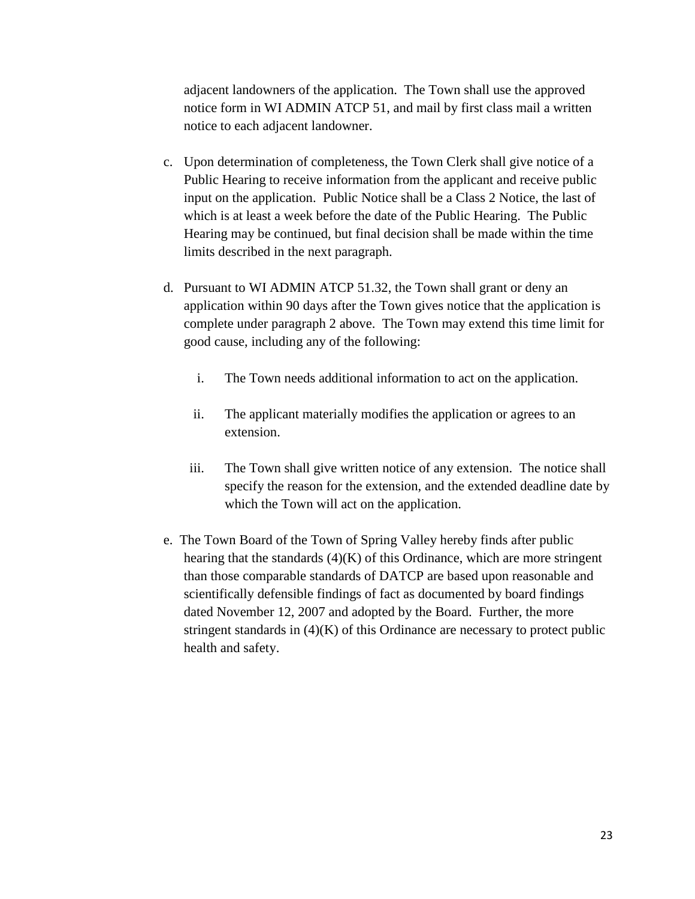adjacent landowners of the application. The Town shall use the approved notice form in WI ADMIN ATCP 51, and mail by first class mail a written notice to each adjacent landowner.

- c. Upon determination of completeness, the Town Clerk shall give notice of a Public Hearing to receive information from the applicant and receive public input on the application. Public Notice shall be a Class 2 Notice, the last of which is at least a week before the date of the Public Hearing. The Public Hearing may be continued, but final decision shall be made within the time limits described in the next paragraph.
- d. Pursuant to WI ADMIN ATCP 51.32, the Town shall grant or deny an application within 90 days after the Town gives notice that the application is complete under paragraph 2 above. The Town may extend this time limit for good cause, including any of the following:
	- i. The Town needs additional information to act on the application.
	- ii. The applicant materially modifies the application or agrees to an extension.
	- iii. The Town shall give written notice of any extension. The notice shall specify the reason for the extension, and the extended deadline date by which the Town will act on the application.
- e. The Town Board of the Town of Spring Valley hereby finds after public hearing that the standards  $(4)(K)$  of this Ordinance, which are more stringent than those comparable standards of DATCP are based upon reasonable and scientifically defensible findings of fact as documented by board findings dated November 12, 2007 and adopted by the Board. Further, the more stringent standards in  $(4)(K)$  of this Ordinance are necessary to protect public health and safety.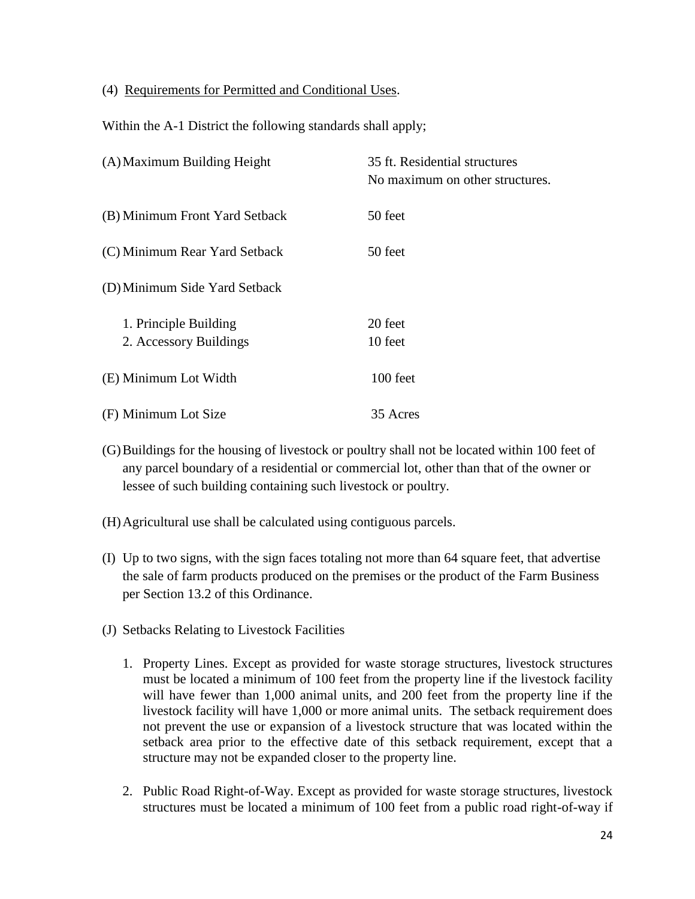(4) Requirements for Permitted and Conditional Uses.

Within the A-1 District the following standards shall apply;

| (A) Maximum Building Height                     | 35 ft. Residential structures<br>No maximum on other structures. |
|-------------------------------------------------|------------------------------------------------------------------|
| (B) Minimum Front Yard Setback                  | 50 feet                                                          |
| (C) Minimum Rear Yard Setback                   | 50 feet                                                          |
| (D) Minimum Side Yard Setback                   |                                                                  |
| 1. Principle Building<br>2. Accessory Buildings | 20 feet<br>10 feet                                               |
| (E) Minimum Lot Width                           | 100 feet                                                         |
| (F) Minimum Lot Size                            | 35 Acres                                                         |

- (G)Buildings for the housing of livestock or poultry shall not be located within 100 feet of any parcel boundary of a residential or commercial lot, other than that of the owner or lessee of such building containing such livestock or poultry.
- (H)Agricultural use shall be calculated using contiguous parcels.
- (I) Up to two signs, with the sign faces totaling not more than 64 square feet, that advertise the sale of farm products produced on the premises or the product of the Farm Business per Section 13.2 of this Ordinance.
- (J) Setbacks Relating to Livestock Facilities
	- 1. Property Lines. Except as provided for waste storage structures, livestock structures must be located a minimum of 100 feet from the property line if the livestock facility will have fewer than 1,000 animal units, and 200 feet from the property line if the livestock facility will have 1,000 or more animal units. The setback requirement does not prevent the use or expansion of a livestock structure that was located within the setback area prior to the effective date of this setback requirement, except that a structure may not be expanded closer to the property line.
	- 2. Public Road Right-of-Way. Except as provided for waste storage structures, livestock structures must be located a minimum of 100 feet from a public road right-of-way if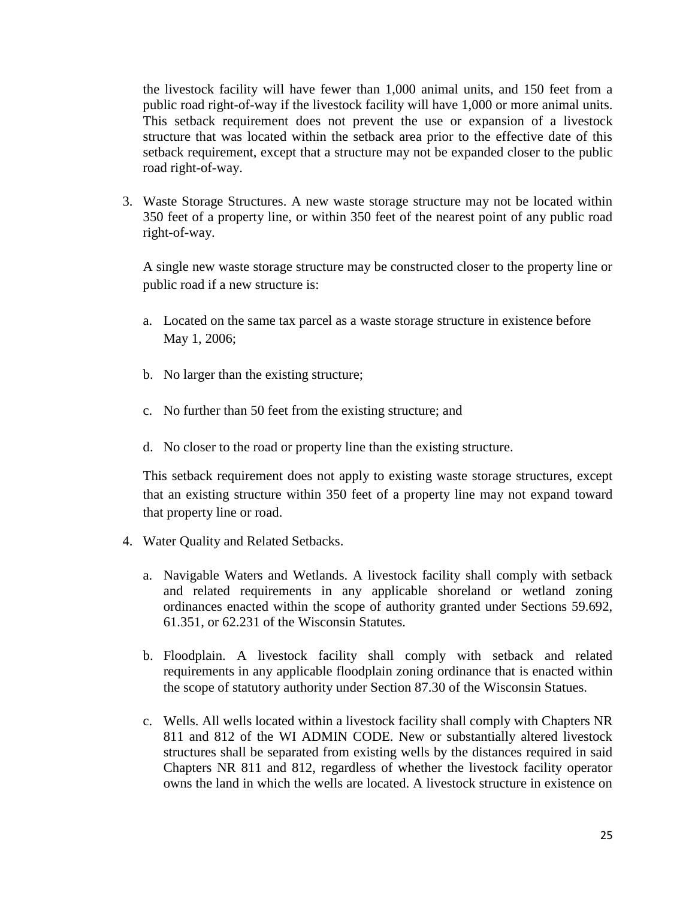the livestock facility will have fewer than 1,000 animal units, and 150 feet from a public road right-of-way if the livestock facility will have 1,000 or more animal units. This setback requirement does not prevent the use or expansion of a livestock structure that was located within the setback area prior to the effective date of this setback requirement, except that a structure may not be expanded closer to the public road right-of-way.

3. Waste Storage Structures. A new waste storage structure may not be located within 350 feet of a property line, or within 350 feet of the nearest point of any public road right-of-way.

A single new waste storage structure may be constructed closer to the property line or public road if a new structure is:

- a. Located on the same tax parcel as a waste storage structure in existence before May 1, 2006;
- b. No larger than the existing structure;
- c. No further than 50 feet from the existing structure; and
- d. No closer to the road or property line than the existing structure.

This setback requirement does not apply to existing waste storage structures, except that an existing structure within 350 feet of a property line may not expand toward that property line or road.

- 4. Water Quality and Related Setbacks.
	- a. Navigable Waters and Wetlands. A livestock facility shall comply with setback and related requirements in any applicable shoreland or wetland zoning ordinances enacted within the scope of authority granted under Sections 59.692, 61.351, or 62.231 of the Wisconsin Statutes.
	- b. Floodplain. A livestock facility shall comply with setback and related requirements in any applicable floodplain zoning ordinance that is enacted within the scope of statutory authority under Section 87.30 of the Wisconsin Statues.
	- c. Wells. All wells located within a livestock facility shall comply with Chapters NR 811 and 812 of the WI ADMIN CODE. New or substantially altered livestock structures shall be separated from existing wells by the distances required in said Chapters NR 811 and 812, regardless of whether the livestock facility operator owns the land in which the wells are located. A livestock structure in existence on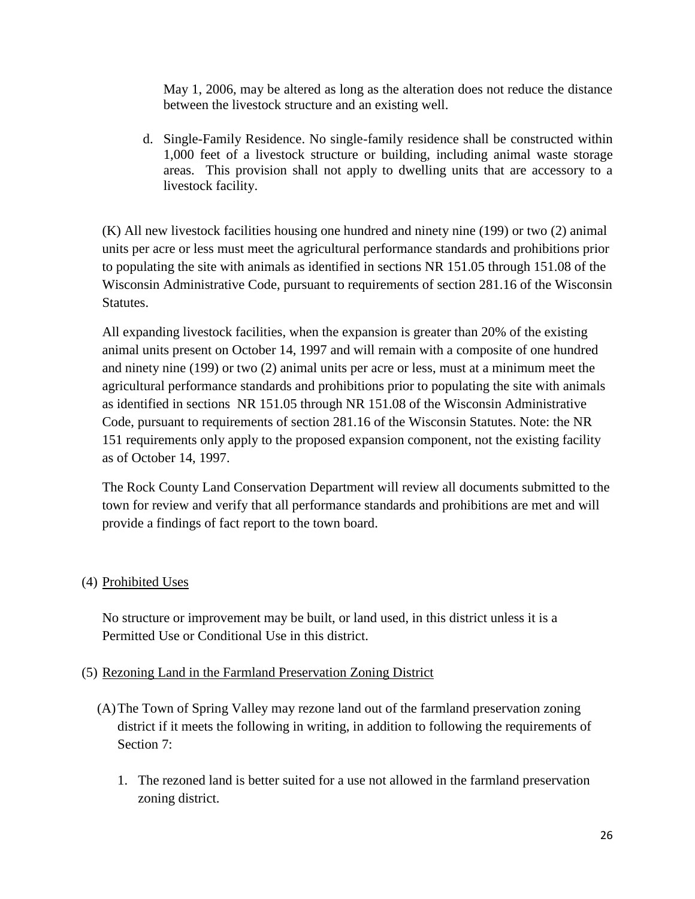May 1, 2006, may be altered as long as the alteration does not reduce the distance between the livestock structure and an existing well.

d. Single-Family Residence. No single-family residence shall be constructed within 1,000 feet of a livestock structure or building, including animal waste storage areas. This provision shall not apply to dwelling units that are accessory to a livestock facility.

(K) All new livestock facilities housing one hundred and ninety nine (199) or two (2) animal units per acre or less must meet the agricultural performance standards and prohibitions prior to populating the site with animals as identified in sections NR 151.05 through 151.08 of the Wisconsin Administrative Code, pursuant to requirements of section 281.16 of the Wisconsin Statutes.

All expanding livestock facilities, when the expansion is greater than 20% of the existing animal units present on October 14, 1997 and will remain with a composite of one hundred and ninety nine (199) or two (2) animal units per acre or less, must at a minimum meet the agricultural performance standards and prohibitions prior to populating the site with animals as identified in sections NR 151.05 through NR 151.08 of the Wisconsin Administrative Code, pursuant to requirements of section 281.16 of the Wisconsin Statutes. Note: the NR 151 requirements only apply to the proposed expansion component, not the existing facility as of October 14, 1997.

The Rock County Land Conservation Department will review all documents submitted to the town for review and verify that all performance standards and prohibitions are met and will provide a findings of fact report to the town board.

#### (4) Prohibited Uses

No structure or improvement may be built, or land used, in this district unless it is a Permitted Use or Conditional Use in this district.

#### (5) Rezoning Land in the Farmland Preservation Zoning District

- (A)The Town of Spring Valley may rezone land out of the farmland preservation zoning district if it meets the following in writing, in addition to following the requirements of Section 7:
	- 1. The rezoned land is better suited for a use not allowed in the farmland preservation zoning district.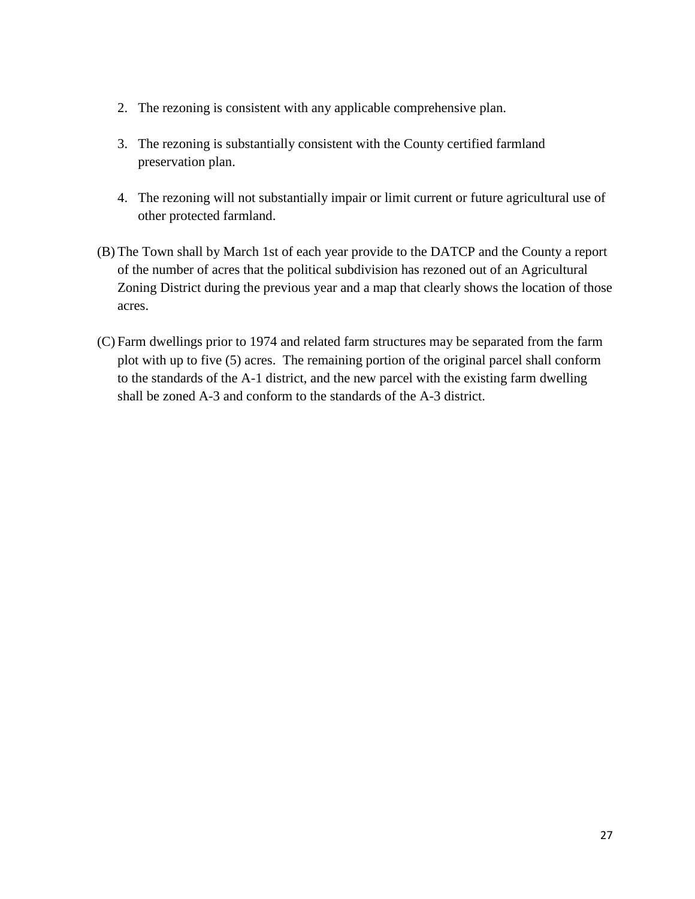- 2. The rezoning is consistent with any applicable comprehensive plan.
- 3. The rezoning is substantially consistent with the County certified farmland preservation plan.
- 4. The rezoning will not substantially impair or limit current or future agricultural use of other protected farmland.
- (B) The Town shall by March 1st of each year provide to the DATCP and the County a report of the number of acres that the political subdivision has rezoned out of an Agricultural Zoning District during the previous year and a map that clearly shows the location of those acres.
- (C) Farm dwellings prior to 1974 and related farm structures may be separated from the farm plot with up to five (5) acres. The remaining portion of the original parcel shall conform to the standards of the A-1 district, and the new parcel with the existing farm dwelling shall be zoned A-3 and conform to the standards of the A-3 district.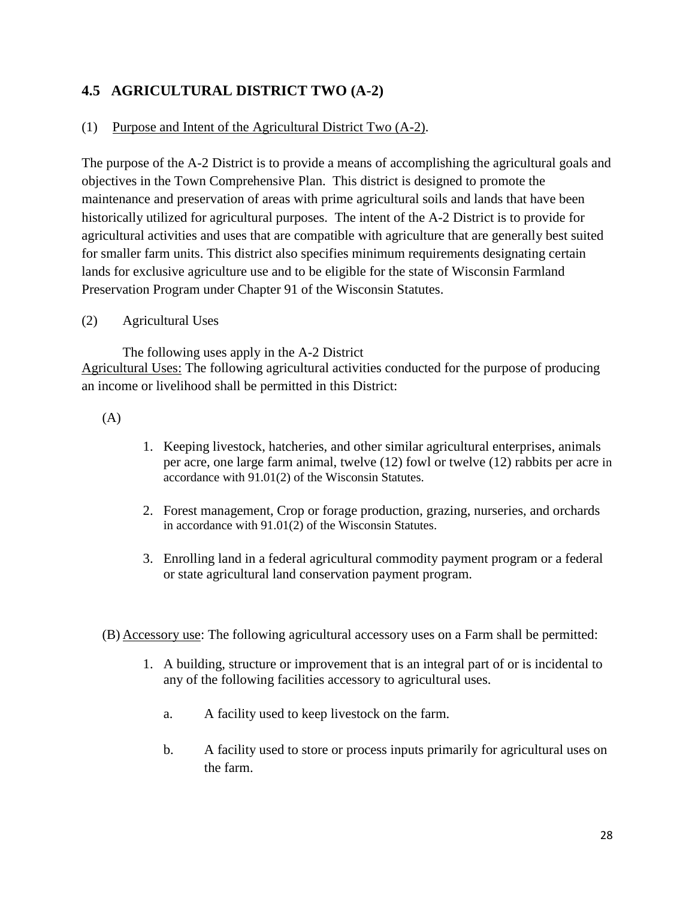## <span id="page-27-0"></span>**4.5 AGRICULTURAL DISTRICT TWO (A-2)**

#### (1) Purpose and Intent of the Agricultural District Two (A-2).

The purpose of the A-2 District is to provide a means of accomplishing the agricultural goals and objectives in the Town Comprehensive Plan. This district is designed to promote the maintenance and preservation of areas with prime agricultural soils and lands that have been historically utilized for agricultural purposes. The intent of the A-2 District is to provide for agricultural activities and uses that are compatible with agriculture that are generally best suited for smaller farm units. This district also specifies minimum requirements designating certain lands for exclusive agriculture use and to be eligible for the state of Wisconsin Farmland Preservation Program under Chapter 91 of the Wisconsin Statutes.

#### (2) Agricultural Uses

The following uses apply in the A-2 District Agricultural Uses: The following agricultural activities conducted for the purpose of producing an income or livelihood shall be permitted in this District:

(A)

- 1. Keeping livestock, hatcheries, and other similar agricultural enterprises, animals per acre, one large farm animal, twelve (12) fowl or twelve (12) rabbits per acre in accordance with 91.01(2) of the Wisconsin Statutes.
- 2. Forest management, Crop or forage production, grazing, nurseries, and orchards in accordance with 91.01(2) of the Wisconsin Statutes.
- 3. Enrolling land in a federal agricultural commodity payment program or a federal or state agricultural land conservation payment program.

(B) Accessory use: The following agricultural accessory uses on a Farm shall be permitted:

- 1. A building, structure or improvement that is an integral part of or is incidental to any of the following facilities accessory to agricultural uses.
	- a. A facility used to keep livestock on the farm.
	- b. A facility used to store or process inputs primarily for agricultural uses on the farm.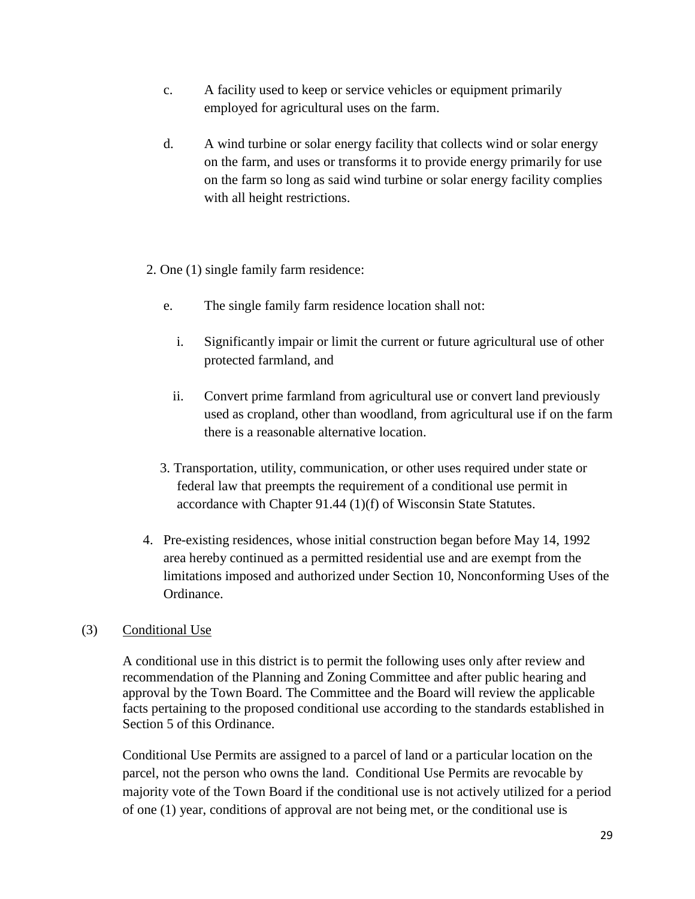- c. A facility used to keep or service vehicles or equipment primarily employed for agricultural uses on the farm.
- d. A wind turbine or solar energy facility that collects wind or solar energy on the farm, and uses or transforms it to provide energy primarily for use on the farm so long as said wind turbine or solar energy facility complies with all height restrictions.
- 2. One (1) single family farm residence:
	- e. The single family farm residence location shall not:
		- i. Significantly impair or limit the current or future agricultural use of other protected farmland, and
		- ii. Convert prime farmland from agricultural use or convert land previously used as cropland, other than woodland, from agricultural use if on the farm there is a reasonable alternative location.
	- 3. Transportation, utility, communication, or other uses required under state or federal law that preempts the requirement of a conditional use permit in accordance with Chapter 91.44 (1)(f) of Wisconsin State Statutes.
- 4. Pre-existing residences, whose initial construction began before May 14, 1992 area hereby continued as a permitted residential use and are exempt from the limitations imposed and authorized under Section 10, Nonconforming Uses of the Ordinance.

#### (3) Conditional Use

A conditional use in this district is to permit the following uses only after review and recommendation of the Planning and Zoning Committee and after public hearing and approval by the Town Board. The Committee and the Board will review the applicable facts pertaining to the proposed conditional use according to the standards established in Section 5 of this Ordinance.

Conditional Use Permits are assigned to a parcel of land or a particular location on the parcel, not the person who owns the land. Conditional Use Permits are revocable by majority vote of the Town Board if the conditional use is not actively utilized for a period of one (1) year, conditions of approval are not being met, or the conditional use is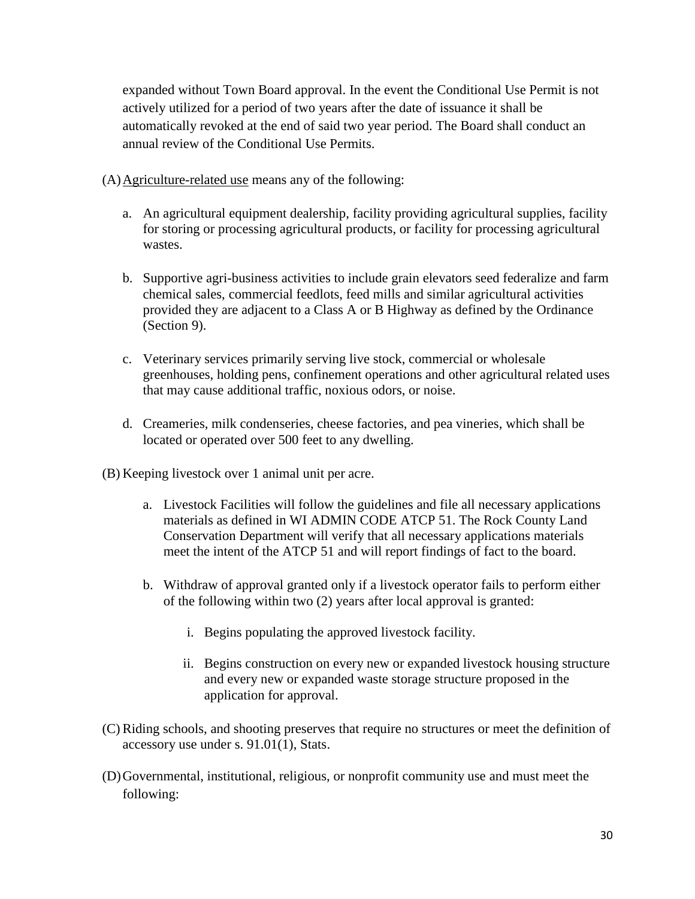expanded without Town Board approval. In the event the Conditional Use Permit is not actively utilized for a period of two years after the date of issuance it shall be automatically revoked at the end of said two year period. The Board shall conduct an annual review of the Conditional Use Permits.

(A)Agriculture-related use means any of the following:

- a. An agricultural equipment dealership, facility providing agricultural supplies, facility for storing or processing agricultural products, or facility for processing agricultural wastes.
- b. Supportive agri-business activities to include grain elevators seed federalize and farm chemical sales, commercial feedlots, feed mills and similar agricultural activities provided they are adjacent to a Class A or B Highway as defined by the Ordinance (Section 9).
- c. Veterinary services primarily serving live stock, commercial or wholesale greenhouses, holding pens, confinement operations and other agricultural related uses that may cause additional traffic, noxious odors, or noise.
- d. Creameries, milk condenseries, cheese factories, and pea vineries, which shall be located or operated over 500 feet to any dwelling.
- (B) Keeping livestock over 1 animal unit per acre.
	- a. Livestock Facilities will follow the guidelines and file all necessary applications materials as defined in WI ADMIN CODE ATCP 51. The Rock County Land Conservation Department will verify that all necessary applications materials meet the intent of the ATCP 51 and will report findings of fact to the board.
	- b. Withdraw of approval granted only if a livestock operator fails to perform either of the following within two (2) years after local approval is granted:
		- i. Begins populating the approved livestock facility.
		- ii. Begins construction on every new or expanded livestock housing structure and every new or expanded waste storage structure proposed in the application for approval.
- (C)Riding schools, and shooting preserves that require no structures or meet the definition of accessory use under s. 91.01(1), Stats.
- (D)Governmental, institutional, religious, or nonprofit community use and must meet the following: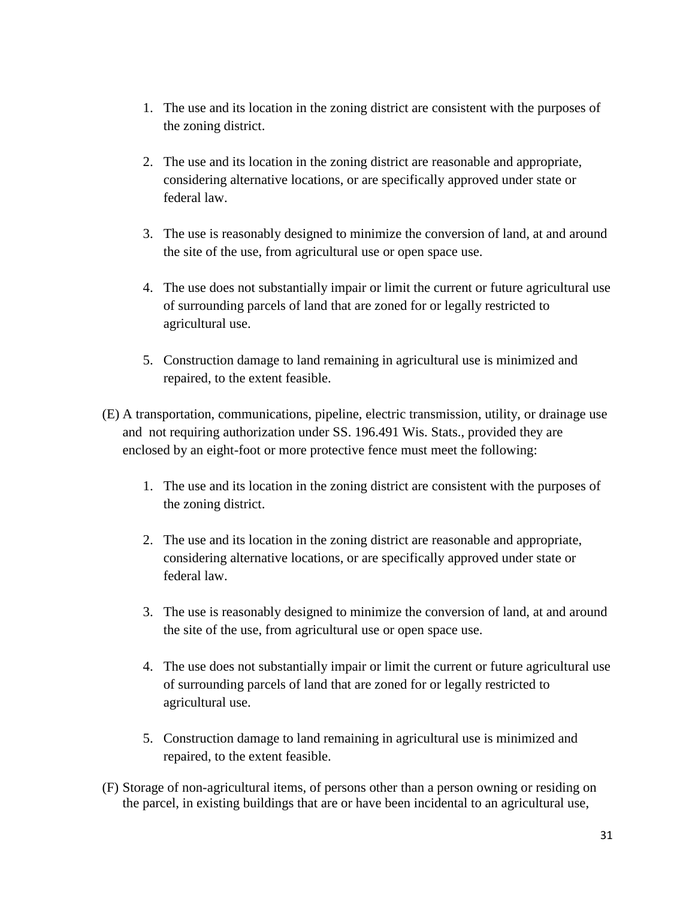- 1. The use and its location in the zoning district are consistent with the purposes of the zoning district.
- 2. The use and its location in the zoning district are reasonable and appropriate, considering alternative locations, or are specifically approved under state or federal law.
- 3. The use is reasonably designed to minimize the conversion of land, at and around the site of the use, from agricultural use or open space use.
- 4. The use does not substantially impair or limit the current or future agricultural use of surrounding parcels of land that are zoned for or legally restricted to agricultural use.
- 5. Construction damage to land remaining in agricultural use is minimized and repaired, to the extent feasible.
- (E) A transportation, communications, pipeline, electric transmission, utility, or drainage use and not requiring authorization under SS. 196.491 Wis. Stats., provided they are enclosed by an eight-foot or more protective fence must meet the following:
	- 1. The use and its location in the zoning district are consistent with the purposes of the zoning district.
	- 2. The use and its location in the zoning district are reasonable and appropriate, considering alternative locations, or are specifically approved under state or federal law.
	- 3. The use is reasonably designed to minimize the conversion of land, at and around the site of the use, from agricultural use or open space use.
	- 4. The use does not substantially impair or limit the current or future agricultural use of surrounding parcels of land that are zoned for or legally restricted to agricultural use.
	- 5. Construction damage to land remaining in agricultural use is minimized and repaired, to the extent feasible.
- (F) Storage of non-agricultural items, of persons other than a person owning or residing on the parcel, in existing buildings that are or have been incidental to an agricultural use,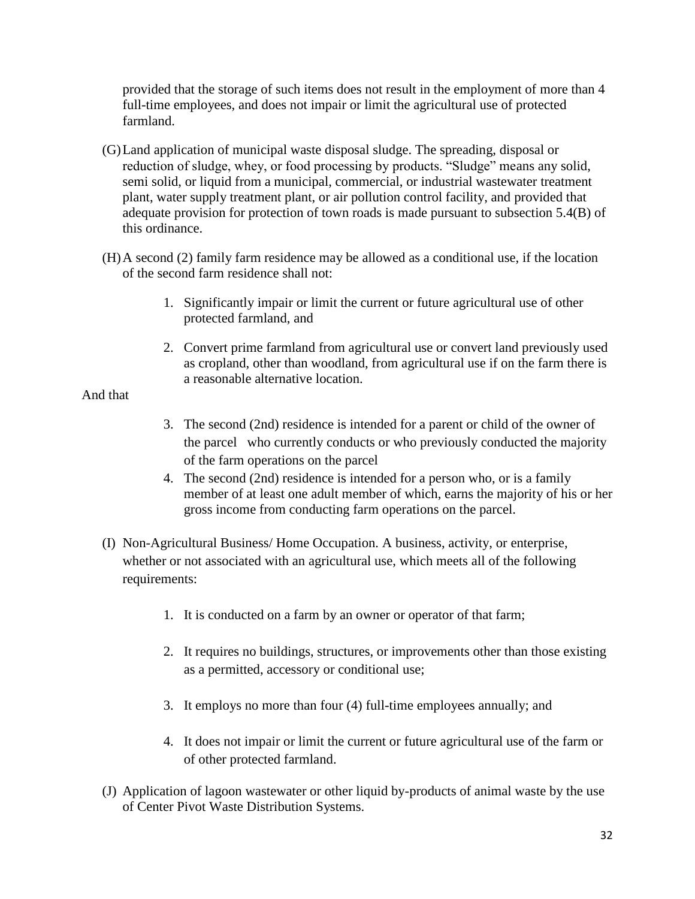provided that the storage of such items does not result in the employment of more than 4 full-time employees, and does not impair or limit the agricultural use of protected farmland.

- (G)Land application of municipal waste disposal sludge. The spreading, disposal or reduction of sludge, whey, or food processing by products. "Sludge" means any solid, semi solid, or liquid from a municipal, commercial, or industrial wastewater treatment plant, water supply treatment plant, or air pollution control facility, and provided that adequate provision for protection of town roads is made pursuant to subsection 5.4(B) of this ordinance.
- (H)A second (2) family farm residence may be allowed as a conditional use, if the location of the second farm residence shall not:
	- 1. Significantly impair or limit the current or future agricultural use of other protected farmland, and
	- 2. Convert prime farmland from agricultural use or convert land previously used as cropland, other than woodland, from agricultural use if on the farm there is a reasonable alternative location.

#### And that

- 3. The second (2nd) residence is intended for a parent or child of the owner of the parcel who currently conducts or who previously conducted the majority of the farm operations on the parcel
- 4. The second (2nd) residence is intended for a person who, or is a family member of at least one adult member of which, earns the majority of his or her gross income from conducting farm operations on the parcel.
- (I) Non-Agricultural Business/ Home Occupation. A business, activity, or enterprise, whether or not associated with an agricultural use, which meets all of the following requirements:
	- 1. It is conducted on a farm by an owner or operator of that farm;
	- 2. It requires no buildings, structures, or improvements other than those existing as a permitted, accessory or conditional use;
	- 3. It employs no more than four (4) full-time employees annually; and
	- 4. It does not impair or limit the current or future agricultural use of the farm or of other protected farmland.
- (J) Application of lagoon wastewater or other liquid by-products of animal waste by the use of Center Pivot Waste Distribution Systems.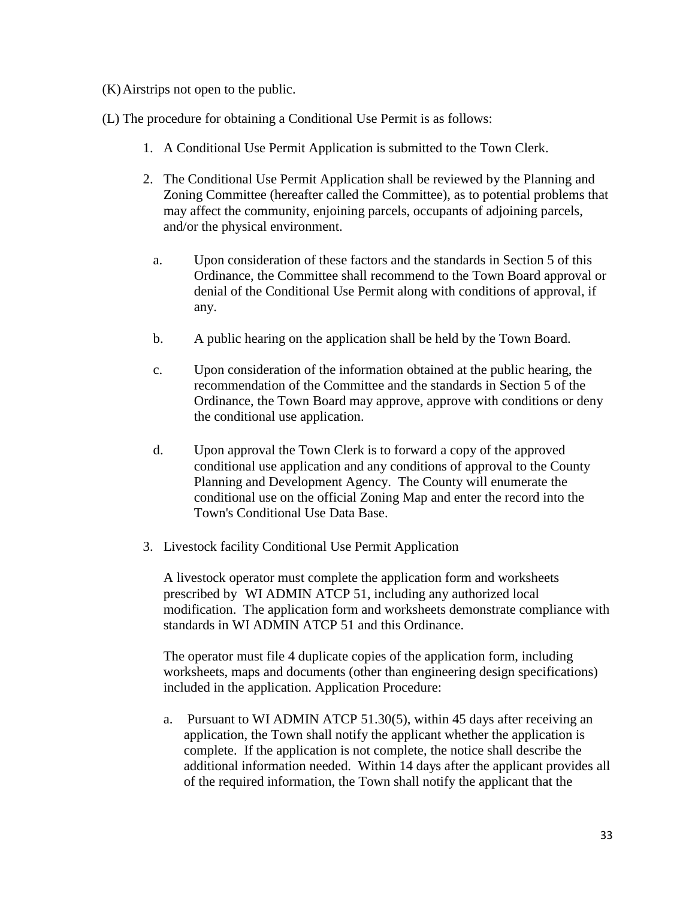(K)Airstrips not open to the public.

(L) The procedure for obtaining a Conditional Use Permit is as follows:

- 1. A Conditional Use Permit Application is submitted to the Town Clerk.
- 2. The Conditional Use Permit Application shall be reviewed by the Planning and Zoning Committee (hereafter called the Committee), as to potential problems that may affect the community, enjoining parcels, occupants of adjoining parcels, and/or the physical environment.
	- a. Upon consideration of these factors and the standards in Section 5 of this Ordinance, the Committee shall recommend to the Town Board approval or denial of the Conditional Use Permit along with conditions of approval, if any.
	- b. A public hearing on the application shall be held by the Town Board.
	- c. Upon consideration of the information obtained at the public hearing, the recommendation of the Committee and the standards in Section 5 of the Ordinance, the Town Board may approve, approve with conditions or deny the conditional use application.
	- d. Upon approval the Town Clerk is to forward a copy of the approved conditional use application and any conditions of approval to the County Planning and Development Agency. The County will enumerate the conditional use on the official Zoning Map and enter the record into the Town's Conditional Use Data Base.
- 3. Livestock facility Conditional Use Permit Application

A livestock operator must complete the application form and worksheets prescribed by WI ADMIN ATCP 51, including any authorized local modification. The application form and worksheets demonstrate compliance with standards in WI ADMIN ATCP 51 and this Ordinance.

The operator must file 4 duplicate copies of the application form, including worksheets, maps and documents (other than engineering design specifications) included in the application. Application Procedure:

a. Pursuant to WI ADMIN ATCP 51.30(5), within 45 days after receiving an application, the Town shall notify the applicant whether the application is complete. If the application is not complete, the notice shall describe the additional information needed. Within 14 days after the applicant provides all of the required information, the Town shall notify the applicant that the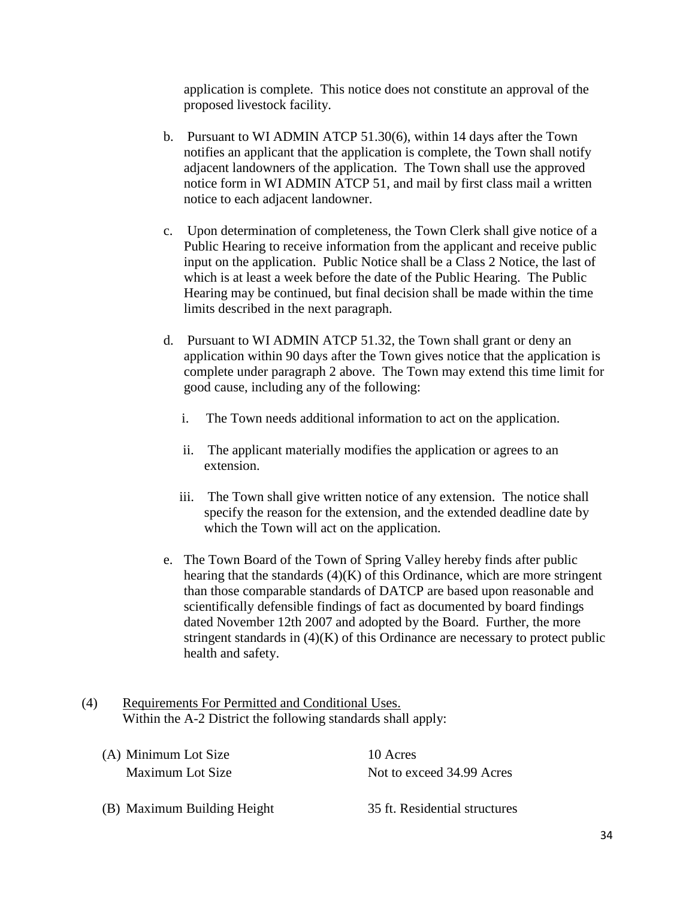application is complete. This notice does not constitute an approval of the proposed livestock facility.

- b. Pursuant to WI ADMIN ATCP 51.30(6), within 14 days after the Town notifies an applicant that the application is complete, the Town shall notify adjacent landowners of the application. The Town shall use the approved notice form in WI ADMIN ATCP 51, and mail by first class mail a written notice to each adjacent landowner.
- c. Upon determination of completeness, the Town Clerk shall give notice of a Public Hearing to receive information from the applicant and receive public input on the application. Public Notice shall be a Class 2 Notice, the last of which is at least a week before the date of the Public Hearing. The Public Hearing may be continued, but final decision shall be made within the time limits described in the next paragraph.
- d. Pursuant to WI ADMIN ATCP 51.32, the Town shall grant or deny an application within 90 days after the Town gives notice that the application is complete under paragraph 2 above. The Town may extend this time limit for good cause, including any of the following:
	- i. The Town needs additional information to act on the application.
	- ii. The applicant materially modifies the application or agrees to an extension.
	- iii. The Town shall give written notice of any extension. The notice shall specify the reason for the extension, and the extended deadline date by which the Town will act on the application.
- e. The Town Board of the Town of Spring Valley hereby finds after public hearing that the standards  $(4)(K)$  of this Ordinance, which are more stringent than those comparable standards of DATCP are based upon reasonable and scientifically defensible findings of fact as documented by board findings dated November 12th 2007 and adopted by the Board. Further, the more stringent standards in (4)(K) of this Ordinance are necessary to protect public health and safety.
- (4) Requirements For Permitted and Conditional Uses. Within the A-2 District the following standards shall apply:

| (A) Minimum Lot Size | 10 Acres                  |
|----------------------|---------------------------|
| Maximum Lot Size     | Not to exceed 34.99 Acres |
|                      |                           |

(B) Maximum Building Height 35 ft. Residential structures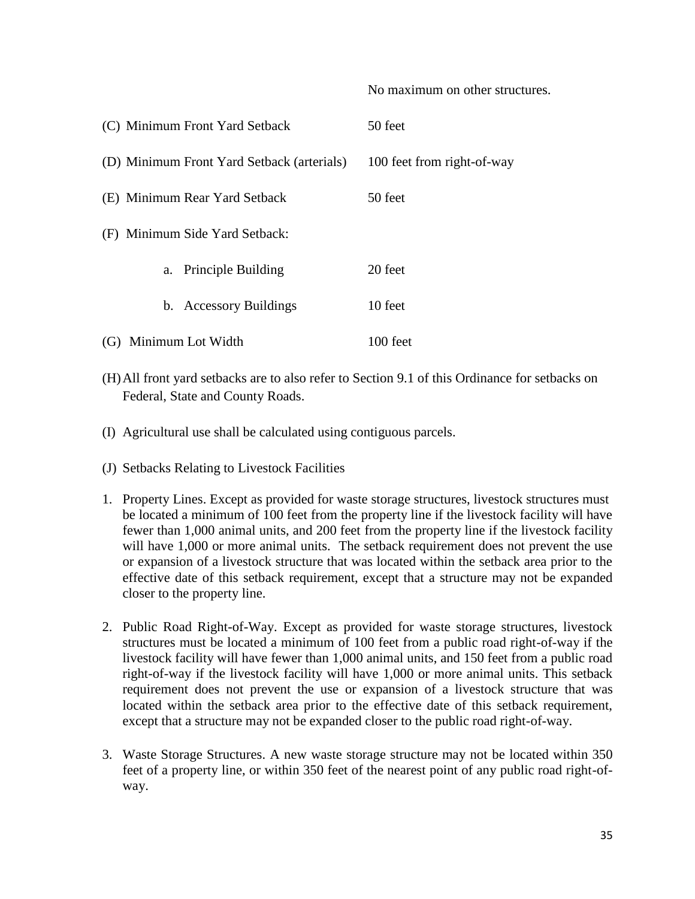| (C) Minimum Front Yard Setback             | 50 feet                    |
|--------------------------------------------|----------------------------|
| (D) Minimum Front Yard Setback (arterials) | 100 feet from right-of-way |
| (E) Minimum Rear Yard Setback              | 50 feet                    |
| (F) Minimum Side Yard Setback:             |                            |
| a. Principle Building                      | 20 feet                    |
| b. Accessory Buildings                     | 10 feet                    |
| (G) Minimum Lot Width                      | $100$ feet                 |

(H)All front yard setbacks are to also refer to Section 9.1 of this Ordinance for setbacks on Federal, State and County Roads.

No maximum on other structures.

- (I) Agricultural use shall be calculated using contiguous parcels.
- (J) Setbacks Relating to Livestock Facilities
- 1. Property Lines. Except as provided for waste storage structures, livestock structures must be located a minimum of 100 feet from the property line if the livestock facility will have fewer than 1,000 animal units, and 200 feet from the property line if the livestock facility will have 1,000 or more animal units. The setback requirement does not prevent the use or expansion of a livestock structure that was located within the setback area prior to the effective date of this setback requirement, except that a structure may not be expanded closer to the property line.
- 2. Public Road Right-of-Way. Except as provided for waste storage structures, livestock structures must be located a minimum of 100 feet from a public road right-of-way if the livestock facility will have fewer than 1,000 animal units, and 150 feet from a public road right-of-way if the livestock facility will have 1,000 or more animal units. This setback requirement does not prevent the use or expansion of a livestock structure that was located within the setback area prior to the effective date of this setback requirement, except that a structure may not be expanded closer to the public road right-of-way.
- 3. Waste Storage Structures. A new waste storage structure may not be located within 350 feet of a property line, or within 350 feet of the nearest point of any public road right-ofway.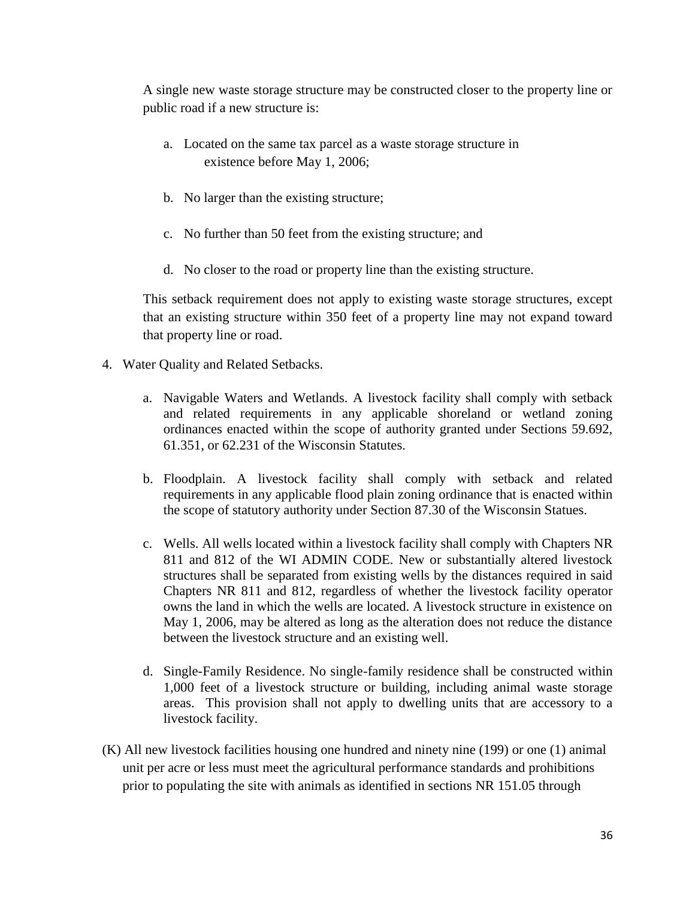A single new waste storage structure may be constructed closer to the property line or public road if a new structure is:

- a. Located on the same tax parcel as a waste storage structure in existence before May 1, 2006;
- b. No larger than the existing structure;
- c. No further than 50 feet from the existing structure; and
- d. No closer to the road or property line than the existing structure.

This setback requirement does not apply to existing waste storage structures, except that an existing structure within 350 feet of a property line may not expand toward that property line or road.

- 4. Water Quality and Related Setbacks.
	- a. Navigable Waters and Wetlands. A livestock facility shall comply with setback and related requirements in any applicable shoreland or wetland zoning ordinances enacted within the scope of authority granted under Sections 59.692, 61.351, or 62.231 of the Wisconsin Statutes.
	- b. Floodplain. A livestock facility shall comply with setback and related requirements in any applicable flood plain zoning ordinance that is enacted within the scope of statutory authority under Section 87.30 of the Wisconsin Statues.
	- c. Wells. All wells located within a livestock facility shall comply with Chapters NR 811 and 812 of the WI ADMIN CODE. New or substantially altered livestock structures shall be separated from existing wells by the distances required in said Chapters NR 811 and 812, regardless of whether the livestock facility operator owns the land in which the wells are located. A livestock structure in existence on May 1, 2006, may be altered as long as the alteration does not reduce the distance between the livestock structure and an existing well.
	- d. Single-Family Residence. No single-family residence shall be constructed within 1,000 feet of a livestock structure or building, including animal waste storage areas. This provision shall not apply to dwelling units that are accessory to a livestock facility.
- (K) All new livestock facilities housing one hundred and ninety nine (199) or one (1) animal unit per acre or less must meet the agricultural performance standards and prohibitions prior to populating the site with animals as identified in sections NR 151.05 through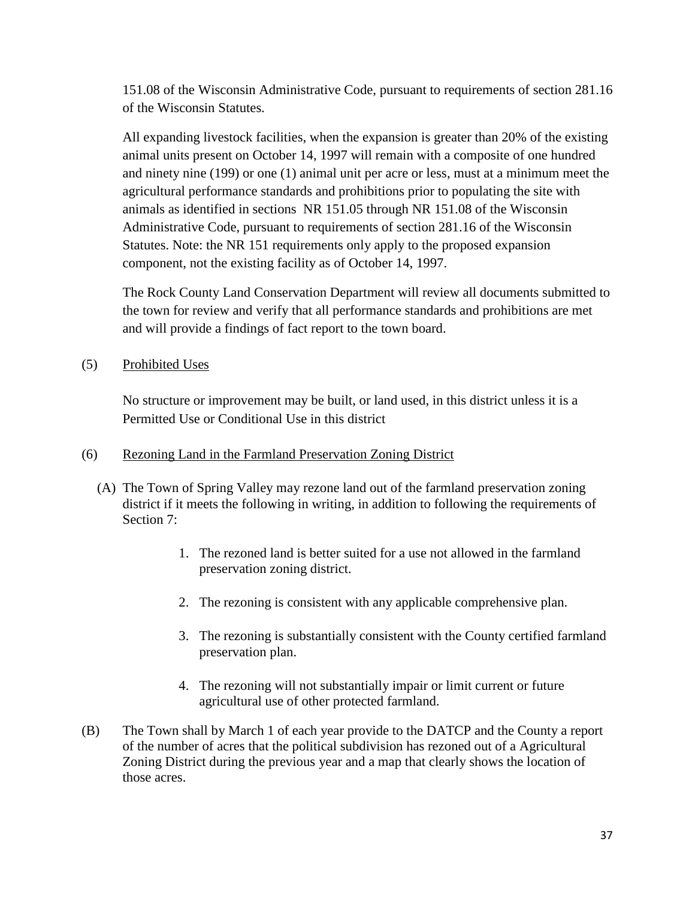151.08 of the Wisconsin Administrative Code, pursuant to requirements of section 281.16 of the Wisconsin Statutes.

All expanding livestock facilities, when the expansion is greater than 20% of the existing animal units present on October 14, 1997 will remain with a composite of one hundred and ninety nine (199) or one (1) animal unit per acre or less, must at a minimum meet the agricultural performance standards and prohibitions prior to populating the site with animals as identified in sections NR 151.05 through NR 151.08 of the Wisconsin Administrative Code, pursuant to requirements of section 281.16 of the Wisconsin Statutes. Note: the NR 151 requirements only apply to the proposed expansion component, not the existing facility as of October 14, 1997.

The Rock County Land Conservation Department will review all documents submitted to the town for review and verify that all performance standards and prohibitions are met and will provide a findings of fact report to the town board.

(5) Prohibited Uses

No structure or improvement may be built, or land used, in this district unless it is a Permitted Use or Conditional Use in this district

#### (6) Rezoning Land in the Farmland Preservation Zoning District

- (A) The Town of Spring Valley may rezone land out of the farmland preservation zoning district if it meets the following in writing, in addition to following the requirements of Section 7:
	- 1. The rezoned land is better suited for a use not allowed in the farmland preservation zoning district.
	- 2. The rezoning is consistent with any applicable comprehensive plan.
	- 3. The rezoning is substantially consistent with the County certified farmland preservation plan.
	- 4. The rezoning will not substantially impair or limit current or future agricultural use of other protected farmland.
- (B) The Town shall by March 1 of each year provide to the DATCP and the County a report of the number of acres that the political subdivision has rezoned out of a Agricultural Zoning District during the previous year and a map that clearly shows the location of those acres.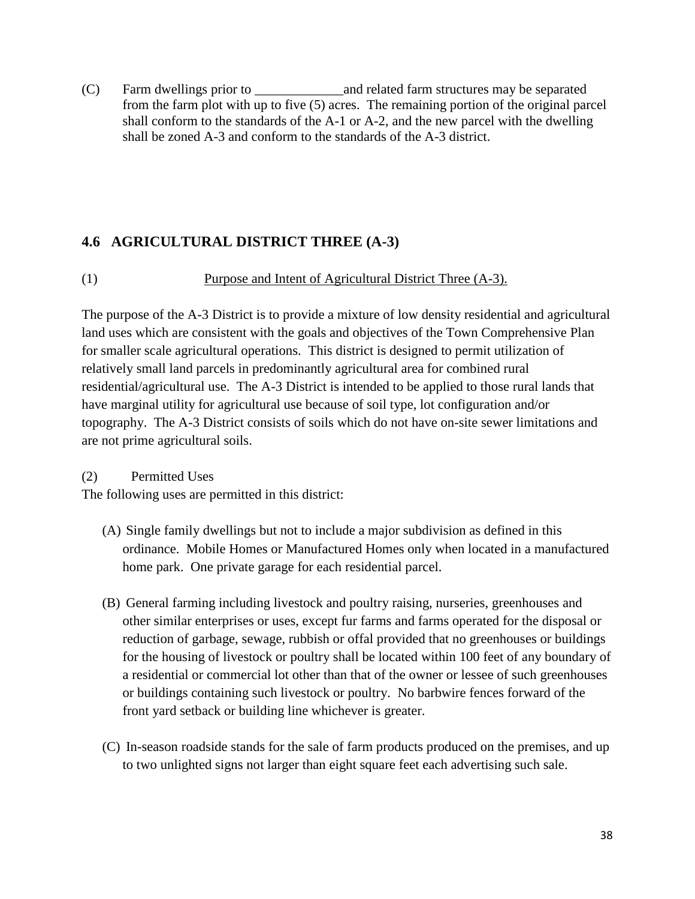(C) Farm dwellings prior to \_\_\_\_\_\_\_\_\_\_\_\_\_and related farm structures may be separated from the farm plot with up to five (5) acres. The remaining portion of the original parcel shall conform to the standards of the A-1 or A-2, and the new parcel with the dwelling shall be zoned A-3 and conform to the standards of the A-3 district.

## **4.6 AGRICULTURAL DISTRICT THREE (A-3)**

(1) Purpose and Intent of Agricultural District Three (A-3).

The purpose of the A-3 District is to provide a mixture of low density residential and agricultural land uses which are consistent with the goals and objectives of the Town Comprehensive Plan for smaller scale agricultural operations. This district is designed to permit utilization of relatively small land parcels in predominantly agricultural area for combined rural residential/agricultural use. The A-3 District is intended to be applied to those rural lands that have marginal utility for agricultural use because of soil type, lot configuration and/or topography. The A-3 District consists of soils which do not have on-site sewer limitations and are not prime agricultural soils.

### (2) Permitted Uses

The following uses are permitted in this district:

- (A) Single family dwellings but not to include a major subdivision as defined in this ordinance. Mobile Homes or Manufactured Homes only when located in a manufactured home park. One private garage for each residential parcel.
- (B) General farming including livestock and poultry raising, nurseries, greenhouses and other similar enterprises or uses, except fur farms and farms operated for the disposal or reduction of garbage, sewage, rubbish or offal provided that no greenhouses or buildings for the housing of livestock or poultry shall be located within 100 feet of any boundary of a residential or commercial lot other than that of the owner or lessee of such greenhouses or buildings containing such livestock or poultry. No barbwire fences forward of the front yard setback or building line whichever is greater.
- (C) In-season roadside stands for the sale of farm products produced on the premises, and up to two unlighted signs not larger than eight square feet each advertising such sale.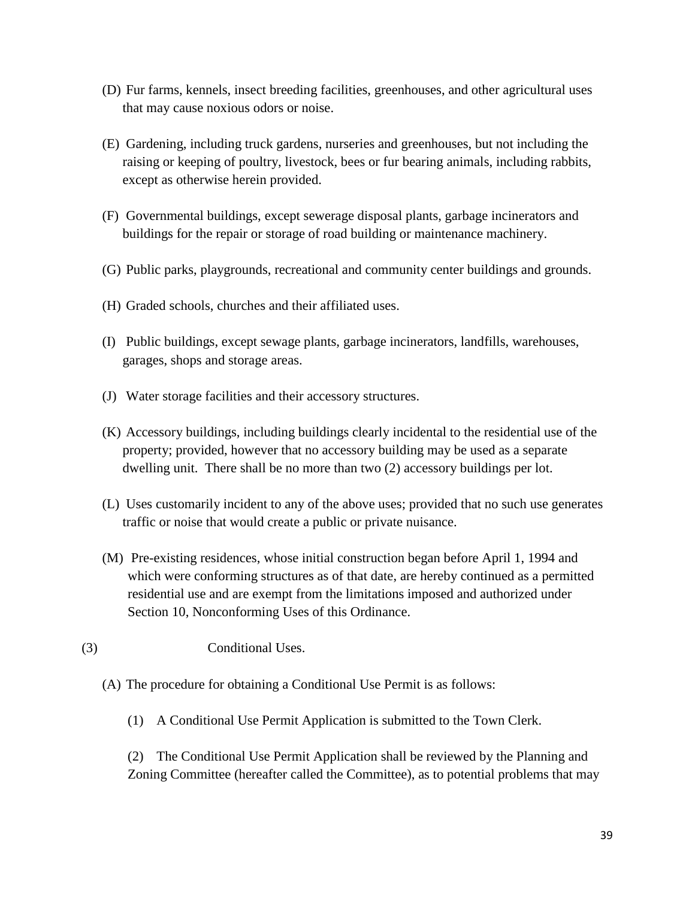- (D) Fur farms, kennels, insect breeding facilities, greenhouses, and other agricultural uses that may cause noxious odors or noise.
- (E) Gardening, including truck gardens, nurseries and greenhouses, but not including the raising or keeping of poultry, livestock, bees or fur bearing animals, including rabbits, except as otherwise herein provided.
- (F) Governmental buildings, except sewerage disposal plants, garbage incinerators and buildings for the repair or storage of road building or maintenance machinery.
- (G) Public parks, playgrounds, recreational and community center buildings and grounds.
- (H) Graded schools, churches and their affiliated uses.
- (I) Public buildings, except sewage plants, garbage incinerators, landfills, warehouses, garages, shops and storage areas.
- (J) Water storage facilities and their accessory structures.
- (K) Accessory buildings, including buildings clearly incidental to the residential use of the property; provided, however that no accessory building may be used as a separate dwelling unit. There shall be no more than two (2) accessory buildings per lot.
- (L) Uses customarily incident to any of the above uses; provided that no such use generates traffic or noise that would create a public or private nuisance.
- (M) Pre-existing residences, whose initial construction began before April 1, 1994 and which were conforming structures as of that date, are hereby continued as a permitted residential use and are exempt from the limitations imposed and authorized under Section 10, Nonconforming Uses of this Ordinance.
- (3) Conditional Uses.
	- (A) The procedure for obtaining a Conditional Use Permit is as follows:
		- (1) A Conditional Use Permit Application is submitted to the Town Clerk.

(2) The Conditional Use Permit Application shall be reviewed by the Planning and Zoning Committee (hereafter called the Committee), as to potential problems that may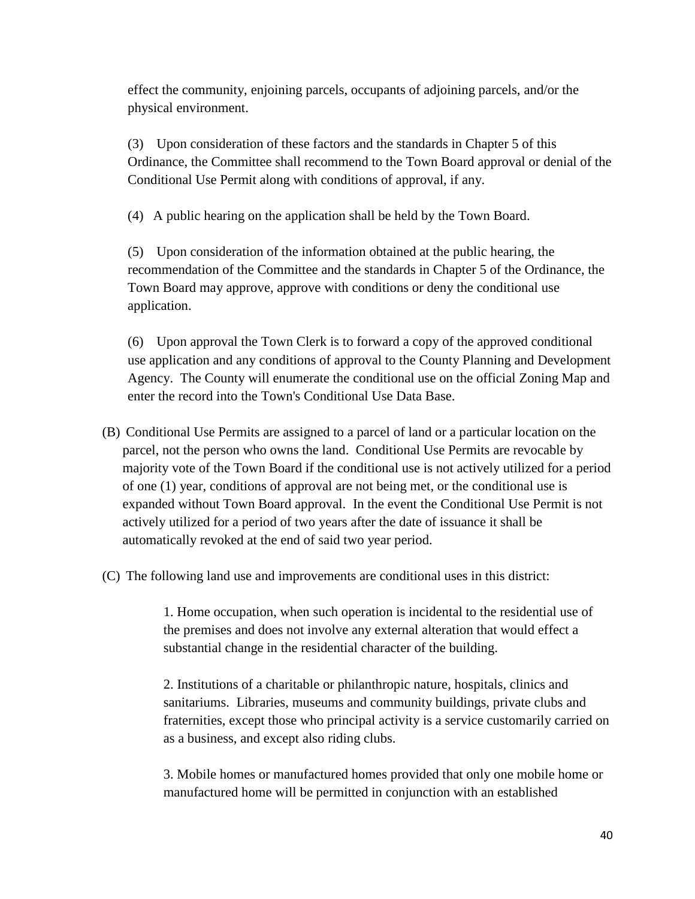effect the community, enjoining parcels, occupants of adjoining parcels, and/or the physical environment.

(3) Upon consideration of these factors and the standards in Chapter 5 of this Ordinance, the Committee shall recommend to the Town Board approval or denial of the Conditional Use Permit along with conditions of approval, if any.

(4) A public hearing on the application shall be held by the Town Board.

(5) Upon consideration of the information obtained at the public hearing, the recommendation of the Committee and the standards in Chapter 5 of the Ordinance, the Town Board may approve, approve with conditions or deny the conditional use application.

(6) Upon approval the Town Clerk is to forward a copy of the approved conditional use application and any conditions of approval to the County Planning and Development Agency. The County will enumerate the conditional use on the official Zoning Map and enter the record into the Town's Conditional Use Data Base.

- (B) Conditional Use Permits are assigned to a parcel of land or a particular location on the parcel, not the person who owns the land. Conditional Use Permits are revocable by majority vote of the Town Board if the conditional use is not actively utilized for a period of one (1) year, conditions of approval are not being met, or the conditional use is expanded without Town Board approval. In the event the Conditional Use Permit is not actively utilized for a period of two years after the date of issuance it shall be automatically revoked at the end of said two year period.
- (C) The following land use and improvements are conditional uses in this district:

1. Home occupation, when such operation is incidental to the residential use of the premises and does not involve any external alteration that would effect a substantial change in the residential character of the building.

2. Institutions of a charitable or philanthropic nature, hospitals, clinics and sanitariums. Libraries, museums and community buildings, private clubs and fraternities, except those who principal activity is a service customarily carried on as a business, and except also riding clubs.

3. Mobile homes or manufactured homes provided that only one mobile home or manufactured home will be permitted in conjunction with an established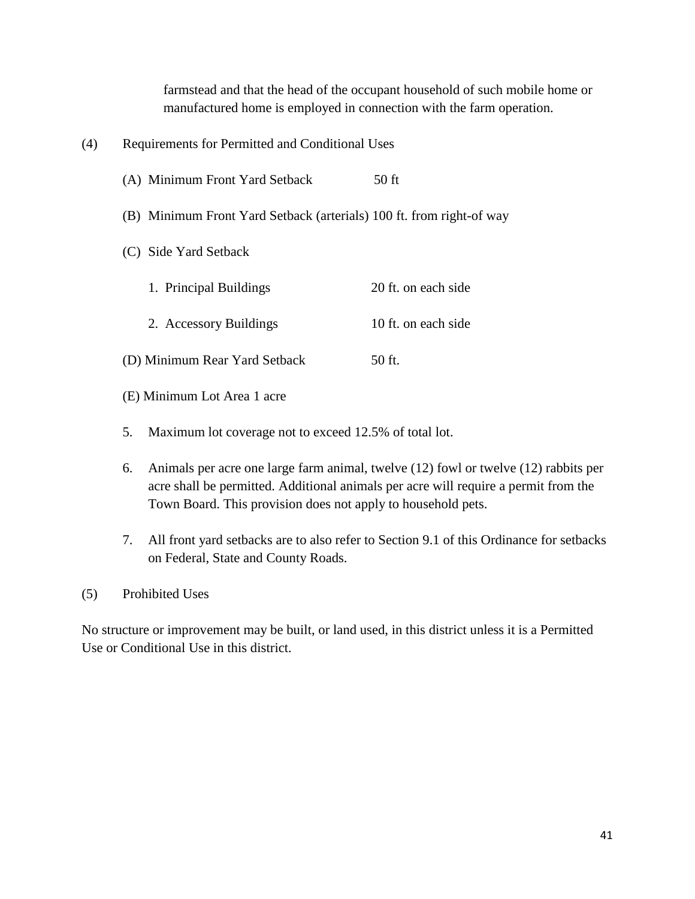farmstead and that the head of the occupant household of such mobile home or manufactured home is employed in connection with the farm operation.

| (4) | Requirements for Permitted and Conditional Uses                      |                     |
|-----|----------------------------------------------------------------------|---------------------|
|     | (A) Minimum Front Yard Setback                                       | 50 ft               |
|     | (B) Minimum Front Yard Setback (arterials) 100 ft. from right-of way |                     |
|     | (C) Side Yard Setback                                                |                     |
|     | 1. Principal Buildings                                               | 20 ft. on each side |
|     | 2. Accessory Buildings                                               | 10 ft. on each side |
|     | (D) Minimum Rear Yard Setback                                        | 50 ft.              |

- (E) Minimum Lot Area 1 acre
- 5. Maximum lot coverage not to exceed 12.5% of total lot.
- 6. Animals per acre one large farm animal, twelve (12) fowl or twelve (12) rabbits per acre shall be permitted. Additional animals per acre will require a permit from the Town Board. This provision does not apply to household pets.
- 7. All front yard setbacks are to also refer to Section 9.1 of this Ordinance for setbacks on Federal, State and County Roads.
- (5) Prohibited Uses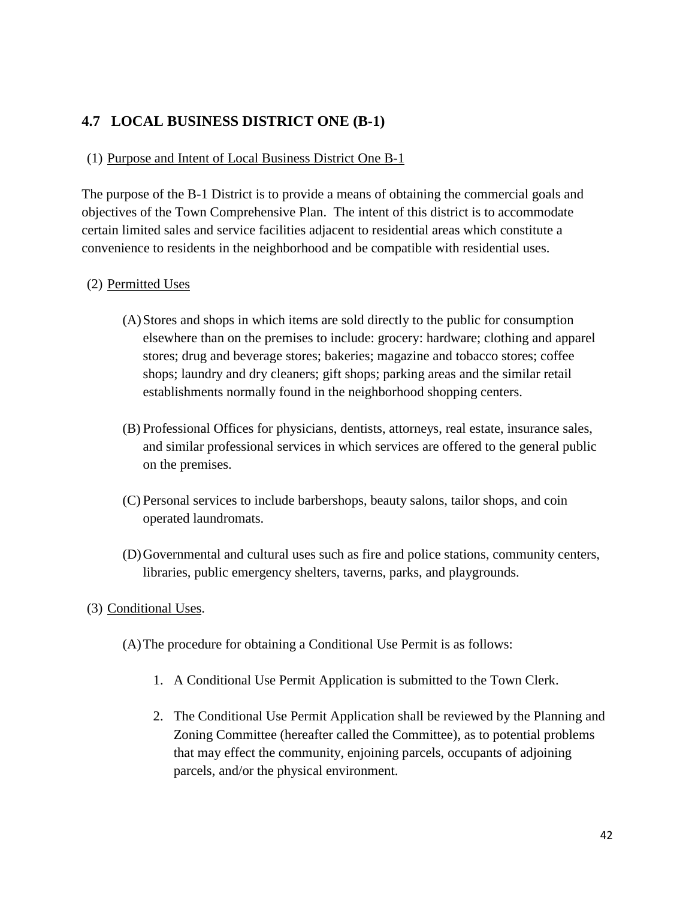# **4.7 LOCAL BUSINESS DISTRICT ONE (B-1)**

#### (1) Purpose and Intent of Local Business District One B-1

The purpose of the B-1 District is to provide a means of obtaining the commercial goals and objectives of the Town Comprehensive Plan. The intent of this district is to accommodate certain limited sales and service facilities adjacent to residential areas which constitute a convenience to residents in the neighborhood and be compatible with residential uses.

#### (2) Permitted Uses

- (A)Stores and shops in which items are sold directly to the public for consumption elsewhere than on the premises to include: grocery: hardware; clothing and apparel stores; drug and beverage stores; bakeries; magazine and tobacco stores; coffee shops; laundry and dry cleaners; gift shops; parking areas and the similar retail establishments normally found in the neighborhood shopping centers.
- (B) Professional Offices for physicians, dentists, attorneys, real estate, insurance sales, and similar professional services in which services are offered to the general public on the premises.
- (C) Personal services to include barbershops, beauty salons, tailor shops, and coin operated laundromats.
- (D)Governmental and cultural uses such as fire and police stations, community centers, libraries, public emergency shelters, taverns, parks, and playgrounds.

#### (3) Conditional Uses.

- (A)The procedure for obtaining a Conditional Use Permit is as follows:
	- 1. A Conditional Use Permit Application is submitted to the Town Clerk.
	- 2. The Conditional Use Permit Application shall be reviewed by the Planning and Zoning Committee (hereafter called the Committee), as to potential problems that may effect the community, enjoining parcels, occupants of adjoining parcels, and/or the physical environment.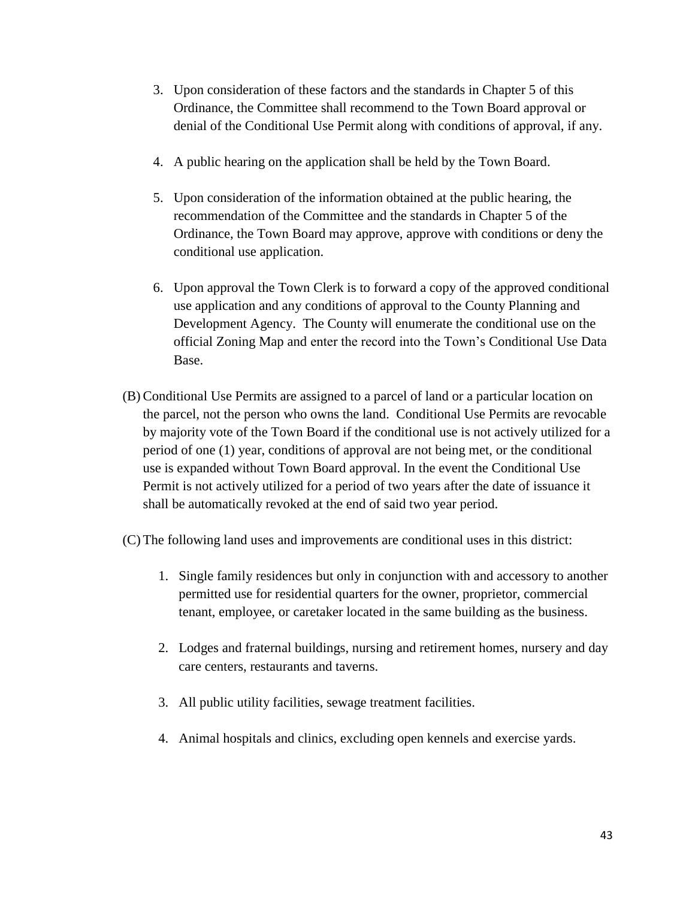- 3. Upon consideration of these factors and the standards in Chapter 5 of this Ordinance, the Committee shall recommend to the Town Board approval or denial of the Conditional Use Permit along with conditions of approval, if any.
- 4. A public hearing on the application shall be held by the Town Board.
- 5. Upon consideration of the information obtained at the public hearing, the recommendation of the Committee and the standards in Chapter 5 of the Ordinance, the Town Board may approve, approve with conditions or deny the conditional use application.
- 6. Upon approval the Town Clerk is to forward a copy of the approved conditional use application and any conditions of approval to the County Planning and Development Agency. The County will enumerate the conditional use on the official Zoning Map and enter the record into the Town's Conditional Use Data Base.
- (B) Conditional Use Permits are assigned to a parcel of land or a particular location on the parcel, not the person who owns the land. Conditional Use Permits are revocable by majority vote of the Town Board if the conditional use is not actively utilized for a period of one (1) year, conditions of approval are not being met, or the conditional use is expanded without Town Board approval. In the event the Conditional Use Permit is not actively utilized for a period of two years after the date of issuance it shall be automatically revoked at the end of said two year period.
- (C) The following land uses and improvements are conditional uses in this district:
	- 1. Single family residences but only in conjunction with and accessory to another permitted use for residential quarters for the owner, proprietor, commercial tenant, employee, or caretaker located in the same building as the business.
	- 2. Lodges and fraternal buildings, nursing and retirement homes, nursery and day care centers, restaurants and taverns.
	- 3. All public utility facilities, sewage treatment facilities.
	- 4. Animal hospitals and clinics, excluding open kennels and exercise yards.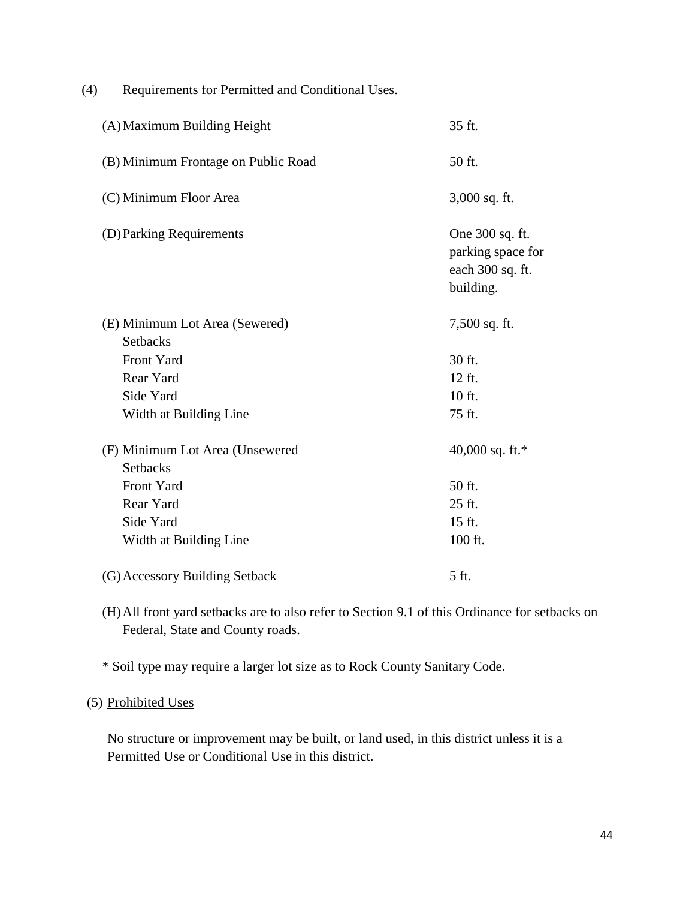| Requirements for Permitted and Conditional Uses.<br>(4) |                                                                       |
|---------------------------------------------------------|-----------------------------------------------------------------------|
| (A) Maximum Building Height                             | 35 ft.                                                                |
| (B) Minimum Frontage on Public Road                     | 50 ft.                                                                |
| (C) Minimum Floor Area                                  | 3,000 sq. ft.                                                         |
| (D) Parking Requirements                                | One 300 sq. ft.<br>parking space for<br>each 300 sq. ft.<br>building. |
| (E) Minimum Lot Area (Sewered)<br><b>Setbacks</b>       | 7,500 sq. ft.                                                         |
| Front Yard                                              | 30 ft.                                                                |
| Rear Yard                                               | 12 ft.                                                                |
| Side Yard                                               | 10 ft.                                                                |
| Width at Building Line                                  | 75 ft.                                                                |
| (F) Minimum Lot Area (Unsewered<br><b>Setbacks</b>      | 40,000 sq. ft.*                                                       |
| Front Yard                                              | 50 ft.                                                                |
| Rear Yard                                               | 25 ft.                                                                |
| Side Yard                                               | 15 ft.                                                                |
| Width at Building Line                                  | 100 ft.                                                               |
| (G) Accessory Building Setback                          | 5 ft.                                                                 |

(H)All front yard setbacks are to also refer to Section 9.1 of this Ordinance for setbacks on Federal, State and County roads.

\* Soil type may require a larger lot size as to Rock County Sanitary Code.

#### (5) Prohibited Uses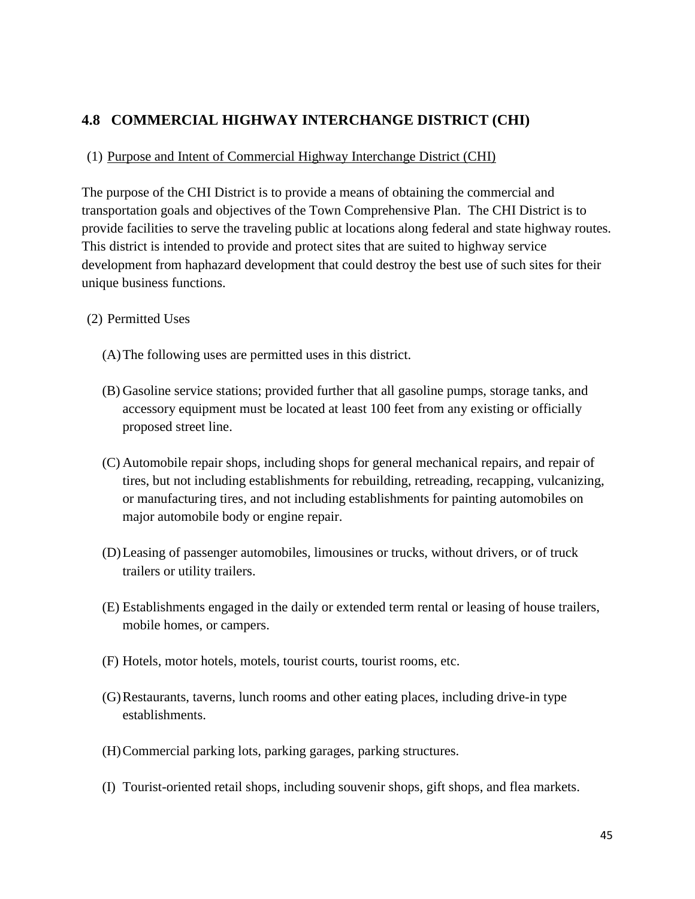# **4.8 COMMERCIAL HIGHWAY INTERCHANGE DISTRICT (CHI)**

### (1) Purpose and Intent of Commercial Highway Interchange District (CHI)

The purpose of the CHI District is to provide a means of obtaining the commercial and transportation goals and objectives of the Town Comprehensive Plan. The CHI District is to provide facilities to serve the traveling public at locations along federal and state highway routes. This district is intended to provide and protect sites that are suited to highway service development from haphazard development that could destroy the best use of such sites for their unique business functions.

### (2) Permitted Uses

- (A)The following uses are permitted uses in this district.
- (B) Gasoline service stations; provided further that all gasoline pumps, storage tanks, and accessory equipment must be located at least 100 feet from any existing or officially proposed street line.
- (C) Automobile repair shops, including shops for general mechanical repairs, and repair of tires, but not including establishments for rebuilding, retreading, recapping, vulcanizing, or manufacturing tires, and not including establishments for painting automobiles on major automobile body or engine repair.
- (D)Leasing of passenger automobiles, limousines or trucks, without drivers, or of truck trailers or utility trailers.
- (E) Establishments engaged in the daily or extended term rental or leasing of house trailers, mobile homes, or campers.
- (F) Hotels, motor hotels, motels, tourist courts, tourist rooms, etc.
- (G)Restaurants, taverns, lunch rooms and other eating places, including drive-in type establishments.
- (H)Commercial parking lots, parking garages, parking structures.
- (I) Tourist-oriented retail shops, including souvenir shops, gift shops, and flea markets.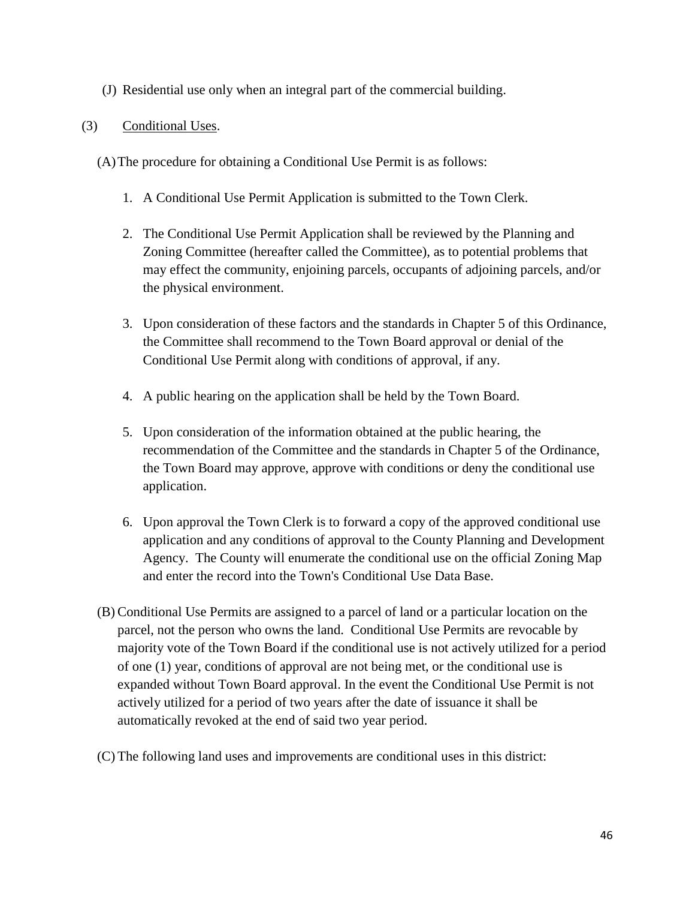(J) Residential use only when an integral part of the commercial building.

### (3) Conditional Uses.

(A)The procedure for obtaining a Conditional Use Permit is as follows:

- 1. A Conditional Use Permit Application is submitted to the Town Clerk.
- 2. The Conditional Use Permit Application shall be reviewed by the Planning and Zoning Committee (hereafter called the Committee), as to potential problems that may effect the community, enjoining parcels, occupants of adjoining parcels, and/or the physical environment.
- 3. Upon consideration of these factors and the standards in Chapter 5 of this Ordinance, the Committee shall recommend to the Town Board approval or denial of the Conditional Use Permit along with conditions of approval, if any.
- 4. A public hearing on the application shall be held by the Town Board.
- 5. Upon consideration of the information obtained at the public hearing, the recommendation of the Committee and the standards in Chapter 5 of the Ordinance, the Town Board may approve, approve with conditions or deny the conditional use application.
- 6. Upon approval the Town Clerk is to forward a copy of the approved conditional use application and any conditions of approval to the County Planning and Development Agency. The County will enumerate the conditional use on the official Zoning Map and enter the record into the Town's Conditional Use Data Base.
- (B) Conditional Use Permits are assigned to a parcel of land or a particular location on the parcel, not the person who owns the land. Conditional Use Permits are revocable by majority vote of the Town Board if the conditional use is not actively utilized for a period of one (1) year, conditions of approval are not being met, or the conditional use is expanded without Town Board approval. In the event the Conditional Use Permit is not actively utilized for a period of two years after the date of issuance it shall be automatically revoked at the end of said two year period.
- (C) The following land uses and improvements are conditional uses in this district: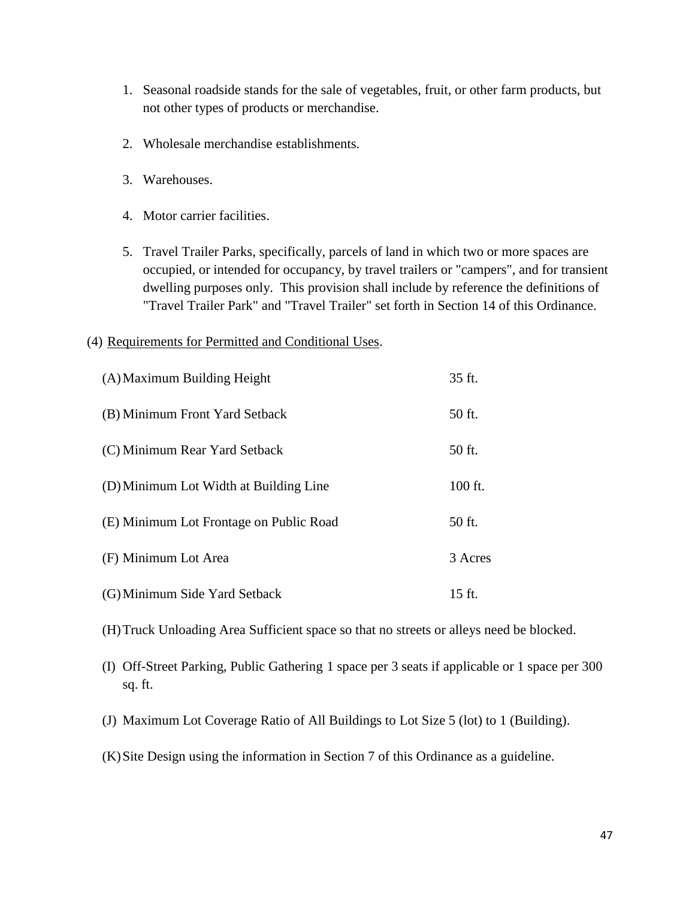- 1. Seasonal roadside stands for the sale of vegetables, fruit, or other farm products, but not other types of products or merchandise.
- 2. Wholesale merchandise establishments.
- 3. Warehouses.
- 4. Motor carrier facilities.
- 5. Travel Trailer Parks, specifically, parcels of land in which two or more spaces are occupied, or intended for occupancy, by travel trailers or "campers", and for transient dwelling purposes only. This provision shall include by reference the definitions of "Travel Trailer Park" and "Travel Trailer" set forth in Section 14 of this Ordinance.

#### (4) Requirements for Permitted and Conditional Uses.

| (A) Maximum Building Height             | 35 ft.  |
|-----------------------------------------|---------|
| (B) Minimum Front Yard Setback          | 50 ft.  |
| (C) Minimum Rear Yard Setback           | 50 ft.  |
| (D) Minimum Lot Width at Building Line  | 100 ft. |
| (E) Minimum Lot Frontage on Public Road | 50 ft.  |
| (F) Minimum Lot Area                    | 3 Acres |
| (G) Minimum Side Yard Setback           | 15 ft.  |

(H)Truck Unloading Area Sufficient space so that no streets or alleys need be blocked.

- (I) Off-Street Parking, Public Gathering 1 space per 3 seats if applicable or 1 space per 300 sq. ft.
- (J) Maximum Lot Coverage Ratio of All Buildings to Lot Size 5 (lot) to 1 (Building).
- (K)Site Design using the information in Section 7 of this Ordinance as a guideline.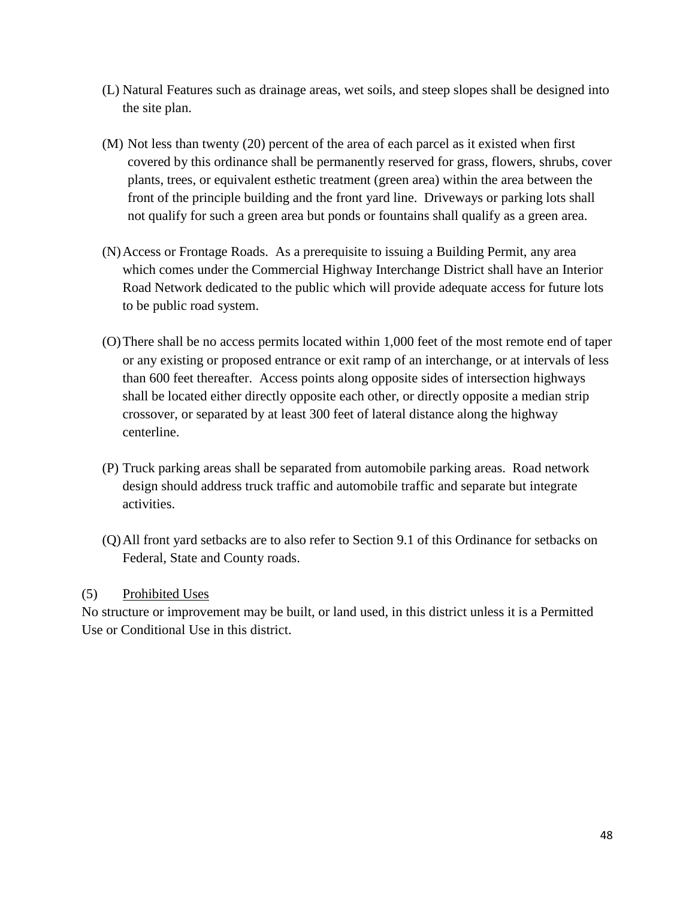- (L) Natural Features such as drainage areas, wet soils, and steep slopes shall be designed into the site plan.
- (M) Not less than twenty (20) percent of the area of each parcel as it existed when first covered by this ordinance shall be permanently reserved for grass, flowers, shrubs, cover plants, trees, or equivalent esthetic treatment (green area) within the area between the front of the principle building and the front yard line. Driveways or parking lots shall not qualify for such a green area but ponds or fountains shall qualify as a green area.
- (N)Access or Frontage Roads. As a prerequisite to issuing a Building Permit, any area which comes under the Commercial Highway Interchange District shall have an Interior Road Network dedicated to the public which will provide adequate access for future lots to be public road system.
- (O)There shall be no access permits located within 1,000 feet of the most remote end of taper or any existing or proposed entrance or exit ramp of an interchange, or at intervals of less than 600 feet thereafter. Access points along opposite sides of intersection highways shall be located either directly opposite each other, or directly opposite a median strip crossover, or separated by at least 300 feet of lateral distance along the highway centerline.
- (P) Truck parking areas shall be separated from automobile parking areas. Road network design should address truck traffic and automobile traffic and separate but integrate activities.
- (Q)All front yard setbacks are to also refer to Section 9.1 of this Ordinance for setbacks on Federal, State and County roads.

### (5) Prohibited Uses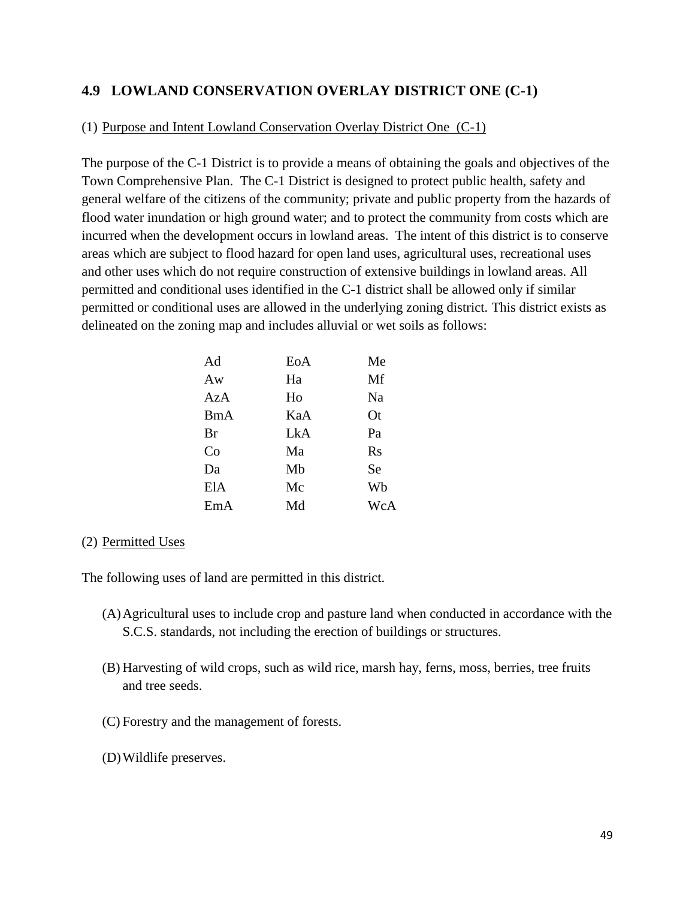## **4.9 LOWLAND CONSERVATION OVERLAY DISTRICT ONE (C-1)**

#### (1) Purpose and Intent Lowland Conservation Overlay District One (C-1)

The purpose of the C-1 District is to provide a means of obtaining the goals and objectives of the Town Comprehensive Plan. The C-1 District is designed to protect public health, safety and general welfare of the citizens of the community; private and public property from the hazards of flood water inundation or high ground water; and to protect the community from costs which are incurred when the development occurs in lowland areas. The intent of this district is to conserve areas which are subject to flood hazard for open land uses, agricultural uses, recreational uses and other uses which do not require construction of extensive buildings in lowland areas. All permitted and conditional uses identified in the C-1 district shall be allowed only if similar permitted or conditional uses are allowed in the underlying zoning district. This district exists as delineated on the zoning map and includes alluvial or wet soils as follows:

| EoA | Me        |
|-----|-----------|
| Ha  | Mf        |
| Ho  | Na        |
| KaA | <b>Ot</b> |
| LkA | Pa        |
| Ma  | $\rm Rs$  |
| Mb  | <b>Se</b> |
| Mc  | Wb        |
| Md  | WcA       |
|     |           |

#### (2) Permitted Uses

The following uses of land are permitted in this district.

- (A)Agricultural uses to include crop and pasture land when conducted in accordance with the S.C.S. standards, not including the erection of buildings or structures.
- (B) Harvesting of wild crops, such as wild rice, marsh hay, ferns, moss, berries, tree fruits and tree seeds.
- (C) Forestry and the management of forests.
- (D)Wildlife preserves.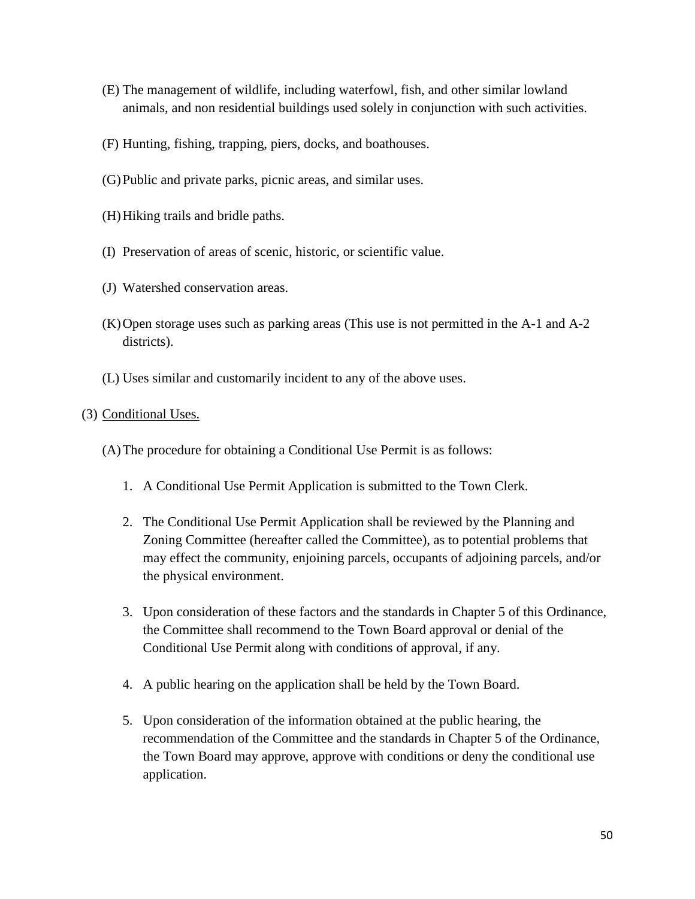- (E) The management of wildlife, including waterfowl, fish, and other similar lowland animals, and non residential buildings used solely in conjunction with such activities.
- (F) Hunting, fishing, trapping, piers, docks, and boathouses.
- (G)Public and private parks, picnic areas, and similar uses.
- (H)Hiking trails and bridle paths.
- (I) Preservation of areas of scenic, historic, or scientific value.
- (J) Watershed conservation areas.
- (K)Open storage uses such as parking areas (This use is not permitted in the A-1 and A-2 districts).
- (L) Uses similar and customarily incident to any of the above uses.

#### (3) Conditional Uses.

(A)The procedure for obtaining a Conditional Use Permit is as follows:

- 1. A Conditional Use Permit Application is submitted to the Town Clerk.
- 2. The Conditional Use Permit Application shall be reviewed by the Planning and Zoning Committee (hereafter called the Committee), as to potential problems that may effect the community, enjoining parcels, occupants of adjoining parcels, and/or the physical environment.
- 3. Upon consideration of these factors and the standards in Chapter 5 of this Ordinance, the Committee shall recommend to the Town Board approval or denial of the Conditional Use Permit along with conditions of approval, if any.
- 4. A public hearing on the application shall be held by the Town Board.
- 5. Upon consideration of the information obtained at the public hearing, the recommendation of the Committee and the standards in Chapter 5 of the Ordinance, the Town Board may approve, approve with conditions or deny the conditional use application.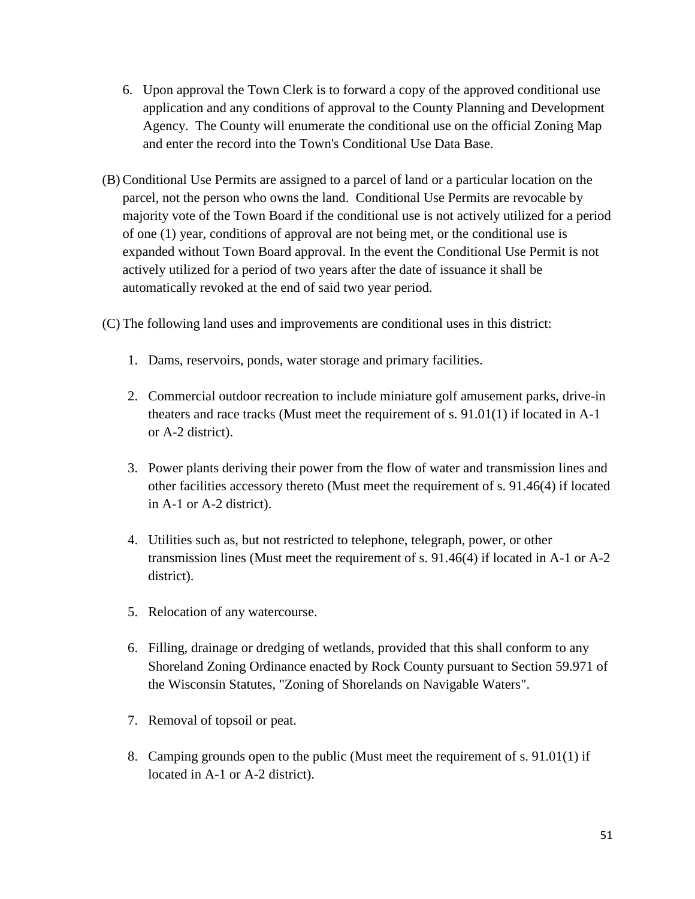- 6. Upon approval the Town Clerk is to forward a copy of the approved conditional use application and any conditions of approval to the County Planning and Development Agency. The County will enumerate the conditional use on the official Zoning Map and enter the record into the Town's Conditional Use Data Base.
- (B) Conditional Use Permits are assigned to a parcel of land or a particular location on the parcel, not the person who owns the land. Conditional Use Permits are revocable by majority vote of the Town Board if the conditional use is not actively utilized for a period of one (1) year, conditions of approval are not being met, or the conditional use is expanded without Town Board approval. In the event the Conditional Use Permit is not actively utilized for a period of two years after the date of issuance it shall be automatically revoked at the end of said two year period.
- (C) The following land uses and improvements are conditional uses in this district:
	- 1. Dams, reservoirs, ponds, water storage and primary facilities.
	- 2. Commercial outdoor recreation to include miniature golf amusement parks, drive-in theaters and race tracks (Must meet the requirement of s. 91.01(1) if located in A-1 or A-2 district).
	- 3. Power plants deriving their power from the flow of water and transmission lines and other facilities accessory thereto (Must meet the requirement of s. 91.46(4) if located in A-1 or A-2 district).
	- 4. Utilities such as, but not restricted to telephone, telegraph, power, or other transmission lines (Must meet the requirement of s. 91.46(4) if located in A-1 or A-2 district).
	- 5. Relocation of any watercourse.
	- 6. Filling, drainage or dredging of wetlands, provided that this shall conform to any Shoreland Zoning Ordinance enacted by Rock County pursuant to Section 59.971 of the Wisconsin Statutes, "Zoning of Shorelands on Navigable Waters".
	- 7. Removal of topsoil or peat.
	- 8. Camping grounds open to the public (Must meet the requirement of s. 91.01(1) if located in A-1 or A-2 district).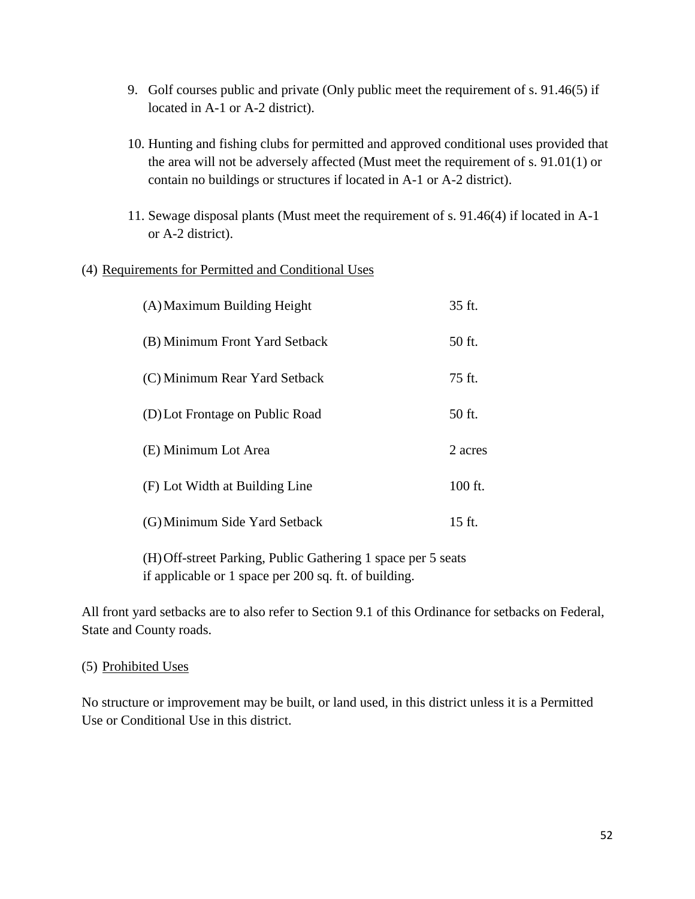- 9. Golf courses public and private (Only public meet the requirement of s. 91.46(5) if located in A-1 or A-2 district).
- 10. Hunting and fishing clubs for permitted and approved conditional uses provided that the area will not be adversely affected (Must meet the requirement of s. 91.01(1) or contain no buildings or structures if located in A-1 or A-2 district).
- 11. Sewage disposal plants (Must meet the requirement of s. 91.46(4) if located in A-1 or A-2 district).

### (4) Requirements for Permitted and Conditional Uses

| (A) Maximum Building Height     | 35 ft.  |
|---------------------------------|---------|
| (B) Minimum Front Yard Setback  | 50 ft.  |
| (C) Minimum Rear Yard Setback   | 75 ft.  |
| (D) Lot Frontage on Public Road | 50 ft.  |
| (E) Minimum Lot Area            | 2 acres |
| (F) Lot Width at Building Line  | 100 ft. |
| (G) Minimum Side Yard Setback   | 15 ft.  |

(H)Off-street Parking, Public Gathering 1 space per 5 seats if applicable or 1 space per 200 sq. ft. of building.

All front yard setbacks are to also refer to Section 9.1 of this Ordinance for setbacks on Federal, State and County roads.

#### (5) Prohibited Uses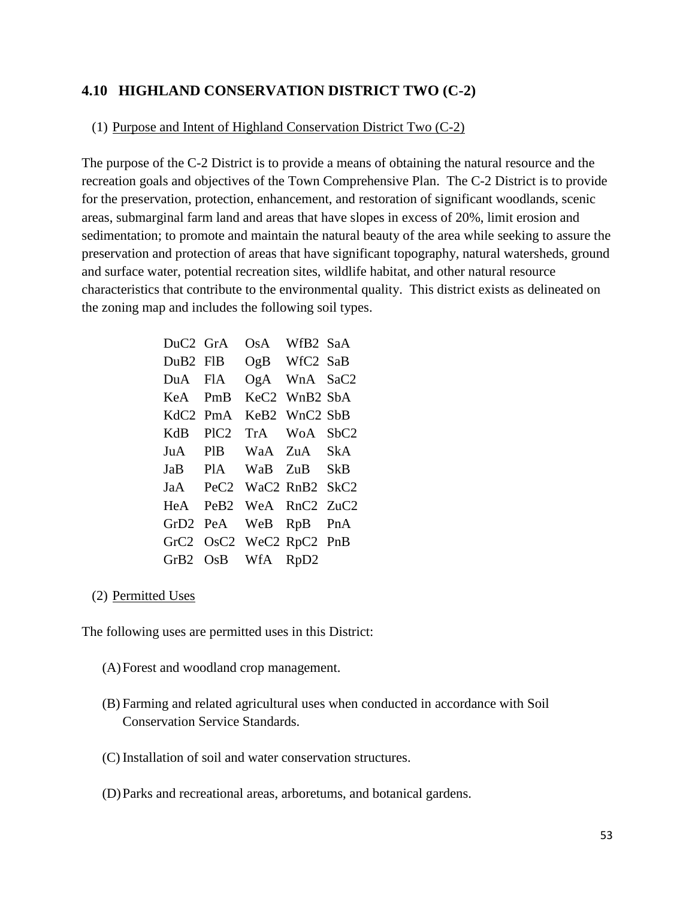## **4.10 HIGHLAND CONSERVATION DISTRICT TWO (C-2)**

#### (1) Purpose and Intent of Highland Conservation District Two (C-2)

The purpose of the C-2 District is to provide a means of obtaining the natural resource and the recreation goals and objectives of the Town Comprehensive Plan. The C-2 District is to provide for the preservation, protection, enhancement, and restoration of significant woodlands, scenic areas, submarginal farm land and areas that have slopes in excess of 20%, limit erosion and sedimentation; to promote and maintain the natural beauty of the area while seeking to assure the preservation and protection of areas that have significant topography, natural watersheds, ground and surface water, potential recreation sites, wildlife habitat, and other natural resource characteristics that contribute to the environmental quality. This district exists as delineated on the zoning map and includes the following soil types.

| $DuC2$ GrA           |                      | OsA                | WfB <sub>2</sub> SaA                  |      |
|----------------------|----------------------|--------------------|---------------------------------------|------|
|                      | DuB <sub>2</sub> FIB |                    | OgB WfC2 SaB                          |      |
|                      | DuA FIA              |                    | OgA WnA SaC2                          |      |
| KeA PmB              |                      |                    | KeC <sub>2</sub> WnB <sub>2</sub> SbA |      |
| KdC <sub>2</sub> PmA |                      |                    | KeB2 WnC2 SbB                         |      |
| KdB                  | PIC <sub>2</sub>     |                    | TrA WoA                               | SbC2 |
| JuA                  | <b>PIB</b>           |                    | WaA ZuA SkA                           |      |
|                      |                      | JaB PlA WaB        | ZuB SkB                               |      |
|                      | JaA PeC2             |                    | WaC2 RnB2 SkC2                        |      |
| HeA PeB2             |                      |                    | WeA RnC2 ZuC2                         |      |
| GrD2                 | PeA                  |                    | WeB RpB PnA                           |      |
| GrC2                 |                      | OsC2 WeC2 RpC2 PnB |                                       |      |
| GrB2                 |                      | OsB WfA RpD2       |                                       |      |

#### (2) Permitted Uses

The following uses are permitted uses in this District:

- (A)Forest and woodland crop management.
- (B) Farming and related agricultural uses when conducted in accordance with Soil Conservation Service Standards.
- (C) Installation of soil and water conservation structures.
- (D)Parks and recreational areas, arboretums, and botanical gardens.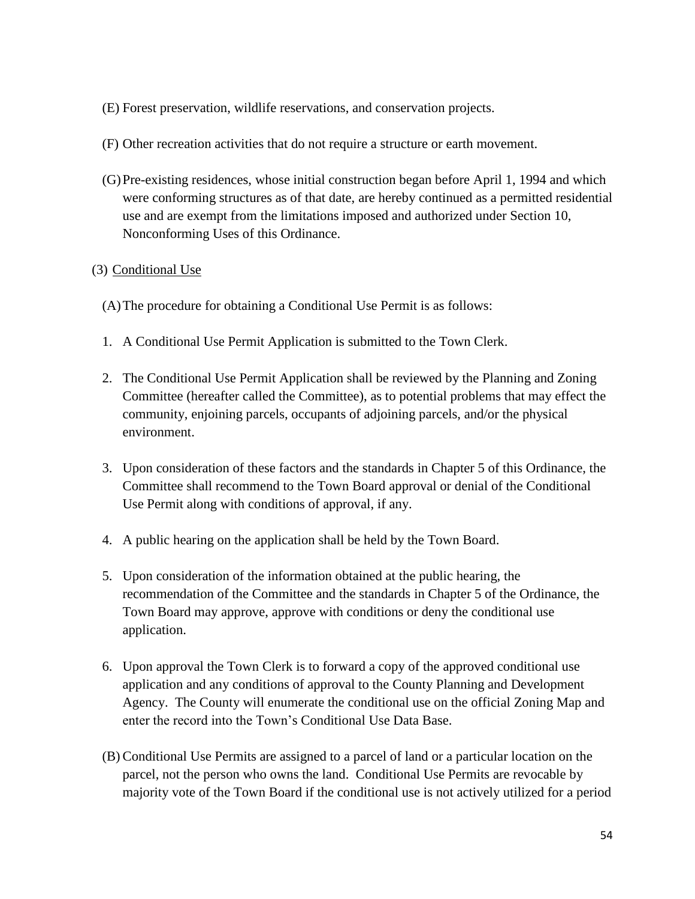- (E) Forest preservation, wildlife reservations, and conservation projects.
- (F) Other recreation activities that do not require a structure or earth movement.
- (G)Pre-existing residences, whose initial construction began before April 1, 1994 and which were conforming structures as of that date, are hereby continued as a permitted residential use and are exempt from the limitations imposed and authorized under Section 10, Nonconforming Uses of this Ordinance.

#### (3) Conditional Use

- (A)The procedure for obtaining a Conditional Use Permit is as follows:
- 1. A Conditional Use Permit Application is submitted to the Town Clerk.
- 2. The Conditional Use Permit Application shall be reviewed by the Planning and Zoning Committee (hereafter called the Committee), as to potential problems that may effect the community, enjoining parcels, occupants of adjoining parcels, and/or the physical environment.
- 3. Upon consideration of these factors and the standards in Chapter 5 of this Ordinance, the Committee shall recommend to the Town Board approval or denial of the Conditional Use Permit along with conditions of approval, if any.
- 4. A public hearing on the application shall be held by the Town Board.
- 5. Upon consideration of the information obtained at the public hearing, the recommendation of the Committee and the standards in Chapter 5 of the Ordinance, the Town Board may approve, approve with conditions or deny the conditional use application.
- 6. Upon approval the Town Clerk is to forward a copy of the approved conditional use application and any conditions of approval to the County Planning and Development Agency. The County will enumerate the conditional use on the official Zoning Map and enter the record into the Town's Conditional Use Data Base.
- (B) Conditional Use Permits are assigned to a parcel of land or a particular location on the parcel, not the person who owns the land. Conditional Use Permits are revocable by majority vote of the Town Board if the conditional use is not actively utilized for a period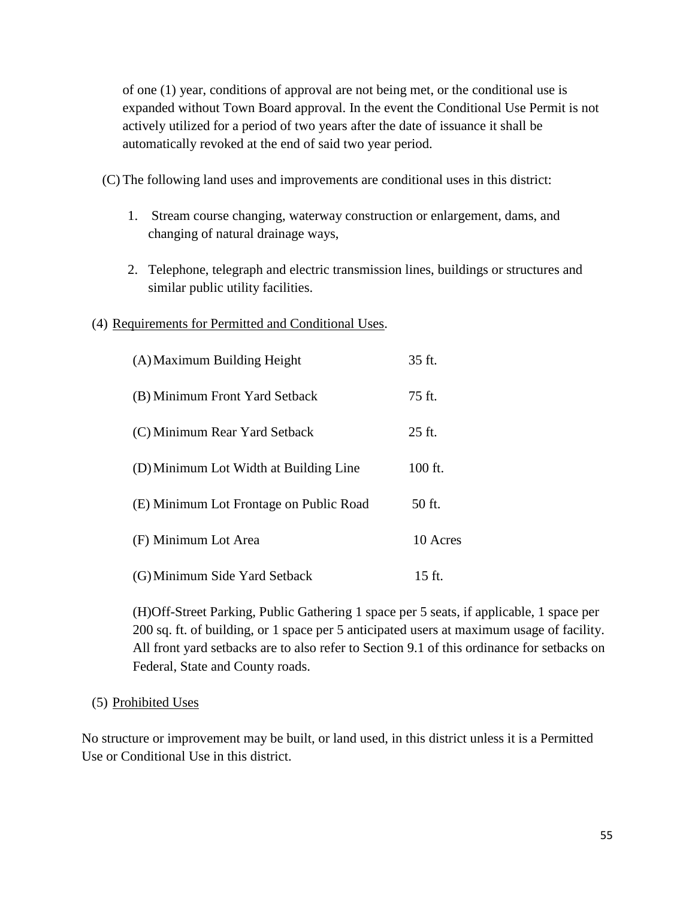of one (1) year, conditions of approval are not being met, or the conditional use is expanded without Town Board approval. In the event the Conditional Use Permit is not actively utilized for a period of two years after the date of issuance it shall be automatically revoked at the end of said two year period.

(C) The following land uses and improvements are conditional uses in this district:

- 1. Stream course changing, waterway construction or enlargement, dams, and changing of natural drainage ways,
- 2. Telephone, telegraph and electric transmission lines, buildings or structures and similar public utility facilities.

### (4) Requirements for Permitted and Conditional Uses.

| (A) Maximum Building Height             | 35 ft.   |
|-----------------------------------------|----------|
| (B) Minimum Front Yard Setback          | 75 ft.   |
| (C) Minimum Rear Yard Setback           | $25$ ft. |
| (D) Minimum Lot Width at Building Line  | 100 ft.  |
| (E) Minimum Lot Frontage on Public Road | 50 ft.   |
| (F) Minimum Lot Area                    | 10 Acres |
| (G) Minimum Side Yard Setback           | $15$ ft. |

(H)Off-Street Parking, Public Gathering 1 space per 5 seats, if applicable, 1 space per 200 sq. ft. of building, or 1 space per 5 anticipated users at maximum usage of facility. All front yard setbacks are to also refer to Section 9.1 of this ordinance for setbacks on Federal, State and County roads.

### (5) Prohibited Uses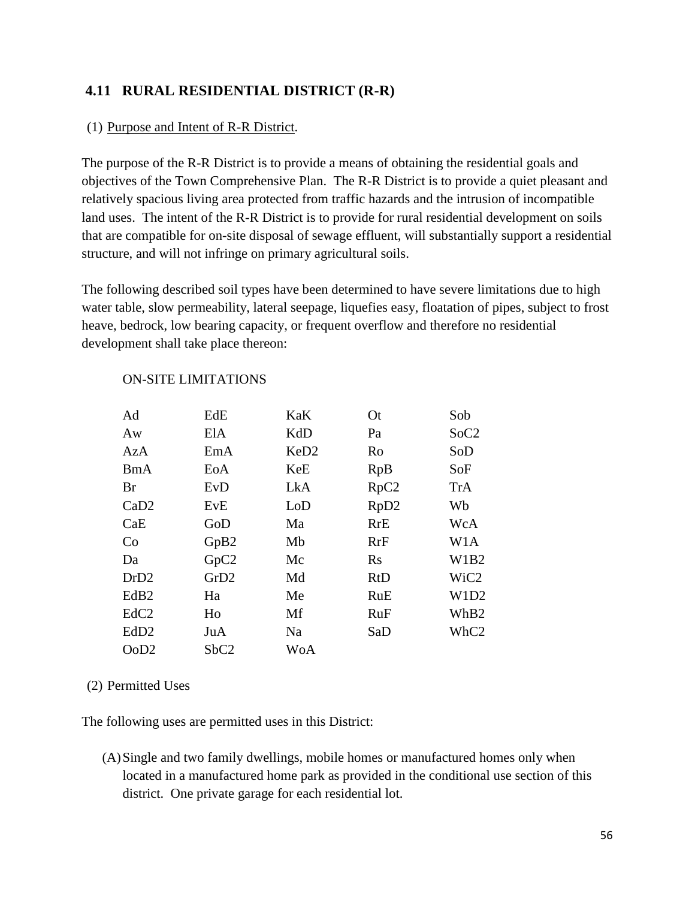# **4.11 RURAL RESIDENTIAL DISTRICT (R-R)**

#### (1) Purpose and Intent of R-R District.

The purpose of the R-R District is to provide a means of obtaining the residential goals and objectives of the Town Comprehensive Plan. The R-R District is to provide a quiet pleasant and relatively spacious living area protected from traffic hazards and the intrusion of incompatible land uses. The intent of the R-R District is to provide for rural residential development on soils that are compatible for on-site disposal of sewage effluent, will substantially support a residential structure, and will not infringe on primary agricultural soils.

The following described soil types have been determined to have severe limitations due to high water table, slow permeability, lateral seepage, liquefies easy, floatation of pipes, subject to frost heave, bedrock, low bearing capacity, or frequent overflow and therefore no residential development shall take place thereon:

| Ad               | EdE              | KaK              | <b>Ot</b>        | Sob              |
|------------------|------------------|------------------|------------------|------------------|
| Aw               | ElA              | KdD              | Pa               | SoC2             |
| AzA              | EmA              | KeD <sub>2</sub> | Ro               | SoD              |
| BmA              | EoA              | KeE              | RpB              | SoF              |
| Br               | EvD              | LkA              | RpC2             | <b>TrA</b>       |
| CaD2             | EvE              | LoD              | RpD <sub>2</sub> | Wb               |
| CaE              | GoD              | Ma               | <b>RrE</b>       | WcA              |
| Co               | GpB2             | Mb               | RrF              | W <sub>1</sub> A |
| Da               | GpC <sub>2</sub> | Mc               | Rs               | W1B2             |
| DrD <sub>2</sub> | GrD2             | Md               | RtD              | WiC <sub>2</sub> |
| EdB <sub>2</sub> | Ha               | Me               | RuE              | W1D2             |
| EdC <sub>2</sub> | Ho               | Mf               | <b>RuF</b>       | WhB2             |
| EdD <sub>2</sub> | JuA              | Na               | SaD              | WhC2             |
| OoD2             | SbC2             | <b>WoA</b>       |                  |                  |

#### ON-SITE LIMITATIONS

#### (2) Permitted Uses

The following uses are permitted uses in this District:

(A)Single and two family dwellings, mobile homes or manufactured homes only when located in a manufactured home park as provided in the conditional use section of this district. One private garage for each residential lot.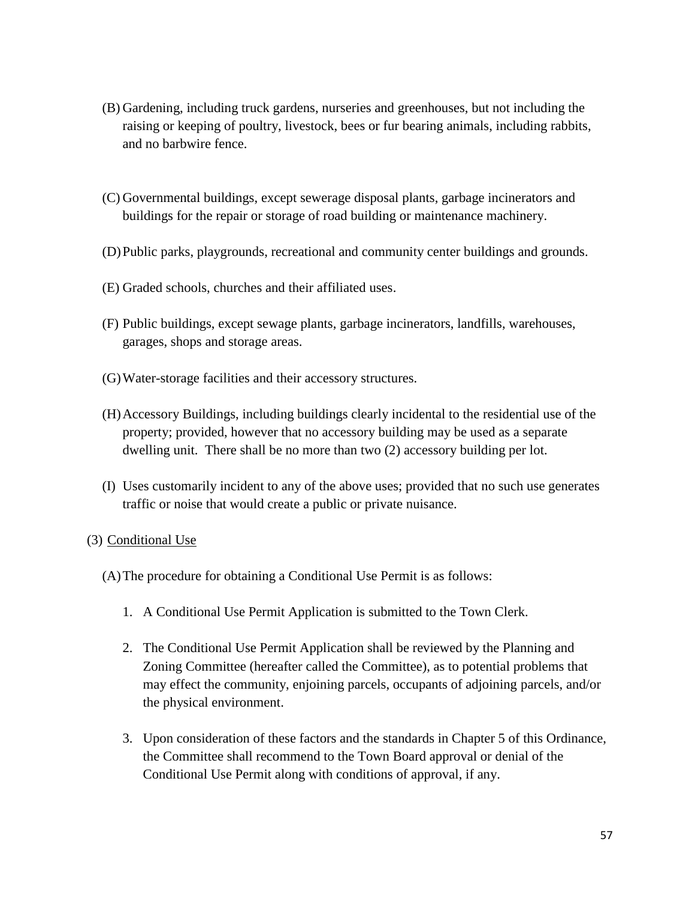- (B) Gardening, including truck gardens, nurseries and greenhouses, but not including the raising or keeping of poultry, livestock, bees or fur bearing animals, including rabbits, and no barbwire fence.
- (C) Governmental buildings, except sewerage disposal plants, garbage incinerators and buildings for the repair or storage of road building or maintenance machinery.
- (D)Public parks, playgrounds, recreational and community center buildings and grounds.
- (E) Graded schools, churches and their affiliated uses.
- (F) Public buildings, except sewage plants, garbage incinerators, landfills, warehouses, garages, shops and storage areas.
- (G)Water-storage facilities and their accessory structures.
- (H)Accessory Buildings, including buildings clearly incidental to the residential use of the property; provided, however that no accessory building may be used as a separate dwelling unit. There shall be no more than two (2) accessory building per lot.
- (I) Uses customarily incident to any of the above uses; provided that no such use generates traffic or noise that would create a public or private nuisance.

### (3) Conditional Use

- (A)The procedure for obtaining a Conditional Use Permit is as follows:
	- 1. A Conditional Use Permit Application is submitted to the Town Clerk.
	- 2. The Conditional Use Permit Application shall be reviewed by the Planning and Zoning Committee (hereafter called the Committee), as to potential problems that may effect the community, enjoining parcels, occupants of adjoining parcels, and/or the physical environment.
	- 3. Upon consideration of these factors and the standards in Chapter 5 of this Ordinance, the Committee shall recommend to the Town Board approval or denial of the Conditional Use Permit along with conditions of approval, if any.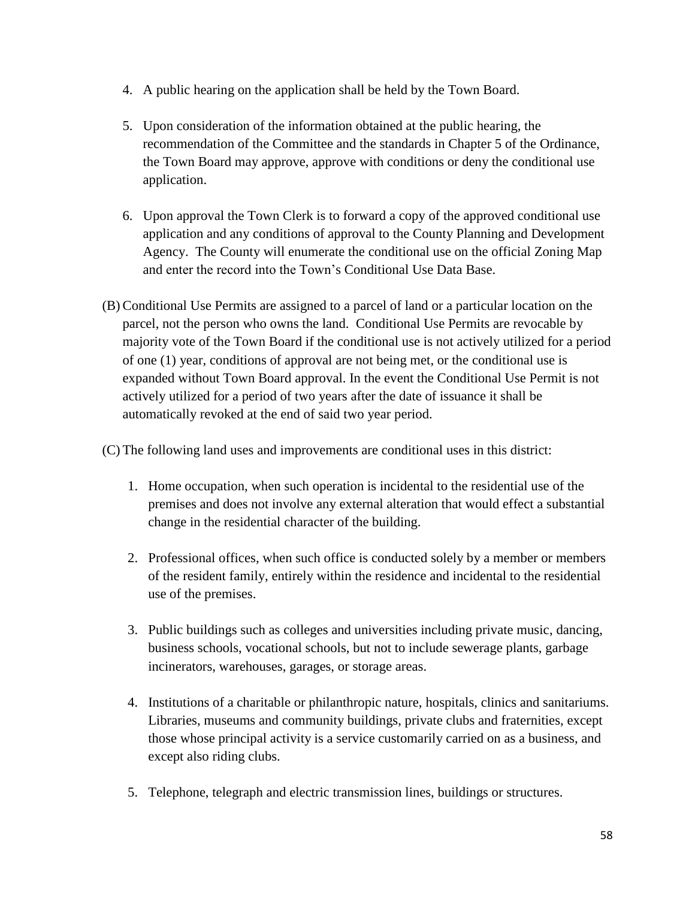- 4. A public hearing on the application shall be held by the Town Board.
- 5. Upon consideration of the information obtained at the public hearing, the recommendation of the Committee and the standards in Chapter 5 of the Ordinance, the Town Board may approve, approve with conditions or deny the conditional use application.
- 6. Upon approval the Town Clerk is to forward a copy of the approved conditional use application and any conditions of approval to the County Planning and Development Agency. The County will enumerate the conditional use on the official Zoning Map and enter the record into the Town's Conditional Use Data Base.
- (B) Conditional Use Permits are assigned to a parcel of land or a particular location on the parcel, not the person who owns the land. Conditional Use Permits are revocable by majority vote of the Town Board if the conditional use is not actively utilized for a period of one (1) year, conditions of approval are not being met, or the conditional use is expanded without Town Board approval. In the event the Conditional Use Permit is not actively utilized for a period of two years after the date of issuance it shall be automatically revoked at the end of said two year period.

(C) The following land uses and improvements are conditional uses in this district:

- 1. Home occupation, when such operation is incidental to the residential use of the premises and does not involve any external alteration that would effect a substantial change in the residential character of the building.
- 2. Professional offices, when such office is conducted solely by a member or members of the resident family, entirely within the residence and incidental to the residential use of the premises.
- 3. Public buildings such as colleges and universities including private music, dancing, business schools, vocational schools, but not to include sewerage plants, garbage incinerators, warehouses, garages, or storage areas.
- 4. Institutions of a charitable or philanthropic nature, hospitals, clinics and sanitariums. Libraries, museums and community buildings, private clubs and fraternities, except those whose principal activity is a service customarily carried on as a business, and except also riding clubs.
- 5. Telephone, telegraph and electric transmission lines, buildings or structures.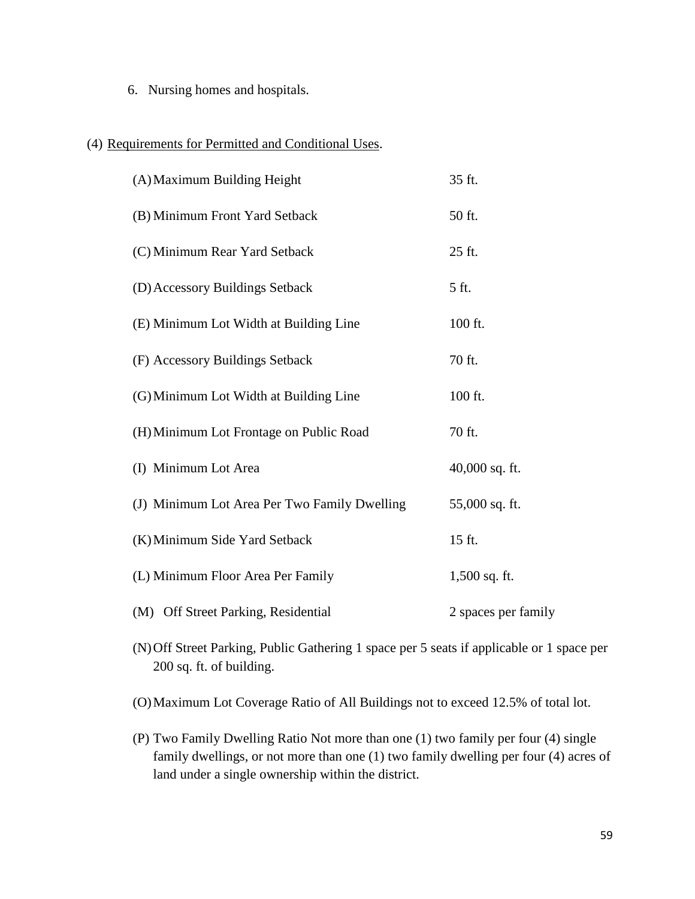6. Nursing homes and hospitals.

### (4) Requirements for Permitted and Conditional Uses.

| (A) Maximum Building Height                  | 35 ft.              |
|----------------------------------------------|---------------------|
| (B) Minimum Front Yard Setback               | 50 ft.              |
| (C) Minimum Rear Yard Setback                | 25 ft.              |
| (D) Accessory Buildings Setback              | 5 ft.               |
| (E) Minimum Lot Width at Building Line       | 100 ft.             |
| (F) Accessory Buildings Setback              | 70 ft.              |
| (G) Minimum Lot Width at Building Line       | 100 ft.             |
| (H) Minimum Lot Frontage on Public Road      | 70 ft.              |
| (I) Minimum Lot Area                         | 40,000 sq. ft.      |
| (J) Minimum Lot Area Per Two Family Dwelling | 55,000 sq. ft.      |
| (K) Minimum Side Yard Setback                | 15 ft.              |
| (L) Minimum Floor Area Per Family            | 1,500 sq. ft.       |
| (M) Off Street Parking, Residential          | 2 spaces per family |

(N)Off Street Parking, Public Gathering 1 space per 5 seats if applicable or 1 space per 200 sq. ft. of building.

(O)Maximum Lot Coverage Ratio of All Buildings not to exceed 12.5% of total lot.

(P) Two Family Dwelling Ratio Not more than one (1) two family per four (4) single family dwellings, or not more than one (1) two family dwelling per four (4) acres of land under a single ownership within the district.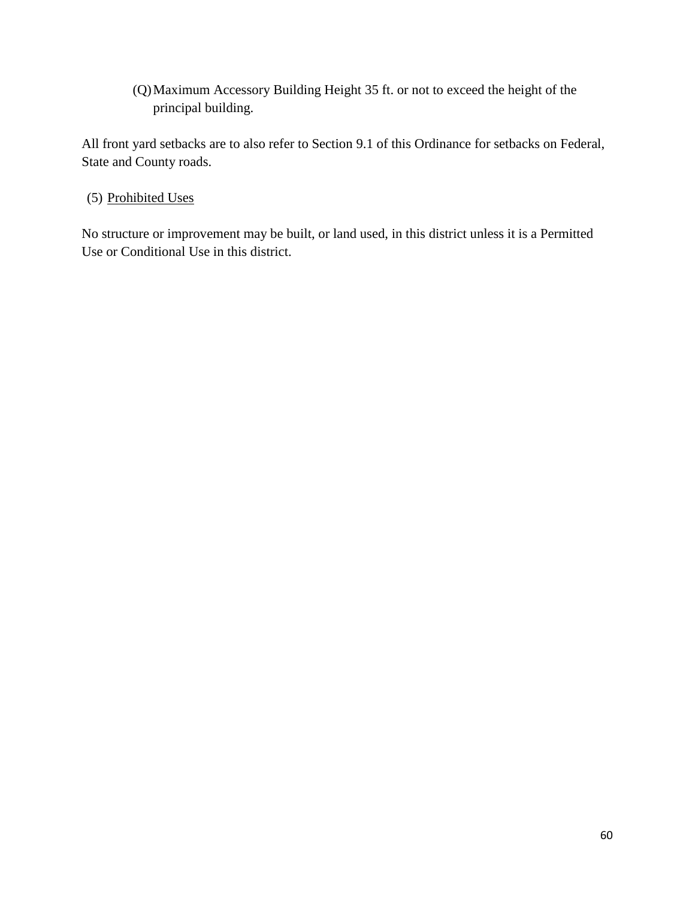(Q)Maximum Accessory Building Height 35 ft. or not to exceed the height of the principal building.

All front yard setbacks are to also refer to Section 9.1 of this Ordinance for setbacks on Federal, State and County roads.

(5) Prohibited Uses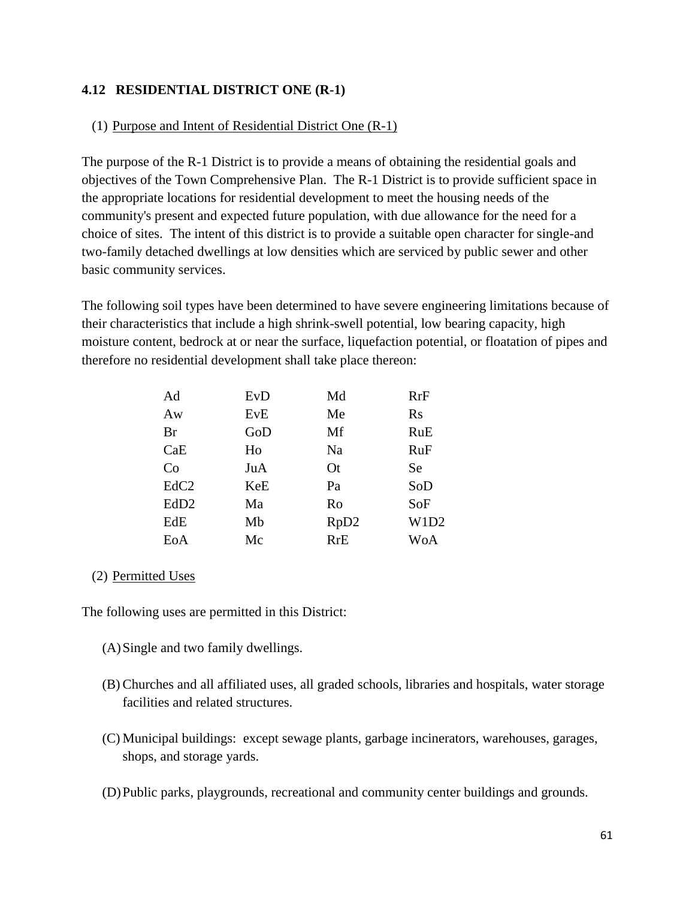### **4.12 RESIDENTIAL DISTRICT ONE (R-1)**

#### (1) Purpose and Intent of Residential District One (R-1)

The purpose of the R-1 District is to provide a means of obtaining the residential goals and objectives of the Town Comprehensive Plan. The R-1 District is to provide sufficient space in the appropriate locations for residential development to meet the housing needs of the community's present and expected future population, with due allowance for the need for a choice of sites. The intent of this district is to provide a suitable open character for single-and two-family detached dwellings at low densities which are serviced by public sewer and other basic community services.

The following soil types have been determined to have severe engineering limitations because of their characteristics that include a high shrink-swell potential, low bearing capacity, high moisture content, bedrock at or near the surface, liquefaction potential, or floatation of pipes and therefore no residential development shall take place thereon:

| Ad               | EvD | Md         | RrF        |
|------------------|-----|------------|------------|
| Aw               | EvE | Me         | $\rm Rs$   |
| <b>Br</b>        | GoD | Mf         | <b>RuE</b> |
| CaE              | Ho  | Na         | <b>RuF</b> |
| Co               | JuA | <b>Ot</b>  | Se         |
| EdC <sub>2</sub> | KeE | Pa         | SoD        |
| EdD <sub>2</sub> | Ma  | Ro         | SoF        |
| EdE              | Mb  | RpD2       | W1D2       |
| EoA              | Mc  | <b>RrE</b> | WoA        |

#### (2) Permitted Uses

The following uses are permitted in this District:

- (A)Single and two family dwellings.
- (B) Churches and all affiliated uses, all graded schools, libraries and hospitals, water storage facilities and related structures.
- (C) Municipal buildings: except sewage plants, garbage incinerators, warehouses, garages, shops, and storage yards.
- (D)Public parks, playgrounds, recreational and community center buildings and grounds.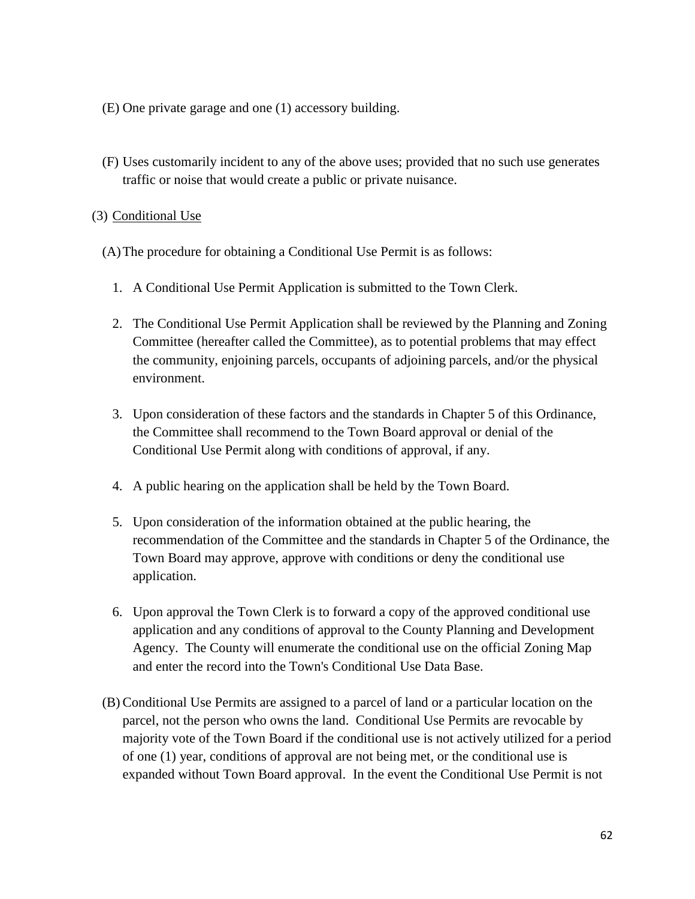- (E) One private garage and one (1) accessory building.
- (F) Uses customarily incident to any of the above uses; provided that no such use generates traffic or noise that would create a public or private nuisance.

#### (3) Conditional Use

(A)The procedure for obtaining a Conditional Use Permit is as follows:

- 1. A Conditional Use Permit Application is submitted to the Town Clerk.
- 2. The Conditional Use Permit Application shall be reviewed by the Planning and Zoning Committee (hereafter called the Committee), as to potential problems that may effect the community, enjoining parcels, occupants of adjoining parcels, and/or the physical environment.
- 3. Upon consideration of these factors and the standards in Chapter 5 of this Ordinance, the Committee shall recommend to the Town Board approval or denial of the Conditional Use Permit along with conditions of approval, if any.
- 4. A public hearing on the application shall be held by the Town Board.
- 5. Upon consideration of the information obtained at the public hearing, the recommendation of the Committee and the standards in Chapter 5 of the Ordinance, the Town Board may approve, approve with conditions or deny the conditional use application.
- 6. Upon approval the Town Clerk is to forward a copy of the approved conditional use application and any conditions of approval to the County Planning and Development Agency. The County will enumerate the conditional use on the official Zoning Map and enter the record into the Town's Conditional Use Data Base.
- (B) Conditional Use Permits are assigned to a parcel of land or a particular location on the parcel, not the person who owns the land. Conditional Use Permits are revocable by majority vote of the Town Board if the conditional use is not actively utilized for a period of one (1) year, conditions of approval are not being met, or the conditional use is expanded without Town Board approval. In the event the Conditional Use Permit is not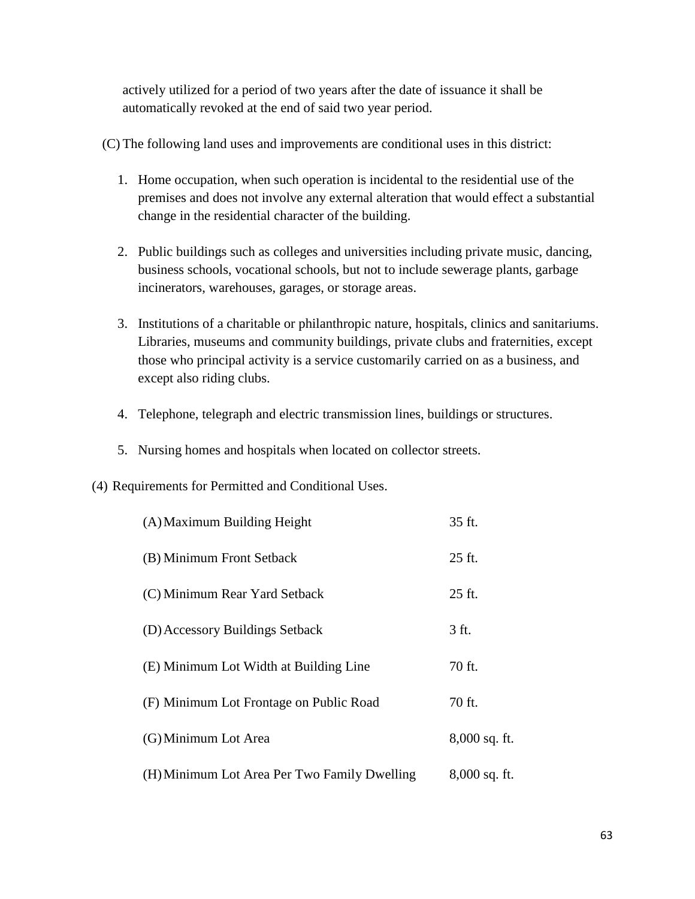actively utilized for a period of two years after the date of issuance it shall be automatically revoked at the end of said two year period.

(C) The following land uses and improvements are conditional uses in this district:

- 1. Home occupation, when such operation is incidental to the residential use of the premises and does not involve any external alteration that would effect a substantial change in the residential character of the building.
- 2. Public buildings such as colleges and universities including private music, dancing, business schools, vocational schools, but not to include sewerage plants, garbage incinerators, warehouses, garages, or storage areas.
- 3. Institutions of a charitable or philanthropic nature, hospitals, clinics and sanitariums. Libraries, museums and community buildings, private clubs and fraternities, except those who principal activity is a service customarily carried on as a business, and except also riding clubs.
- 4. Telephone, telegraph and electric transmission lines, buildings or structures.
- 5. Nursing homes and hospitals when located on collector streets.
- (4) Requirements for Permitted and Conditional Uses.

| (A) Maximum Building Height                  | 35 ft.        |
|----------------------------------------------|---------------|
| (B) Minimum Front Setback                    | 25 ft.        |
| (C) Minimum Rear Yard Setback                | 25 ft.        |
| (D) Accessory Buildings Setback              | 3 ft.         |
| (E) Minimum Lot Width at Building Line       | 70 ft.        |
| (F) Minimum Lot Frontage on Public Road      | 70 ft.        |
| (G) Minimum Lot Area                         | 8,000 sq. ft. |
| (H) Minimum Lot Area Per Two Family Dwelling | 8,000 sq. ft. |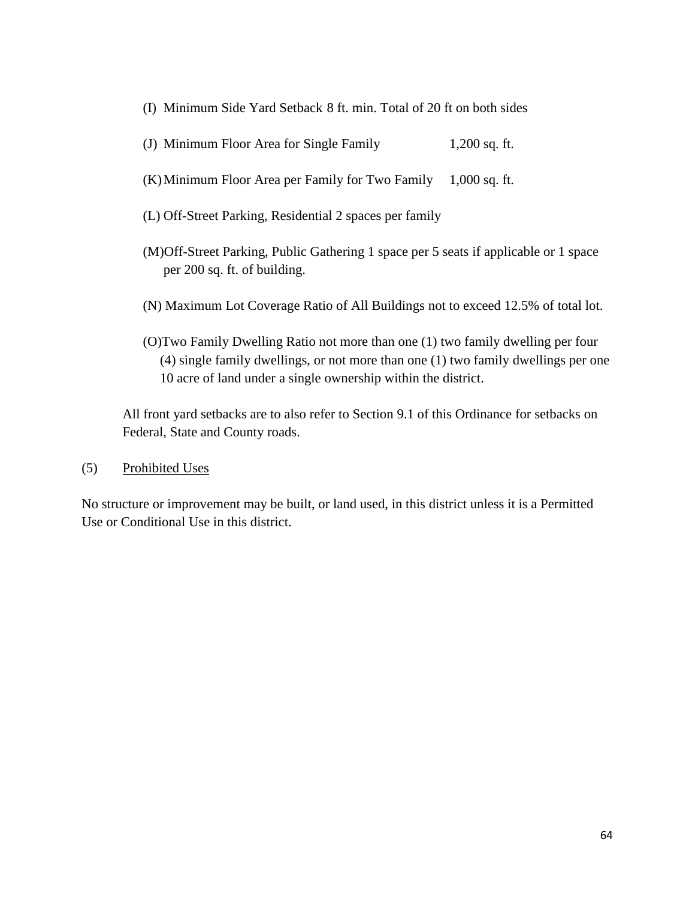- (I) Minimum Side Yard Setback 8 ft. min. Total of 20 ft on both sides
- (J) Minimum Floor Area for Single Family 1,200 sq. ft.
- (K)Minimum Floor Area per Family for Two Family 1,000 sq. ft.
- (L) Off-Street Parking, Residential 2 spaces per family
- (M)Off-Street Parking, Public Gathering 1 space per 5 seats if applicable or 1 space per 200 sq. ft. of building.
- (N) Maximum Lot Coverage Ratio of All Buildings not to exceed 12.5% of total lot.
- (O)Two Family Dwelling Ratio not more than one (1) two family dwelling per four (4) single family dwellings, or not more than one (1) two family dwellings per one 10 acre of land under a single ownership within the district.

All front yard setbacks are to also refer to Section 9.1 of this Ordinance for setbacks on Federal, State and County roads.

(5) Prohibited Uses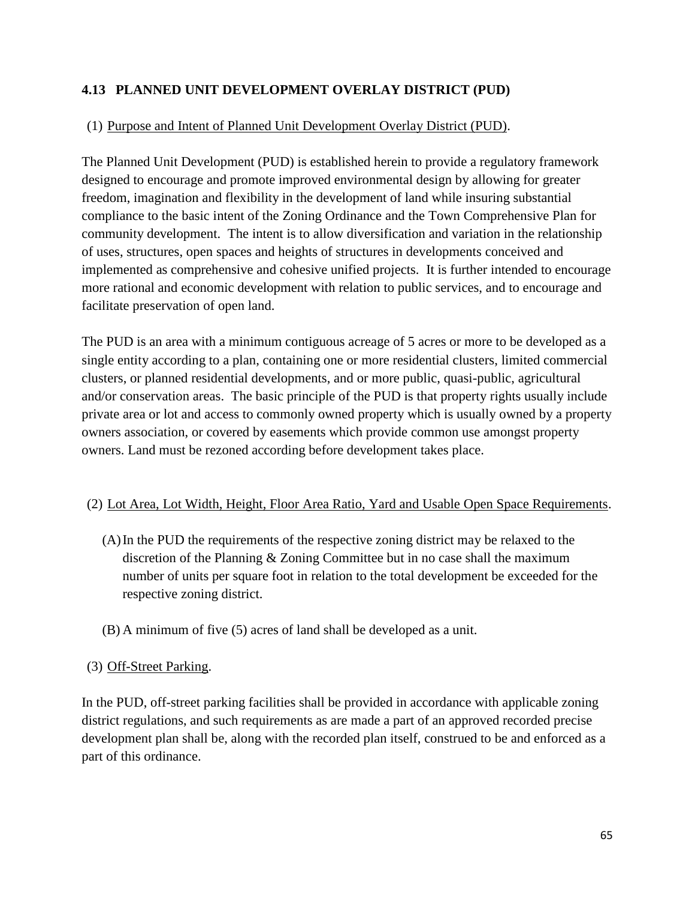## **4.13 PLANNED UNIT DEVELOPMENT OVERLAY DISTRICT (PUD)**

### (1) Purpose and Intent of Planned Unit Development Overlay District (PUD).

The Planned Unit Development (PUD) is established herein to provide a regulatory framework designed to encourage and promote improved environmental design by allowing for greater freedom, imagination and flexibility in the development of land while insuring substantial compliance to the basic intent of the Zoning Ordinance and the Town Comprehensive Plan for community development. The intent is to allow diversification and variation in the relationship of uses, structures, open spaces and heights of structures in developments conceived and implemented as comprehensive and cohesive unified projects. It is further intended to encourage more rational and economic development with relation to public services, and to encourage and facilitate preservation of open land.

The PUD is an area with a minimum contiguous acreage of 5 acres or more to be developed as a single entity according to a plan, containing one or more residential clusters, limited commercial clusters, or planned residential developments, and or more public, quasi-public, agricultural and/or conservation areas. The basic principle of the PUD is that property rights usually include private area or lot and access to commonly owned property which is usually owned by a property owners association, or covered by easements which provide common use amongst property owners. Land must be rezoned according before development takes place.

### (2) Lot Area, Lot Width, Height, Floor Area Ratio, Yard and Usable Open Space Requirements.

- (A)In the PUD the requirements of the respective zoning district may be relaxed to the discretion of the Planning & Zoning Committee but in no case shall the maximum number of units per square foot in relation to the total development be exceeded for the respective zoning district.
- (B) A minimum of five (5) acres of land shall be developed as a unit.

### (3) Off-Street Parking.

In the PUD, off-street parking facilities shall be provided in accordance with applicable zoning district regulations, and such requirements as are made a part of an approved recorded precise development plan shall be, along with the recorded plan itself, construed to be and enforced as a part of this ordinance.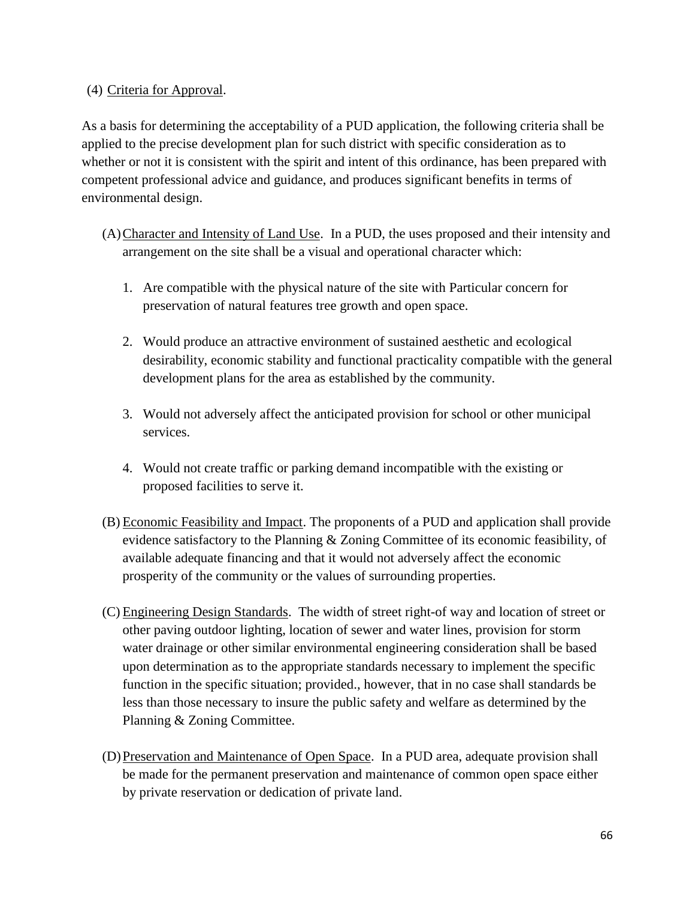(4) Criteria for Approval.

As a basis for determining the acceptability of a PUD application, the following criteria shall be applied to the precise development plan for such district with specific consideration as to whether or not it is consistent with the spirit and intent of this ordinance, has been prepared with competent professional advice and guidance, and produces significant benefits in terms of environmental design.

- (A)Character and Intensity of Land Use. In a PUD, the uses proposed and their intensity and arrangement on the site shall be a visual and operational character which:
	- 1. Are compatible with the physical nature of the site with Particular concern for preservation of natural features tree growth and open space.
	- 2. Would produce an attractive environment of sustained aesthetic and ecological desirability, economic stability and functional practicality compatible with the general development plans for the area as established by the community.
	- 3. Would not adversely affect the anticipated provision for school or other municipal services.
	- 4. Would not create traffic or parking demand incompatible with the existing or proposed facilities to serve it.
- (B) Economic Feasibility and Impact. The proponents of a PUD and application shall provide evidence satisfactory to the Planning & Zoning Committee of its economic feasibility, of available adequate financing and that it would not adversely affect the economic prosperity of the community or the values of surrounding properties.
- (C) Engineering Design Standards. The width of street right-of way and location of street or other paving outdoor lighting, location of sewer and water lines, provision for storm water drainage or other similar environmental engineering consideration shall be based upon determination as to the appropriate standards necessary to implement the specific function in the specific situation; provided., however, that in no case shall standards be less than those necessary to insure the public safety and welfare as determined by the Planning & Zoning Committee.
- (D)Preservation and Maintenance of Open Space. In a PUD area, adequate provision shall be made for the permanent preservation and maintenance of common open space either by private reservation or dedication of private land.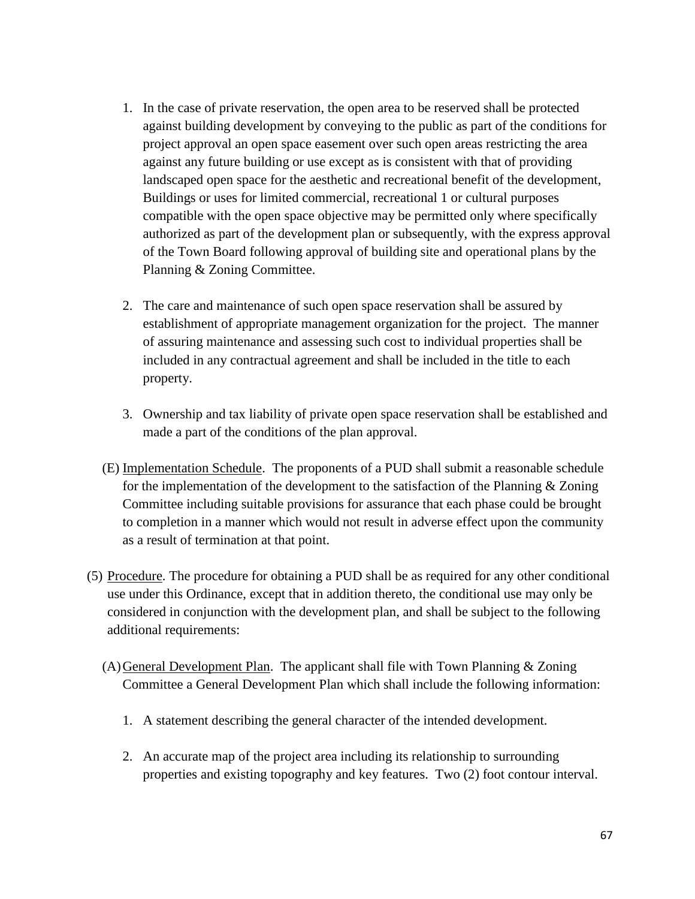- 1. In the case of private reservation, the open area to be reserved shall be protected against building development by conveying to the public as part of the conditions for project approval an open space easement over such open areas restricting the area against any future building or use except as is consistent with that of providing landscaped open space for the aesthetic and recreational benefit of the development, Buildings or uses for limited commercial, recreational 1 or cultural purposes compatible with the open space objective may be permitted only where specifically authorized as part of the development plan or subsequently, with the express approval of the Town Board following approval of building site and operational plans by the Planning & Zoning Committee.
- 2. The care and maintenance of such open space reservation shall be assured by establishment of appropriate management organization for the project. The manner of assuring maintenance and assessing such cost to individual properties shall be included in any contractual agreement and shall be included in the title to each property.
- 3. Ownership and tax liability of private open space reservation shall be established and made a part of the conditions of the plan approval.
- (E) Implementation Schedule. The proponents of a PUD shall submit a reasonable schedule for the implementation of the development to the satisfaction of the Planning & Zoning Committee including suitable provisions for assurance that each phase could be brought to completion in a manner which would not result in adverse effect upon the community as a result of termination at that point.
- (5) Procedure. The procedure for obtaining a PUD shall be as required for any other conditional use under this Ordinance, except that in addition thereto, the conditional use may only be considered in conjunction with the development plan, and shall be subject to the following additional requirements:
	- $(A)$  General Development Plan. The applicant shall file with Town Planning  $\&$  Zoning Committee a General Development Plan which shall include the following information:
		- 1. A statement describing the general character of the intended development.
		- 2. An accurate map of the project area including its relationship to surrounding properties and existing topography and key features. Two (2) foot contour interval.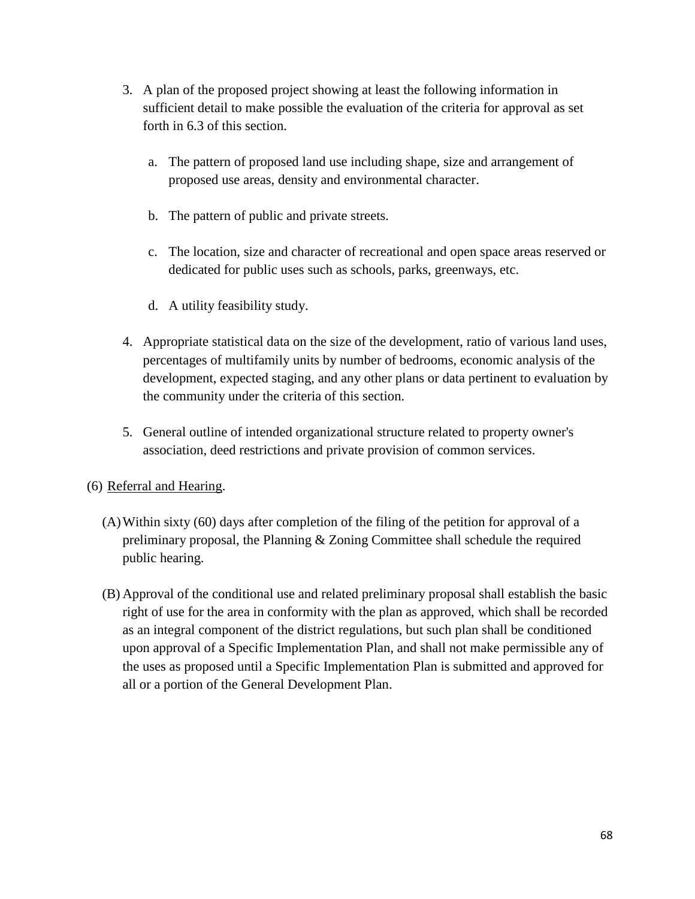- 3. A plan of the proposed project showing at least the following information in sufficient detail to make possible the evaluation of the criteria for approval as set forth in 6.3 of this section.
	- a. The pattern of proposed land use including shape, size and arrangement of proposed use areas, density and environmental character.
	- b. The pattern of public and private streets.
	- c. The location, size and character of recreational and open space areas reserved or dedicated for public uses such as schools, parks, greenways, etc.
	- d. A utility feasibility study.
- 4. Appropriate statistical data on the size of the development, ratio of various land uses, percentages of multifamily units by number of bedrooms, economic analysis of the development, expected staging, and any other plans or data pertinent to evaluation by the community under the criteria of this section.
- 5. General outline of intended organizational structure related to property owner's association, deed restrictions and private provision of common services.

### (6) Referral and Hearing.

- (A)Within sixty (60) days after completion of the filing of the petition for approval of a preliminary proposal, the Planning & Zoning Committee shall schedule the required public hearing.
- (B) Approval of the conditional use and related preliminary proposal shall establish the basic right of use for the area in conformity with the plan as approved, which shall be recorded as an integral component of the district regulations, but such plan shall be conditioned upon approval of a Specific Implementation Plan, and shall not make permissible any of the uses as proposed until a Specific Implementation Plan is submitted and approved for all or a portion of the General Development Plan.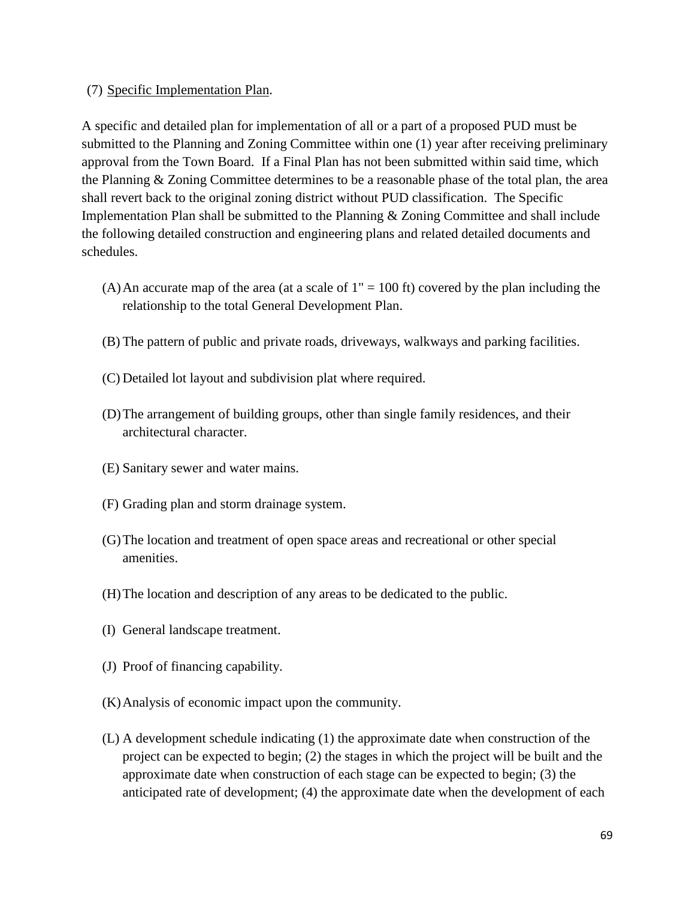(7) Specific Implementation Plan.

A specific and detailed plan for implementation of all or a part of a proposed PUD must be submitted to the Planning and Zoning Committee within one (1) year after receiving preliminary approval from the Town Board. If a Final Plan has not been submitted within said time, which the Planning & Zoning Committee determines to be a reasonable phase of the total plan, the area shall revert back to the original zoning district without PUD classification. The Specific Implementation Plan shall be submitted to the Planning & Zoning Committee and shall include the following detailed construction and engineering plans and related detailed documents and schedules.

- (A) An accurate map of the area (at a scale of  $1'' = 100$  ft) covered by the plan including the relationship to the total General Development Plan.
- (B) The pattern of public and private roads, driveways, walkways and parking facilities.
- (C) Detailed lot layout and subdivision plat where required.
- (D)The arrangement of building groups, other than single family residences, and their architectural character.
- (E) Sanitary sewer and water mains.
- (F) Grading plan and storm drainage system.
- (G)The location and treatment of open space areas and recreational or other special amenities.
- (H)The location and description of any areas to be dedicated to the public.
- (I) General landscape treatment.
- (J) Proof of financing capability.
- (K)Analysis of economic impact upon the community.
- (L) A development schedule indicating (1) the approximate date when construction of the project can be expected to begin; (2) the stages in which the project will be built and the approximate date when construction of each stage can be expected to begin; (3) the anticipated rate of development; (4) the approximate date when the development of each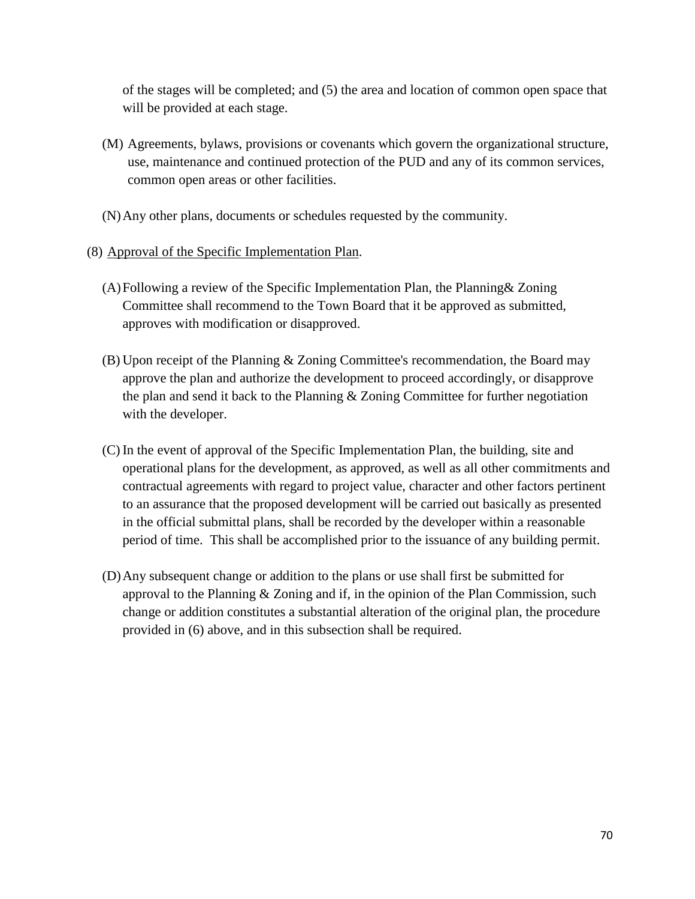of the stages will be completed; and (5) the area and location of common open space that will be provided at each stage.

- (M) Agreements, bylaws, provisions or covenants which govern the organizational structure, use, maintenance and continued protection of the PUD and any of its common services, common open areas or other facilities.
- (N)Any other plans, documents or schedules requested by the community.
- (8) Approval of the Specific Implementation Plan.
	- (A)Following a review of the Specific Implementation Plan, the Planning& Zoning Committee shall recommend to the Town Board that it be approved as submitted, approves with modification or disapproved.
	- (B) Upon receipt of the Planning & Zoning Committee's recommendation, the Board may approve the plan and authorize the development to proceed accordingly, or disapprove the plan and send it back to the Planning & Zoning Committee for further negotiation with the developer.
	- (C) In the event of approval of the Specific Implementation Plan, the building, site and operational plans for the development, as approved, as well as all other commitments and contractual agreements with regard to project value, character and other factors pertinent to an assurance that the proposed development will be carried out basically as presented in the official submittal plans, shall be recorded by the developer within a reasonable period of time. This shall be accomplished prior to the issuance of any building permit.
	- (D)Any subsequent change or addition to the plans or use shall first be submitted for approval to the Planning & Zoning and if, in the opinion of the Plan Commission, such change or addition constitutes a substantial alteration of the original plan, the procedure provided in (6) above, and in this subsection shall be required.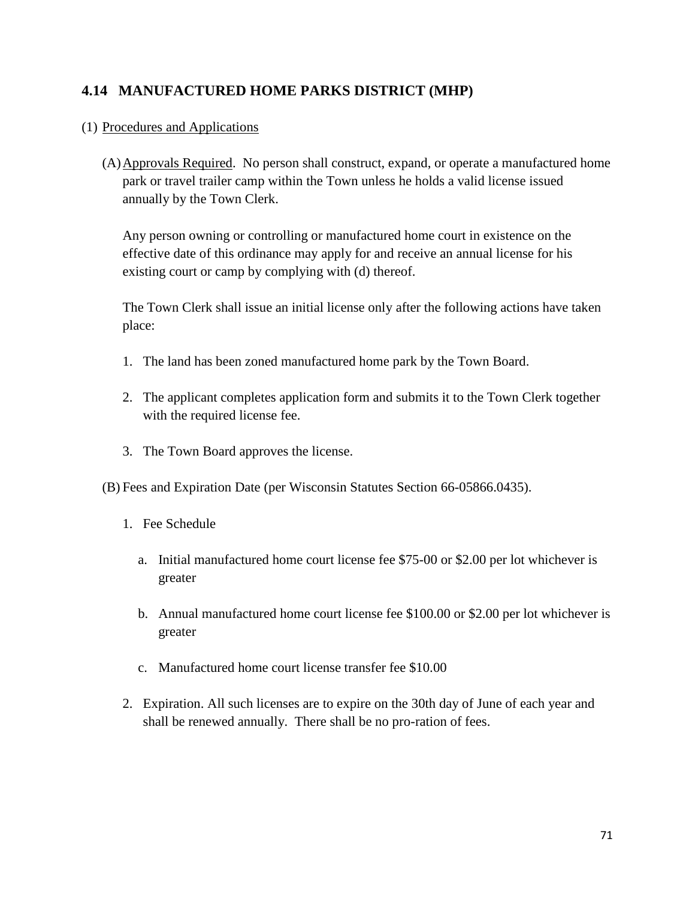# **4.14 MANUFACTURED HOME PARKS DISTRICT (MHP)**

### (1) Procedures and Applications

(A)Approvals Required. No person shall construct, expand, or operate a manufactured home park or travel trailer camp within the Town unless he holds a valid license issued annually by the Town Clerk.

Any person owning or controlling or manufactured home court in existence on the effective date of this ordinance may apply for and receive an annual license for his existing court or camp by complying with (d) thereof.

The Town Clerk shall issue an initial license only after the following actions have taken place:

- 1. The land has been zoned manufactured home park by the Town Board.
- 2. The applicant completes application form and submits it to the Town Clerk together with the required license fee.
- 3. The Town Board approves the license.
- (B) Fees and Expiration Date (per Wisconsin Statutes Section 66-05866.0435).
	- 1. Fee Schedule
		- a. Initial manufactured home court license fee \$75-00 or \$2.00 per lot whichever is greater
		- b. Annual manufactured home court license fee \$100.00 or \$2.00 per lot whichever is greater
		- c. Manufactured home court license transfer fee \$10.00
	- 2. Expiration. All such licenses are to expire on the 30th day of June of each year and shall be renewed annually. There shall be no pro-ration of fees.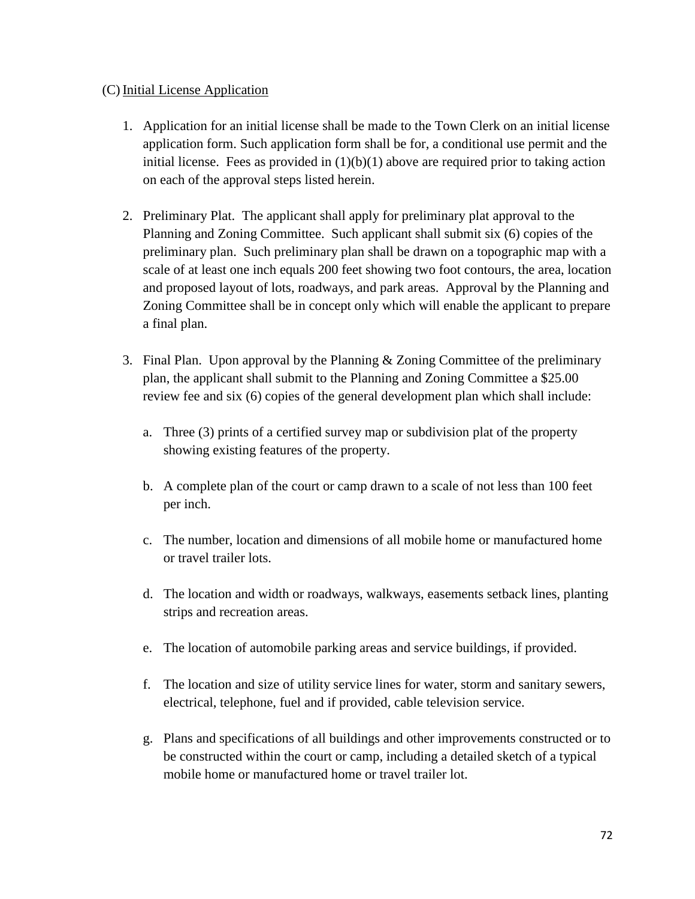#### (C) Initial License Application

- 1. Application for an initial license shall be made to the Town Clerk on an initial license application form. Such application form shall be for, a conditional use permit and the initial license. Fees as provided in  $(1)(b)(1)$  above are required prior to taking action on each of the approval steps listed herein.
- 2. Preliminary Plat. The applicant shall apply for preliminary plat approval to the Planning and Zoning Committee. Such applicant shall submit six (6) copies of the preliminary plan. Such preliminary plan shall be drawn on a topographic map with a scale of at least one inch equals 200 feet showing two foot contours, the area, location and proposed layout of lots, roadways, and park areas. Approval by the Planning and Zoning Committee shall be in concept only which will enable the applicant to prepare a final plan.
- 3. Final Plan. Upon approval by the Planning & Zoning Committee of the preliminary plan, the applicant shall submit to the Planning and Zoning Committee a \$25.00 review fee and six (6) copies of the general development plan which shall include:
	- a. Three (3) prints of a certified survey map or subdivision plat of the property showing existing features of the property.
	- b. A complete plan of the court or camp drawn to a scale of not less than 100 feet per inch.
	- c. The number, location and dimensions of all mobile home or manufactured home or travel trailer lots.
	- d. The location and width or roadways, walkways, easements setback lines, planting strips and recreation areas.
	- e. The location of automobile parking areas and service buildings, if provided.
	- f. The location and size of utility service lines for water, storm and sanitary sewers, electrical, telephone, fuel and if provided, cable television service.
	- g. Plans and specifications of all buildings and other improvements constructed or to be constructed within the court or camp, including a detailed sketch of a typical mobile home or manufactured home or travel trailer lot.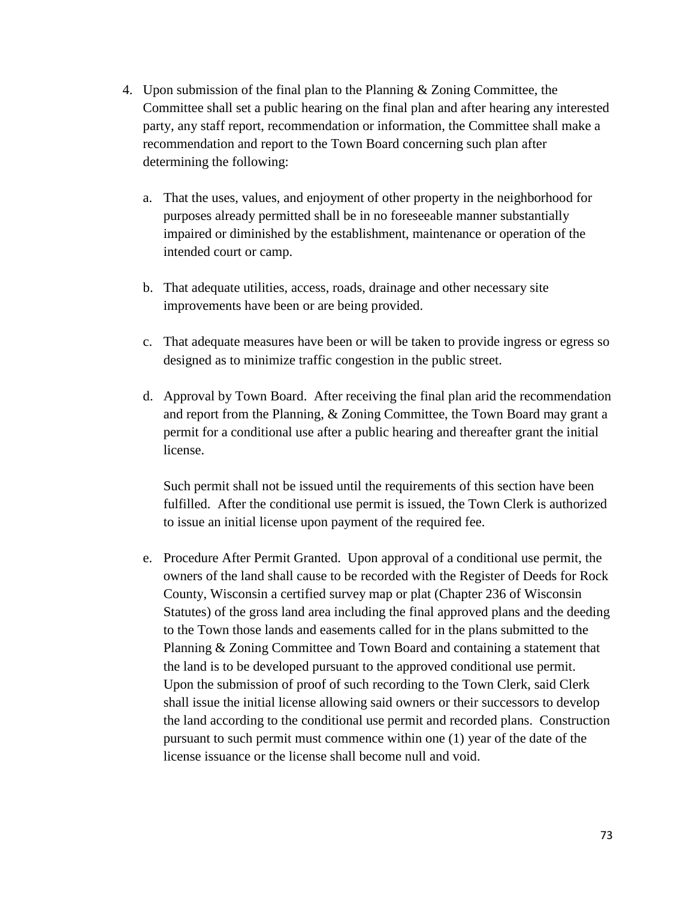- 4. Upon submission of the final plan to the Planning & Zoning Committee, the Committee shall set a public hearing on the final plan and after hearing any interested party, any staff report, recommendation or information, the Committee shall make a recommendation and report to the Town Board concerning such plan after determining the following:
	- a. That the uses, values, and enjoyment of other property in the neighborhood for purposes already permitted shall be in no foreseeable manner substantially impaired or diminished by the establishment, maintenance or operation of the intended court or camp.
	- b. That adequate utilities, access, roads, drainage and other necessary site improvements have been or are being provided.
	- c. That adequate measures have been or will be taken to provide ingress or egress so designed as to minimize traffic congestion in the public street.
	- d. Approval by Town Board. After receiving the final plan arid the recommendation and report from the Planning, & Zoning Committee, the Town Board may grant a permit for a conditional use after a public hearing and thereafter grant the initial license.

Such permit shall not be issued until the requirements of this section have been fulfilled. After the conditional use permit is issued, the Town Clerk is authorized to issue an initial license upon payment of the required fee.

e. Procedure After Permit Granted. Upon approval of a conditional use permit, the owners of the land shall cause to be recorded with the Register of Deeds for Rock County, Wisconsin a certified survey map or plat (Chapter 236 of Wisconsin Statutes) of the gross land area including the final approved plans and the deeding to the Town those lands and easements called for in the plans submitted to the Planning & Zoning Committee and Town Board and containing a statement that the land is to be developed pursuant to the approved conditional use permit. Upon the submission of proof of such recording to the Town Clerk, said Clerk shall issue the initial license allowing said owners or their successors to develop the land according to the conditional use permit and recorded plans. Construction pursuant to such permit must commence within one (1) year of the date of the license issuance or the license shall become null and void.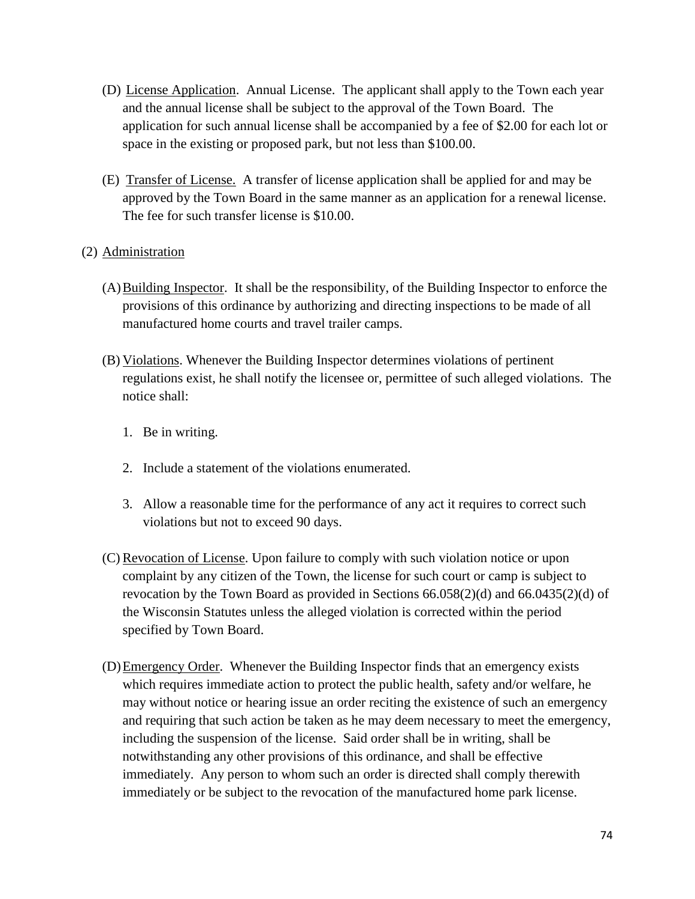- (D) License Application. Annual License. The applicant shall apply to the Town each year and the annual license shall be subject to the approval of the Town Board. The application for such annual license shall be accompanied by a fee of \$2.00 for each lot or space in the existing or proposed park, but not less than \$100.00.
- (E) Transfer of License. A transfer of license application shall be applied for and may be approved by the Town Board in the same manner as an application for a renewal license. The fee for such transfer license is \$10.00.

#### (2) Administration

- (A)Building Inspector. It shall be the responsibility, of the Building Inspector to enforce the provisions of this ordinance by authorizing and directing inspections to be made of all manufactured home courts and travel trailer camps.
- (B) Violations. Whenever the Building Inspector determines violations of pertinent regulations exist, he shall notify the licensee or, permittee of such alleged violations. The notice shall:
	- 1. Be in writing.
	- 2. Include a statement of the violations enumerated.
	- 3. Allow a reasonable time for the performance of any act it requires to correct such violations but not to exceed 90 days.
- (C)Revocation of License. Upon failure to comply with such violation notice or upon complaint by any citizen of the Town, the license for such court or camp is subject to revocation by the Town Board as provided in Sections 66.058(2)(d) and 66.0435(2)(d) of the Wisconsin Statutes unless the alleged violation is corrected within the period specified by Town Board.
- (D)Emergency Order. Whenever the Building Inspector finds that an emergency exists which requires immediate action to protect the public health, safety and/or welfare, he may without notice or hearing issue an order reciting the existence of such an emergency and requiring that such action be taken as he may deem necessary to meet the emergency, including the suspension of the license. Said order shall be in writing, shall be notwithstanding any other provisions of this ordinance, and shall be effective immediately. Any person to whom such an order is directed shall comply therewith immediately or be subject to the revocation of the manufactured home park license.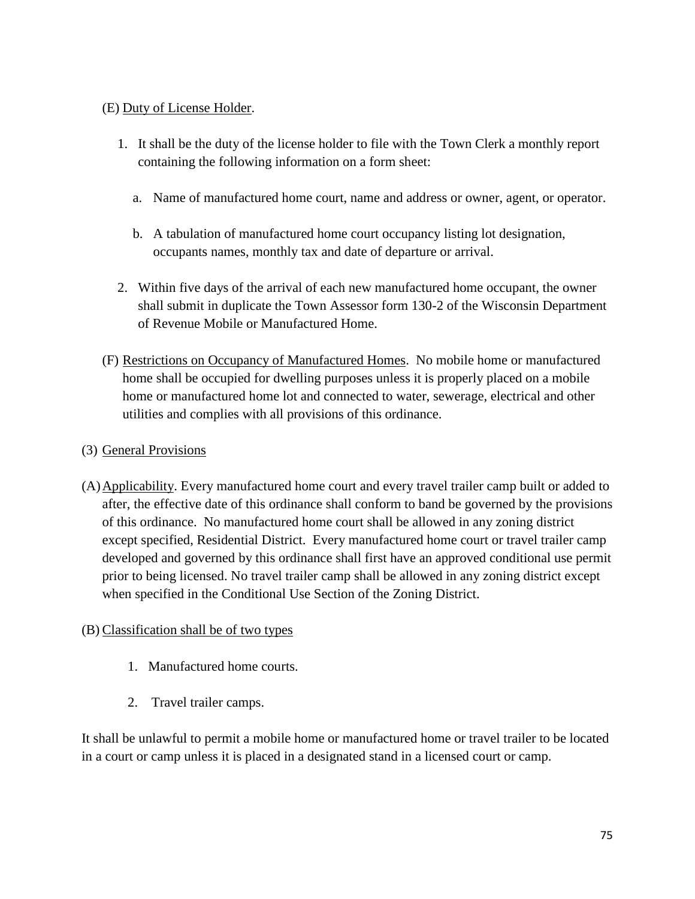#### (E) Duty of License Holder.

- 1. It shall be the duty of the license holder to file with the Town Clerk a monthly report containing the following information on a form sheet:
	- a. Name of manufactured home court, name and address or owner, agent, or operator.
	- b. A tabulation of manufactured home court occupancy listing lot designation, occupants names, monthly tax and date of departure or arrival.
- 2. Within five days of the arrival of each new manufactured home occupant, the owner shall submit in duplicate the Town Assessor form 130-2 of the Wisconsin Department of Revenue Mobile or Manufactured Home.
- (F) Restrictions on Occupancy of Manufactured Homes. No mobile home or manufactured home shall be occupied for dwelling purposes unless it is properly placed on a mobile home or manufactured home lot and connected to water, sewerage, electrical and other utilities and complies with all provisions of this ordinance.

#### (3) General Provisions

(A)Applicability. Every manufactured home court and every travel trailer camp built or added to after, the effective date of this ordinance shall conform to band be governed by the provisions of this ordinance. No manufactured home court shall be allowed in any zoning district except specified, Residential District. Every manufactured home court or travel trailer camp developed and governed by this ordinance shall first have an approved conditional use permit prior to being licensed. No travel trailer camp shall be allowed in any zoning district except when specified in the Conditional Use Section of the Zoning District.

#### (B) Classification shall be of two types

- 1. Manufactured home courts.
- 2. Travel trailer camps.

It shall be unlawful to permit a mobile home or manufactured home or travel trailer to be located in a court or camp unless it is placed in a designated stand in a licensed court or camp.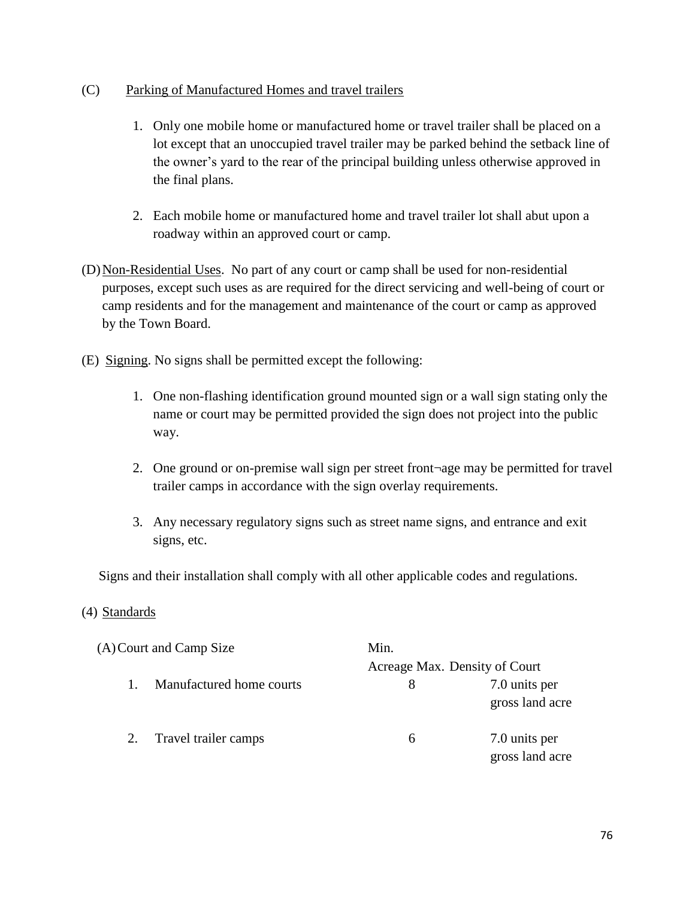#### (C) Parking of Manufactured Homes and travel trailers

- 1. Only one mobile home or manufactured home or travel trailer shall be placed on a lot except that an unoccupied travel trailer may be parked behind the setback line of the owner's yard to the rear of the principal building unless otherwise approved in the final plans.
- 2. Each mobile home or manufactured home and travel trailer lot shall abut upon a roadway within an approved court or camp.
- (D)Non-Residential Uses. No part of any court or camp shall be used for non-residential purposes, except such uses as are required for the direct servicing and well-being of court or camp residents and for the management and maintenance of the court or camp as approved by the Town Board.
- (E) Signing. No signs shall be permitted except the following:
	- 1. One non-flashing identification ground mounted sign or a wall sign stating only the name or court may be permitted provided the sign does not project into the public way.
	- 2. One ground or on-premise wall sign per street front¬age may be permitted for travel trailer camps in accordance with the sign overlay requirements.
	- 3. Any necessary regulatory signs such as street name signs, and entrance and exit signs, etc.

Signs and their installation shall comply with all other applicable codes and regulations.

#### (4) Standards

| (A) Court and Camp Size        | Min.                          |                                  |
|--------------------------------|-------------------------------|----------------------------------|
|                                | Acreage Max. Density of Court |                                  |
| Manufactured home courts<br>1. | 8                             | 7.0 units per<br>gross land acre |
| Travel trailer camps<br>2.     | 6                             | 7.0 units per<br>gross land acre |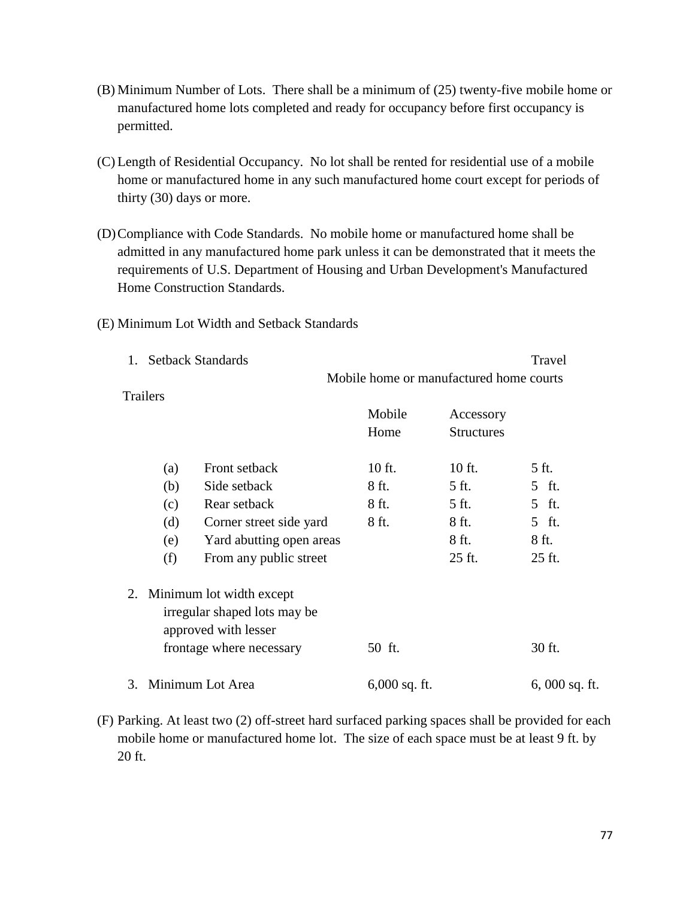- (B) Minimum Number of Lots. There shall be a minimum of (25) twenty-five mobile home or manufactured home lots completed and ready for occupancy before first occupancy is permitted.
- (C) Length of Residential Occupancy. No lot shall be rented for residential use of a mobile home or manufactured home in any such manufactured home court except for periods of thirty (30) days or more.
- (D)Compliance with Code Standards. No mobile home or manufactured home shall be admitted in any manufactured home park unless it can be demonstrated that it meets the requirements of U.S. Department of Housing and Urban Development's Manufactured Home Construction Standards.
- (E) Minimum Lot Width and Setback Standards

|                 | <b>Setback Standards</b>                             |                                         |                   | Travel        |
|-----------------|------------------------------------------------------|-----------------------------------------|-------------------|---------------|
|                 |                                                      | Mobile home or manufactured home courts |                   |               |
| <b>Trailers</b> |                                                      | Mobile                                  | Accessory         |               |
|                 |                                                      | Home                                    | <b>Structures</b> |               |
| (a)             | Front setback                                        | 10 ft.                                  | 10 ft.            | 5 ft.         |
| (b)             | Side setback                                         | 8 ft.                                   | 5 ft.             | 5 ft.         |
| (c)             | Rear setback                                         | 8 ft.                                   | 5 ft.             | 5 ft.         |
| (d)             | Corner street side yard                              | 8 ft.                                   | 8 ft.             | 5 ft.         |
| (e)             | Yard abutting open areas                             |                                         | 8 ft.             | 8 ft.         |
| (f)             | From any public street                               |                                         | 25 ft.            | 25 ft.        |
| 2.              | Minimum lot width except                             |                                         |                   |               |
|                 | irregular shaped lots may be<br>approved with lesser |                                         |                   |               |
|                 | frontage where necessary                             | 50 ft.                                  |                   | 30 ft.        |
| 3.              | Minimum Lot Area                                     | $6,000$ sq. ft.                         |                   | 6,000 sq. ft. |

(F) Parking. At least two (2) off-street hard surfaced parking spaces shall be provided for each mobile home or manufactured home lot. The size of each space must be at least 9 ft. by 20 ft.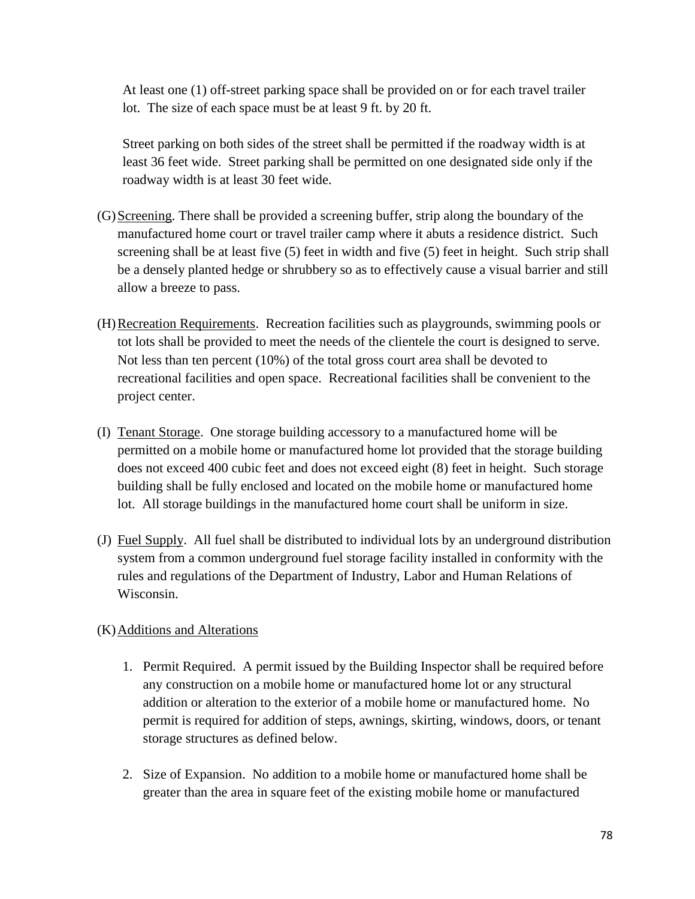At least one (1) off-street parking space shall be provided on or for each travel trailer lot. The size of each space must be at least 9 ft. by 20 ft.

Street parking on both sides of the street shall be permitted if the roadway width is at least 36 feet wide. Street parking shall be permitted on one designated side only if the roadway width is at least 30 feet wide.

- (G)Screening. There shall be provided a screening buffer, strip along the boundary of the manufactured home court or travel trailer camp where it abuts a residence district. Such screening shall be at least five (5) feet in width and five (5) feet in height. Such strip shall be a densely planted hedge or shrubbery so as to effectively cause a visual barrier and still allow a breeze to pass.
- (H)Recreation Requirements. Recreation facilities such as playgrounds, swimming pools or tot lots shall be provided to meet the needs of the clientele the court is designed to serve. Not less than ten percent (10%) of the total gross court area shall be devoted to recreational facilities and open space. Recreational facilities shall be convenient to the project center.
- (I) Tenant Storage. One storage building accessory to a manufactured home will be permitted on a mobile home or manufactured home lot provided that the storage building does not exceed 400 cubic feet and does not exceed eight (8) feet in height. Such storage building shall be fully enclosed and located on the mobile home or manufactured home lot. All storage buildings in the manufactured home court shall be uniform in size.
- (J) Fuel Supply. All fuel shall be distributed to individual lots by an underground distribution system from a common underground fuel storage facility installed in conformity with the rules and regulations of the Department of Industry, Labor and Human Relations of Wisconsin.

#### (K)Additions and Alterations

- 1. Permit Required. A permit issued by the Building Inspector shall be required before any construction on a mobile home or manufactured home lot or any structural addition or alteration to the exterior of a mobile home or manufactured home. No permit is required for addition of steps, awnings, skirting, windows, doors, or tenant storage structures as defined below.
- 2. Size of Expansion. No addition to a mobile home or manufactured home shall be greater than the area in square feet of the existing mobile home or manufactured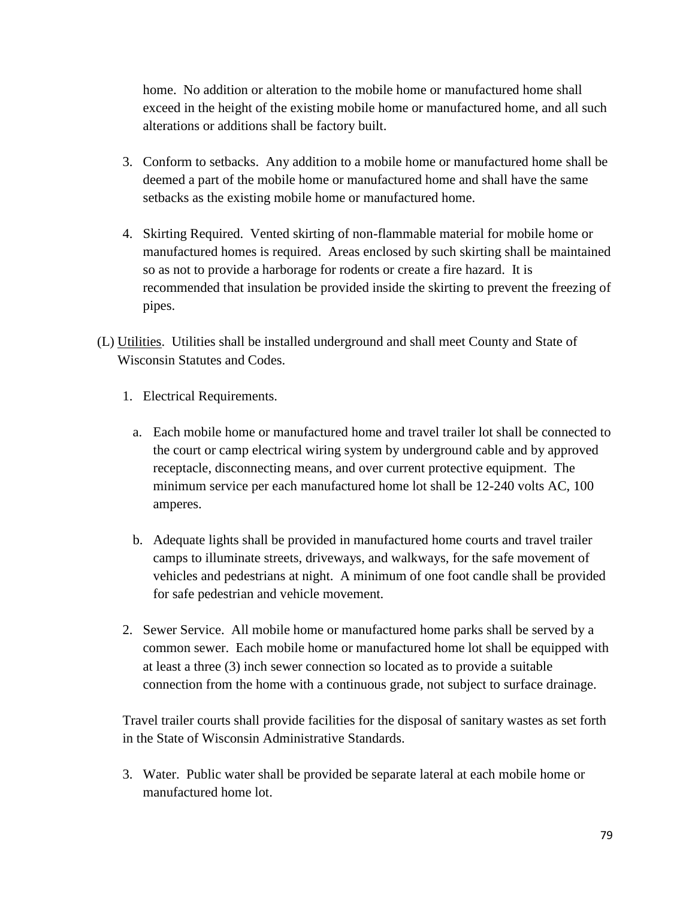home. No addition or alteration to the mobile home or manufactured home shall exceed in the height of the existing mobile home or manufactured home, and all such alterations or additions shall be factory built.

- 3. Conform to setbacks. Any addition to a mobile home or manufactured home shall be deemed a part of the mobile home or manufactured home and shall have the same setbacks as the existing mobile home or manufactured home.
- 4. Skirting Required. Vented skirting of non-flammable material for mobile home or manufactured homes is required. Areas enclosed by such skirting shall be maintained so as not to provide a harborage for rodents or create a fire hazard. It is recommended that insulation be provided inside the skirting to prevent the freezing of pipes.
- (L) Utilities. Utilities shall be installed underground and shall meet County and State of Wisconsin Statutes and Codes.
	- 1. Electrical Requirements.
		- a. Each mobile home or manufactured home and travel trailer lot shall be connected to the court or camp electrical wiring system by underground cable and by approved receptacle, disconnecting means, and over current protective equipment. The minimum service per each manufactured home lot shall be 12-240 volts AC, 100 amperes.
		- b. Adequate lights shall be provided in manufactured home courts and travel trailer camps to illuminate streets, driveways, and walkways, for the safe movement of vehicles and pedestrians at night. A minimum of one foot candle shall be provided for safe pedestrian and vehicle movement.
	- 2. Sewer Service. All mobile home or manufactured home parks shall be served by a common sewer. Each mobile home or manufactured home lot shall be equipped with at least a three (3) inch sewer connection so located as to provide a suitable connection from the home with a continuous grade, not subject to surface drainage.

 Travel trailer courts shall provide facilities for the disposal of sanitary wastes as set forth in the State of Wisconsin Administrative Standards.

3. Water. Public water shall be provided be separate lateral at each mobile home or manufactured home lot.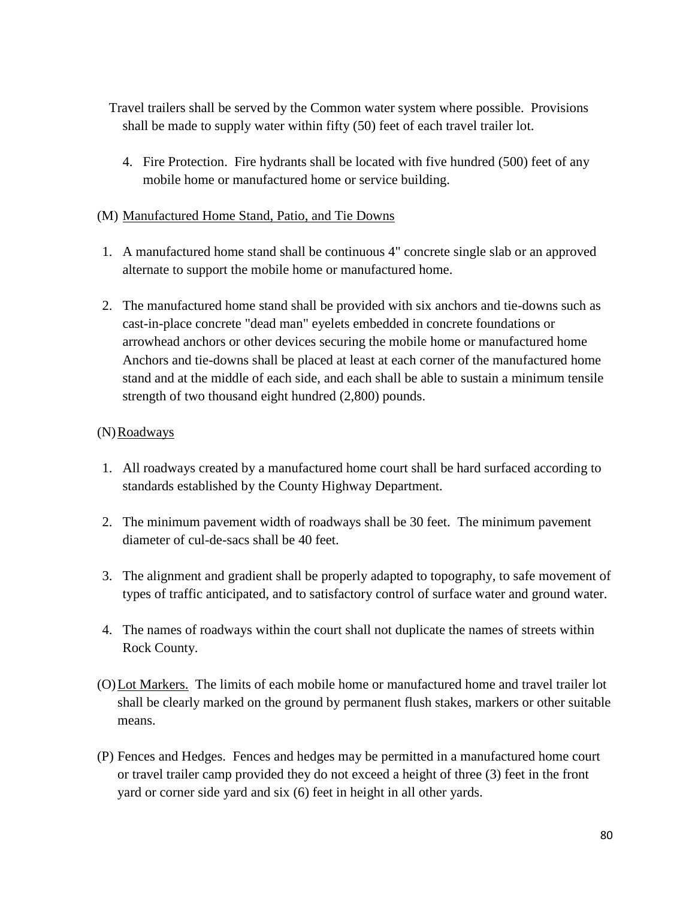Travel trailers shall be served by the Common water system where possible. Provisions shall be made to supply water within fifty (50) feet of each travel trailer lot.

4. Fire Protection. Fire hydrants shall be located with five hundred (500) feet of any mobile home or manufactured home or service building.

#### (M) Manufactured Home Stand, Patio, and Tie Downs

- 1. A manufactured home stand shall be continuous 4" concrete single slab or an approved alternate to support the mobile home or manufactured home.
- 2. The manufactured home stand shall be provided with six anchors and tie-downs such as cast-in-place concrete "dead man" eyelets embedded in concrete foundations or arrowhead anchors or other devices securing the mobile home or manufactured home Anchors and tie-downs shall be placed at least at each corner of the manufactured home stand and at the middle of each side, and each shall be able to sustain a minimum tensile strength of two thousand eight hundred (2,800) pounds.

#### $(N)$ Roadways

- 1. All roadways created by a manufactured home court shall be hard surfaced according to standards established by the County Highway Department.
- 2. The minimum pavement width of roadways shall be 30 feet. The minimum pavement diameter of cul-de-sacs shall be 40 feet.
- 3. The alignment and gradient shall be properly adapted to topography, to safe movement of types of traffic anticipated, and to satisfactory control of surface water and ground water.
- 4. The names of roadways within the court shall not duplicate the names of streets within Rock County.
- (O)Lot Markers. The limits of each mobile home or manufactured home and travel trailer lot shall be clearly marked on the ground by permanent flush stakes, markers or other suitable means.
- (P) Fences and Hedges. Fences and hedges may be permitted in a manufactured home court or travel trailer camp provided they do not exceed a height of three (3) feet in the front yard or corner side yard and six (6) feet in height in all other yards.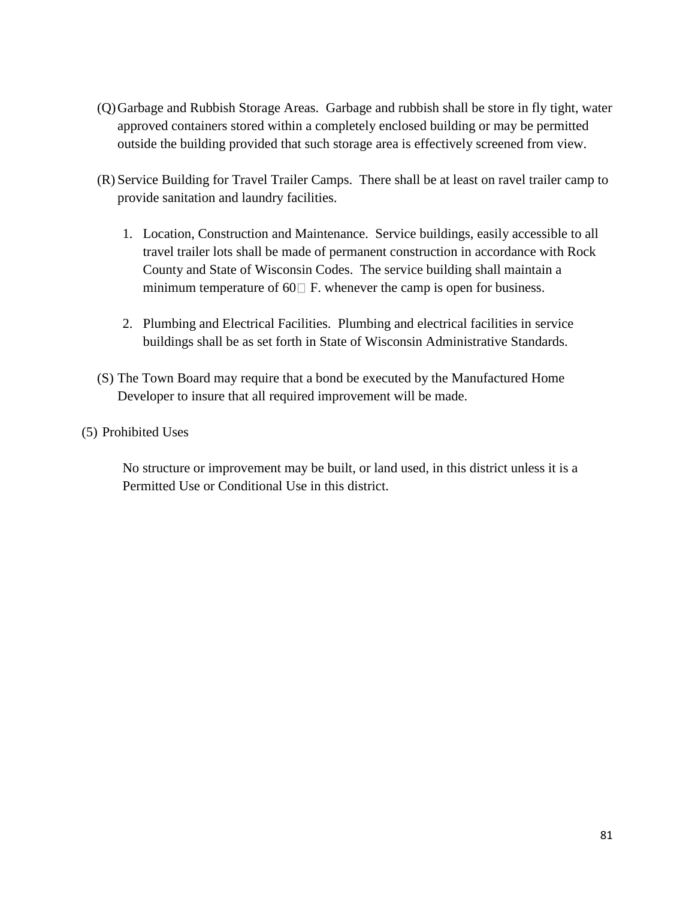- (Q)Garbage and Rubbish Storage Areas. Garbage and rubbish shall be store in fly tight, water approved containers stored within a completely enclosed building or may be permitted outside the building provided that such storage area is effectively screened from view.
- (R) Service Building for Travel Trailer Camps. There shall be at least on ravel trailer camp to provide sanitation and laundry facilities.
	- 1. Location, Construction and Maintenance. Service buildings, easily accessible to all travel trailer lots shall be made of permanent construction in accordance with Rock County and State of Wisconsin Codes. The service building shall maintain a minimum temperature of 60 $\Box$  F. whenever the camp is open for business.
	- 2. Plumbing and Electrical Facilities. Plumbing and electrical facilities in service buildings shall be as set forth in State of Wisconsin Administrative Standards.
- (S) The Town Board may require that a bond be executed by the Manufactured Home Developer to insure that all required improvement will be made.
- (5) Prohibited Uses

No structure or improvement may be built, or land used, in this district unless it is a Permitted Use or Conditional Use in this district.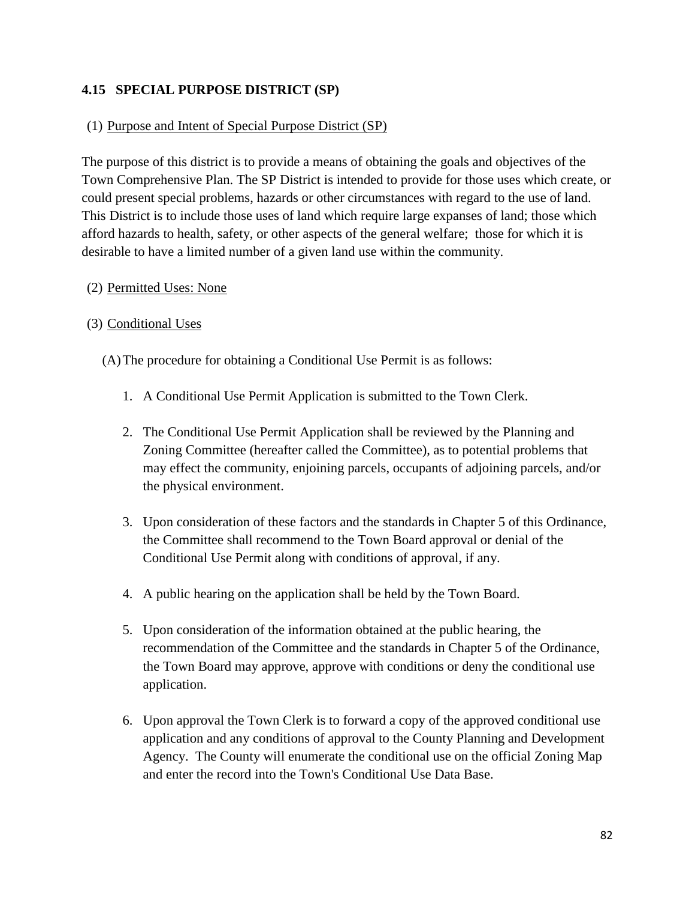#### **4.15 SPECIAL PURPOSE DISTRICT (SP)**

#### (1) Purpose and Intent of Special Purpose District (SP)

The purpose of this district is to provide a means of obtaining the goals and objectives of the Town Comprehensive Plan. The SP District is intended to provide for those uses which create, or could present special problems, hazards or other circumstances with regard to the use of land. This District is to include those uses of land which require large expanses of land; those which afford hazards to health, safety, or other aspects of the general welfare; those for which it is desirable to have a limited number of a given land use within the community.

#### (2) Permitted Uses: None

#### (3) Conditional Uses

(A)The procedure for obtaining a Conditional Use Permit is as follows:

- 1. A Conditional Use Permit Application is submitted to the Town Clerk.
- 2. The Conditional Use Permit Application shall be reviewed by the Planning and Zoning Committee (hereafter called the Committee), as to potential problems that may effect the community, enjoining parcels, occupants of adjoining parcels, and/or the physical environment.
- 3. Upon consideration of these factors and the standards in Chapter 5 of this Ordinance, the Committee shall recommend to the Town Board approval or denial of the Conditional Use Permit along with conditions of approval, if any.
- 4. A public hearing on the application shall be held by the Town Board.
- 5. Upon consideration of the information obtained at the public hearing, the recommendation of the Committee and the standards in Chapter 5 of the Ordinance, the Town Board may approve, approve with conditions or deny the conditional use application.
- 6. Upon approval the Town Clerk is to forward a copy of the approved conditional use application and any conditions of approval to the County Planning and Development Agency. The County will enumerate the conditional use on the official Zoning Map and enter the record into the Town's Conditional Use Data Base.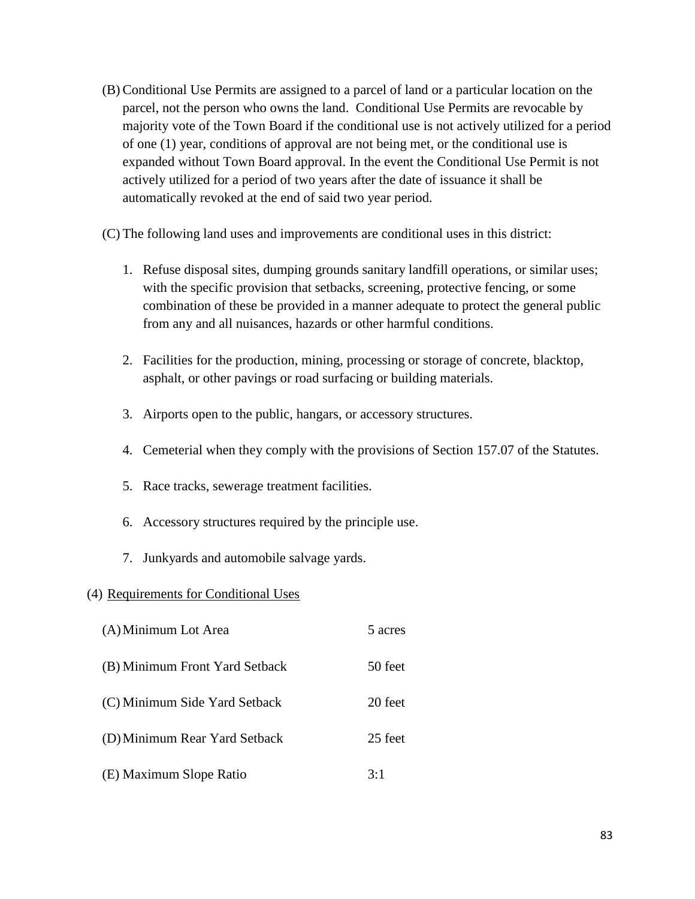(B) Conditional Use Permits are assigned to a parcel of land or a particular location on the parcel, not the person who owns the land. Conditional Use Permits are revocable by majority vote of the Town Board if the conditional use is not actively utilized for a period of one (1) year, conditions of approval are not being met, or the conditional use is expanded without Town Board approval. In the event the Conditional Use Permit is not actively utilized for a period of two years after the date of issuance it shall be automatically revoked at the end of said two year period.

(C) The following land uses and improvements are conditional uses in this district:

- 1. Refuse disposal sites, dumping grounds sanitary landfill operations, or similar uses; with the specific provision that setbacks, screening, protective fencing, or some combination of these be provided in a manner adequate to protect the general public from any and all nuisances, hazards or other harmful conditions.
- 2. Facilities for the production, mining, processing or storage of concrete, blacktop, asphalt, or other pavings or road surfacing or building materials.
- 3. Airports open to the public, hangars, or accessory structures.
- 4. Cemeterial when they comply with the provisions of Section 157.07 of the Statutes.
- 5. Race tracks, sewerage treatment facilities.
- 6. Accessory structures required by the principle use.
- 7. Junkyards and automobile salvage yards.

#### (4) Requirements for Conditional Uses

(A) Minimum Lot Area 5 acres (B) Minimum Front Yard Setback 50 feet (C) Minimum Side Yard Setback 20 feet (D)Minimum Rear Yard Setback 25 feet (E) Maximum Slope Ratio 3:1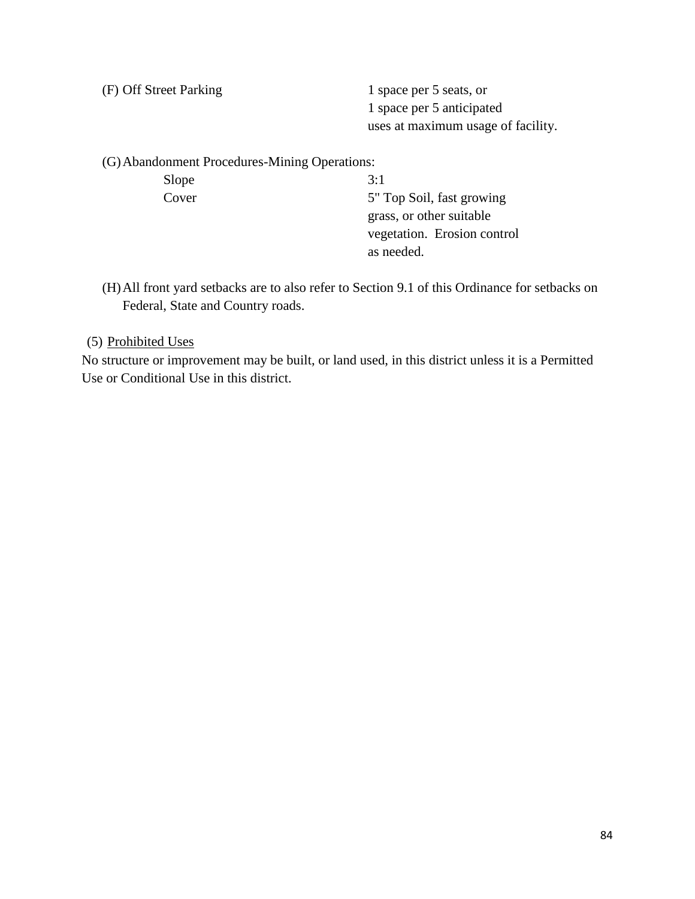(F) Off Street Parking 1 space per 5 seats, or

1 space per 5 anticipated uses at maximum usage of facility.

(G)Abandonment Procedures-Mining Operations:

Slope  $3:1$ Cover 5" Top Soil, fast growing grass, or other suitable vegetation. Erosion control as needed.

(H)All front yard setbacks are to also refer to Section 9.1 of this Ordinance for setbacks on Federal, State and Country roads.

#### (5) Prohibited Uses

No structure or improvement may be built, or land used, in this district unless it is a Permitted Use or Conditional Use in this district.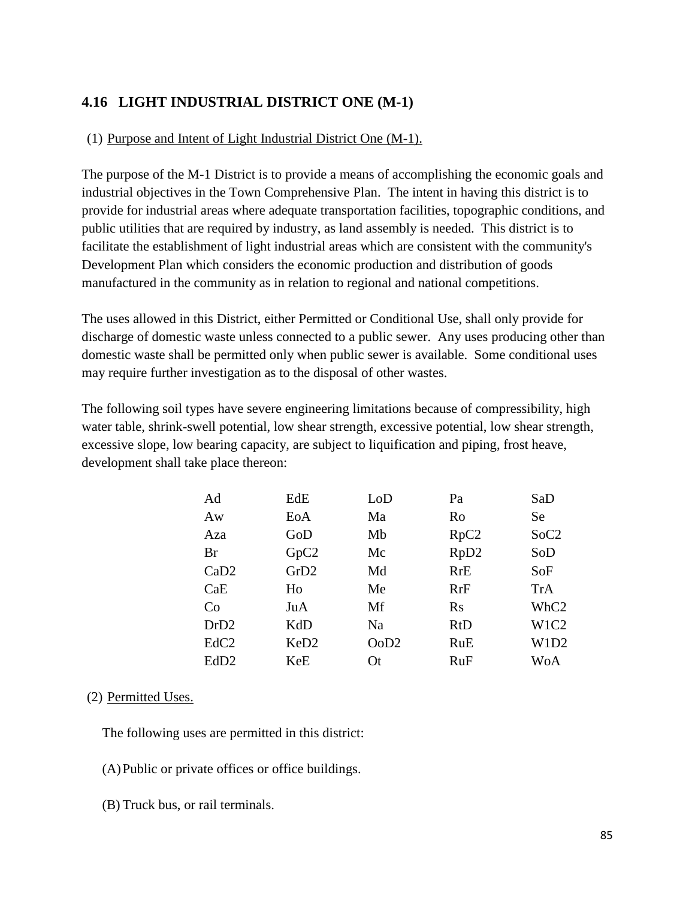# **4.16 LIGHT INDUSTRIAL DISTRICT ONE (M-1)**

#### (1) Purpose and Intent of Light Industrial District One (M-1).

The purpose of the M-1 District is to provide a means of accomplishing the economic goals and industrial objectives in the Town Comprehensive Plan. The intent in having this district is to provide for industrial areas where adequate transportation facilities, topographic conditions, and public utilities that are required by industry, as land assembly is needed. This district is to facilitate the establishment of light industrial areas which are consistent with the community's Development Plan which considers the economic production and distribution of goods manufactured in the community as in relation to regional and national competitions.

The uses allowed in this District, either Permitted or Conditional Use, shall only provide for discharge of domestic waste unless connected to a public sewer. Any uses producing other than domestic waste shall be permitted only when public sewer is available. Some conditional uses may require further investigation as to the disposal of other wastes.

The following soil types have severe engineering limitations because of compressibility, high water table, shrink-swell potential, low shear strength, excessive potential, low shear strength, excessive slope, low bearing capacity, are subject to liquification and piping, frost heave, development shall take place thereon:

| Ad               | EdE              | $\rm LoD$      | Pa               | SaD              |
|------------------|------------------|----------------|------------------|------------------|
| Aw               | EoA              | Ma             | Ro               | <b>Se</b>        |
| Aza              | GoD              | Mb             | RpC2             | SoC2             |
| Br               | GpC2             | Mc             | RpD <sub>2</sub> | SoD              |
| CaD2             | GrD2             | Md             | <b>RrE</b>       | SoF              |
| CaE              | Ho               | Me             | RrF              | TrA              |
| Co               | JuA              | Mf             | $\rm Rs$         | WhC <sub>2</sub> |
| DrD2             | KdD              | N <sub>a</sub> | <b>RtD</b>       | W1C2             |
| EdC <sub>2</sub> | KeD <sub>2</sub> | OoD2           | RuE              | W1D2             |
| EdD <sub>2</sub> | KeE              | Ot             | RuF              | WoA              |

#### (2) Permitted Uses.

The following uses are permitted in this district:

- (A)Public or private offices or office buildings.
- (B) Truck bus, or rail terminals.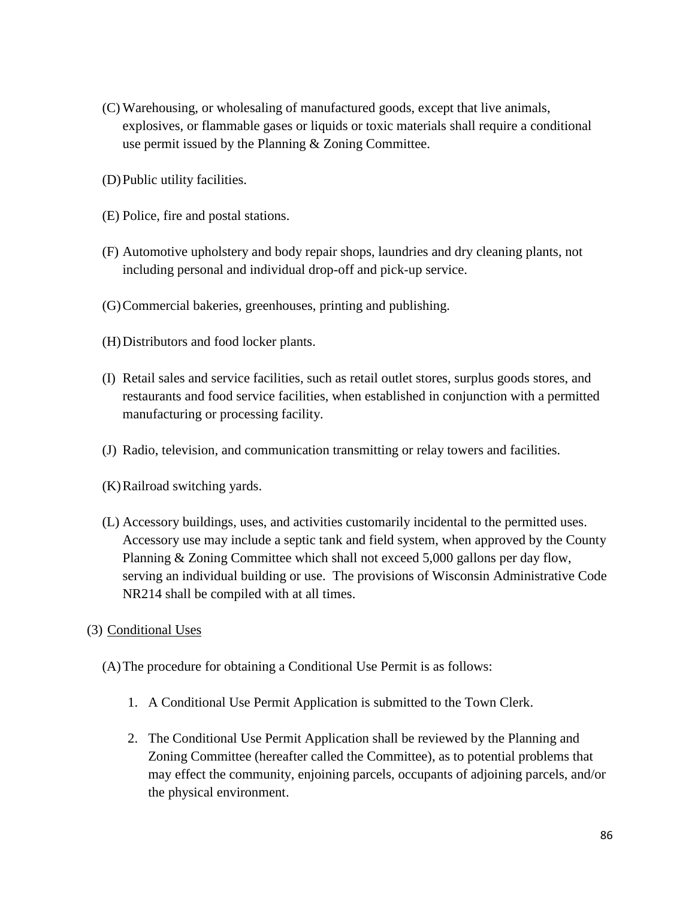- (C) Warehousing, or wholesaling of manufactured goods, except that live animals, explosives, or flammable gases or liquids or toxic materials shall require a conditional use permit issued by the Planning & Zoning Committee.
- (D)Public utility facilities.
- (E) Police, fire and postal stations.
- (F) Automotive upholstery and body repair shops, laundries and dry cleaning plants, not including personal and individual drop-off and pick-up service.
- (G)Commercial bakeries, greenhouses, printing and publishing.
- (H)Distributors and food locker plants.
- (I) Retail sales and service facilities, such as retail outlet stores, surplus goods stores, and restaurants and food service facilities, when established in conjunction with a permitted manufacturing or processing facility.
- (J) Radio, television, and communication transmitting or relay towers and facilities.
- (K)Railroad switching yards.
- (L) Accessory buildings, uses, and activities customarily incidental to the permitted uses. Accessory use may include a septic tank and field system, when approved by the County Planning & Zoning Committee which shall not exceed 5,000 gallons per day flow, serving an individual building or use. The provisions of Wisconsin Administrative Code NR214 shall be compiled with at all times.
- (3) Conditional Uses
	- (A)The procedure for obtaining a Conditional Use Permit is as follows:
		- 1. A Conditional Use Permit Application is submitted to the Town Clerk.
		- 2. The Conditional Use Permit Application shall be reviewed by the Planning and Zoning Committee (hereafter called the Committee), as to potential problems that may effect the community, enjoining parcels, occupants of adjoining parcels, and/or the physical environment.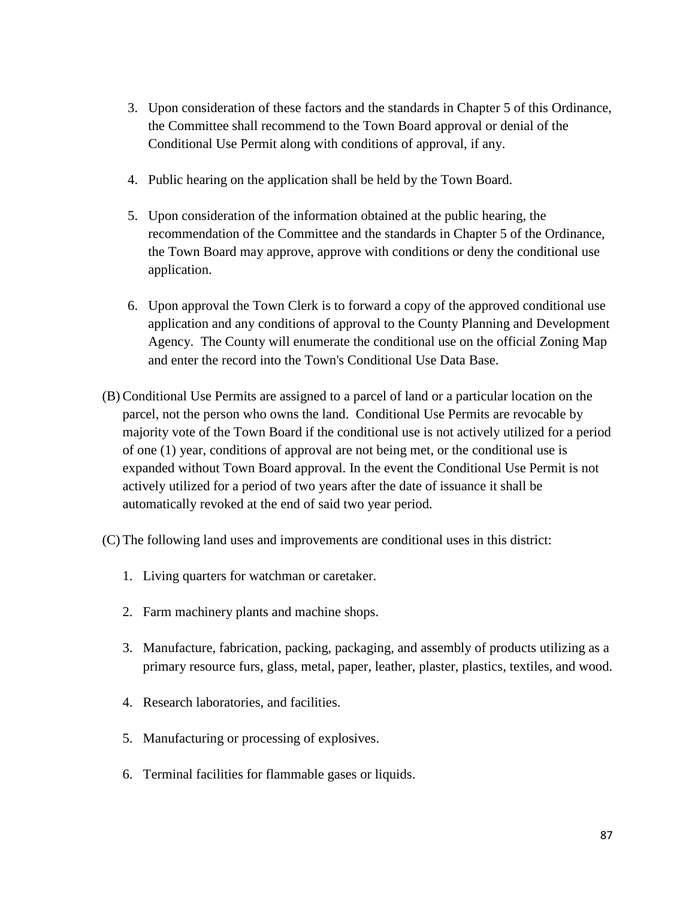- 3. Upon consideration of these factors and the standards in Chapter 5 of this Ordinance, the Committee shall recommend to the Town Board approval or denial of the Conditional Use Permit along with conditions of approval, if any.
- 4. Public hearing on the application shall be held by the Town Board.
- 5. Upon consideration of the information obtained at the public hearing, the recommendation of the Committee and the standards in Chapter 5 of the Ordinance, the Town Board may approve, approve with conditions or deny the conditional use application.
- 6. Upon approval the Town Clerk is to forward a copy of the approved conditional use application and any conditions of approval to the County Planning and Development Agency. The County will enumerate the conditional use on the official Zoning Map and enter the record into the Town's Conditional Use Data Base.
- (B) Conditional Use Permits are assigned to a parcel of land or a particular location on the parcel, not the person who owns the land. Conditional Use Permits are revocable by majority vote of the Town Board if the conditional use is not actively utilized for a period of one (1) year, conditions of approval are not being met, or the conditional use is expanded without Town Board approval. In the event the Conditional Use Permit is not actively utilized for a period of two years after the date of issuance it shall be automatically revoked at the end of said two year period.
- (C) The following land uses and improvements are conditional uses in this district:
	- 1. Living quarters for watchman or caretaker.
	- 2. Farm machinery plants and machine shops.
	- 3. Manufacture, fabrication, packing, packaging, and assembly of products utilizing as a primary resource furs, glass, metal, paper, leather, plaster, plastics, textiles, and wood.
	- 4. Research laboratories, and facilities.
	- 5. Manufacturing or processing of explosives.
	- 6. Terminal facilities for flammable gases or liquids.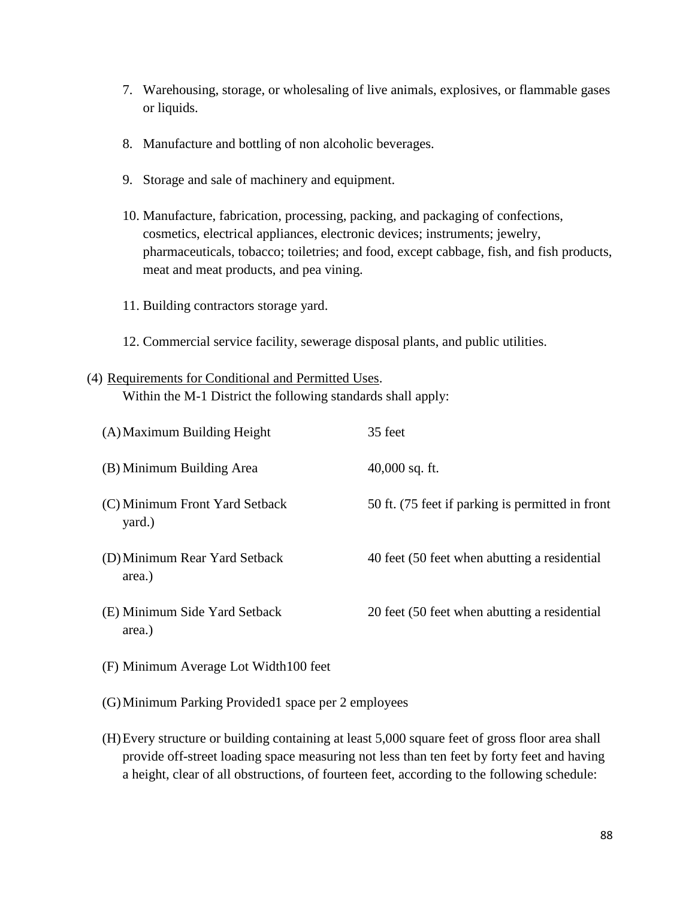- 7. Warehousing, storage, or wholesaling of live animals, explosives, or flammable gases or liquids.
- 8. Manufacture and bottling of non alcoholic beverages.
- 9. Storage and sale of machinery and equipment.
- 10. Manufacture, fabrication, processing, packing, and packaging of confections, cosmetics, electrical appliances, electronic devices; instruments; jewelry, pharmaceuticals, tobacco; toiletries; and food, except cabbage, fish, and fish products, meat and meat products, and pea vining.
- 11. Building contractors storage yard.
- 12. Commercial service facility, sewerage disposal plants, and public utilities.

### (4) Requirements for Conditional and Permitted Uses.

Within the M-1 District the following standards shall apply:

| (A) Maximum Building Height              | 35 feet                                          |
|------------------------------------------|--------------------------------------------------|
| (B) Minimum Building Area                | $40,000$ sq. ft.                                 |
| (C) Minimum Front Yard Setback<br>yard.) | 50 ft. (75 feet if parking is permitted in front |
| (D) Minimum Rear Yard Setback<br>area.)  | 40 feet (50 feet when abutting a residential     |
| (E) Minimum Side Yard Setback<br>area.)  | 20 feet (50 feet when abutting a residential     |

- (F) Minimum Average Lot Width100 feet
- (G)Minimum Parking Provided1 space per 2 employees
- (H)Every structure or building containing at least 5,000 square feet of gross floor area shall provide off-street loading space measuring not less than ten feet by forty feet and having a height, clear of all obstructions, of fourteen feet, according to the following schedule: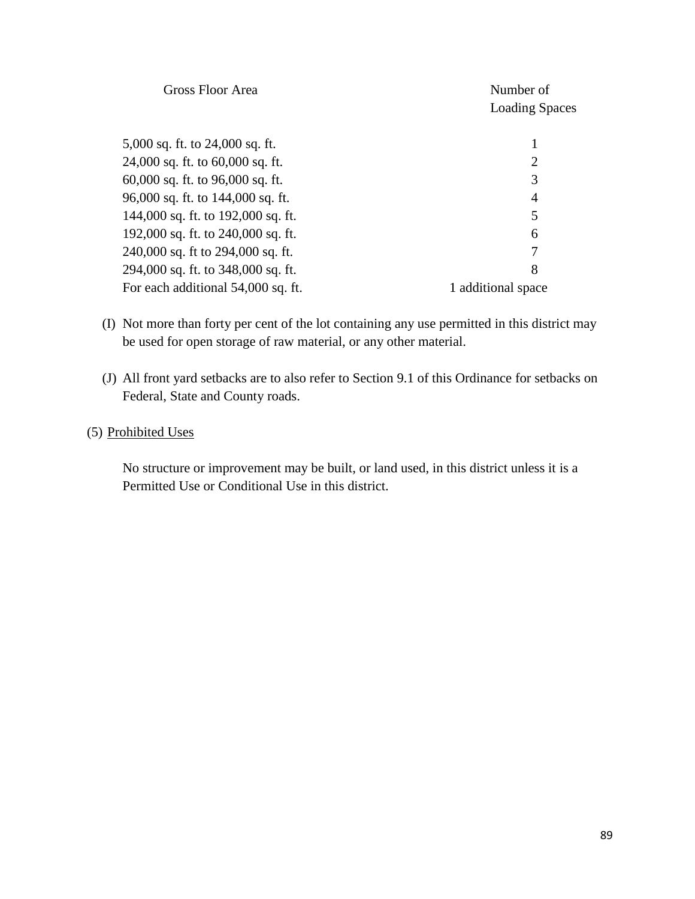| <b>Gross Floor Area</b>            | Number of<br><b>Loading Spaces</b> |
|------------------------------------|------------------------------------|
| 5,000 sq. ft. to 24,000 sq. ft.    |                                    |
| 24,000 sq. ft. to 60,000 sq. ft.   | 2                                  |
| 60,000 sq. ft. to 96,000 sq. ft.   | 3                                  |
| 96,000 sq. ft. to 144,000 sq. ft.  | 4                                  |
| 144,000 sq. ft. to 192,000 sq. ft. | 5                                  |
| 192,000 sq. ft. to 240,000 sq. ft. | 6                                  |
| 240,000 sq. ft to 294,000 sq. ft.  | 7                                  |
| 294,000 sq. ft. to 348,000 sq. ft. | 8                                  |
| For each additional 54,000 sq. ft. | 1 additional space                 |
|                                    |                                    |

- (I) Not more than forty per cent of the lot containing any use permitted in this district may be used for open storage of raw material, or any other material.
- (J) All front yard setbacks are to also refer to Section 9.1 of this Ordinance for setbacks on Federal, State and County roads.

### (5) Prohibited Uses

No structure or improvement may be built, or land used, in this district unless it is a Permitted Use or Conditional Use in this district.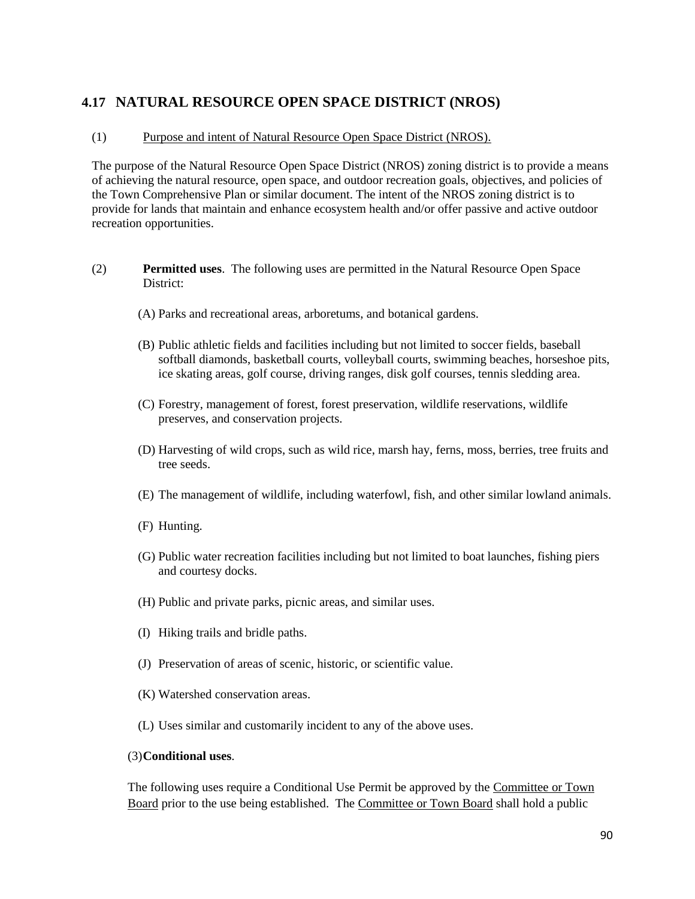### **4.17 NATURAL RESOURCE OPEN SPACE DISTRICT (NROS)**

#### (1) Purpose and intent of Natural Resource Open Space District (NROS).

The purpose of the Natural Resource Open Space District (NROS) zoning district is to provide a means of achieving the natural resource, open space, and outdoor recreation goals, objectives, and policies of the Town Comprehensive Plan or similar document. The intent of the NROS zoning district is to provide for lands that maintain and enhance ecosystem health and/or offer passive and active outdoor recreation opportunities.

- (2) **Permitted uses**. The following uses are permitted in the Natural Resource Open Space District:
	- (A) Parks and recreational areas, arboretums, and botanical gardens.
	- (B) Public athletic fields and facilities including but not limited to soccer fields, baseball softball diamonds, basketball courts, volleyball courts, swimming beaches, horseshoe pits, ice skating areas, golf course, driving ranges, disk golf courses, tennis sledding area.
	- (C) Forestry, management of forest, forest preservation, wildlife reservations, wildlife preserves, and conservation projects.
	- (D) Harvesting of wild crops, such as wild rice, marsh hay, ferns, moss, berries, tree fruits and tree seeds.
	- (E) The management of wildlife, including waterfowl, fish, and other similar lowland animals.
	- (F) Hunting.
	- (G) Public water recreation facilities including but not limited to boat launches, fishing piers and courtesy docks.
	- (H) Public and private parks, picnic areas, and similar uses.
	- (I) Hiking trails and bridle paths.
	- (J) Preservation of areas of scenic, historic, or scientific value.
	- (K) Watershed conservation areas.
	- (L) Uses similar and customarily incident to any of the above uses.

#### (3)**Conditional uses**.

The following uses require a Conditional Use Permit be approved by the Committee or Town Board prior to the use being established. The Committee or Town Board shall hold a public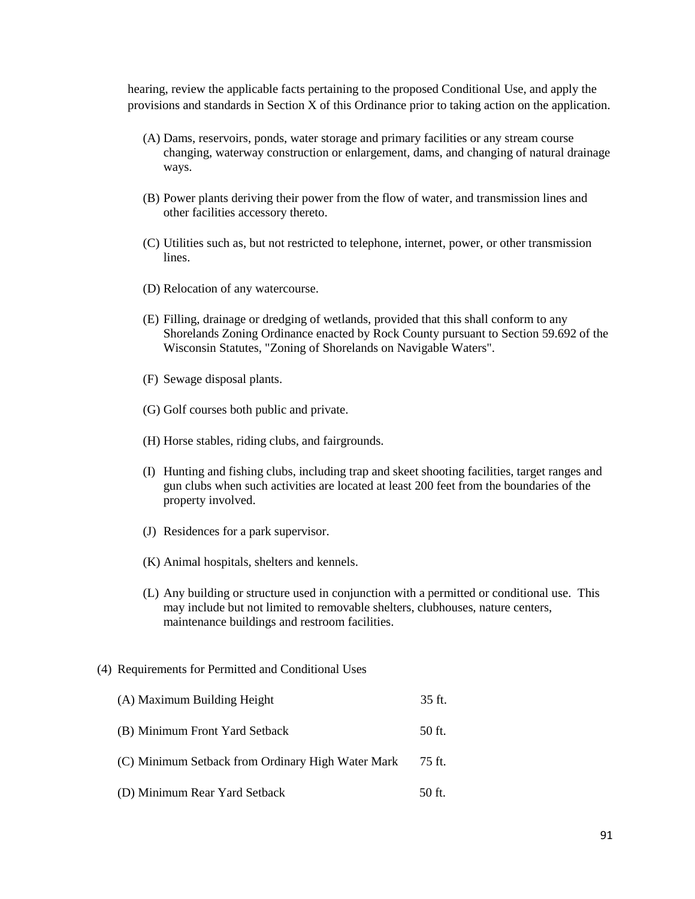hearing, review the applicable facts pertaining to the proposed Conditional Use, and apply the provisions and standards in Section X of this Ordinance prior to taking action on the application.

- (A) Dams, reservoirs, ponds, water storage and primary facilities or any stream course changing, waterway construction or enlargement, dams, and changing of natural drainage ways.
- (B) Power plants deriving their power from the flow of water, and transmission lines and other facilities accessory thereto.
- (C) Utilities such as, but not restricted to telephone, internet, power, or other transmission lines.
- (D) Relocation of any watercourse.
- (E) Filling, drainage or dredging of wetlands, provided that this shall conform to any Shorelands Zoning Ordinance enacted by Rock County pursuant to Section 59.692 of the Wisconsin Statutes, "Zoning of Shorelands on Navigable Waters".
- (F) Sewage disposal plants.
- (G) Golf courses both public and private.
- (H) Horse stables, riding clubs, and fairgrounds.
- (I) Hunting and fishing clubs, including trap and skeet shooting facilities, target ranges and gun clubs when such activities are located at least 200 feet from the boundaries of the property involved.
- (J) Residences for a park supervisor.
- (K) Animal hospitals, shelters and kennels.
- (L) Any building or structure used in conjunction with a permitted or conditional use. This may include but not limited to removable shelters, clubhouses, nature centers, maintenance buildings and restroom facilities.

#### (4) Requirements for Permitted and Conditional Uses

(A) Maximum Building Height 35 ft. (B) Minimum Front Yard Setback 50 ft. (C) Minimum Setback from Ordinary High Water Mark 75 ft. (D) Minimum Rear Yard Setback 50 ft.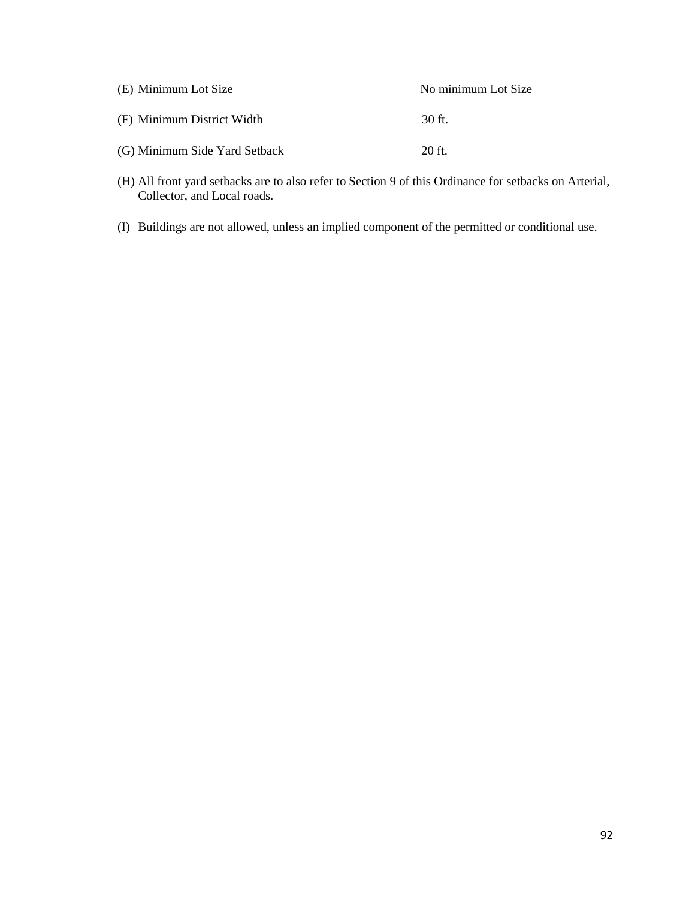| (E) Minimum Lot Size          | No minimum Lot Size |
|-------------------------------|---------------------|
| (F) Minimum District Width    | 30 ft.              |
| (G) Minimum Side Yard Setback | $20$ ft.            |

- (H) All front yard setbacks are to also refer to Section 9 of this Ordinance for setbacks on Arterial, Collector, and Local roads.
- (I) Buildings are not allowed, unless an implied component of the permitted or conditional use.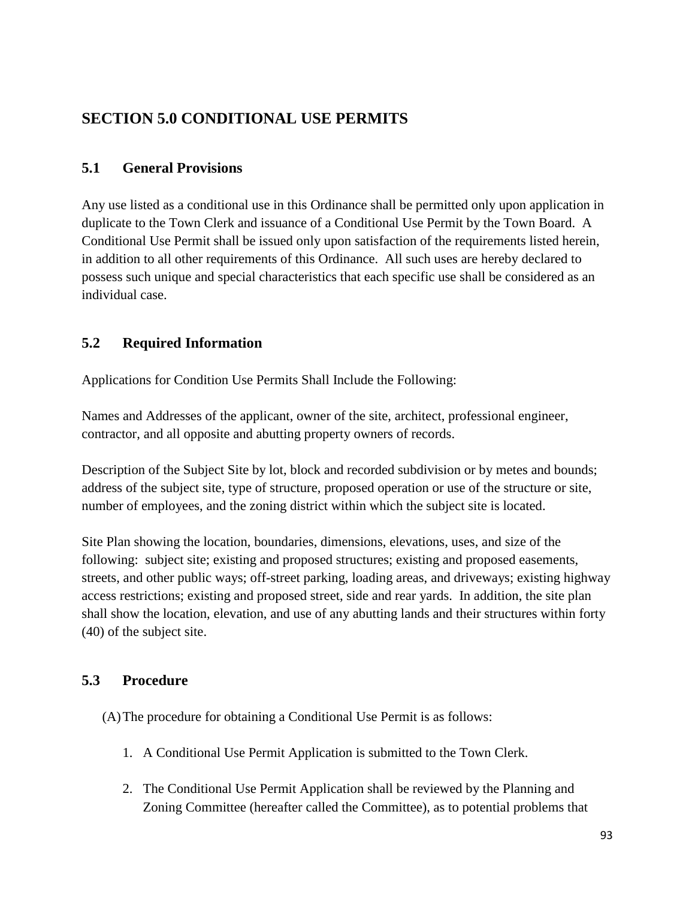# **SECTION 5.0 CONDITIONAL USE PERMITS**

### **5.1 General Provisions**

Any use listed as a conditional use in this Ordinance shall be permitted only upon application in duplicate to the Town Clerk and issuance of a Conditional Use Permit by the Town Board. A Conditional Use Permit shall be issued only upon satisfaction of the requirements listed herein, in addition to all other requirements of this Ordinance. All such uses are hereby declared to possess such unique and special characteristics that each specific use shall be considered as an individual case.

# **5.2 Required Information**

Applications for Condition Use Permits Shall Include the Following:

Names and Addresses of the applicant, owner of the site, architect, professional engineer, contractor, and all opposite and abutting property owners of records.

Description of the Subject Site by lot, block and recorded subdivision or by metes and bounds; address of the subject site, type of structure, proposed operation or use of the structure or site, number of employees, and the zoning district within which the subject site is located.

Site Plan showing the location, boundaries, dimensions, elevations, uses, and size of the following: subject site; existing and proposed structures; existing and proposed easements, streets, and other public ways; off-street parking, loading areas, and driveways; existing highway access restrictions; existing and proposed street, side and rear yards. In addition, the site plan shall show the location, elevation, and use of any abutting lands and their structures within forty (40) of the subject site.

### **5.3 Procedure**

(A)The procedure for obtaining a Conditional Use Permit is as follows:

- 1. A Conditional Use Permit Application is submitted to the Town Clerk.
- 2. The Conditional Use Permit Application shall be reviewed by the Planning and Zoning Committee (hereafter called the Committee), as to potential problems that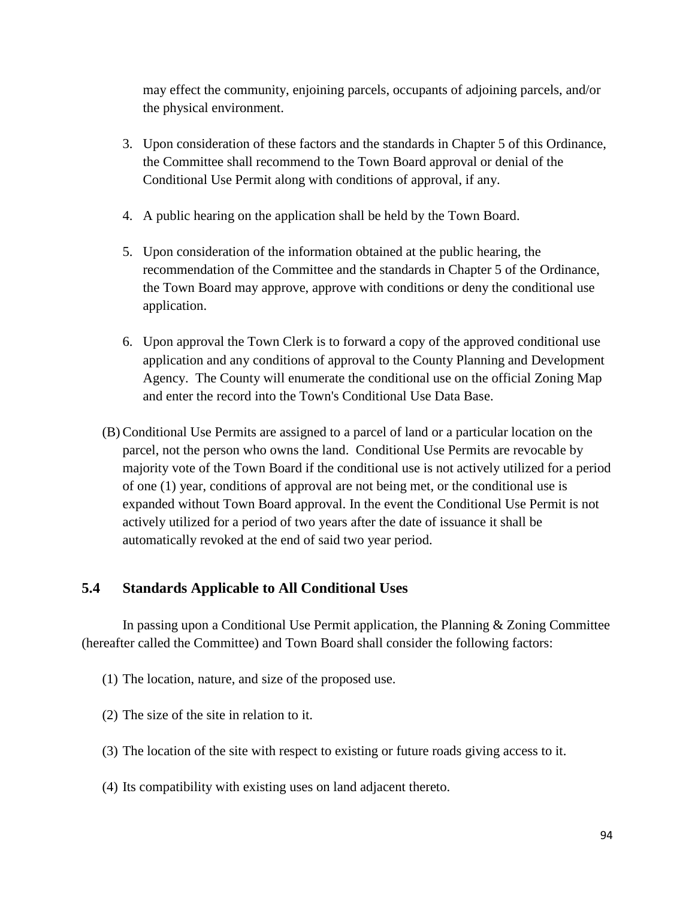may effect the community, enjoining parcels, occupants of adjoining parcels, and/or the physical environment.

- 3. Upon consideration of these factors and the standards in Chapter 5 of this Ordinance, the Committee shall recommend to the Town Board approval or denial of the Conditional Use Permit along with conditions of approval, if any.
- 4. A public hearing on the application shall be held by the Town Board.
- 5. Upon consideration of the information obtained at the public hearing, the recommendation of the Committee and the standards in Chapter 5 of the Ordinance, the Town Board may approve, approve with conditions or deny the conditional use application.
- 6. Upon approval the Town Clerk is to forward a copy of the approved conditional use application and any conditions of approval to the County Planning and Development Agency. The County will enumerate the conditional use on the official Zoning Map and enter the record into the Town's Conditional Use Data Base.
- (B) Conditional Use Permits are assigned to a parcel of land or a particular location on the parcel, not the person who owns the land. Conditional Use Permits are revocable by majority vote of the Town Board if the conditional use is not actively utilized for a period of one (1) year, conditions of approval are not being met, or the conditional use is expanded without Town Board approval. In the event the Conditional Use Permit is not actively utilized for a period of two years after the date of issuance it shall be automatically revoked at the end of said two year period.

### **5.4 Standards Applicable to All Conditional Uses**

In passing upon a Conditional Use Permit application, the Planning & Zoning Committee (hereafter called the Committee) and Town Board shall consider the following factors:

- (1) The location, nature, and size of the proposed use.
- (2) The size of the site in relation to it.
- (3) The location of the site with respect to existing or future roads giving access to it.
- (4) Its compatibility with existing uses on land adjacent thereto.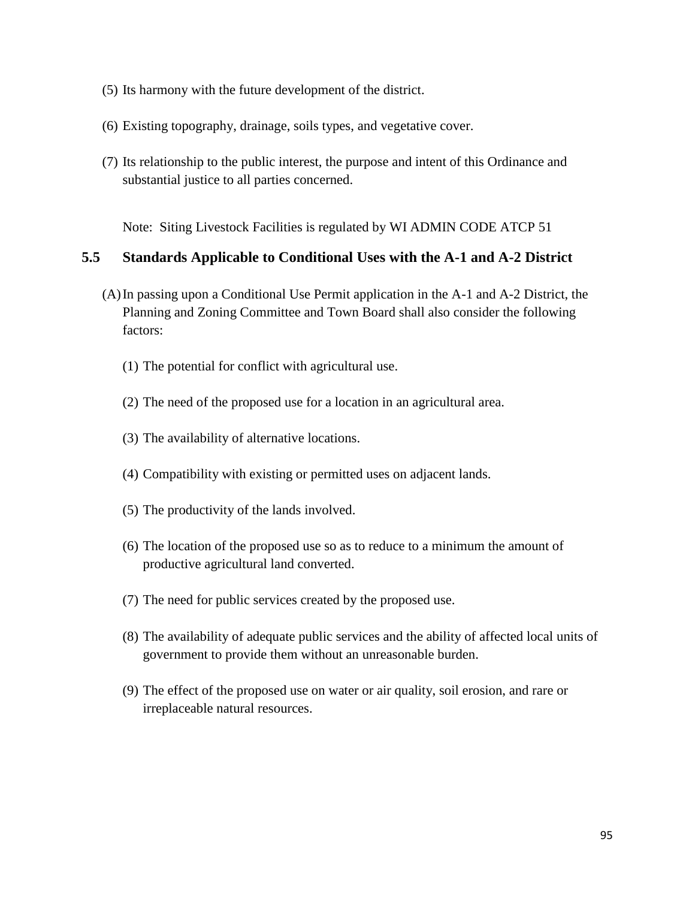- (5) Its harmony with the future development of the district.
- (6) Existing topography, drainage, soils types, and vegetative cover.
- (7) Its relationship to the public interest, the purpose and intent of this Ordinance and substantial justice to all parties concerned.

Note: Siting Livestock Facilities is regulated by WI ADMIN CODE ATCP 51

#### **5.5 Standards Applicable to Conditional Uses with the A-1 and A-2 District**

- (A)In passing upon a Conditional Use Permit application in the A-1 and A-2 District, the Planning and Zoning Committee and Town Board shall also consider the following factors:
	- (1) The potential for conflict with agricultural use.
	- (2) The need of the proposed use for a location in an agricultural area.
	- (3) The availability of alternative locations.
	- (4) Compatibility with existing or permitted uses on adjacent lands.
	- (5) The productivity of the lands involved.
	- (6) The location of the proposed use so as to reduce to a minimum the amount of productive agricultural land converted.
	- (7) The need for public services created by the proposed use.
	- (8) The availability of adequate public services and the ability of affected local units of government to provide them without an unreasonable burden.
	- (9) The effect of the proposed use on water or air quality, soil erosion, and rare or irreplaceable natural resources.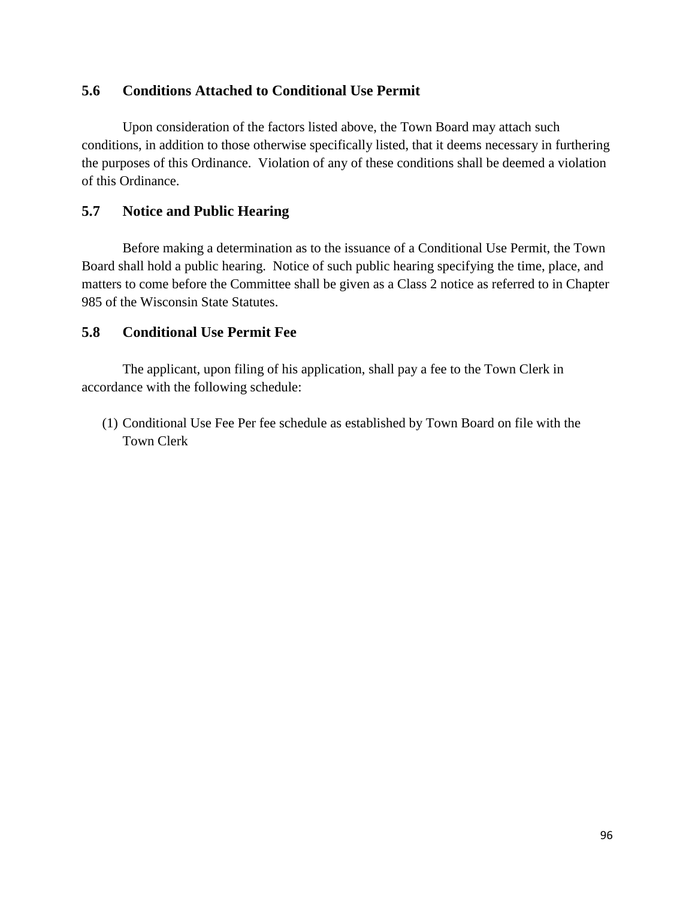#### **5.6 Conditions Attached to Conditional Use Permit**

Upon consideration of the factors listed above, the Town Board may attach such conditions, in addition to those otherwise specifically listed, that it deems necessary in furthering the purposes of this Ordinance. Violation of any of these conditions shall be deemed a violation of this Ordinance.

#### **5.7 Notice and Public Hearing**

Before making a determination as to the issuance of a Conditional Use Permit, the Town Board shall hold a public hearing. Notice of such public hearing specifying the time, place, and matters to come before the Committee shall be given as a Class 2 notice as referred to in Chapter 985 of the Wisconsin State Statutes.

#### **5.8 Conditional Use Permit Fee**

The applicant, upon filing of his application, shall pay a fee to the Town Clerk in accordance with the following schedule:

(1) Conditional Use Fee Per fee schedule as established by Town Board on file with the Town Clerk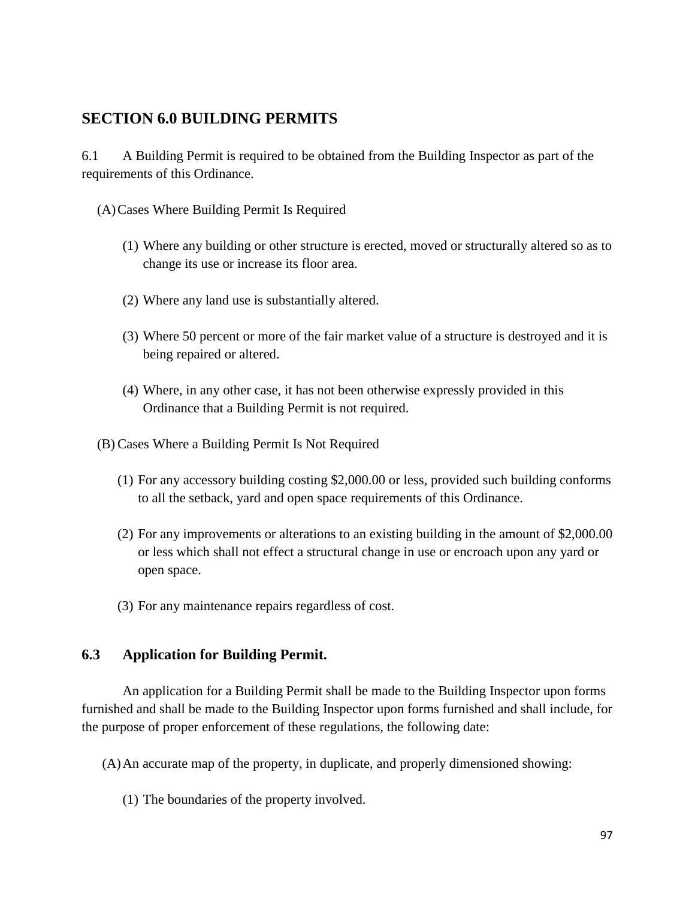# **SECTION 6.0 BUILDING PERMITS**

6.1 A Building Permit is required to be obtained from the Building Inspector as part of the requirements of this Ordinance.

- (A)Cases Where Building Permit Is Required
	- (1) Where any building or other structure is erected, moved or structurally altered so as to change its use or increase its floor area.
	- (2) Where any land use is substantially altered.
	- (3) Where 50 percent or more of the fair market value of a structure is destroyed and it is being repaired or altered.
	- (4) Where, in any other case, it has not been otherwise expressly provided in this Ordinance that a Building Permit is not required.
- (B) Cases Where a Building Permit Is Not Required
	- (1) For any accessory building costing \$2,000.00 or less, provided such building conforms to all the setback, yard and open space requirements of this Ordinance.
	- (2) For any improvements or alterations to an existing building in the amount of \$2,000.00 or less which shall not effect a structural change in use or encroach upon any yard or open space.
	- (3) For any maintenance repairs regardless of cost.

#### **6.3 Application for Building Permit.**

An application for a Building Permit shall be made to the Building Inspector upon forms furnished and shall be made to the Building Inspector upon forms furnished and shall include, for the purpose of proper enforcement of these regulations, the following date:

- (A)An accurate map of the property, in duplicate, and properly dimensioned showing:
	- (1) The boundaries of the property involved.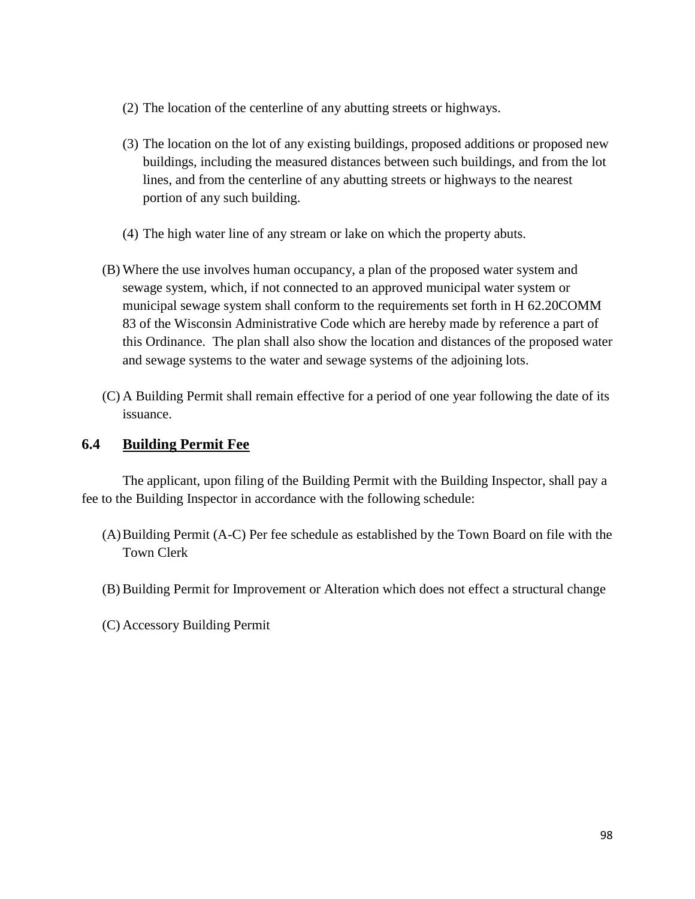- (2) The location of the centerline of any abutting streets or highways.
- (3) The location on the lot of any existing buildings, proposed additions or proposed new buildings, including the measured distances between such buildings, and from the lot lines, and from the centerline of any abutting streets or highways to the nearest portion of any such building.
- (4) The high water line of any stream or lake on which the property abuts.
- (B) Where the use involves human occupancy, a plan of the proposed water system and sewage system, which, if not connected to an approved municipal water system or municipal sewage system shall conform to the requirements set forth in H 62.20COMM 83 of the Wisconsin Administrative Code which are hereby made by reference a part of this Ordinance. The plan shall also show the location and distances of the proposed water and sewage systems to the water and sewage systems of the adjoining lots.
- (C) A Building Permit shall remain effective for a period of one year following the date of its issuance.

#### **6.4 Building Permit Fee**

The applicant, upon filing of the Building Permit with the Building Inspector, shall pay a fee to the Building Inspector in accordance with the following schedule:

- (A)Building Permit (A-C) Per fee schedule as established by the Town Board on file with the Town Clerk
- (B) Building Permit for Improvement or Alteration which does not effect a structural change
- (C) Accessory Building Permit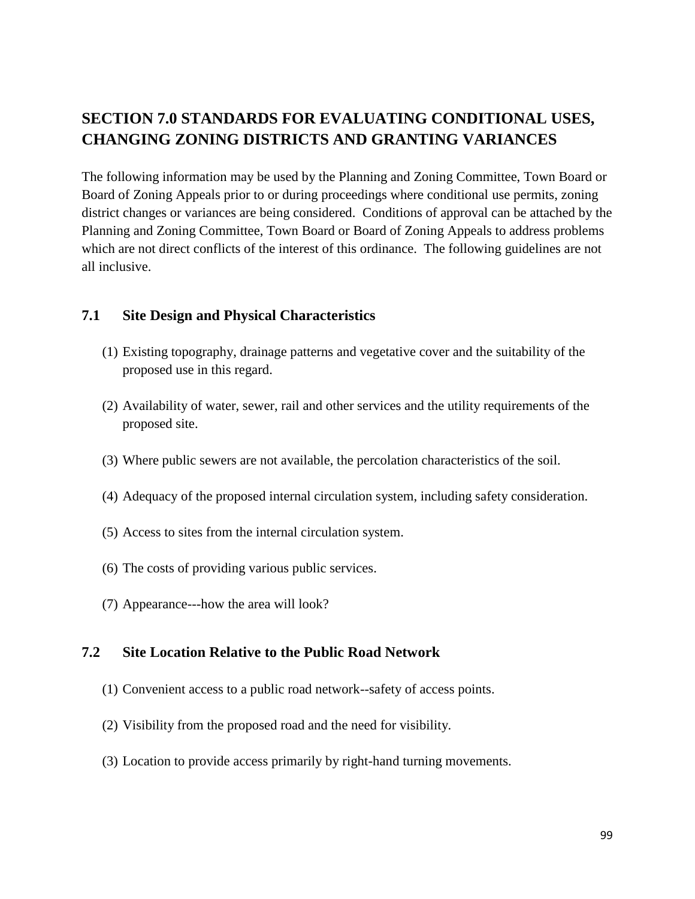# **SECTION 7.0 STANDARDS FOR EVALUATING CONDITIONAL USES, CHANGING ZONING DISTRICTS AND GRANTING VARIANCES**

The following information may be used by the Planning and Zoning Committee, Town Board or Board of Zoning Appeals prior to or during proceedings where conditional use permits, zoning district changes or variances are being considered. Conditions of approval can be attached by the Planning and Zoning Committee, Town Board or Board of Zoning Appeals to address problems which are not direct conflicts of the interest of this ordinance. The following guidelines are not all inclusive.

#### **7.1 Site Design and Physical Characteristics**

- (1) Existing topography, drainage patterns and vegetative cover and the suitability of the proposed use in this regard.
- (2) Availability of water, sewer, rail and other services and the utility requirements of the proposed site.
- (3) Where public sewers are not available, the percolation characteristics of the soil.
- (4) Adequacy of the proposed internal circulation system, including safety consideration.
- (5) Access to sites from the internal circulation system.
- (6) The costs of providing various public services.
- (7) Appearance---how the area will look?

#### **7.2 Site Location Relative to the Public Road Network**

- (1) Convenient access to a public road network--safety of access points.
- (2) Visibility from the proposed road and the need for visibility.
- (3) Location to provide access primarily by right-hand turning movements.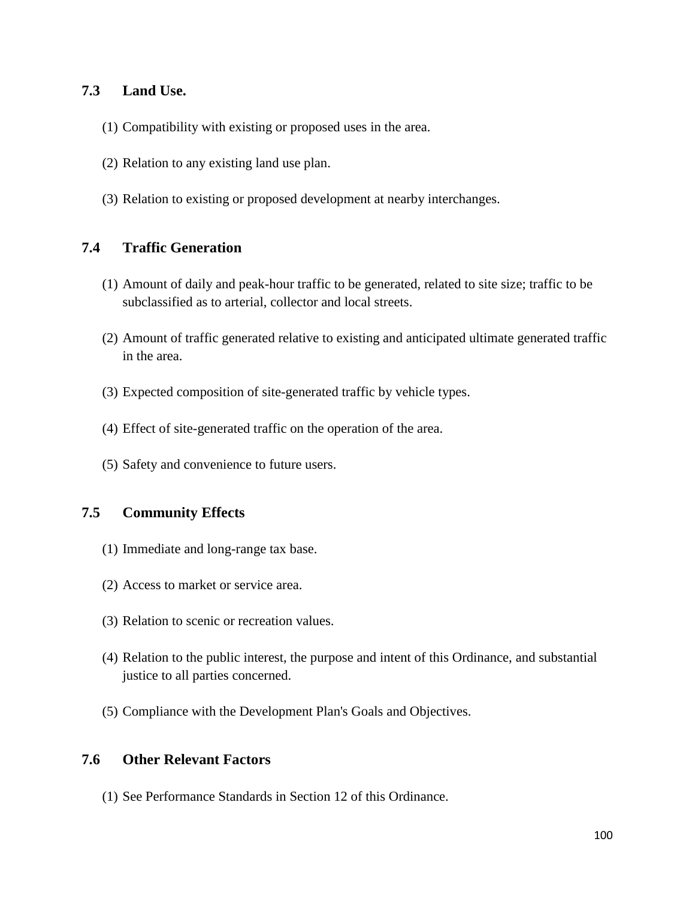#### **7.3 Land Use.**

- (1) Compatibility with existing or proposed uses in the area.
- (2) Relation to any existing land use plan.
- (3) Relation to existing or proposed development at nearby interchanges.

#### **7.4 Traffic Generation**

- (1) Amount of daily and peak-hour traffic to be generated, related to site size; traffic to be subclassified as to arterial, collector and local streets.
- (2) Amount of traffic generated relative to existing and anticipated ultimate generated traffic in the area.
- (3) Expected composition of site-generated traffic by vehicle types.
- (4) Effect of site-generated traffic on the operation of the area.
- (5) Safety and convenience to future users.

#### **7.5 Community Effects**

- (1) Immediate and long-range tax base.
- (2) Access to market or service area.
- (3) Relation to scenic or recreation values.
- (4) Relation to the public interest, the purpose and intent of this Ordinance, and substantial justice to all parties concerned.
- (5) Compliance with the Development Plan's Goals and Objectives.

#### **7.6 Other Relevant Factors**

(1) See Performance Standards in Section 12 of this Ordinance.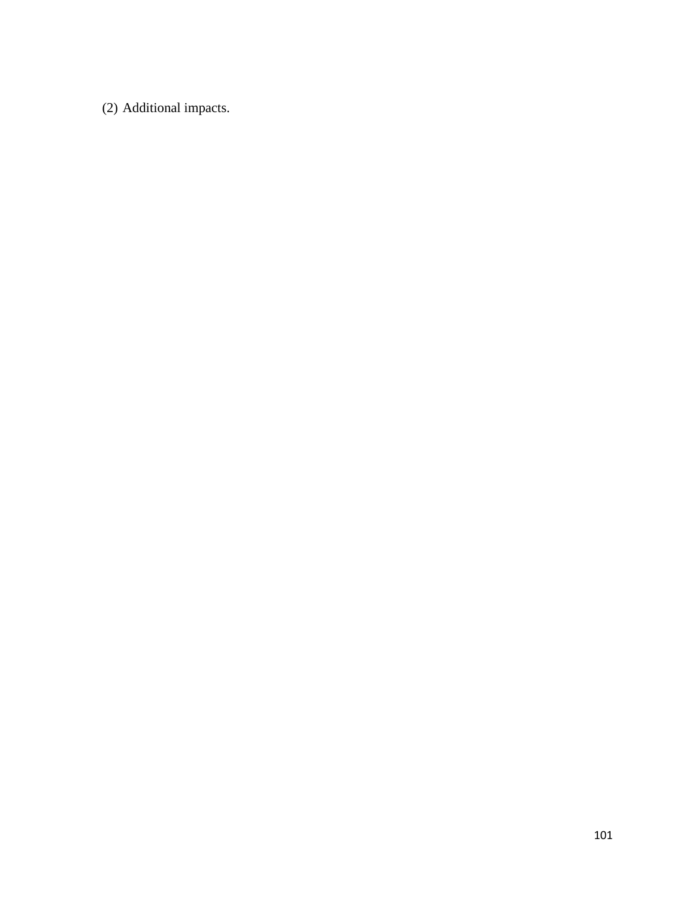(2) Additional impacts.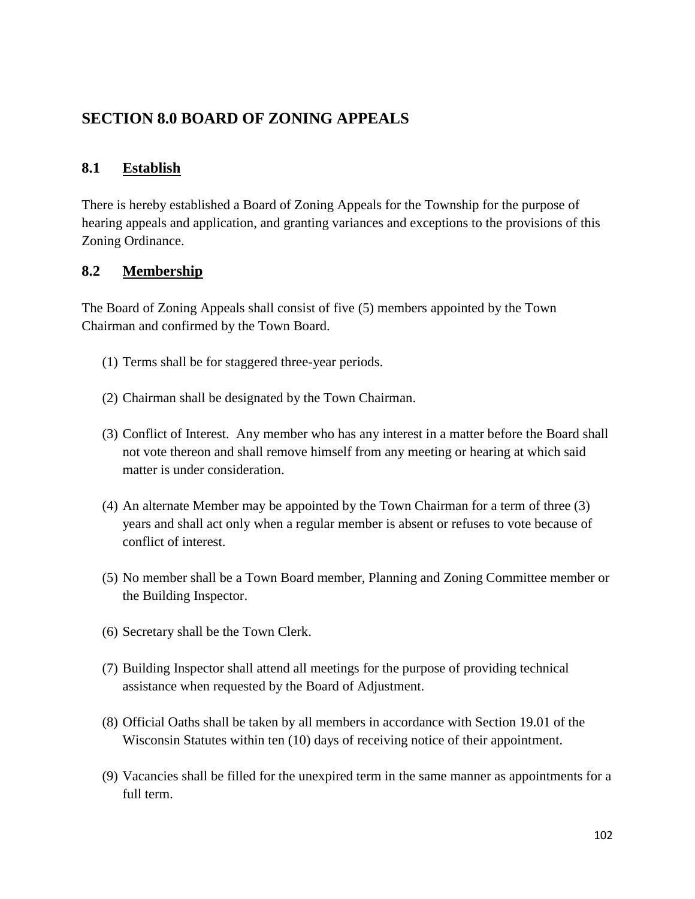# **SECTION 8.0 BOARD OF ZONING APPEALS**

#### **8.1 Establish**

There is hereby established a Board of Zoning Appeals for the Township for the purpose of hearing appeals and application, and granting variances and exceptions to the provisions of this Zoning Ordinance.

#### **8.2 Membership**

The Board of Zoning Appeals shall consist of five (5) members appointed by the Town Chairman and confirmed by the Town Board.

- (1) Terms shall be for staggered three-year periods.
- (2) Chairman shall be designated by the Town Chairman.
- (3) Conflict of Interest. Any member who has any interest in a matter before the Board shall not vote thereon and shall remove himself from any meeting or hearing at which said matter is under consideration.
- (4) An alternate Member may be appointed by the Town Chairman for a term of three (3) years and shall act only when a regular member is absent or refuses to vote because of conflict of interest.
- (5) No member shall be a Town Board member, Planning and Zoning Committee member or the Building Inspector.
- (6) Secretary shall be the Town Clerk.
- (7) Building Inspector shall attend all meetings for the purpose of providing technical assistance when requested by the Board of Adjustment.
- (8) Official Oaths shall be taken by all members in accordance with Section 19.01 of the Wisconsin Statutes within ten (10) days of receiving notice of their appointment.
- (9) Vacancies shall be filled for the unexpired term in the same manner as appointments for a full term.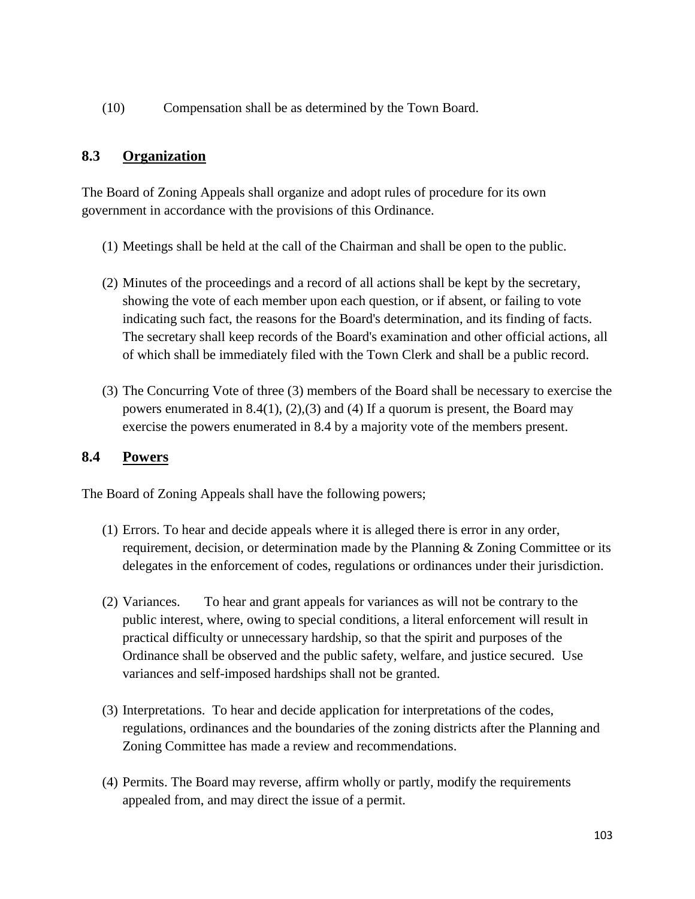(10) Compensation shall be as determined by the Town Board.

### **8.3 Organization**

The Board of Zoning Appeals shall organize and adopt rules of procedure for its own government in accordance with the provisions of this Ordinance.

- (1) Meetings shall be held at the call of the Chairman and shall be open to the public.
- (2) Minutes of the proceedings and a record of all actions shall be kept by the secretary, showing the vote of each member upon each question, or if absent, or failing to vote indicating such fact, the reasons for the Board's determination, and its finding of facts. The secretary shall keep records of the Board's examination and other official actions, all of which shall be immediately filed with the Town Clerk and shall be a public record.
- (3) The Concurring Vote of three (3) members of the Board shall be necessary to exercise the powers enumerated in 8.4(1), (2),(3) and (4) If a quorum is present, the Board may exercise the powers enumerated in 8.4 by a majority vote of the members present.

### **8.4 Powers**

The Board of Zoning Appeals shall have the following powers;

- (1) Errors. To hear and decide appeals where it is alleged there is error in any order, requirement, decision, or determination made by the Planning & Zoning Committee or its delegates in the enforcement of codes, regulations or ordinances under their jurisdiction.
- (2) Variances. To hear and grant appeals for variances as will not be contrary to the public interest, where, owing to special conditions, a literal enforcement will result in practical difficulty or unnecessary hardship, so that the spirit and purposes of the Ordinance shall be observed and the public safety, welfare, and justice secured. Use variances and self-imposed hardships shall not be granted.
- (3) Interpretations. To hear and decide application for interpretations of the codes, regulations, ordinances and the boundaries of the zoning districts after the Planning and Zoning Committee has made a review and recommendations.
- (4) Permits. The Board may reverse, affirm wholly or partly, modify the requirements appealed from, and may direct the issue of a permit.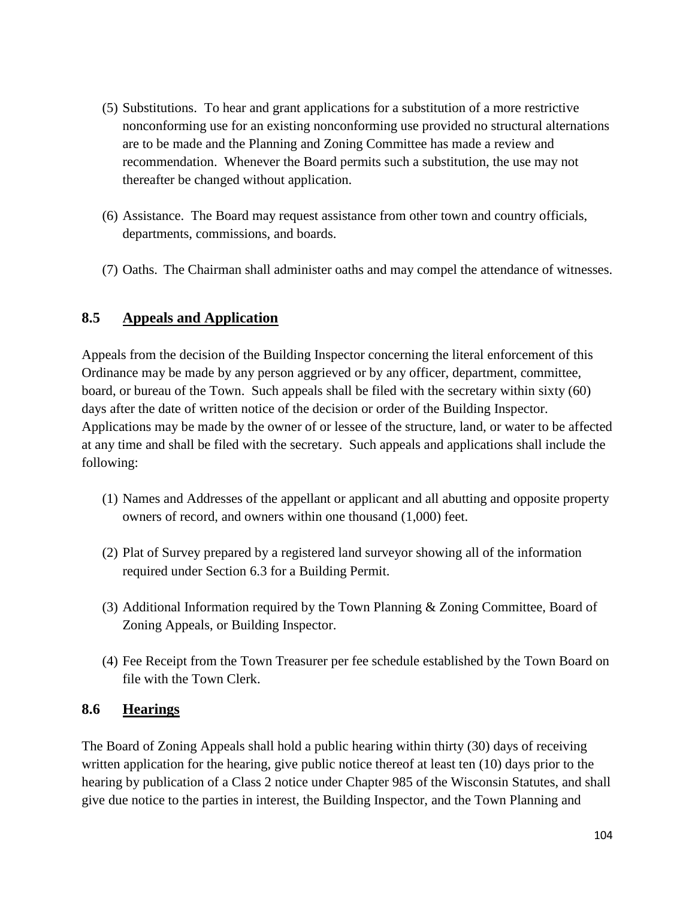- (5) Substitutions. To hear and grant applications for a substitution of a more restrictive nonconforming use for an existing nonconforming use provided no structural alternations are to be made and the Planning and Zoning Committee has made a review and recommendation. Whenever the Board permits such a substitution, the use may not thereafter be changed without application.
- (6) Assistance. The Board may request assistance from other town and country officials, departments, commissions, and boards.
- (7) Oaths. The Chairman shall administer oaths and may compel the attendance of witnesses.

# **8.5 Appeals and Application**

Appeals from the decision of the Building Inspector concerning the literal enforcement of this Ordinance may be made by any person aggrieved or by any officer, department, committee, board, or bureau of the Town. Such appeals shall be filed with the secretary within sixty (60) days after the date of written notice of the decision or order of the Building Inspector. Applications may be made by the owner of or lessee of the structure, land, or water to be affected at any time and shall be filed with the secretary. Such appeals and applications shall include the following:

- (1) Names and Addresses of the appellant or applicant and all abutting and opposite property owners of record, and owners within one thousand (1,000) feet.
- (2) Plat of Survey prepared by a registered land surveyor showing all of the information required under Section 6.3 for a Building Permit.
- (3) Additional Information required by the Town Planning & Zoning Committee, Board of Zoning Appeals, or Building Inspector.
- (4) Fee Receipt from the Town Treasurer per fee schedule established by the Town Board on file with the Town Clerk.

### **8.6 Hearings**

The Board of Zoning Appeals shall hold a public hearing within thirty (30) days of receiving written application for the hearing, give public notice thereof at least ten (10) days prior to the hearing by publication of a Class 2 notice under Chapter 985 of the Wisconsin Statutes, and shall give due notice to the parties in interest, the Building Inspector, and the Town Planning and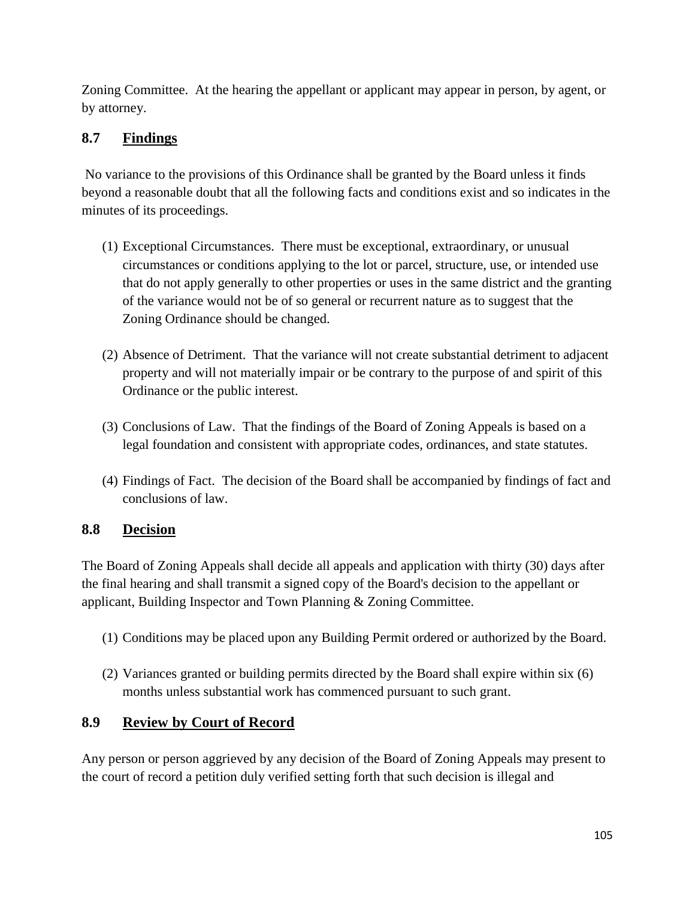Zoning Committee. At the hearing the appellant or applicant may appear in person, by agent, or by attorney.

# **8.7 Findings**

No variance to the provisions of this Ordinance shall be granted by the Board unless it finds beyond a reasonable doubt that all the following facts and conditions exist and so indicates in the minutes of its proceedings.

- (1) Exceptional Circumstances. There must be exceptional, extraordinary, or unusual circumstances or conditions applying to the lot or parcel, structure, use, or intended use that do not apply generally to other properties or uses in the same district and the granting of the variance would not be of so general or recurrent nature as to suggest that the Zoning Ordinance should be changed.
- (2) Absence of Detriment. That the variance will not create substantial detriment to adjacent property and will not materially impair or be contrary to the purpose of and spirit of this Ordinance or the public interest.
- (3) Conclusions of Law. That the findings of the Board of Zoning Appeals is based on a legal foundation and consistent with appropriate codes, ordinances, and state statutes.
- (4) Findings of Fact. The decision of the Board shall be accompanied by findings of fact and conclusions of law.

# **8.8 Decision**

The Board of Zoning Appeals shall decide all appeals and application with thirty (30) days after the final hearing and shall transmit a signed copy of the Board's decision to the appellant or applicant, Building Inspector and Town Planning & Zoning Committee.

- (1) Conditions may be placed upon any Building Permit ordered or authorized by the Board.
- (2) Variances granted or building permits directed by the Board shall expire within six (6) months unless substantial work has commenced pursuant to such grant.

### **8.9 Review by Court of Record**

Any person or person aggrieved by any decision of the Board of Zoning Appeals may present to the court of record a petition duly verified setting forth that such decision is illegal and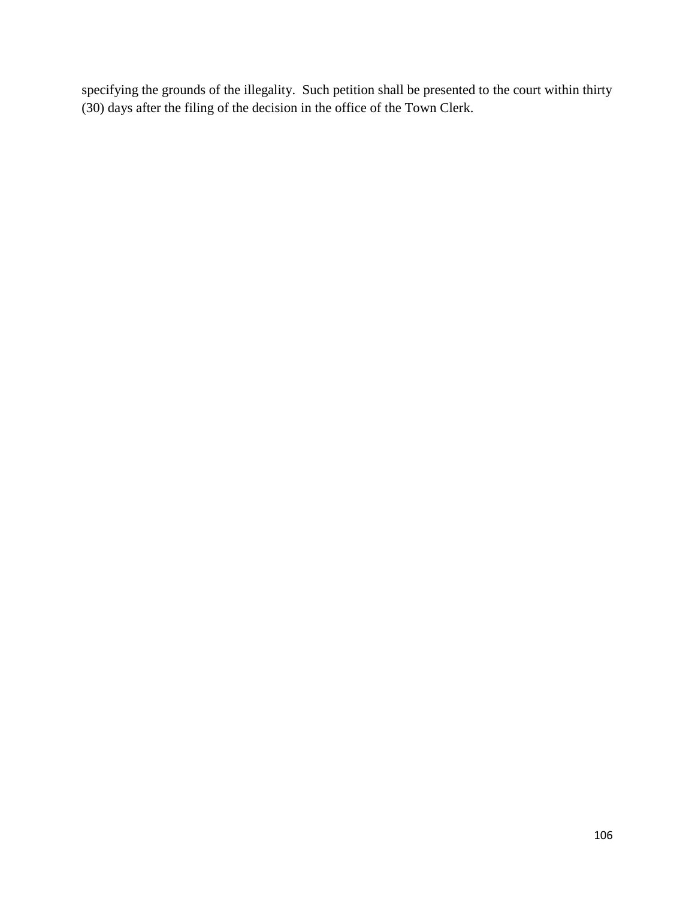specifying the grounds of the illegality. Such petition shall be presented to the court within thirty (30) days after the filing of the decision in the office of the Town Clerk.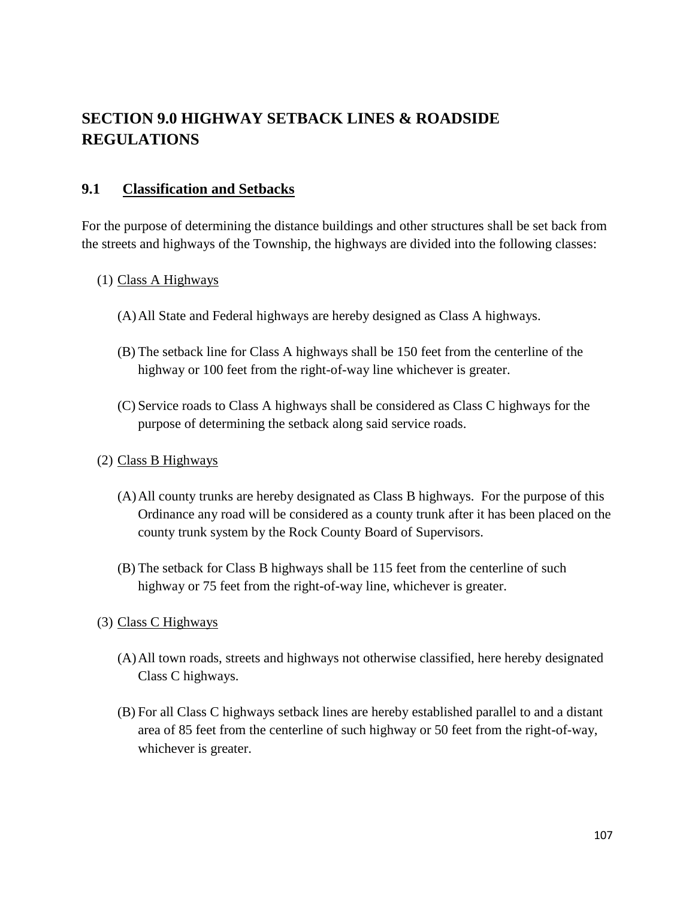# **SECTION 9.0 HIGHWAY SETBACK LINES & ROADSIDE REGULATIONS**

#### **9.1 Classification and Setbacks**

For the purpose of determining the distance buildings and other structures shall be set back from the streets and highways of the Township, the highways are divided into the following classes:

#### (1) Class A Highways

- (A)All State and Federal highways are hereby designed as Class A highways.
- (B) The setback line for Class A highways shall be 150 feet from the centerline of the highway or 100 feet from the right-of-way line whichever is greater.
- (C) Service roads to Class A highways shall be considered as Class C highways for the purpose of determining the setback along said service roads.

#### (2) Class B Highways

- (A)All county trunks are hereby designated as Class B highways. For the purpose of this Ordinance any road will be considered as a county trunk after it has been placed on the county trunk system by the Rock County Board of Supervisors.
- (B) The setback for Class B highways shall be 115 feet from the centerline of such highway or 75 feet from the right-of-way line, whichever is greater.
- (3) Class C Highways
	- (A)All town roads, streets and highways not otherwise classified, here hereby designated Class C highways.
	- (B) For all Class C highways setback lines are hereby established parallel to and a distant area of 85 feet from the centerline of such highway or 50 feet from the right-of-way, whichever is greater.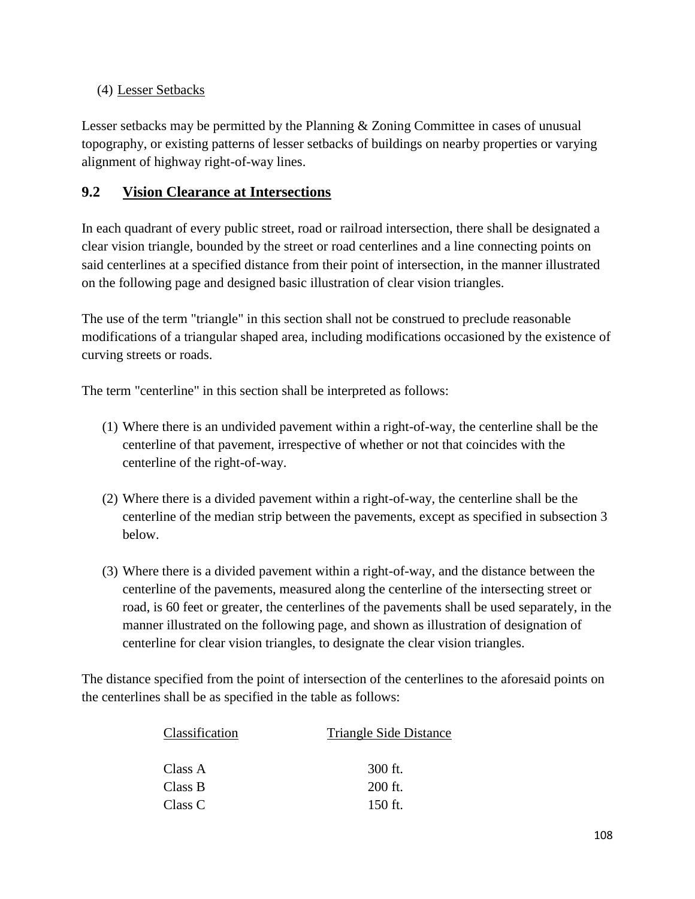#### (4) Lesser Setbacks

Lesser setbacks may be permitted by the Planning & Zoning Committee in cases of unusual topography, or existing patterns of lesser setbacks of buildings on nearby properties or varying alignment of highway right-of-way lines.

# **9.2 Vision Clearance at Intersections**

In each quadrant of every public street, road or railroad intersection, there shall be designated a clear vision triangle, bounded by the street or road centerlines and a line connecting points on said centerlines at a specified distance from their point of intersection, in the manner illustrated on the following page and designed basic illustration of clear vision triangles.

The use of the term "triangle" in this section shall not be construed to preclude reasonable modifications of a triangular shaped area, including modifications occasioned by the existence of curving streets or roads.

The term "centerline" in this section shall be interpreted as follows:

- (1) Where there is an undivided pavement within a right-of-way, the centerline shall be the centerline of that pavement, irrespective of whether or not that coincides with the centerline of the right-of-way.
- (2) Where there is a divided pavement within a right-of-way, the centerline shall be the centerline of the median strip between the pavements, except as specified in subsection 3 below.
- (3) Where there is a divided pavement within a right-of-way, and the distance between the centerline of the pavements, measured along the centerline of the intersecting street or road, is 60 feet or greater, the centerlines of the pavements shall be used separately, in the manner illustrated on the following page, and shown as illustration of designation of centerline for clear vision triangles, to designate the clear vision triangles.

The distance specified from the point of intersection of the centerlines to the aforesaid points on the centerlines shall be as specified in the table as follows:

| Classification | <b>Triangle Side Distance</b> |
|----------------|-------------------------------|
|                |                               |
| Class A        | 300 ft.                       |
| Class B        | 200 ft.                       |
| Class C        | 150 ft.                       |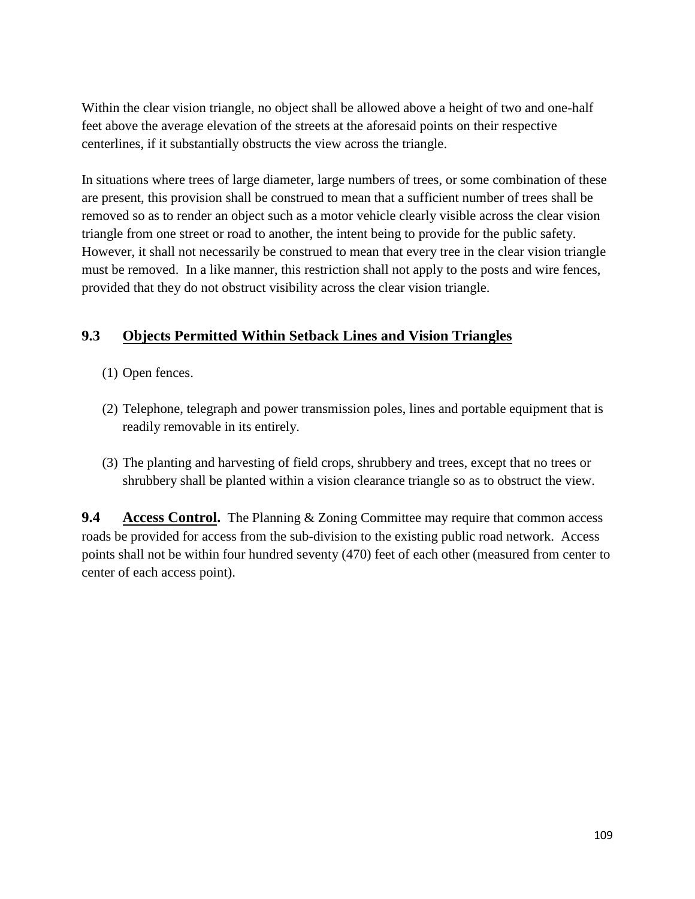Within the clear vision triangle, no object shall be allowed above a height of two and one-half feet above the average elevation of the streets at the aforesaid points on their respective centerlines, if it substantially obstructs the view across the triangle.

In situations where trees of large diameter, large numbers of trees, or some combination of these are present, this provision shall be construed to mean that a sufficient number of trees shall be removed so as to render an object such as a motor vehicle clearly visible across the clear vision triangle from one street or road to another, the intent being to provide for the public safety. However, it shall not necessarily be construed to mean that every tree in the clear vision triangle must be removed. In a like manner, this restriction shall not apply to the posts and wire fences, provided that they do not obstruct visibility across the clear vision triangle.

## **9.3 Objects Permitted Within Setback Lines and Vision Triangles**

- (1) Open fences.
- (2) Telephone, telegraph and power transmission poles, lines and portable equipment that is readily removable in its entirely.
- (3) The planting and harvesting of field crops, shrubbery and trees, except that no trees or shrubbery shall be planted within a vision clearance triangle so as to obstruct the view.

**9.4 Access Control.** The Planning & Zoning Committee may require that common access roads be provided for access from the sub-division to the existing public road network. Access points shall not be within four hundred seventy (470) feet of each other (measured from center to center of each access point).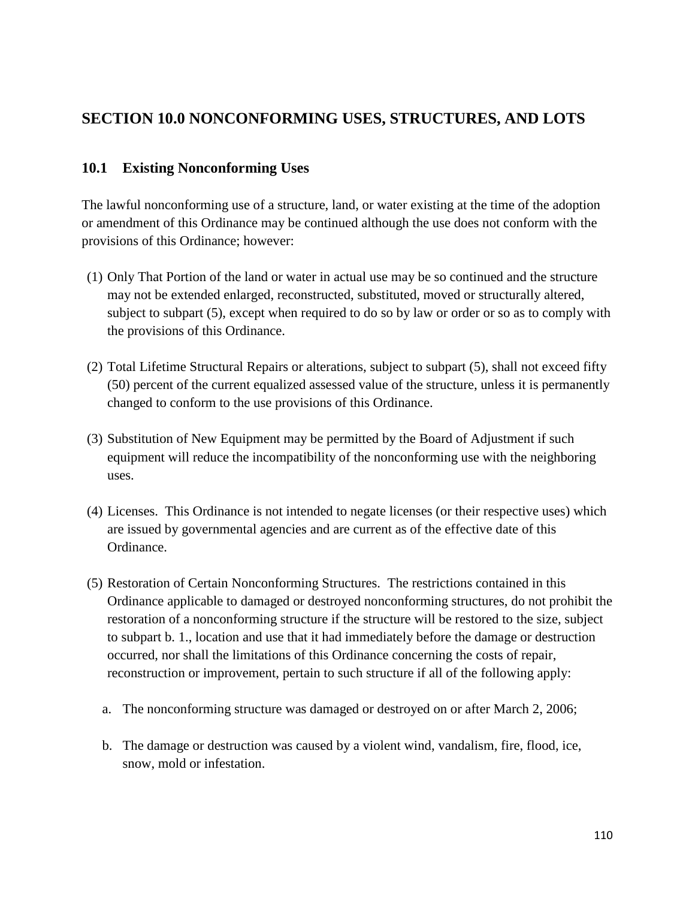## **SECTION 10.0 NONCONFORMING USES, STRUCTURES, AND LOTS**

## **10.1 Existing Nonconforming Uses**

The lawful nonconforming use of a structure, land, or water existing at the time of the adoption or amendment of this Ordinance may be continued although the use does not conform with the provisions of this Ordinance; however:

- (1) Only That Portion of the land or water in actual use may be so continued and the structure may not be extended enlarged, reconstructed, substituted, moved or structurally altered, subject to subpart (5), except when required to do so by law or order or so as to comply with the provisions of this Ordinance.
- (2) Total Lifetime Structural Repairs or alterations, subject to subpart (5), shall not exceed fifty (50) percent of the current equalized assessed value of the structure, unless it is permanently changed to conform to the use provisions of this Ordinance.
- (3) Substitution of New Equipment may be permitted by the Board of Adjustment if such equipment will reduce the incompatibility of the nonconforming use with the neighboring uses.
- (4) Licenses. This Ordinance is not intended to negate licenses (or their respective uses) which are issued by governmental agencies and are current as of the effective date of this Ordinance.
- (5) Restoration of Certain Nonconforming Structures. The restrictions contained in this Ordinance applicable to damaged or destroyed nonconforming structures, do not prohibit the restoration of a nonconforming structure if the structure will be restored to the size, subject to subpart b. 1., location and use that it had immediately before the damage or destruction occurred, nor shall the limitations of this Ordinance concerning the costs of repair, reconstruction or improvement, pertain to such structure if all of the following apply:
	- a. The nonconforming structure was damaged or destroyed on or after March 2, 2006;
	- b. The damage or destruction was caused by a violent wind, vandalism, fire, flood, ice, snow, mold or infestation.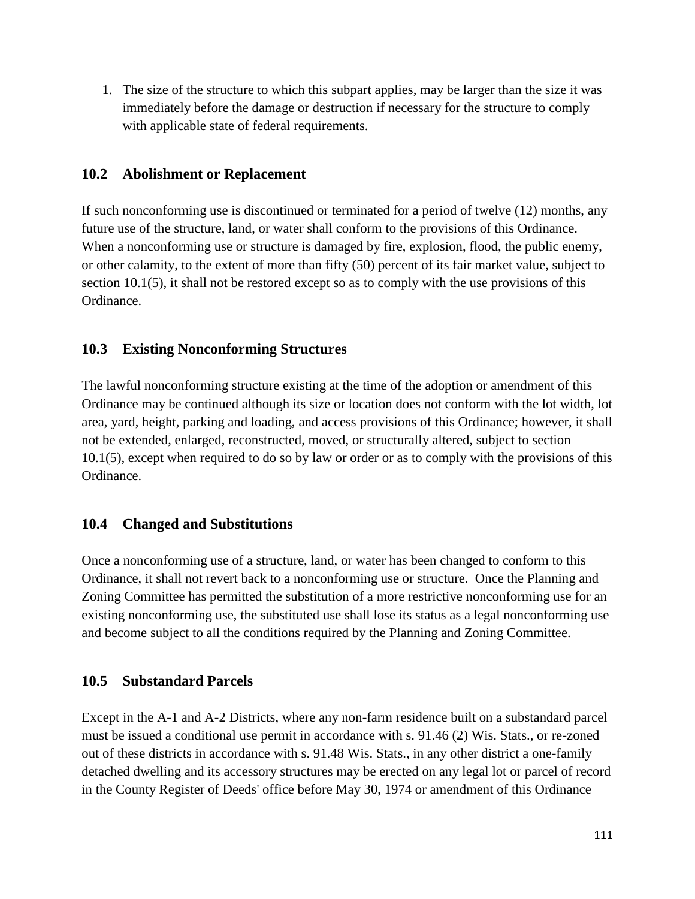1. The size of the structure to which this subpart applies, may be larger than the size it was immediately before the damage or destruction if necessary for the structure to comply with applicable state of federal requirements.

### **10.2 Abolishment or Replacement**

If such nonconforming use is discontinued or terminated for a period of twelve (12) months, any future use of the structure, land, or water shall conform to the provisions of this Ordinance. When a nonconforming use or structure is damaged by fire, explosion, flood, the public enemy, or other calamity, to the extent of more than fifty (50) percent of its fair market value, subject to section 10.1(5), it shall not be restored except so as to comply with the use provisions of this Ordinance.

## **10.3 Existing Nonconforming Structures**

The lawful nonconforming structure existing at the time of the adoption or amendment of this Ordinance may be continued although its size or location does not conform with the lot width, lot area, yard, height, parking and loading, and access provisions of this Ordinance; however, it shall not be extended, enlarged, reconstructed, moved, or structurally altered, subject to section 10.1(5), except when required to do so by law or order or as to comply with the provisions of this Ordinance.

#### **10.4 Changed and Substitutions**

Once a nonconforming use of a structure, land, or water has been changed to conform to this Ordinance, it shall not revert back to a nonconforming use or structure. Once the Planning and Zoning Committee has permitted the substitution of a more restrictive nonconforming use for an existing nonconforming use, the substituted use shall lose its status as a legal nonconforming use and become subject to all the conditions required by the Planning and Zoning Committee.

#### **10.5 Substandard Parcels**

Except in the A-1 and A-2 Districts, where any non-farm residence built on a substandard parcel must be issued a conditional use permit in accordance with s. 91.46 (2) Wis. Stats., or re-zoned out of these districts in accordance with s. 91.48 Wis. Stats., in any other district a one-family detached dwelling and its accessory structures may be erected on any legal lot or parcel of record in the County Register of Deeds' office before May 30, 1974 or amendment of this Ordinance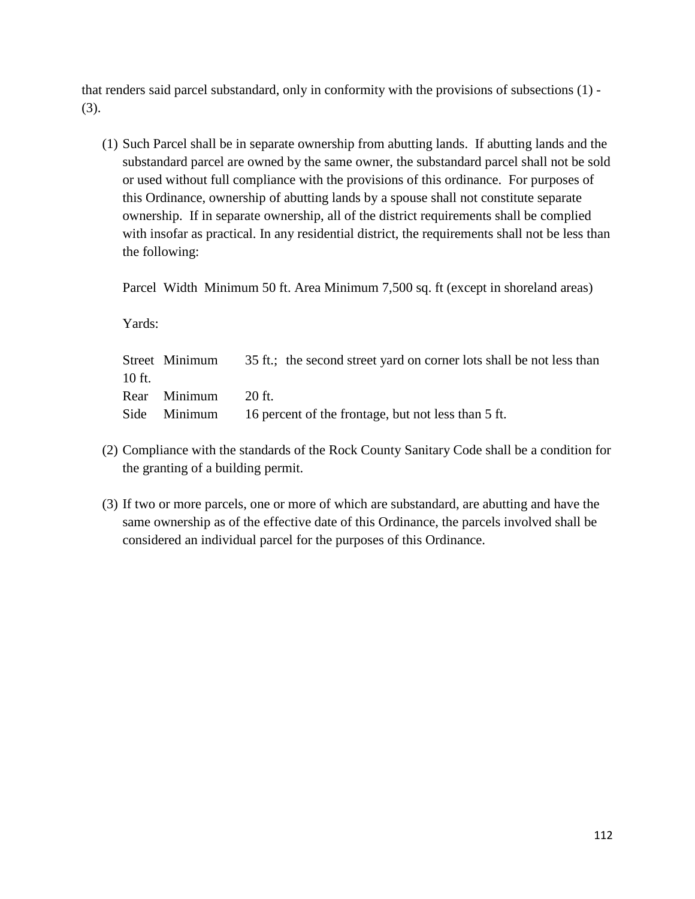that renders said parcel substandard, only in conformity with the provisions of subsections (1) - (3).

(1) Such Parcel shall be in separate ownership from abutting lands. If abutting lands and the substandard parcel are owned by the same owner, the substandard parcel shall not be sold or used without full compliance with the provisions of this ordinance. For purposes of this Ordinance, ownership of abutting lands by a spouse shall not constitute separate ownership. If in separate ownership, all of the district requirements shall be complied with insofar as practical. In any residential district, the requirements shall not be less than the following:

Parcel Width Minimum 50 ft. Area Minimum 7,500 sq. ft (except in shoreland areas)

Yards:

|          | Street Minimum | 35 ft.; the second street yard on corner lots shall be not less than |
|----------|----------------|----------------------------------------------------------------------|
| $10$ ft. |                |                                                                      |
|          | Rear Minimum   | $-20$ ft.                                                            |
|          |                | Side Minimum 16 percent of the frontage, but not less than 5 ft.     |

- (2) Compliance with the standards of the Rock County Sanitary Code shall be a condition for the granting of a building permit.
- (3) If two or more parcels, one or more of which are substandard, are abutting and have the same ownership as of the effective date of this Ordinance, the parcels involved shall be considered an individual parcel for the purposes of this Ordinance.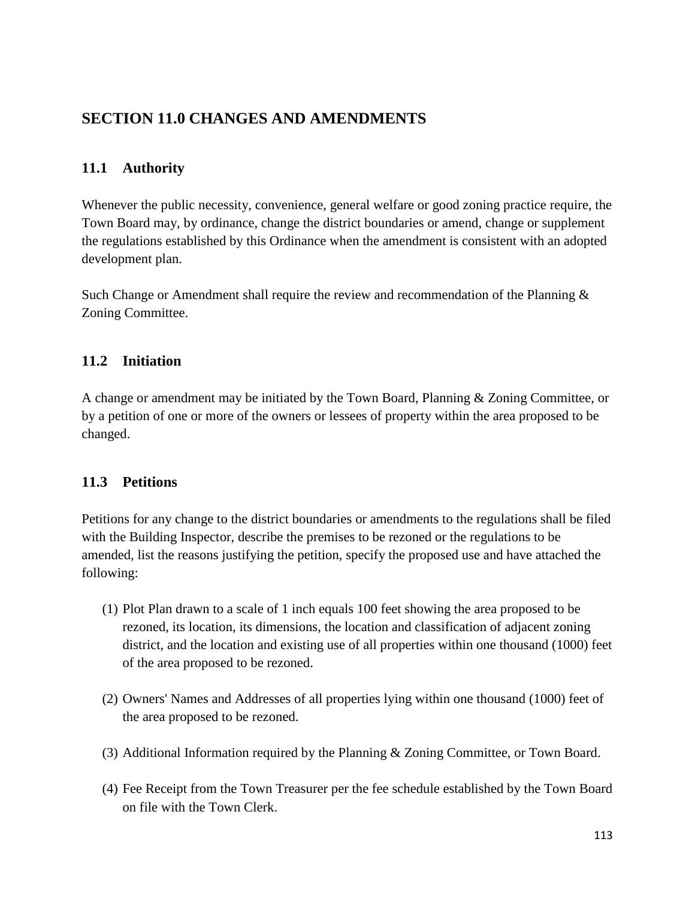# **SECTION 11.0 CHANGES AND AMENDMENTS**

## **11.1 Authority**

Whenever the public necessity, convenience, general welfare or good zoning practice require, the Town Board may, by ordinance, change the district boundaries or amend, change or supplement the regulations established by this Ordinance when the amendment is consistent with an adopted development plan.

Such Change or Amendment shall require the review and recommendation of the Planning  $\&$ Zoning Committee.

### **11.2 Initiation**

A change or amendment may be initiated by the Town Board, Planning & Zoning Committee, or by a petition of one or more of the owners or lessees of property within the area proposed to be changed.

#### **11.3 Petitions**

Petitions for any change to the district boundaries or amendments to the regulations shall be filed with the Building Inspector, describe the premises to be rezoned or the regulations to be amended, list the reasons justifying the petition, specify the proposed use and have attached the following:

- (1) Plot Plan drawn to a scale of 1 inch equals 100 feet showing the area proposed to be rezoned, its location, its dimensions, the location and classification of adjacent zoning district, and the location and existing use of all properties within one thousand (1000) feet of the area proposed to be rezoned.
- (2) Owners' Names and Addresses of all properties lying within one thousand (1000) feet of the area proposed to be rezoned.
- (3) Additional Information required by the Planning & Zoning Committee, or Town Board.
- (4) Fee Receipt from the Town Treasurer per the fee schedule established by the Town Board on file with the Town Clerk.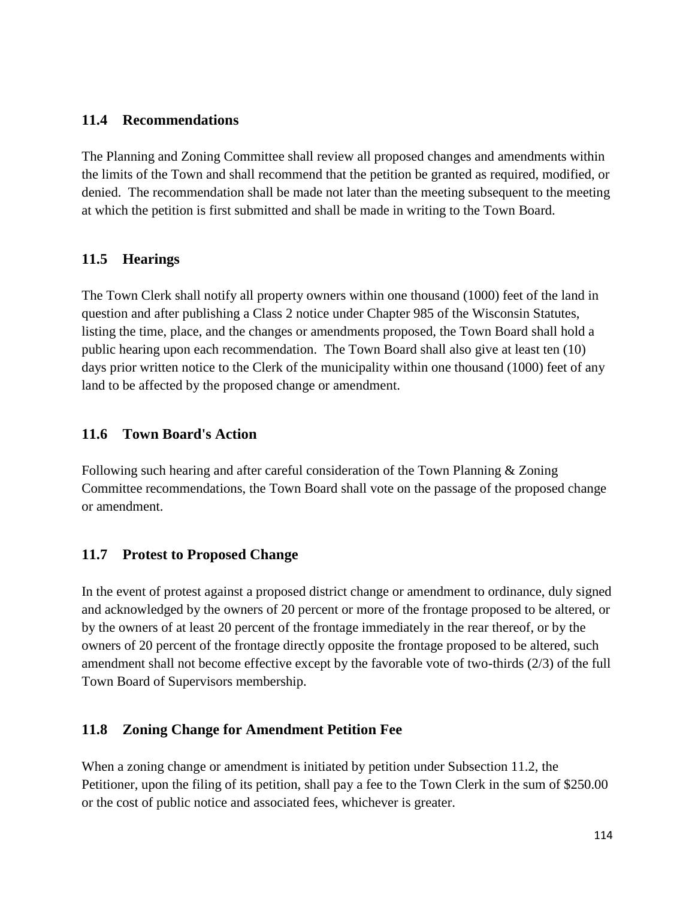### **11.4 Recommendations**

The Planning and Zoning Committee shall review all proposed changes and amendments within the limits of the Town and shall recommend that the petition be granted as required, modified, or denied. The recommendation shall be made not later than the meeting subsequent to the meeting at which the petition is first submitted and shall be made in writing to the Town Board.

### **11.5 Hearings**

The Town Clerk shall notify all property owners within one thousand (1000) feet of the land in question and after publishing a Class 2 notice under Chapter 985 of the Wisconsin Statutes, listing the time, place, and the changes or amendments proposed, the Town Board shall hold a public hearing upon each recommendation. The Town Board shall also give at least ten (10) days prior written notice to the Clerk of the municipality within one thousand (1000) feet of any land to be affected by the proposed change or amendment.

### **11.6 Town Board's Action**

Following such hearing and after careful consideration of the Town Planning & Zoning Committee recommendations, the Town Board shall vote on the passage of the proposed change or amendment.

## **11.7 Protest to Proposed Change**

In the event of protest against a proposed district change or amendment to ordinance, duly signed and acknowledged by the owners of 20 percent or more of the frontage proposed to be altered, or by the owners of at least 20 percent of the frontage immediately in the rear thereof, or by the owners of 20 percent of the frontage directly opposite the frontage proposed to be altered, such amendment shall not become effective except by the favorable vote of two-thirds (2/3) of the full Town Board of Supervisors membership.

## **11.8 Zoning Change for Amendment Petition Fee**

When a zoning change or amendment is initiated by petition under Subsection 11.2, the Petitioner, upon the filing of its petition, shall pay a fee to the Town Clerk in the sum of \$250.00 or the cost of public notice and associated fees, whichever is greater.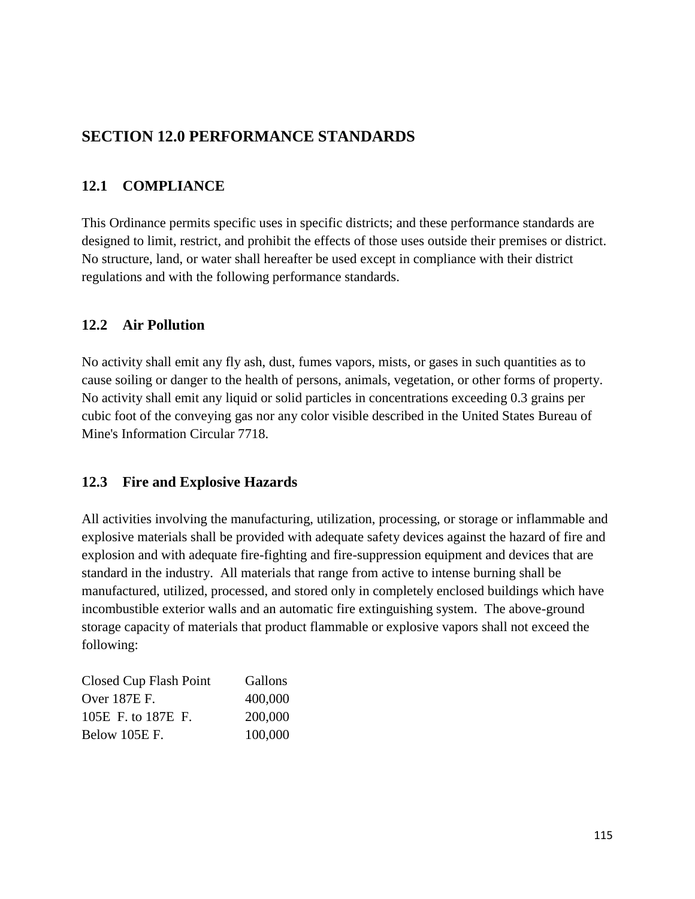# **SECTION 12.0 PERFORMANCE STANDARDS**

## **12.1 COMPLIANCE**

This Ordinance permits specific uses in specific districts; and these performance standards are designed to limit, restrict, and prohibit the effects of those uses outside their premises or district. No structure, land, or water shall hereafter be used except in compliance with their district regulations and with the following performance standards.

## **12.2 Air Pollution**

No activity shall emit any fly ash, dust, fumes vapors, mists, or gases in such quantities as to cause soiling or danger to the health of persons, animals, vegetation, or other forms of property. No activity shall emit any liquid or solid particles in concentrations exceeding 0.3 grains per cubic foot of the conveying gas nor any color visible described in the United States Bureau of Mine's Information Circular 7718.

## **12.3 Fire and Explosive Hazards**

All activities involving the manufacturing, utilization, processing, or storage or inflammable and explosive materials shall be provided with adequate safety devices against the hazard of fire and explosion and with adequate fire-fighting and fire-suppression equipment and devices that are standard in the industry. All materials that range from active to intense burning shall be manufactured, utilized, processed, and stored only in completely enclosed buildings which have incombustible exterior walls and an automatic fire extinguishing system. The above-ground storage capacity of materials that product flammable or explosive vapors shall not exceed the following:

| Closed Cup Flash Point | Gallons |
|------------------------|---------|
| Over 187E F.           | 400,000 |
| 105E F. to 187E F.     | 200,000 |
| Below 105E F.          | 100,000 |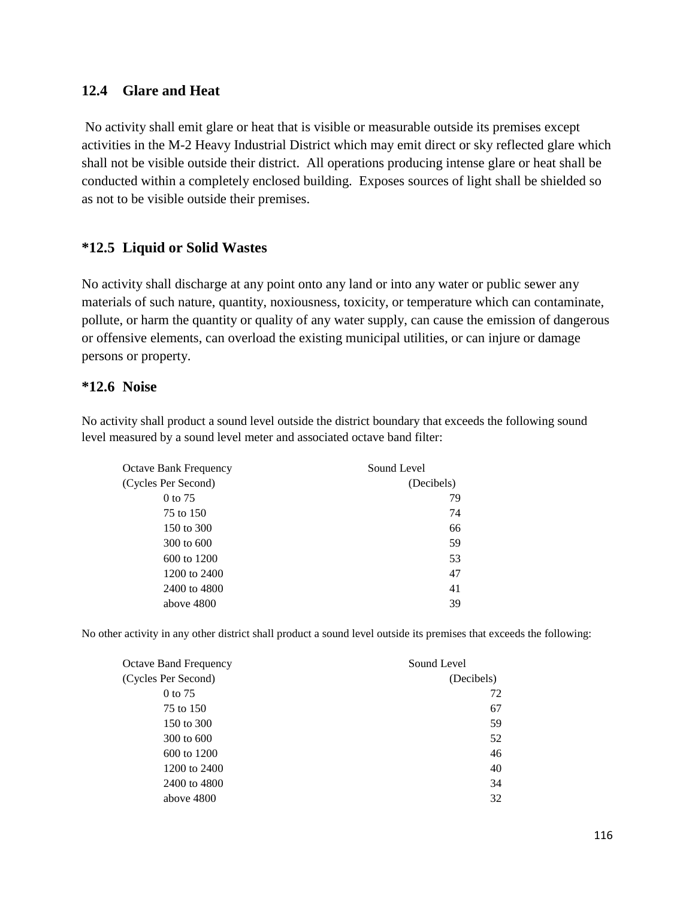#### **12.4 Glare and Heat**

No activity shall emit glare or heat that is visible or measurable outside its premises except activities in the M-2 Heavy Industrial District which may emit direct or sky reflected glare which shall not be visible outside their district. All operations producing intense glare or heat shall be conducted within a completely enclosed building. Exposes sources of light shall be shielded so as not to be visible outside their premises.

#### **\*12.5 Liquid or Solid Wastes**

No activity shall discharge at any point onto any land or into any water or public sewer any materials of such nature, quantity, noxiousness, toxicity, or temperature which can contaminate, pollute, or harm the quantity or quality of any water supply, can cause the emission of dangerous or offensive elements, can overload the existing municipal utilities, or can injure or damage persons or property.

#### **\*12.6 Noise**

No activity shall product a sound level outside the district boundary that exceeds the following sound level measured by a sound level meter and associated octave band filter:

| Octave Bank Frequency | Sound Level<br>(Decibels) |  |
|-----------------------|---------------------------|--|
| (Cycles Per Second)   |                           |  |
| 0 to 75               | 79                        |  |
| 75 to 150             | 74                        |  |
| 150 to 300            | 66                        |  |
| 300 to 600            | 59                        |  |
| 600 to 1200           | 53                        |  |
| 1200 to 2400          | 47                        |  |
| 2400 to 4800          | 41                        |  |
| above 4800            | 39                        |  |

No other activity in any other district shall product a sound level outside its premises that exceeds the following:

| <b>Octave Band Frequency</b> | Sound Level |  |
|------------------------------|-------------|--|
| (Cycles Per Second)          | (Decibels)  |  |
| 0 to 75                      | 72          |  |
| 75 to 150                    | 67          |  |
| 150 to 300                   | 59          |  |
| 300 to 600                   | 52          |  |
| 600 to 1200                  | 46          |  |
| 1200 to 2400                 | 40          |  |
| 2400 to 4800                 | 34          |  |
| above 4800                   | 32          |  |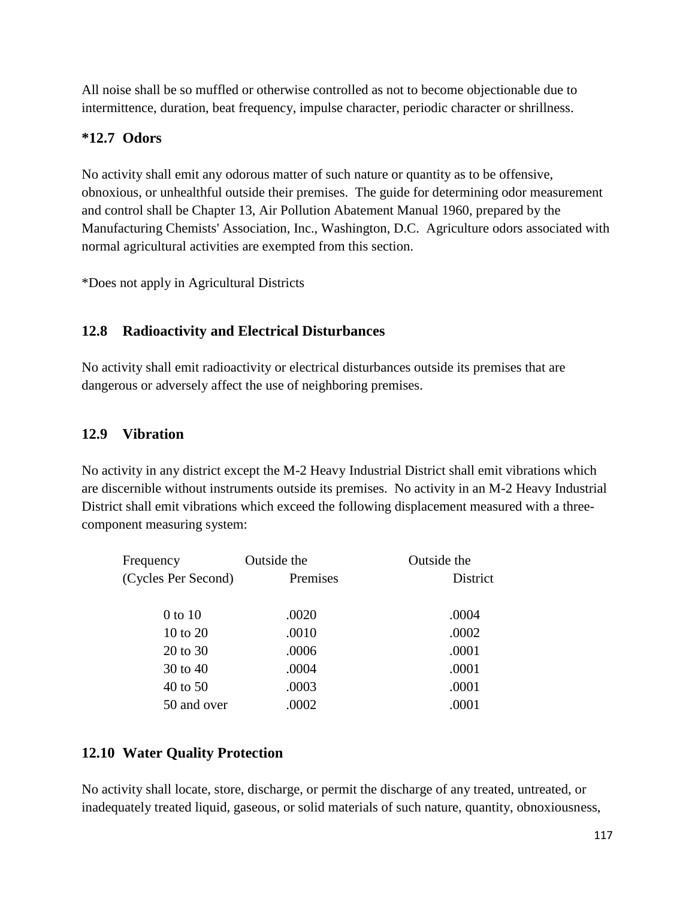All noise shall be so muffled or otherwise controlled as not to become objectionable due to intermittence, duration, beat frequency, impulse character, periodic character or shrillness.

## **\*12.7 Odors**

No activity shall emit any odorous matter of such nature or quantity as to be offensive, obnoxious, or unhealthful outside their premises. The guide for determining odor measurement and control shall be Chapter 13, Air Pollution Abatement Manual 1960, prepared by the Manufacturing Chemists' Association, Inc., Washington, D.C. Agriculture odors associated with normal agricultural activities are exempted from this section.

\*Does not apply in Agricultural Districts

## **12.8 Radioactivity and Electrical Disturbances**

No activity shall emit radioactivity or electrical disturbances outside its premises that are dangerous or adversely affect the use of neighboring premises.

### **12.9 Vibration**

No activity in any district except the M-2 Heavy Industrial District shall emit vibrations which are discernible without instruments outside its premises. No activity in an M-2 Heavy Industrial District shall emit vibrations which exceed the following displacement measured with a threecomponent measuring system:

| Frequency           | Outside the | Outside the     |
|---------------------|-------------|-----------------|
| (Cycles Per Second) | Premises    | <b>District</b> |
| 0 to 10             | .0020       | .0004           |
| 10 to 20            | .0010       | .0002           |
| 20 to 30            | .0006       | .0001           |
| 30 to 40            | .0004       | .0001           |
| 40 to 50            | .0003       | .0001           |
| 50 and over         | .0002       | .0001           |
|                     |             |                 |

## **12.10 Water Quality Protection**

No activity shall locate, store, discharge, or permit the discharge of any treated, untreated, or inadequately treated liquid, gaseous, or solid materials of such nature, quantity, obnoxiousness,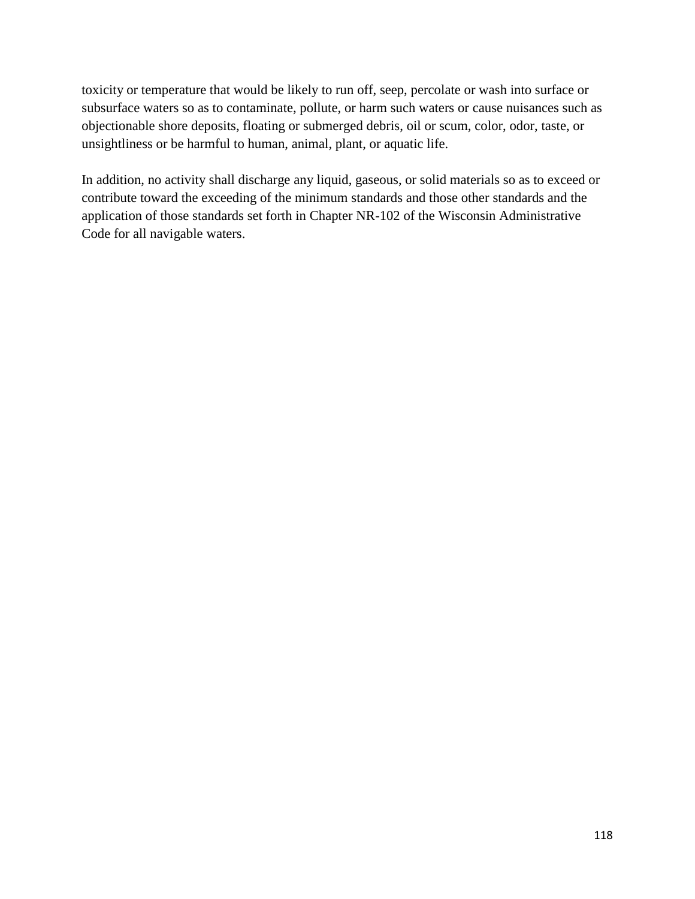toxicity or temperature that would be likely to run off, seep, percolate or wash into surface or subsurface waters so as to contaminate, pollute, or harm such waters or cause nuisances such as objectionable shore deposits, floating or submerged debris, oil or scum, color, odor, taste, or unsightliness or be harmful to human, animal, plant, or aquatic life.

In addition, no activity shall discharge any liquid, gaseous, or solid materials so as to exceed or contribute toward the exceeding of the minimum standards and those other standards and the application of those standards set forth in Chapter NR-102 of the Wisconsin Administrative Code for all navigable waters.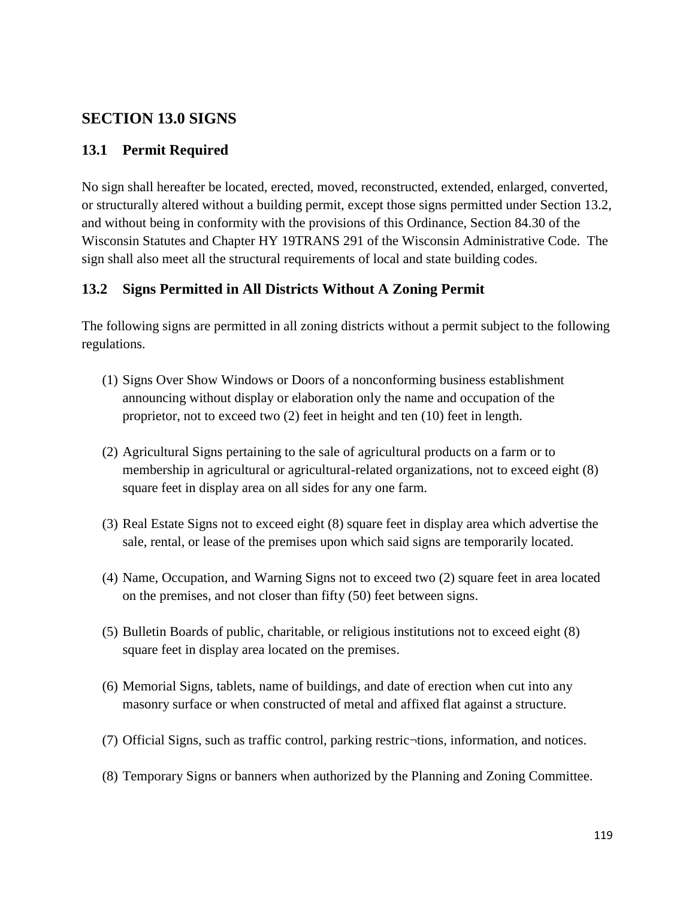## **SECTION 13.0 SIGNS**

## **13.1 Permit Required**

No sign shall hereafter be located, erected, moved, reconstructed, extended, enlarged, converted, or structurally altered without a building permit, except those signs permitted under Section 13.2, and without being in conformity with the provisions of this Ordinance, Section 84.30 of the Wisconsin Statutes and Chapter HY 19TRANS 291 of the Wisconsin Administrative Code. The sign shall also meet all the structural requirements of local and state building codes.

## **13.2 Signs Permitted in All Districts Without A Zoning Permit**

The following signs are permitted in all zoning districts without a permit subject to the following regulations.

- (1) Signs Over Show Windows or Doors of a nonconforming business establishment announcing without display or elaboration only the name and occupation of the proprietor, not to exceed two (2) feet in height and ten (10) feet in length.
- (2) Agricultural Signs pertaining to the sale of agricultural products on a farm or to membership in agricultural or agricultural-related organizations, not to exceed eight (8) square feet in display area on all sides for any one farm.
- (3) Real Estate Signs not to exceed eight (8) square feet in display area which advertise the sale, rental, or lease of the premises upon which said signs are temporarily located.
- (4) Name, Occupation, and Warning Signs not to exceed two (2) square feet in area located on the premises, and not closer than fifty (50) feet between signs.
- (5) Bulletin Boards of public, charitable, or religious institutions not to exceed eight (8) square feet in display area located on the premises.
- (6) Memorial Signs, tablets, name of buildings, and date of erection when cut into any masonry surface or when constructed of metal and affixed flat against a structure.
- (7) Official Signs, such as traffic control, parking restric¬tions, information, and notices.
- (8) Temporary Signs or banners when authorized by the Planning and Zoning Committee.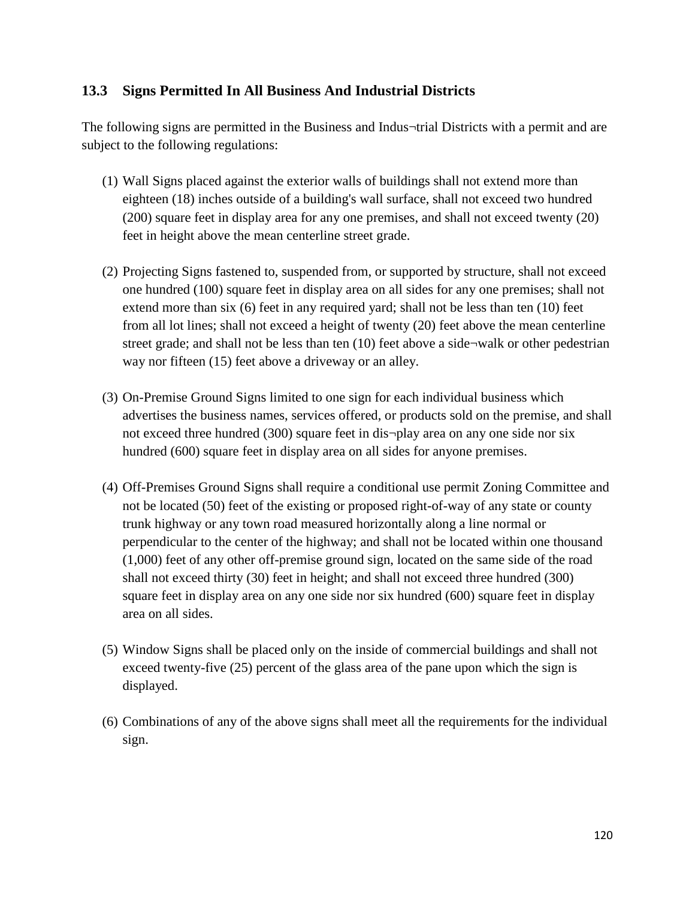## **13.3 Signs Permitted In All Business And Industrial Districts**

The following signs are permitted in the Business and Indus¬trial Districts with a permit and are subject to the following regulations:

- (1) Wall Signs placed against the exterior walls of buildings shall not extend more than eighteen (18) inches outside of a building's wall surface, shall not exceed two hundred (200) square feet in display area for any one premises, and shall not exceed twenty (20) feet in height above the mean centerline street grade.
- (2) Projecting Signs fastened to, suspended from, or supported by structure, shall not exceed one hundred (100) square feet in display area on all sides for any one premises; shall not extend more than six (6) feet in any required yard; shall not be less than ten (10) feet from all lot lines; shall not exceed a height of twenty (20) feet above the mean centerline street grade; and shall not be less than ten  $(10)$  feet above a side¬walk or other pedestrian way nor fifteen (15) feet above a driveway or an alley.
- (3) On-Premise Ground Signs limited to one sign for each individual business which advertises the business names, services offered, or products sold on the premise, and shall not exceed three hundred (300) square feet in dis¬play area on any one side nor six hundred (600) square feet in display area on all sides for anyone premises.
- (4) Off-Premises Ground Signs shall require a conditional use permit Zoning Committee and not be located (50) feet of the existing or proposed right-of-way of any state or county trunk highway or any town road measured horizontally along a line normal or perpendicular to the center of the highway; and shall not be located within one thousand (1,000) feet of any other off-premise ground sign, located on the same side of the road shall not exceed thirty (30) feet in height; and shall not exceed three hundred (300) square feet in display area on any one side nor six hundred (600) square feet in display area on all sides.
- (5) Window Signs shall be placed only on the inside of commercial buildings and shall not exceed twenty-five (25) percent of the glass area of the pane upon which the sign is displayed.
- (6) Combinations of any of the above signs shall meet all the requirements for the individual sign.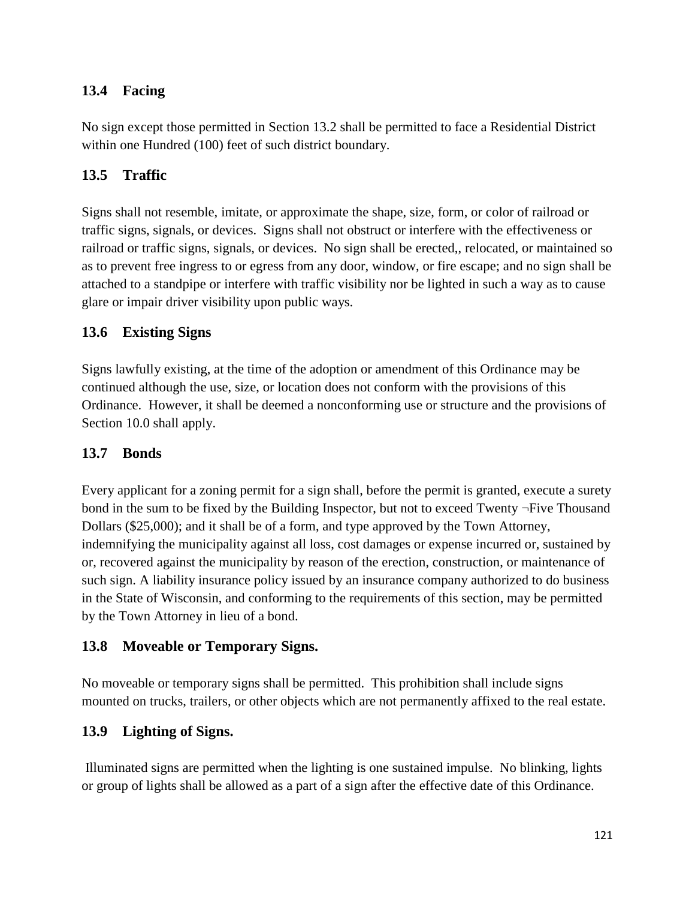## **13.4 Facing**

No sign except those permitted in Section 13.2 shall be permitted to face a Residential District within one Hundred (100) feet of such district boundary.

## **13.5 Traffic**

Signs shall not resemble, imitate, or approximate the shape, size, form, or color of railroad or traffic signs, signals, or devices. Signs shall not obstruct or interfere with the effectiveness or railroad or traffic signs, signals, or devices. No sign shall be erected,, relocated, or maintained so as to prevent free ingress to or egress from any door, window, or fire escape; and no sign shall be attached to a standpipe or interfere with traffic visibility nor be lighted in such a way as to cause glare or impair driver visibility upon public ways.

## **13.6 Existing Signs**

Signs lawfully existing, at the time of the adoption or amendment of this Ordinance may be continued although the use, size, or location does not conform with the provisions of this Ordinance. However, it shall be deemed a nonconforming use or structure and the provisions of Section 10.0 shall apply.

## **13.7 Bonds**

Every applicant for a zoning permit for a sign shall, before the permit is granted, execute a surety bond in the sum to be fixed by the Building Inspector, but not to exceed Twenty ¬Five Thousand Dollars (\$25,000); and it shall be of a form, and type approved by the Town Attorney, indemnifying the municipality against all loss, cost damages or expense incurred or, sustained by or, recovered against the municipality by reason of the erection, construction, or maintenance of such sign. A liability insurance policy issued by an insurance company authorized to do business in the State of Wisconsin, and conforming to the requirements of this section, may be permitted by the Town Attorney in lieu of a bond.

## **13.8 Moveable or Temporary Signs.**

No moveable or temporary signs shall be permitted. This prohibition shall include signs mounted on trucks, trailers, or other objects which are not permanently affixed to the real estate.

## **13.9 Lighting of Signs.**

Illuminated signs are permitted when the lighting is one sustained impulse. No blinking, lights or group of lights shall be allowed as a part of a sign after the effective date of this Ordinance.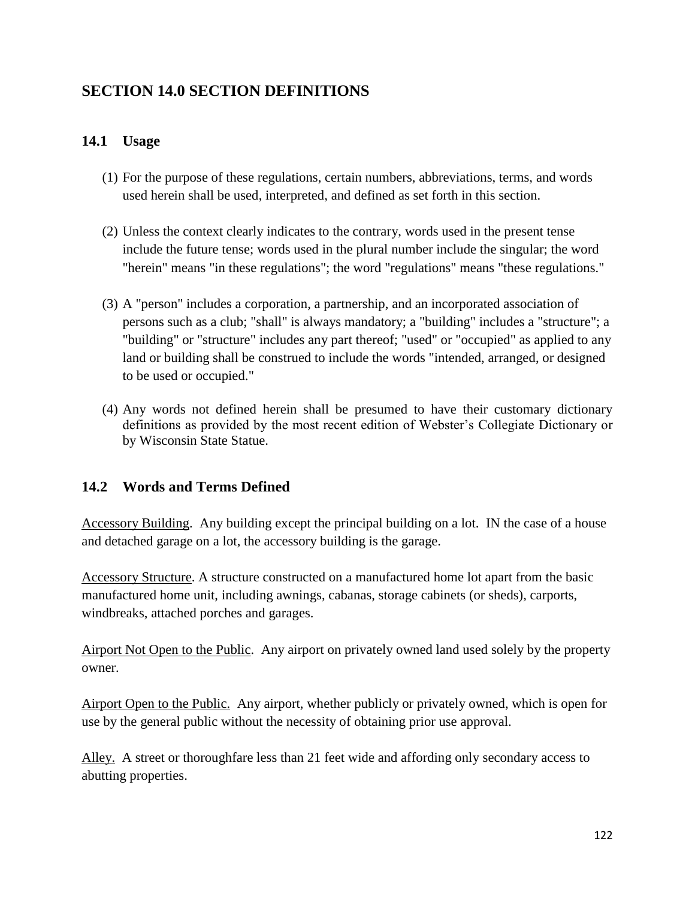# **SECTION 14.0 SECTION DEFINITIONS**

## **14.1 Usage**

- (1) For the purpose of these regulations, certain numbers, abbreviations, terms, and words used herein shall be used, interpreted, and defined as set forth in this section.
- (2) Unless the context clearly indicates to the contrary, words used in the present tense include the future tense; words used in the plural number include the singular; the word "herein" means "in these regulations"; the word "regulations" means "these regulations."
- (3) A "person" includes a corporation, a partnership, and an incorporated association of persons such as a club; "shall" is always mandatory; a "building" includes a "structure"; a "building" or "structure" includes any part thereof; "used" or "occupied" as applied to any land or building shall be construed to include the words "intended, arranged, or designed to be used or occupied."
- (4) Any words not defined herein shall be presumed to have their customary dictionary definitions as provided by the most recent edition of Webster's Collegiate Dictionary or by Wisconsin State Statue.

## **14.2 Words and Terms Defined**

Accessory Building. Any building except the principal building on a lot. IN the case of a house and detached garage on a lot, the accessory building is the garage.

Accessory Structure. A structure constructed on a manufactured home lot apart from the basic manufactured home unit, including awnings, cabanas, storage cabinets (or sheds), carports, windbreaks, attached porches and garages.

Airport Not Open to the Public. Any airport on privately owned land used solely by the property owner.

Airport Open to the Public. Any airport, whether publicly or privately owned, which is open for use by the general public without the necessity of obtaining prior use approval.

Alley. A street or thoroughfare less than 21 feet wide and affording only secondary access to abutting properties.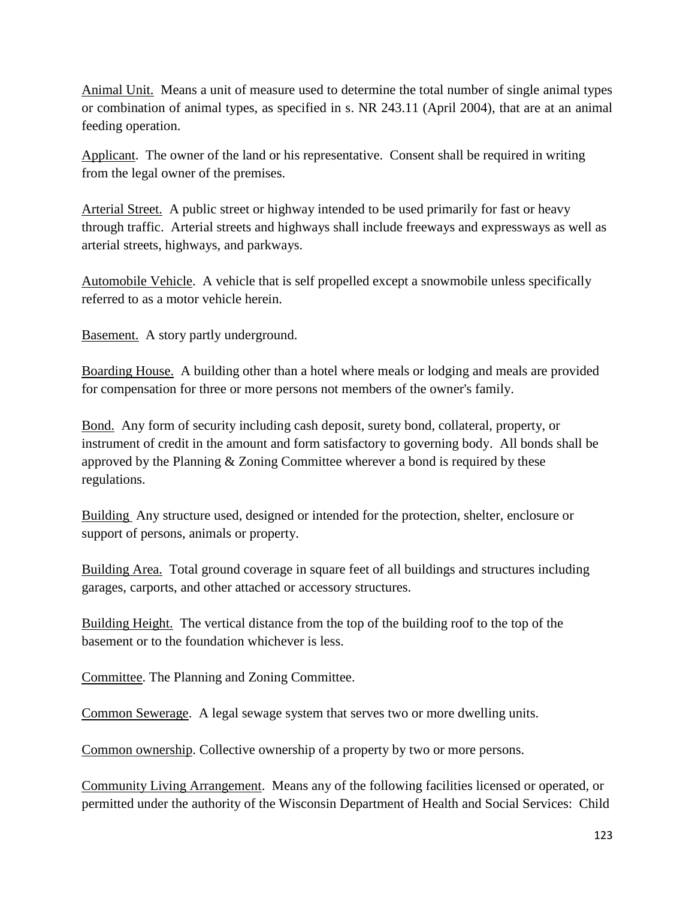Animal Unit. Means a unit of measure used to determine the total number of single animal types or combination of animal types, as specified in s. NR 243.11 (April 2004), that are at an animal feeding operation.

Applicant. The owner of the land or his representative. Consent shall be required in writing from the legal owner of the premises.

Arterial Street. A public street or highway intended to be used primarily for fast or heavy through traffic. Arterial streets and highways shall include freeways and expressways as well as arterial streets, highways, and parkways.

Automobile Vehicle. A vehicle that is self propelled except a snowmobile unless specifically referred to as a motor vehicle herein.

Basement. A story partly underground.

Boarding House. A building other than a hotel where meals or lodging and meals are provided for compensation for three or more persons not members of the owner's family.

Bond. Any form of security including cash deposit, surety bond, collateral, property, or instrument of credit in the amount and form satisfactory to governing body. All bonds shall be approved by the Planning & Zoning Committee wherever a bond is required by these regulations.

Building Any structure used, designed or intended for the protection, shelter, enclosure or support of persons, animals or property.

Building Area. Total ground coverage in square feet of all buildings and structures including garages, carports, and other attached or accessory structures.

Building Height. The vertical distance from the top of the building roof to the top of the basement or to the foundation whichever is less.

Committee. The Planning and Zoning Committee.

Common Sewerage. A legal sewage system that serves two or more dwelling units.

Common ownership. Collective ownership of a property by two or more persons.

Community Living Arrangement. Means any of the following facilities licensed or operated, or permitted under the authority of the Wisconsin Department of Health and Social Services: Child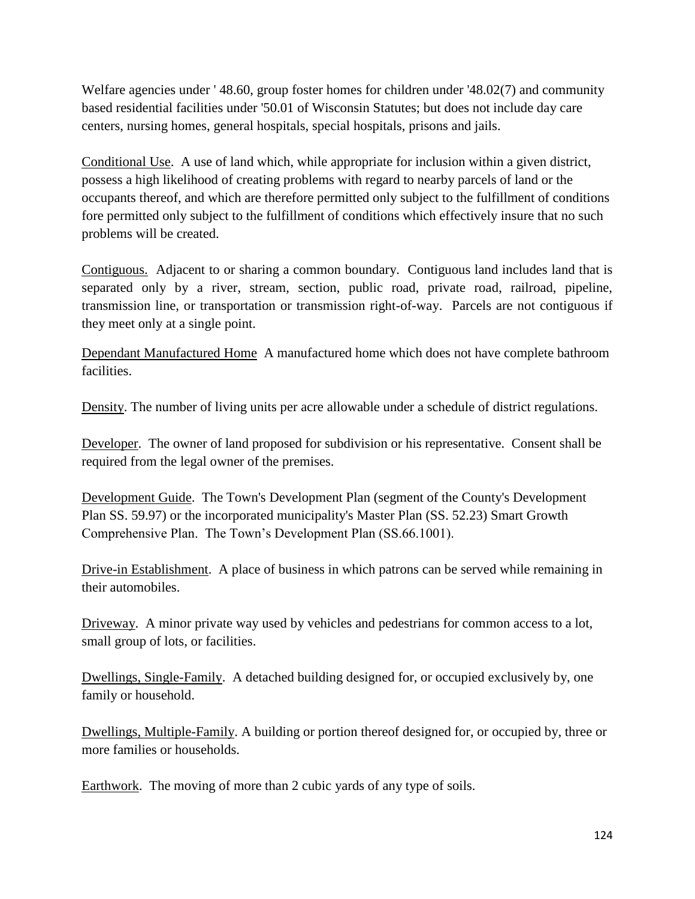Welfare agencies under ' 48.60, group foster homes for children under '48.02(7) and community based residential facilities under '50.01 of Wisconsin Statutes; but does not include day care centers, nursing homes, general hospitals, special hospitals, prisons and jails.

Conditional Use. A use of land which, while appropriate for inclusion within a given district, possess a high likelihood of creating problems with regard to nearby parcels of land or the occupants thereof, and which are therefore permitted only subject to the fulfillment of conditions fore permitted only subject to the fulfillment of conditions which effectively insure that no such problems will be created.

Contiguous. Adjacent to or sharing a common boundary. Contiguous land includes land that is separated only by a river, stream, section, public road, private road, railroad, pipeline, transmission line, or transportation or transmission right-of-way. Parcels are not contiguous if they meet only at a single point.

Dependant Manufactured Home A manufactured home which does not have complete bathroom facilities.

Density. The number of living units per acre allowable under a schedule of district regulations.

Developer. The owner of land proposed for subdivision or his representative. Consent shall be required from the legal owner of the premises.

Development Guide. The Town's Development Plan (segment of the County's Development Plan SS. 59.97) or the incorporated municipality's Master Plan (SS. 52.23) Smart Growth Comprehensive Plan. The Town's Development Plan (SS.66.1001).

Drive-in Establishment. A place of business in which patrons can be served while remaining in their automobiles.

Driveway. A minor private way used by vehicles and pedestrians for common access to a lot, small group of lots, or facilities.

Dwellings, Single-Family. A detached building designed for, or occupied exclusively by, one family or household.

Dwellings, Multiple-Family. A building or portion thereof designed for, or occupied by, three or more families or households.

Earthwork. The moving of more than 2 cubic yards of any type of soils.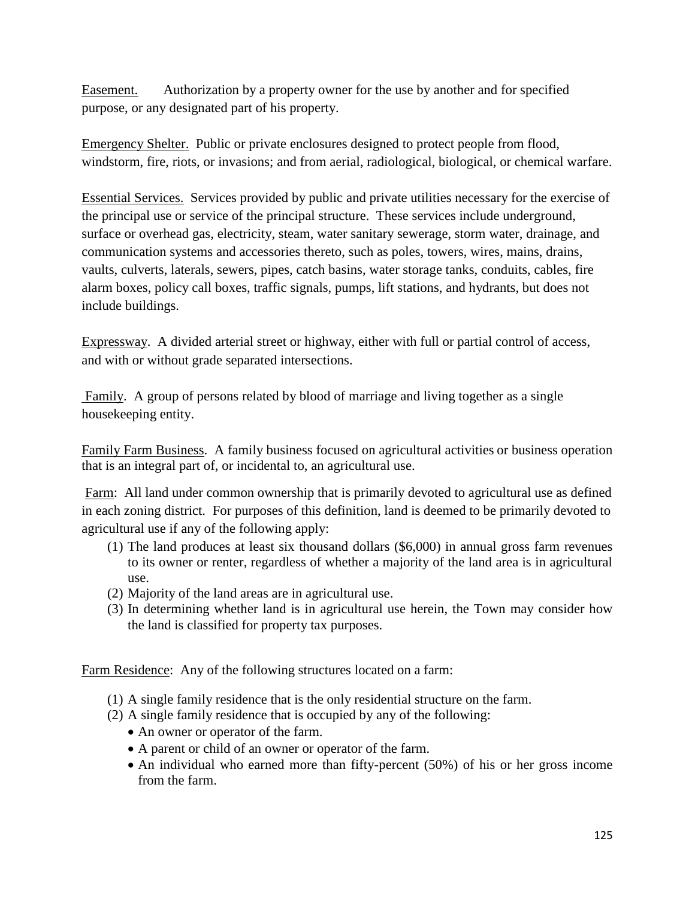Easement. Authorization by a property owner for the use by another and for specified purpose, or any designated part of his property.

Emergency Shelter. Public or private enclosures designed to protect people from flood, windstorm, fire, riots, or invasions; and from aerial, radiological, biological, or chemical warfare.

Essential Services. Services provided by public and private utilities necessary for the exercise of the principal use or service of the principal structure. These services include underground, surface or overhead gas, electricity, steam, water sanitary sewerage, storm water, drainage, and communication systems and accessories thereto, such as poles, towers, wires, mains, drains, vaults, culverts, laterals, sewers, pipes, catch basins, water storage tanks, conduits, cables, fire alarm boxes, policy call boxes, traffic signals, pumps, lift stations, and hydrants, but does not include buildings.

Expressway. A divided arterial street or highway, either with full or partial control of access, and with or without grade separated intersections.

Family. A group of persons related by blood of marriage and living together as a single housekeeping entity.

Family Farm Business. A family business focused on agricultural activities or business operation that is an integral part of, or incidental to, an agricultural use.

Farm: All land under common ownership that is primarily devoted to agricultural use as defined in each zoning district. For purposes of this definition, land is deemed to be primarily devoted to agricultural use if any of the following apply:

- (1) The land produces at least six thousand dollars (\$6,000) in annual gross farm revenues to its owner or renter, regardless of whether a majority of the land area is in agricultural use.
- (2) Majority of the land areas are in agricultural use.
- (3) In determining whether land is in agricultural use herein, the Town may consider how the land is classified for property tax purposes.

Farm Residence: Any of the following structures located on a farm:

- (1) A single family residence that is the only residential structure on the farm.
- (2) A single family residence that is occupied by any of the following:
	- An owner or operator of the farm.
	- A parent or child of an owner or operator of the farm.
	- An individual who earned more than fifty-percent (50%) of his or her gross income from the farm.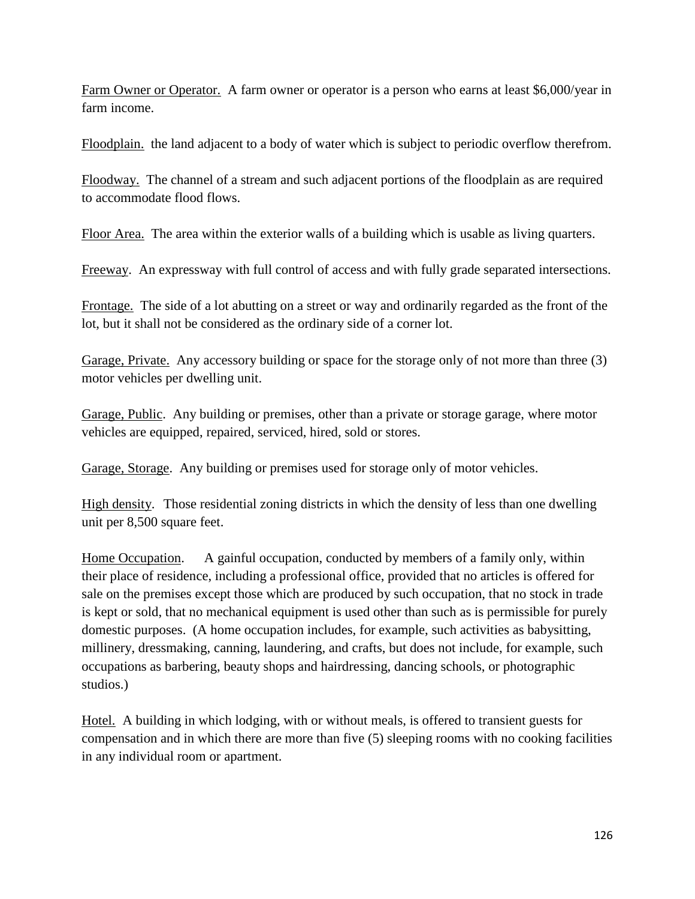Farm Owner or Operator. A farm owner or operator is a person who earns at least \$6,000/year in farm income.

Floodplain. the land adjacent to a body of water which is subject to periodic overflow therefrom.

Floodway. The channel of a stream and such adjacent portions of the floodplain as are required to accommodate flood flows.

Floor Area. The area within the exterior walls of a building which is usable as living quarters.

Freeway. An expressway with full control of access and with fully grade separated intersections.

Frontage. The side of a lot abutting on a street or way and ordinarily regarded as the front of the lot, but it shall not be considered as the ordinary side of a corner lot.

Garage, Private. Any accessory building or space for the storage only of not more than three (3) motor vehicles per dwelling unit.

Garage, Public. Any building or premises, other than a private or storage garage, where motor vehicles are equipped, repaired, serviced, hired, sold or stores.

Garage, Storage. Any building or premises used for storage only of motor vehicles.

High density. Those residential zoning districts in which the density of less than one dwelling unit per 8,500 square feet.

Home Occupation. A gainful occupation, conducted by members of a family only, within their place of residence, including a professional office, provided that no articles is offered for sale on the premises except those which are produced by such occupation, that no stock in trade is kept or sold, that no mechanical equipment is used other than such as is permissible for purely domestic purposes. (A home occupation includes, for example, such activities as babysitting, millinery, dressmaking, canning, laundering, and crafts, but does not include, for example, such occupations as barbering, beauty shops and hairdressing, dancing schools, or photographic studios.)

Hotel. A building in which lodging, with or without meals, is offered to transient guests for compensation and in which there are more than five (5) sleeping rooms with no cooking facilities in any individual room or apartment.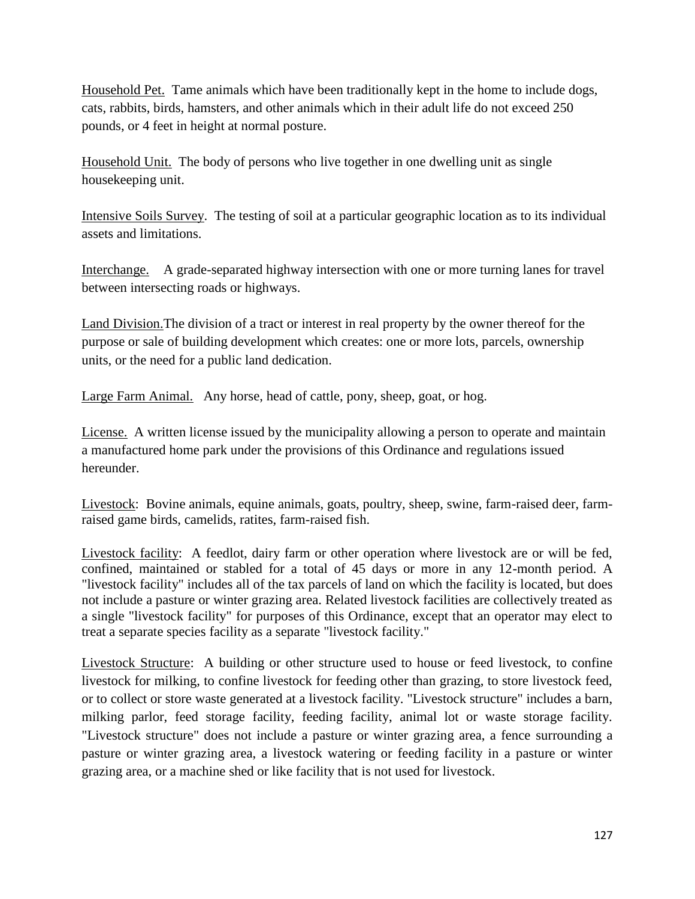Household Pet. Tame animals which have been traditionally kept in the home to include dogs, cats, rabbits, birds, hamsters, and other animals which in their adult life do not exceed 250 pounds, or 4 feet in height at normal posture.

Household Unit. The body of persons who live together in one dwelling unit as single housekeeping unit.

Intensive Soils Survey. The testing of soil at a particular geographic location as to its individual assets and limitations.

Interchange. A grade-separated highway intersection with one or more turning lanes for travel between intersecting roads or highways.

Land Division.The division of a tract or interest in real property by the owner thereof for the purpose or sale of building development which creates: one or more lots, parcels, ownership units, or the need for a public land dedication.

Large Farm Animal. Any horse, head of cattle, pony, sheep, goat, or hog.

License. A written license issued by the municipality allowing a person to operate and maintain a manufactured home park under the provisions of this Ordinance and regulations issued hereunder.

Livestock: Bovine animals, equine animals, goats, poultry, sheep, swine, farm-raised deer, farmraised game birds, camelids, ratites, farm-raised fish.

Livestock facility: A feedlot, dairy farm or other operation where livestock are or will be fed, confined, maintained or stabled for a total of 45 days or more in any 12-month period. A "livestock facility" includes all of the tax parcels of land on which the facility is located, but does not include a pasture or winter grazing area. Related livestock facilities are collectively treated as a single "livestock facility" for purposes of this Ordinance, except that an operator may elect to treat a separate species facility as a separate "livestock facility."

Livestock Structure: A building or other structure used to house or feed livestock, to confine livestock for milking, to confine livestock for feeding other than grazing, to store livestock feed, or to collect or store waste generated at a livestock facility. "Livestock structure" includes a barn, milking parlor, feed storage facility, feeding facility, animal lot or waste storage facility. "Livestock structure" does not include a pasture or winter grazing area, a fence surrounding a pasture or winter grazing area, a livestock watering or feeding facility in a pasture or winter grazing area, or a machine shed or like facility that is not used for livestock.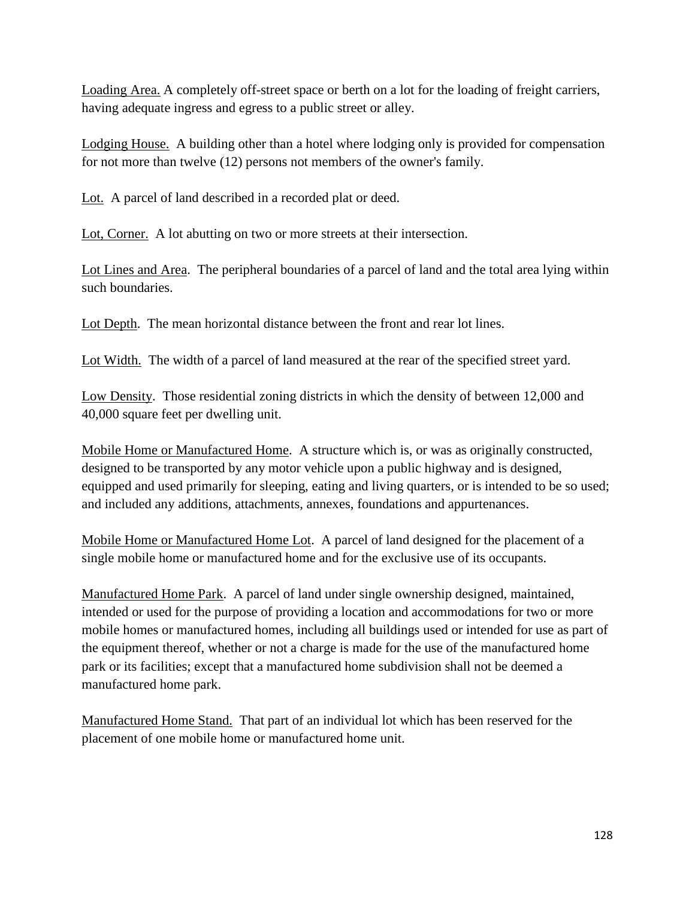Loading Area. A completely off-street space or berth on a lot for the loading of freight carriers, having adequate ingress and egress to a public street or alley.

Lodging House. A building other than a hotel where lodging only is provided for compensation for not more than twelve (12) persons not members of the owner's family.

Lot. A parcel of land described in a recorded plat or deed.

Lot, Corner. A lot abutting on two or more streets at their intersection.

Lot Lines and Area. The peripheral boundaries of a parcel of land and the total area lying within such boundaries.

Lot Depth. The mean horizontal distance between the front and rear lot lines.

Lot Width. The width of a parcel of land measured at the rear of the specified street yard.

Low Density. Those residential zoning districts in which the density of between 12,000 and 40,000 square feet per dwelling unit.

Mobile Home or Manufactured Home. A structure which is, or was as originally constructed, designed to be transported by any motor vehicle upon a public highway and is designed, equipped and used primarily for sleeping, eating and living quarters, or is intended to be so used; and included any additions, attachments, annexes, foundations and appurtenances.

Mobile Home or Manufactured Home Lot. A parcel of land designed for the placement of a single mobile home or manufactured home and for the exclusive use of its occupants.

Manufactured Home Park. A parcel of land under single ownership designed, maintained, intended or used for the purpose of providing a location and accommodations for two or more mobile homes or manufactured homes, including all buildings used or intended for use as part of the equipment thereof, whether or not a charge is made for the use of the manufactured home park or its facilities; except that a manufactured home subdivision shall not be deemed a manufactured home park.

Manufactured Home Stand. That part of an individual lot which has been reserved for the placement of one mobile home or manufactured home unit.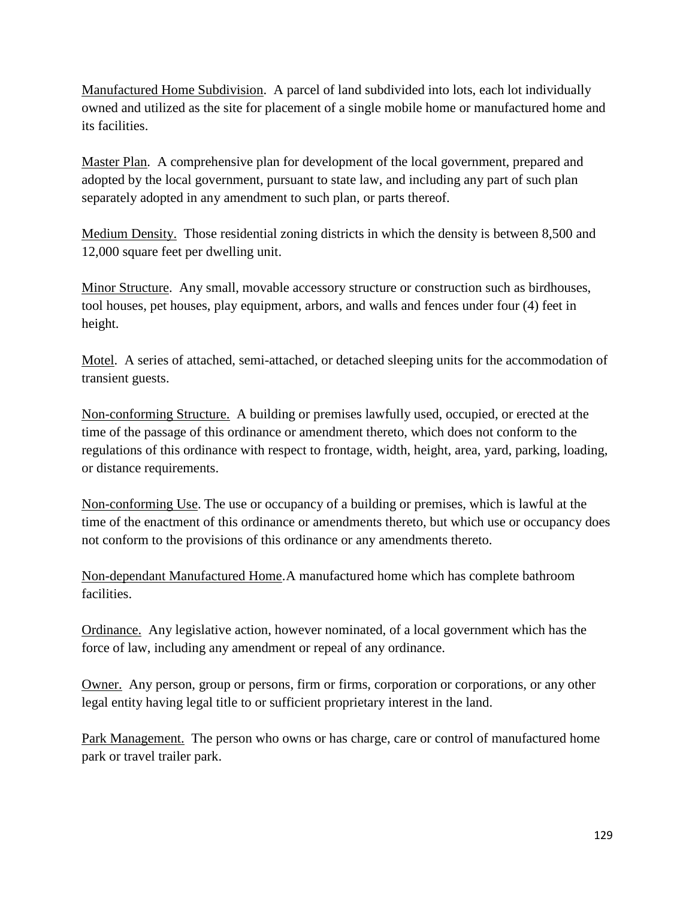Manufactured Home Subdivision. A parcel of land subdivided into lots, each lot individually owned and utilized as the site for placement of a single mobile home or manufactured home and its facilities.

Master Plan. A comprehensive plan for development of the local government, prepared and adopted by the local government, pursuant to state law, and including any part of such plan separately adopted in any amendment to such plan, or parts thereof.

Medium Density. Those residential zoning districts in which the density is between 8,500 and 12,000 square feet per dwelling unit.

Minor Structure. Any small, movable accessory structure or construction such as birdhouses, tool houses, pet houses, play equipment, arbors, and walls and fences under four (4) feet in height.

Motel. A series of attached, semi-attached, or detached sleeping units for the accommodation of transient guests.

Non-conforming Structure. A building or premises lawfully used, occupied, or erected at the time of the passage of this ordinance or amendment thereto, which does not conform to the regulations of this ordinance with respect to frontage, width, height, area, yard, parking, loading, or distance requirements.

Non-conforming Use. The use or occupancy of a building or premises, which is lawful at the time of the enactment of this ordinance or amendments thereto, but which use or occupancy does not conform to the provisions of this ordinance or any amendments thereto.

Non-dependant Manufactured Home.A manufactured home which has complete bathroom facilities.

Ordinance. Any legislative action, however nominated, of a local government which has the force of law, including any amendment or repeal of any ordinance.

Owner. Any person, group or persons, firm or firms, corporation or corporations, or any other legal entity having legal title to or sufficient proprietary interest in the land.

Park Management. The person who owns or has charge, care or control of manufactured home park or travel trailer park.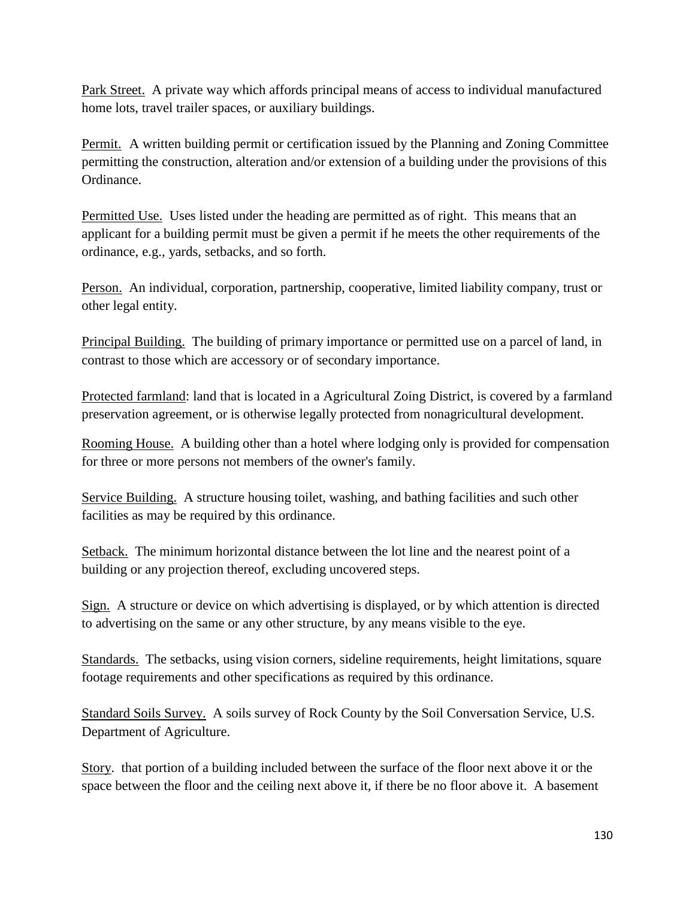Park Street. A private way which affords principal means of access to individual manufactured home lots, travel trailer spaces, or auxiliary buildings.

Permit. A written building permit or certification issued by the Planning and Zoning Committee permitting the construction, alteration and/or extension of a building under the provisions of this Ordinance.

Permitted Use. Uses listed under the heading are permitted as of right. This means that an applicant for a building permit must be given a permit if he meets the other requirements of the ordinance, e.g., yards, setbacks, and so forth.

Person. An individual, corporation, partnership, cooperative, limited liability company, trust or other legal entity.

Principal Building. The building of primary importance or permitted use on a parcel of land, in contrast to those which are accessory or of secondary importance.

Protected farmland: land that is located in a Agricultural Zoing District, is covered by a farmland preservation agreement, or is otherwise legally protected from nonagricultural development.

Rooming House. A building other than a hotel where lodging only is provided for compensation for three or more persons not members of the owner's family.

Service Building. A structure housing toilet, washing, and bathing facilities and such other facilities as may be required by this ordinance.

Setback. The minimum horizontal distance between the lot line and the nearest point of a building or any projection thereof, excluding uncovered steps.

Sign. A structure or device on which advertising is displayed, or by which attention is directed to advertising on the same or any other structure, by any means visible to the eye.

Standards. The setbacks, using vision corners, sideline requirements, height limitations, square footage requirements and other specifications as required by this ordinance.

Standard Soils Survey. A soils survey of Rock County by the Soil Conversation Service, U.S. Department of Agriculture.

Story. that portion of a building included between the surface of the floor next above it or the space between the floor and the ceiling next above it, if there be no floor above it. A basement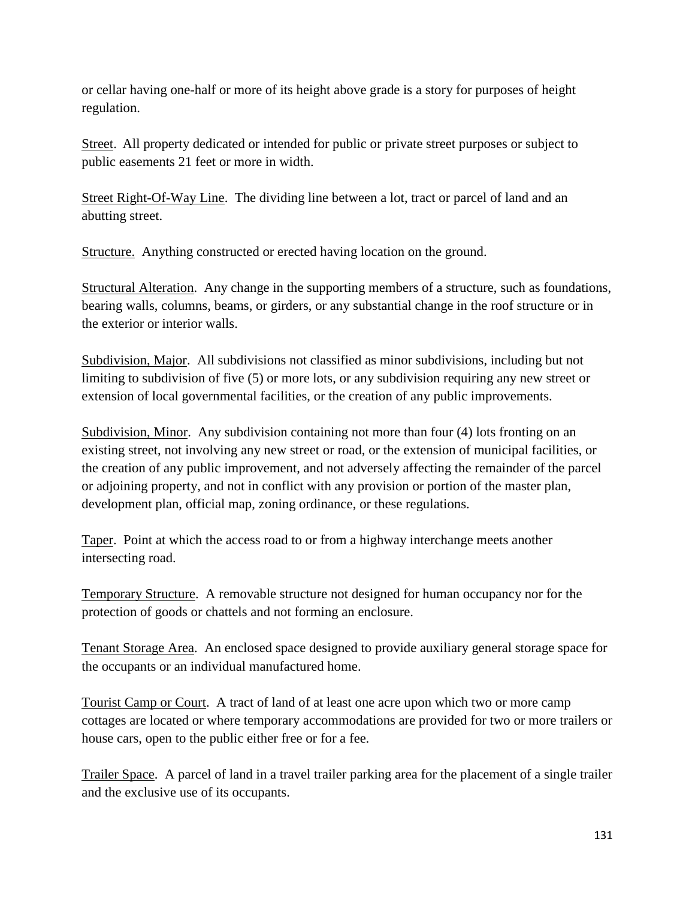or cellar having one-half or more of its height above grade is a story for purposes of height regulation.

Street. All property dedicated or intended for public or private street purposes or subject to public easements 21 feet or more in width.

Street Right-Of-Way Line. The dividing line between a lot, tract or parcel of land and an abutting street.

Structure. Anything constructed or erected having location on the ground.

Structural Alteration. Any change in the supporting members of a structure, such as foundations, bearing walls, columns, beams, or girders, or any substantial change in the roof structure or in the exterior or interior walls.

Subdivision, Major. All subdivisions not classified as minor subdivisions, including but not limiting to subdivision of five (5) or more lots, or any subdivision requiring any new street or extension of local governmental facilities, or the creation of any public improvements.

Subdivision, Minor. Any subdivision containing not more than four (4) lots fronting on an existing street, not involving any new street or road, or the extension of municipal facilities, or the creation of any public improvement, and not adversely affecting the remainder of the parcel or adjoining property, and not in conflict with any provision or portion of the master plan, development plan, official map, zoning ordinance, or these regulations.

Taper. Point at which the access road to or from a highway interchange meets another intersecting road.

Temporary Structure. A removable structure not designed for human occupancy nor for the protection of goods or chattels and not forming an enclosure.

Tenant Storage Area. An enclosed space designed to provide auxiliary general storage space for the occupants or an individual manufactured home.

Tourist Camp or Court. A tract of land of at least one acre upon which two or more camp cottages are located or where temporary accommodations are provided for two or more trailers or house cars, open to the public either free or for a fee.

Trailer Space. A parcel of land in a travel trailer parking area for the placement of a single trailer and the exclusive use of its occupants.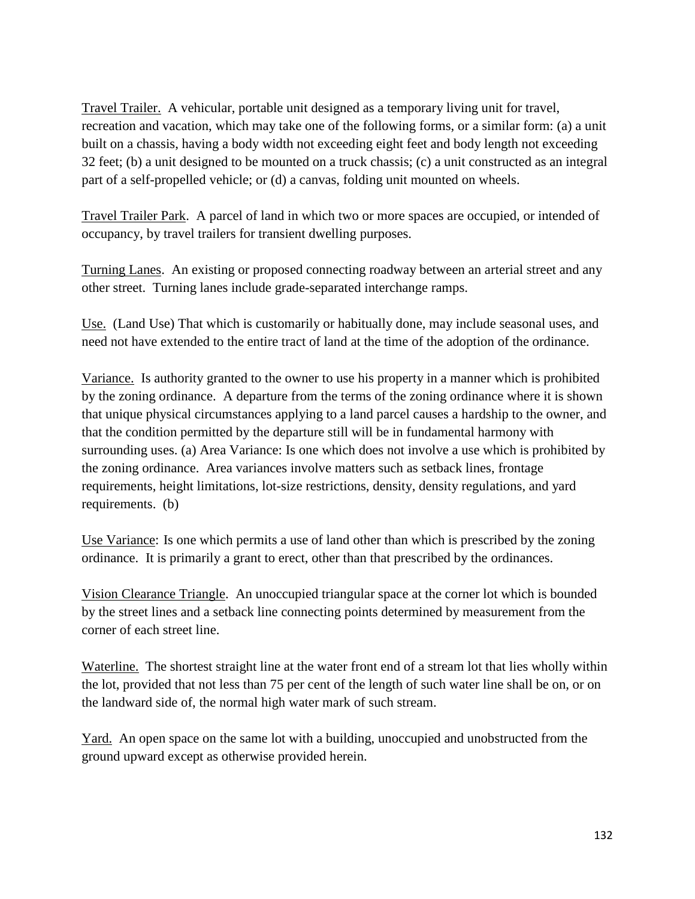Travel Trailer. A vehicular, portable unit designed as a temporary living unit for travel, recreation and vacation, which may take one of the following forms, or a similar form: (a) a unit built on a chassis, having a body width not exceeding eight feet and body length not exceeding 32 feet; (b) a unit designed to be mounted on a truck chassis; (c) a unit constructed as an integral part of a self-propelled vehicle; or (d) a canvas, folding unit mounted on wheels.

Travel Trailer Park. A parcel of land in which two or more spaces are occupied, or intended of occupancy, by travel trailers for transient dwelling purposes.

Turning Lanes. An existing or proposed connecting roadway between an arterial street and any other street. Turning lanes include grade-separated interchange ramps.

Use. (Land Use) That which is customarily or habitually done, may include seasonal uses, and need not have extended to the entire tract of land at the time of the adoption of the ordinance.

Variance. Is authority granted to the owner to use his property in a manner which is prohibited by the zoning ordinance. A departure from the terms of the zoning ordinance where it is shown that unique physical circumstances applying to a land parcel causes a hardship to the owner, and that the condition permitted by the departure still will be in fundamental harmony with surrounding uses. (a) Area Variance: Is one which does not involve a use which is prohibited by the zoning ordinance. Area variances involve matters such as setback lines, frontage requirements, height limitations, lot-size restrictions, density, density regulations, and yard requirements. (b)

Use Variance: Is one which permits a use of land other than which is prescribed by the zoning ordinance. It is primarily a grant to erect, other than that prescribed by the ordinances.

Vision Clearance Triangle. An unoccupied triangular space at the corner lot which is bounded by the street lines and a setback line connecting points determined by measurement from the corner of each street line.

Waterline. The shortest straight line at the water front end of a stream lot that lies wholly within the lot, provided that not less than 75 per cent of the length of such water line shall be on, or on the landward side of, the normal high water mark of such stream.

Yard. An open space on the same lot with a building, unoccupied and unobstructed from the ground upward except as otherwise provided herein.